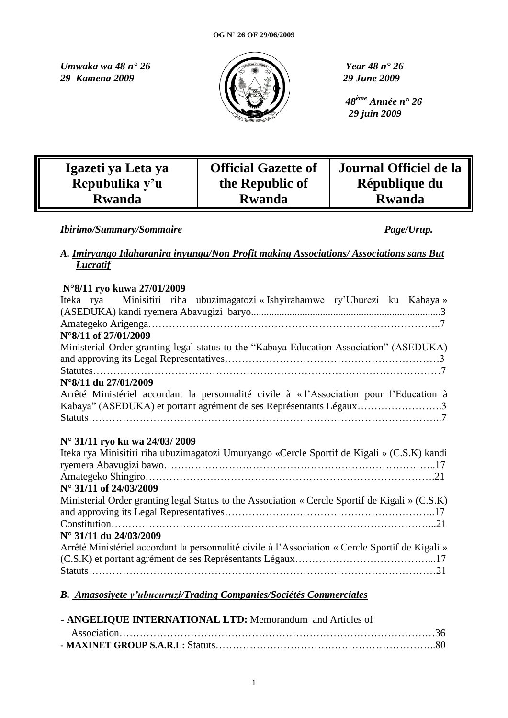*Umwaka wa 48 n° 26 Year 48 n° 26 29 Kamena 2009 29 June 2009*



 *48ème Année n° 26 29 juin 2009*

| Igazeti ya Leta ya | <b>Official Gazette of</b> | Journal Officiel de la |  |
|--------------------|----------------------------|------------------------|--|
| Repubulika y'u     | the Republic of            | République du          |  |
| <b>Rwanda</b>      | <b>Rwanda</b>              | <b>Rwanda</b>          |  |

*Ibirimo/Summary/Sommaire Page/Urup.*

# *A. Imiryango Idaharanira inyungu/Non Profit making Associations/ Associations sans But Lucratif*

# **N°8/11 ryo kuwa 27/01/2009**

| Iteka rya Minisitiri riha ubuzimagatozi «Ishyirahamwe ry'Uburezi ku Kabaya»                      |
|--------------------------------------------------------------------------------------------------|
|                                                                                                  |
|                                                                                                  |
| N°8/11 of 27/01/2009                                                                             |
| Ministerial Order granting legal status to the "Kabaya Education Association" (ASEDUKA)          |
|                                                                                                  |
| N°8/11 du 27/01/2009                                                                             |
| Arrêté Ministériel accordant la personnalité civile à « l'Association pour l'Education à         |
| Kabaya" (ASEDUKA) et portant agrément de ses Représentants Légaux3                               |
|                                                                                                  |
|                                                                                                  |
| N° 31/11 ryo ku wa 24/03/ 2009                                                                   |
| Iteka rya Minisitiri riha ubuzimagatozi Umuryango «Cercle Sportif de Kigali » (C.S.K) kandi      |
|                                                                                                  |
|                                                                                                  |
| $N^{\circ}$ 31/11 of 24/03/2009                                                                  |
| Ministerial Order granting legal Status to the Association « Cercle Sportif de Kigali » (C.S.K)  |
|                                                                                                  |
|                                                                                                  |
| $N^{\circ}$ 31/11 du 24/03/2009                                                                  |
| Arrêté Ministériel accordant la personnalité civile à l'Association « Cercle Sportif de Kigali » |
|                                                                                                  |
|                                                                                                  |

# *B. Amasosiyete y'ubucuruzi/Trading Companies/Sociétés Commerciales*

| - ANGELIQUE INTERNATIONAL LTD: Memorandum and Articles of |  |
|-----------------------------------------------------------|--|
|                                                           |  |
|                                                           |  |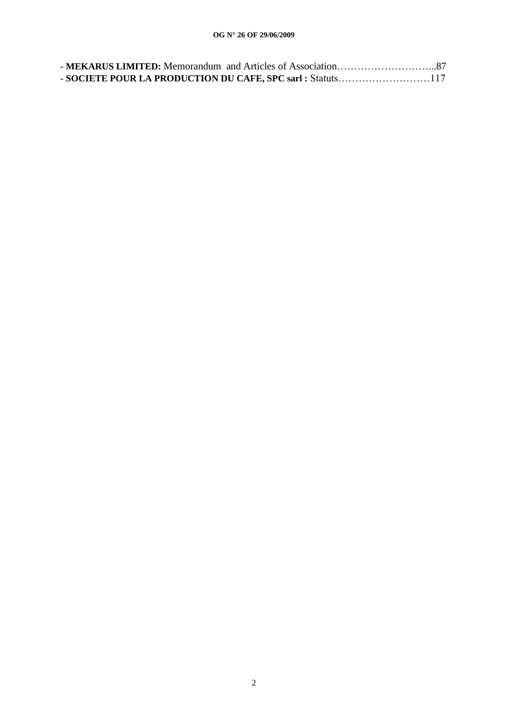| - SOCIETE POUR LA PRODUCTION DU CAFE, SPC sarl : Statuts117 |  |
|-------------------------------------------------------------|--|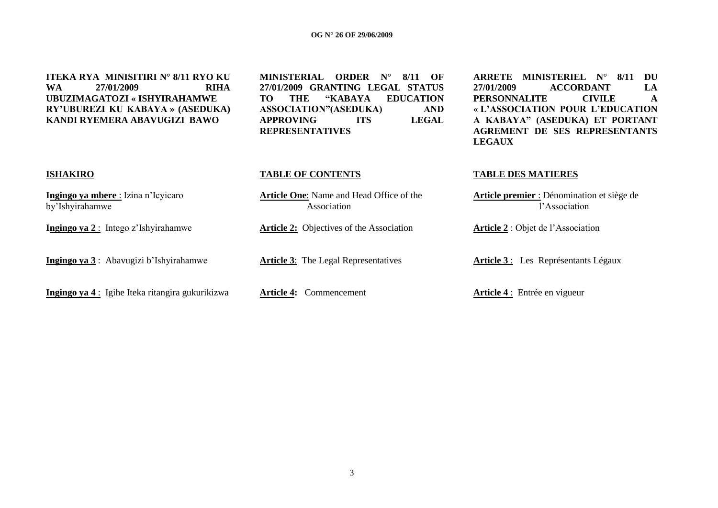**ITEKA RYA MINISITIRI N° 8/11 RYO KU WA 27/01/2009 RIHA UBUZIMAGATOZI « ISHYIRAHAMWE RY'UBUREZI KU KABAYA » (ASEDUKA) KANDI RYEMERA ABAVUGIZI BAWO**

**MINISTERIAL ORDER N° 8/11 OF 27/01/2009 GRANTING LEGAL STATUS**  TO THE "KABAYA EDUCATION ASSOCIATION"(ASEDUKA) AND **APPROVING ITS LEGAL REPRESENTATIVES**

#### **ISHAKIRO**

**Ingingo ya mbere** : Izina n'Icyicaro by'Ishyirahamwe

**Ingingo ya 2** : Intego z'Ishyirahamwe

**Ingingo ya 3** : Abavugizi b'Ishyirahamwe

**Ingingo ya 4** : Igihe Iteka ritangira gukurikizwa

**TABLE OF CONTENTS**

**Article One**: Name and Head Office of the Association

**Article 2:** Objectives of the Association

**Article 3**: The Legal Representatives

**Article 4:** Commencement

**ARRETE MINISTERIEL N° 8/11 DU 27/01/2009 ACCORDANT LA PERSONNALITE CIVILE A « L'ASSOCIATION POUR L'EDUCATION A KABAYA‖ (ASEDUKA) ET PORTANT AGREMENT DE SES REPRESENTANTS LEGAUX**

#### **TABLE DES MATIERES**

**Article premier** : Dénomination et siège de l'Association

**Article 2** : Objet de l'Association

**Article 3** : Les Représentants Légaux

**Article 4** : Entrée en vigueur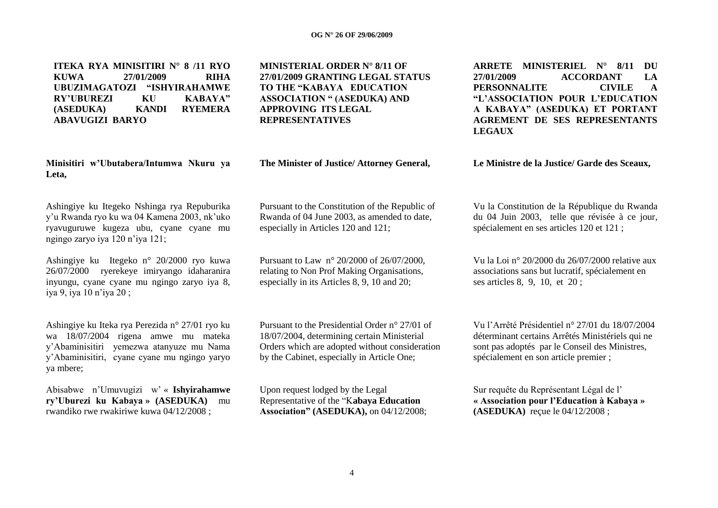**ITEKA RYA MINISITIRI N° 8 /11 RYO KUWA 27/01/2009 RIHA**  UBUZIMAGATOZI **"ISHYIRAHAMWE RY'UBUREZI KU KABAYA‖ (ASEDUKA) KANDI RYEMERA ABAVUGIZI BARYO**

**Minisitiri w'Ubutabera/Intumwa Nkuru ya Leta,** 

Ashingiye ku Itegeko Nshinga rya Repuburika y'u Rwanda ryo ku wa 04 Kamena 2003, nk'uko ryavuguruwe kugeza ubu, cyane cyane mu ngingo zaryo iya 120 n'iya 121;

Ashingiye ku Itegeko n° 20/2000 ryo kuwa 26/07/2000 ryerekeye imiryango idaharanira inyungu, cyane cyane mu ngingo zaryo iya 8, iya 9, iya 10 n'iya 20 ;

Ashingiye ku Iteka rya Perezida n° 27/01 ryo ku wa 18/07/2004 rigena amwe mu mateka y'Abaminisitiri yemezwa atanyuze mu Nama y'Abaminisitiri, cyane cyane mu ngingo yaryo ya mbere;

Abisabwe n'Umuvugizi w' « **Ishyirahamwe ry'Uburezi ku Kabaya » (ASEDUKA)** mu rwandiko rwe rwakiriwe kuwa 04/12/2008 ;

**MINISTERIAL ORDER N° 8/11 OF 27/01/2009 GRANTING LEGAL STATUS**  TO THE "KABAYA EDUCATION **ASSOCIATION " (ASEDUKA) AND APPROVING ITS LEGAL REPRESENTATIVES**

**The Minister of Justice/ Attorney General,**

Pursuant to the Constitution of the Republic of Rwanda of 04 June 2003, as amended to date, especially in Articles 120 and 121;

Pursuant to Law n° 20/2000 of 26/07/2000, relating to Non Prof Making Organisations, especially in its Articles 8, 9, 10 and 20;

Pursuant to the Presidential Order n° 27/01 of 18/07/2004, determining certain Ministerial Orders which are adopted without consideration by the Cabinet, especially in Article One;

Upon request lodged by the Legal Representative of the "K**abaya Education Association‖ (ASEDUKA),** on 04/12/2008;

**ARRETE MINISTERIEL N° 8/11 DU 27/01/2009 ACCORDANT LA PERSONNALITE CIVILE A ―L'ASSOCIATION POUR L'EDUCATION A KABAYA‖ (ASEDUKA) ET PORTANT AGREMENT DE SES REPRESENTANTS LEGAUX**

**Le Ministre de la Justice/ Garde des Sceaux,**

Vu la Constitution de la République du Rwanda du 04 Juin 2003, telle que révisée à ce jour, spécialement en ses articles 120 et 121 ;

Vu la Loi n° 20/2000 du 26/07/2000 relative aux associations sans but lucratif, spécialement en ses articles 8, 9, 10, et 20 ;

Vu l'Arrêté Présidentiel n° 27/01 du 18/07/2004 déterminant certains Arrêtés Ministériels qui ne sont pas adoptés par le Conseil des Ministres, spécialement en son article premier ;

Sur requête du Représentant Légal de l' **« Association pour l'Education à Kabaya » (ASEDUKA)** reçue le 04/12/2008 ;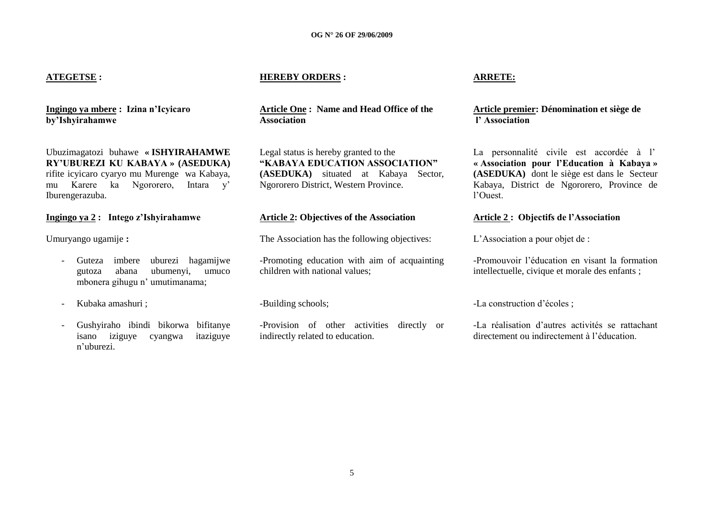#### **OG N° 26 OF 29/06/2009**

#### **ATEGETSE :**

**Ingingo ya mbere : Izina n'Icyicaro by'Ishyirahamwe**

Ubuzimagatozi buhawe **« ISHYIRAHAMWE RY'UBUREZI KU KABAYA » (ASEDUKA)** rifite icyicaro cyaryo mu Murenge wa Kabaya, mu Karere ka Ngororero, Intara y' Iburengerazuba.

## **Ingingo ya 2 : Intego z'Ishyirahamwe**

Umuryango ugamije **:**

- Guteza imbere uburezi hagamijwe gutoza abana ubumenyi, umuco mbonera gihugu n' umutimanama;
- Kubaka amashuri ;
- Gushyiraho ibindi bikorwa bifitanye isano iziguye cyangwa itaziguye n'uburezi.

## **HEREBY ORDERS :**

**Article One : Name and Head Office of the Association**

Legal status is hereby granted to the **"KABAYA EDUCATION ASSOCIATION" (ASEDUKA)** situated at Kabaya Sector, Ngororero District, Western Province.

#### **Article 2: Objectives of the Association**

The Association has the following objectives:

-Promoting education with aim of acquainting children with national values;

-Building schools;

-Provision of other activities directly or indirectly related to education.

#### **ARRETE:**

**Article premier: Dénomination et siège de l' Association**

La personnalité civile est accordée à l' **« Association pour l'Education à Kabaya » (ASEDUKA)** dont le siège est dans le Secteur Kabaya, District de Ngororero, Province de l'Ouest.

#### **Article 2 : Objectifs de l'Association**

L'Association a pour objet de :

-Promouvoir l'éducation en visant la formation intellectuelle, civique et morale des enfants ;

-La construction d'écoles ;

-La réalisation d'autres activités se rattachant directement ou indirectement à l'éducation.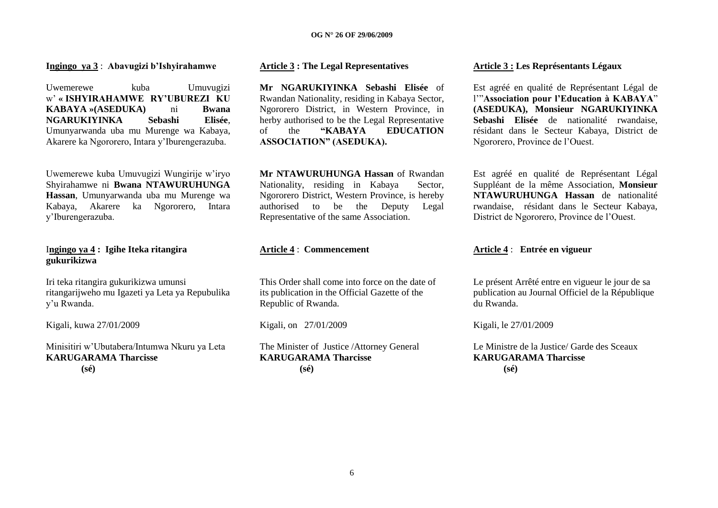#### **OG N° 26 OF 29/06/2009**

**Ingingo ya 3** : **Abavugizi b'Ishyirahamwe**

Uwemerewe kuba Umuvugizi w' **« ISHYIRAHAMWE RY'UBUREZI KU KABAYA »(ASEDUKA)** ni **Bwana NGARUKIYINKA Sebashi Elisée**, Umunyarwanda uba mu Murenge wa Kabaya, Akarere ka Ngororero, Intara y'Iburengerazuba.

Uwemerewe kuba Umuvugizi Wungirije w'iryo Shyirahamwe ni **Bwana NTAWURUHUNGA Hassan**, Umunyarwanda uba mu Murenge wa Kabaya, Akarere ka Ngororero, Intara y'Iburengerazuba.

# I**ngingo ya 4 : Igihe Iteka ritangira gukurikizwa**

Iri teka ritangira gukurikizwa umunsi ritangarijweho mu Igazeti ya Leta ya Repubulika y'u Rwanda.

Kigali, kuwa 27/01/2009

Minisitiri w'Ubutabera/Intumwa Nkuru ya Leta **KARUGARAMA Tharcisse (sé)** 

## **Article 3 : The Legal Representatives**

**Mr NGARUKIYINKA Sebashi Elisée** of Rwandan Nationality, residing in Kabaya Sector, Ngororero District, in Western Province, in herby authorised to be the Legal Representative of the **―KABAYA EDUCATION**  ASSOCIATION" (ASEDUKA).

**Mr NTAWURUHUNGA Hassan** of Rwandan Nationality, residing in Kabaya Sector, Ngororero District, Western Province, is hereby authorised to be the Deputy Legal Representative of the same Association.

#### **Article 4** : **Commencement**

This Order shall come into force on the date of its publication in the Official Gazette of the Republic of Rwanda.

Kigali, on 27/01/2009

The Minister of Justice /Attorney General **KARUGARAMA Tharcisse (sé)**

#### **Article 3 : Les Représentants Légaux**

Est agréé en qualité de Représentant Légal de l'"**Association pour l'Education à KABAYA**" **(ASEDUKA), Monsieur NGARUKIYINKA Sebashi Elisée** de nationalité rwandaise, résidant dans le Secteur Kabaya, District de Ngororero, Province de l'Ouest.

Est agréé en qualité de Représentant Légal Suppléant de la même Association, **Monsieur NTAWURUHUNGA Hassan** de nationalité rwandaise, résidant dans le Secteur Kabaya, District de Ngororero, Province de l'Ouest.

## **Article 4** : **Entrée en vigueur**

Le présent Arrêté entre en vigueur le jour de sa publication au Journal Officiel de la République du Rwanda.

Kigali, le 27/01/2009

Le Ministre de la Justice/ Garde des Sceaux **KARUGARAMA Tharcisse (sé)**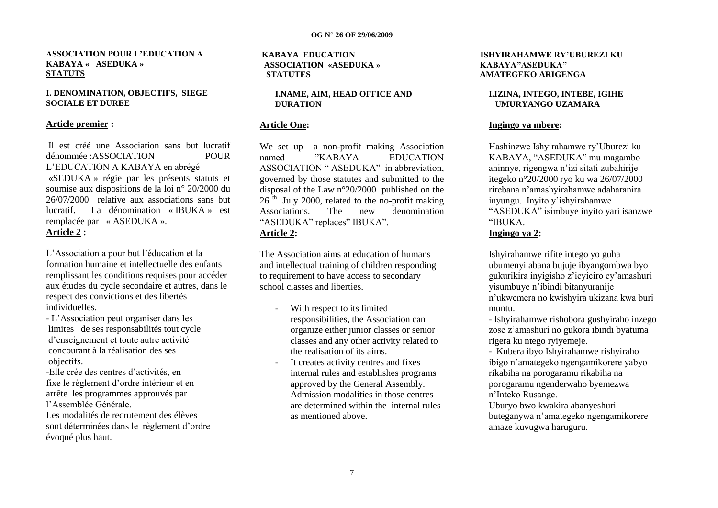#### **ASSOCIATION POUR L'EDUCATION A KABAYA « ASEDUKA » STATUTS**

#### **I. DENOMINATION, OBJECTIFS, SIEGE SOCIALE ET DUREE**

#### **Article premier :**

Il est créé une Association sans but lucratif dénommée : ASSOCIATION POUR L'EDUCATION A KABAYA en abrégé «SEDUKA » régie par les présents statuts et soumise aux dispositions de la loi n° 20/2000 du 26/07/2000 relative aux associations sans but lucratif. La dénomination « IBUKA » est remplacée par « ASEDUKA ». **Article 2 :**

L'Association a pour but l'éducation et la formation humaine et intellectuelle des enfants remplissant les conditions requises pour accéder aux études du cycle secondaire et autres, dans le respect des convictions et des libertés individuelles.

- L'Association peut organiser dans les limites de ses responsabilités tout cycle d'enseignement et toute autre activité concourant à la réalisation des ses objectifs.

-Elle crée des centres d'activités, en fixe le règlement d'ordre intérieur et en arrête les programmes approuvés par l'Assemblée Générale.

Les modalités de recrutement des élèves sont déterminées dans le règlement d'ordre évoqué plus haut.

#### **KABAYA EDUCATION ASSOCIATION «ASEDUKA » STATUTES**

#### **I.NAME, AIM, HEAD OFFICE AND DURATION**

#### **Article One:**

We set up a non-profit making Association named "KABAYA EDUCATION ASSOCIATION " ASEDUKA" in abbreviation, governed by those statutes and submitted to the disposal of the Law n°20/2000 published on the  $26$ <sup>th</sup> July 2000, related to the no-profit making Associations. The new denomination "ASEDUKA" replaces" IBUKA". **Article 2:**

The Association aims at education of humans and intellectual training of children responding to requirement to have access to secondary school classes and liberties.

- With respect to its limited responsibilities, the Association can organize either junior classes or senior classes and any other activity related to the realisation of its aims.
- It creates activity centres and fixes internal rules and establishes programs approved by the General Assembly. Admission modalities in those centres are determined within the internal rules as mentioned above.

#### **ISHYIRAHAMWE RY'UBUREZI KU KABAYA"ASEDUKA" AMATEGEKO ARIGENGA**

#### **I.IZINA, INTEGO, INTEBE, IGIHE UMURYANGO UZAMARA**

#### **Ingingo ya mbere:**

Hashinzwe Ishyirahamwe ry'Uburezi ku KABAYA, "ASEDUKA" mu magambo ahinnye, rigengwa n'izi sitati zubahirije itegeko n°20/2000 ryo ku wa 26/07/2000 rirebana n'amashyirahamwe adaharanira inyungu. Inyito y'ishyirahamwe "ASEDUKA" isimbuye inyito yari isanzwe "IBUKA.

#### **Ingingo ya 2:**

Ishyirahamwe rifite intego yo guha ubumenyi abana bujuje ibyangombwa byo gukurikira inyigisho z'icyiciro cy'amashuri yisumbuye n'ibindi bitanyuranije n'ukwemera no kwishyira ukizana kwa buri muntu.

- Ishyirahamwe rishobora gushyiraho inzego zose z'amashuri no gukora ibindi byatuma rigera ku ntego ryiyemeje.

- Kubera ibyo Ishyirahamwe rishyiraho ibigo n'amategeko ngengamikorere yabyo rikabiha na porogaramu rikabiha na porogaramu ngenderwaho byemezwa n'Inteko Rusange.

Uburyo bwo kwakira abanyeshuri buteganywa n'amategeko ngengamikorere amaze kuvugwa haruguru.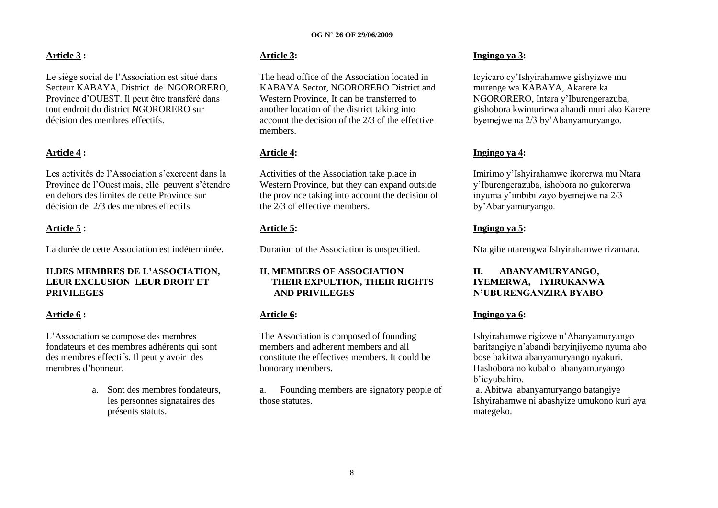#### **OG N° 26 OF 29/06/2009**

## **Article 3 :**

Le siège social de l'Association est situé dans Secteur KABAYA, District de NGORORERO, Province d'OUEST. Il peut être transféré dans tout endroit du district NGORORERO sur décision des membres effectifs.

#### **Article 4 :**

Les activités de l'Association s'exercent dans la Province de l'Ouest mais, elle peuvent s'étendre en dehors des limites de cette Province sur décision de 2/3 des membres effectifs.

#### **Article 5 :**

La durée de cette Association est indéterminée.

## **II.DES MEMBRES DE L'ASSOCIATION, LEUR EXCLUSION LEUR DROIT ET PRIVILEGES**

#### **Article 6 :**

L'Association se compose des membres fondateurs et des membres adhérents qui sont des membres effectifs. Il peut y avoir des membres d'honneur.

> a. Sont des membres fondateurs, les personnes signataires des présents statuts.

## **Article 3:**

The head office of the Association located in KABAYA Sector, NGORORERO District and Western Province, It can be transferred to another location of the district taking into account the decision of the 2/3 of the effective members.

## **Article 4:**

Activities of the Association take place in Western Province, but they can expand outside the province taking into account the decision of the 2/3 of effective members.

#### **Article 5:**

Duration of the Association is unspecified.

# **II. MEMBERS OF ASSOCIATION THEIR EXPULTION, THEIR RIGHTS AND PRIVILEGES**

## **Article 6:**

The Association is composed of founding members and adherent members and all constitute the effectives members. It could be honorary members.

a. Founding members are signatory people of those statutes.

# **Ingingo ya 3:**

Icyicaro cy'Ishyirahamwe gishyizwe mu murenge wa KABAYA, Akarere ka NGORORERO, Intara y'Iburengerazuba, gishobora kwimurirwa ahandi muri ako Karere byemejwe na 2/3 by'Abanyamuryango.

## **Ingingo ya 4:**

Imirimo y'Ishyirahamwe ikorerwa mu Ntara y'Iburengerazuba, ishobora no gukorerwa inyuma y'imbibi zayo byemejwe na 2/3 by'Abanyamuryango.

#### **Ingingo ya 5:**

Nta gihe ntarengwa Ishyirahamwe rizamara.

# **II. ABANYAMURYANGO, IYEMERWA, IYIRUKANWA N'UBURENGANZIRA BYABO**

#### **Ingingo ya 6:**

Ishyirahamwe rigizwe n'Abanyamuryango baritangiye n'abandi baryinjiyemo nyuma abo bose bakitwa abanyamuryango nyakuri. Hashobora no kubaho abanyamuryango b'icyubahiro.

a. Abitwa abanyamuryango batangiye Ishyirahamwe ni abashyize umukono kuri aya mategeko.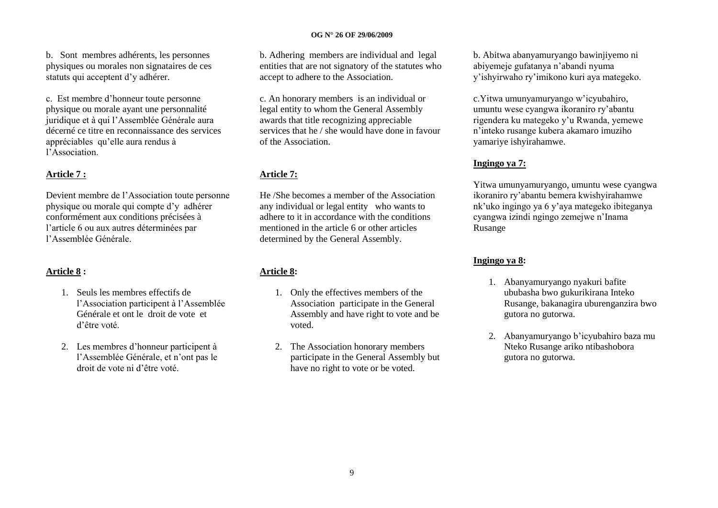#### **OG N° 26 OF 29/06/2009**

b. Sont membres adhérents, les personnes physiques ou morales non signataires de ces statuts qui acceptent d'y adhérer.

c. Est membre d'honneur toute personne physique ou morale ayant une personnalité juridique et à qui l'Assemblée Générale aura décerné ce titre en reconnaissance des services appréciables qu'elle aura rendus à l'Association.

#### **Article 7 :**

Devient membre de l'Association toute personne physique ou morale qui compte d'y adhérer conformément aux conditions précisées à l'article 6 ou aux autres déterminées par l'Assemblée Générale.

#### **Article 8 :**

- 1. Seuls les membres effectifs de l'Association participent à l'Assemblée Générale et ont le droit de vote et d'être voté.
- 2. Les membres d'honneur participent à l'Assemblée Générale, et n'ont pas le droit de vote ni d'être voté.

b. Adhering members are individual and legal entities that are not signatory of the statutes who accept to adhere to the Association.

c. An honorary members is an individual or legal entity to whom the General Assembly awards that title recognizing appreciable services that he / she would have done in favour of the Association.

# **Article 7:**

He /She becomes a member of the Association any individual or legal entity who wants to adhere to it in accordance with the conditions mentioned in the article 6 or other articles determined by the General Assembly.

## **Article 8:**

- 1. Only the effectives members of the Association participate in the General Assembly and have right to vote and be voted.
- 2. The Association honorary members participate in the General Assembly but have no right to vote or be voted.

b. Abitwa abanyamuryango bawinjiyemo ni abiyemeje gufatanya n'abandi nyuma y'ishyirwaho ry'imikono kuri aya mategeko.

c.Yitwa umunyamuryango w'icyubahiro, umuntu wese cyangwa ikoraniro ry'abantu rigendera ku mategeko y'u Rwanda, yemewe n'inteko rusange kubera akamaro imuziho yamariye ishyirahamwe.

#### **Ingingo ya 7:**

Yitwa umunyamuryango, umuntu wese cyangwa ikoraniro ry'abantu bemera kwishyirahamwe nk'uko ingingo ya 6 y'aya mategeko ibiteganya cyangwa izindi ngingo zemejwe n'Inama Rusange

# **Ingingo ya 8:**

- 1. Abanyamuryango nyakuri bafite ububasha bwo gukurikirana Inteko Rusange, bakanagira uburenganzira bwo gutora no gutorwa.
- 2. Abanyamuryango b'icyubahiro baza mu Nteko Rusange ariko ntibashobora gutora no gutorwa.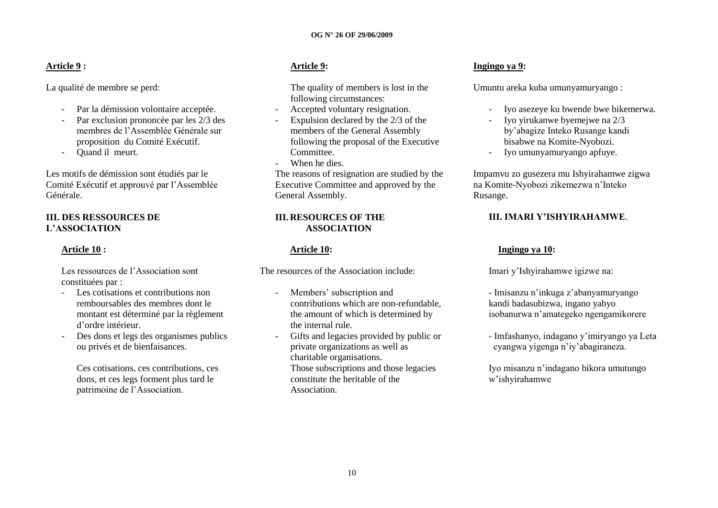# **Article 9 :**

La qualité de membre se perd:

- Par la démission volontaire acceptée.
- Par exclusion prononcée par les 2/3 des membres de l'Assemblée Générale sur proposition du Comité Exécutif.
- Quand il meurt.

Les motifs de démission sont étudiés par le Comité Exécutif et approuvé par l'Assemblée Générale.

# **III. DES RESSOURCES DE L'ASSOCIATION**

# **Article 10 :**

Les ressources de l'Association sont constituées par :

- Les cotisations et contributions non remboursables des membres dont le montant est déterminé par la règlement d'ordre intérieur.
- Des dons et legs des organismes publics ou privés et de bienfaisances.

Ces cotisations, ces contributions, ces dons, et ces legs forment plus tard le patrimoine de l'Association.

# **Article 9:**

The quality of members is lost in the following circumstances:

- Accepted voluntary resignation.
- Expulsion declared by the 2/3 of the members of the General Assembly following the proposal of the Executive **Committee**
- When he dies.

The reasons of resignation are studied by the Executive Committee and approved by the General Assembly.

## **III. RESOURCES OF THE ASSOCIATION**

# **Article 10:**

The resources of the Association include:

- Members' subscription and contributions which are non-refundable, the amount of which is determined by the internal rule.
- Gifts and legacies provided by public or private organizations as well as charitable organisations. Those subscriptions and those legacies constitute the heritable of the Association.

# **Ingingo ya 9:**

Umuntu areka kuba umunyamuryango :

- Iyo asezeye ku bwende bwe bikemerwa.
- Iyo yirukanwe byemejwe na 2/3 by'abagize Inteko Rusange kandi bisabwe na Komite-Nyobozi.
- Iyo umunyamuryango apfuye.

Impamvu zo gusezera mu Ishyirahamwe zigwa na Komite-Nyobozi zikemezwa n'Inteko Rusange.

# **III. IMARI Y'ISHYIRAHAMWE**.

# **Ingingo ya 10:**

Imari y'Ishyirahamwe igizwe na:

- Imisanzu n'inkuga z'abanyamuryango kandi badasubizwa, ingano yabyo isobanurwa n'amategeko ngengamikorere
- Imfashanyo, indagano y'imiryango ya Leta cyangwa yigenga n'iy'abagiraneza.

Iyo misanzu n'indagano bikora umutungo w'ishyirahamwe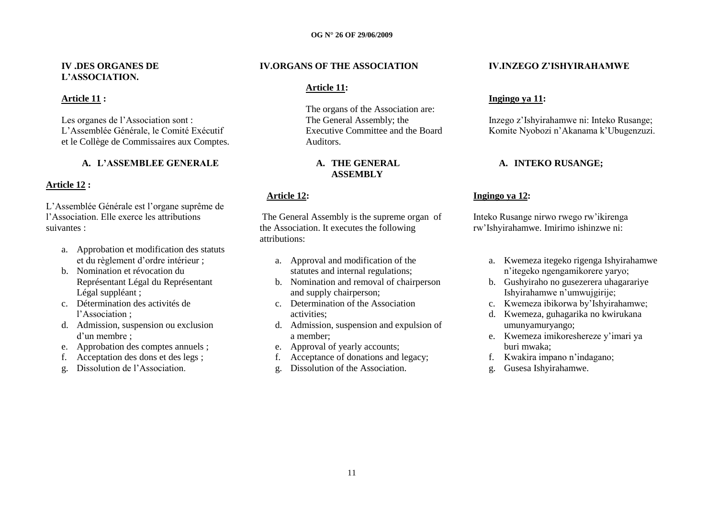# **IV .DES ORGANES DE L'ASSOCIATION.**

# **Article 11 :**

Les organes de l'Association sont : L'Assemblée Générale, le Comité Exécutif et le Collège de Commissaires aux Comptes.

#### **A. L'ASSEMBLEE GENERALE**

## **Article 12 :**

L'Assemblée Générale est l'organe suprême de l'Association. Elle exerce les attributions suivantes :

- a. Approbation et modification des statuts et du règlement d'ordre intérieur ;
- b. Nomination et révocation du Représentant Légal du Représentant Légal suppléant ;
- c. Détermination des activités de l'Association ;
- d. Admission, suspension ou exclusion d'un membre ;
- e. Approbation des comptes annuels ;
- f. Acceptation des dons et des legs ;
- g. Dissolution de l'Association.

## **IV.ORGANS OF THE ASSOCIATION**

## **Article 11:**

The organs of the Association are: The General Assembly; the Executive Committee and the Board Auditors.

## **A. THE GENERAL ASSEMBLY**

#### **Article 12:**

The General Assembly is the supreme organ of the Association. It executes the following attributions:

- a. Approval and modification of the statutes and internal regulations;
- b. Nomination and removal of chairperson and supply chairperson;
- c. Determination of the Association activities;
- d. Admission, suspension and expulsion of a member;
- e. Approval of yearly accounts;
- f. Acceptance of donations and legacy;
- g. Dissolution of the Association.

#### **IV.INZEGO Z'ISHYIRAHAMWE**

#### **Ingingo ya 11:**

Inzego z'Ishyirahamwe ni: Inteko Rusange; Komite Nyobozi n'Akanama k'Ubugenzuzi.

## **A. INTEKO RUSANGE;**

## **Ingingo ya 12:**

Inteko Rusange nirwo rwego rw'ikirenga rw'Ishyirahamwe. Imirimo ishinzwe ni:

- a. Kwemeza itegeko rigenga Ishyirahamwe n'itegeko ngengamikorere yaryo;
- b. Gushyiraho no gusezerera uhagarariye Ishyirahamwe n'umwujgirije;
- c. Kwemeza ibikorwa by'Ishyirahamwe;
- d. Kwemeza, guhagarika no kwirukana umunyamuryango;
- e. Kwemeza imikoreshereze y'imari ya buri mwaka;
- f. Kwakira impano n'indagano;
- g. Gusesa Ishyirahamwe.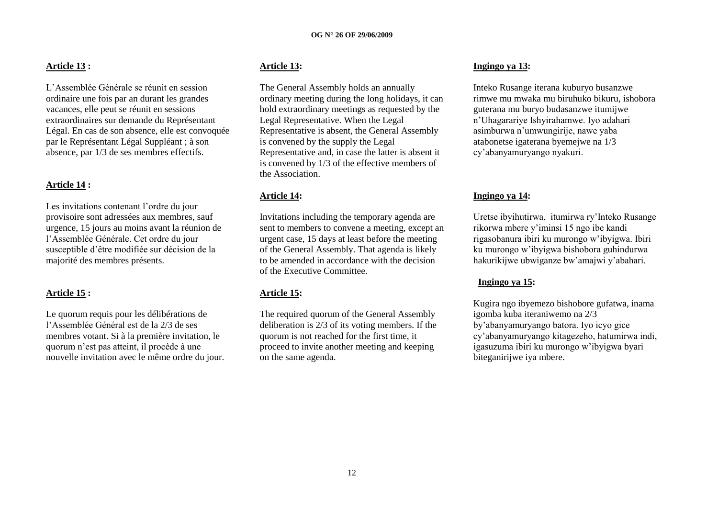# **Article 13 :**

L'Assemblée Générale se réunit en session ordinaire une fois par an durant les grandes vacances, elle peut se réunit en sessions extraordinaires sur demande du Représentant Légal. En cas de son absence, elle est convoquée par le Représentant Légal Suppléant ; à son absence, par 1/3 de ses membres effectifs.

# **Article 14 :**

Les invitations contenant l'ordre du jour provisoire sont adressées aux membres, sauf urgence, 15 jours au moins avant la réunion de l'Assemblée Générale. Cet ordre du jour susceptible d'être modifiée sur décision de la majorité des membres présents.

## **Article 15 :**

Le quorum requis pour les délibérations de l'Assemblée Général est de la 2/3 de ses membres votant. Si à la première invitation, le quorum n'est pas atteint, il procède à une nouvelle invitation avec le même ordre du jour.

# **Article 13:**

The General Assembly holds an annually ordinary meeting during the long holidays, it can hold extraordinary meetings as requested by the Legal Representative. When the Legal Representative is absent, the General Assembly is convened by the supply the Legal Representative and, in case the latter is absent it is convened by 1/3 of the effective members of the Association.

## **Article 14:**

Invitations including the temporary agenda are sent to members to convene a meeting, except an urgent case, 15 days at least before the meeting of the General Assembly. That agenda is likely to be amended in accordance with the decision of the Executive Committee.

# **Article 15:**

The required quorum of the General Assembly deliberation is 2/3 of its voting members. If the quorum is not reached for the first time, it proceed to invite another meeting and keeping on the same agenda.

## **Ingingo ya 13:**

Inteko Rusange iterana kuburyo busanzwe rimwe mu mwaka mu biruhuko bikuru, ishobora guterana mu buryo budasanzwe itumijwe n'Uhagarariye Ishyirahamwe. Iyo adahari asimburwa n'umwungirije, nawe yaba atabonetse igaterana byemejwe na 1/3 cy'abanyamuryango nyakuri.

# **Ingingo ya 14:**

Uretse ibyihutirwa, itumirwa ry'Inteko Rusange rikorwa mbere y'iminsi 15 ngo ibe kandi rigasobanura ibiri ku murongo w'ibyigwa. Ibiri ku murongo w'ibyigwa bishobora guhindurwa hakurikijwe ubwiganze bw'amajwi y'abahari.

# **Ingingo ya 15:**

Kugira ngo ibyemezo bishobore gufatwa, inama igomba kuba iteraniwemo na 2/3 by'abanyamuryango batora. Iyo icyo gice cy'abanyamuryango kitagezeho, hatumirwa indi, igasuzuma ibiri ku murongo w'ibyigwa byari biteganirijwe iya mbere.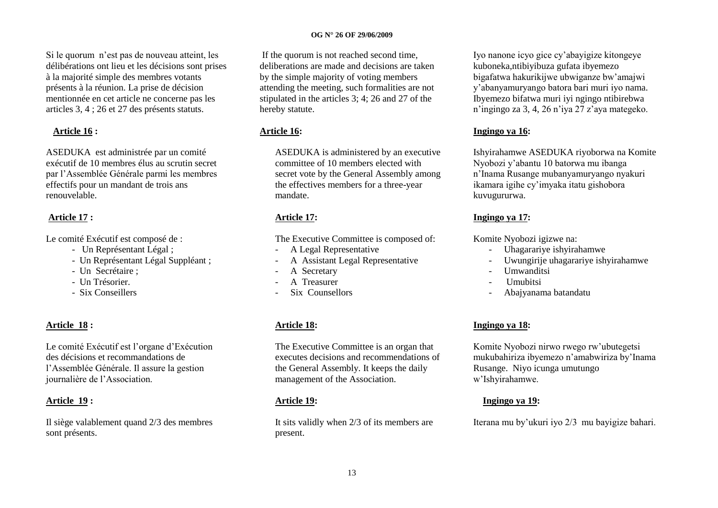Si le quorum n'est pas de nouveau atteint, les délibérations ont lieu et les décisions sont prises à la majorité simple des membres votants présents à la réunion. La prise de décision mentionnée en cet article ne concerne pas les articles 3, 4 ; 26 et 27 des présents statuts.

# **Article 16 :**

ASEDUKA est administrée par un comité exécutif de 10 membres élus au scrutin secret par l'Assemblée Générale parmi les membres effectifs pour un mandant de trois ans renouvelable.

# **Article 17 :**

Le comité Exécutif est composé de :

- Un Représentant Légal ;
- Un Représentant Légal Suppléant ;
- Un Secrétaire ;
- Un Trésorier.
- Six Conseillers

# **Article 18 :**

Le comité Exécutif est l'organe d'Exécution des décisions et recommandations de l'Assemblée Générale. Il assure la gestion journalière de l'Association.

# **Article 19 :**

Il siège valablement quand 2/3 des membres sont présents.

#### **OG N° 26 OF 29/06/2009**

If the quorum is not reached second time, deliberations are made and decisions are taken by the simple majority of voting members attending the meeting, such formalities are not stipulated in the articles 3; 4; 26 and 27 of the hereby statute.

# **Article 16:**

ASEDUKA is administered by an executive committee of 10 members elected with secret vote by the General Assembly among the effectives members for a three-year mandate.

# **Article 17:**

The Executive Committee is composed of:

- A Legal Representative
- A Assistant Legal Representative
- A Secretary
- A Treasurer
- Six Counsellors

# **Article 18:**

The Executive Committee is an organ that executes decisions and recommendations of the General Assembly. It keeps the daily management of the Association.

# **Article 19:**

It sits validly when 2/3 of its members are present.

Iyo nanone icyo gice cy'abayigize kitongeye kuboneka,ntibiyibuza gufata ibyemezo bigafatwa hakurikijwe ubwiganze bw'amajwi y'abanyamuryango batora bari muri iyo nama. Ibyemezo bifatwa muri iyi ngingo ntibirebwa n'ingingo za 3, 4, 26 n'iya 27 z'aya mategeko.

# **Ingingo ya 16:**

Ishyirahamwe ASEDUKA riyoborwa na Komite Nyobozi y'abantu 10 batorwa mu ibanga n'Inama Rusange mubanyamuryango nyakuri ikamara igihe cy'imyaka itatu gishobora kuvugururwa.

# **Ingingo ya 17:**

Komite Nyobozi igizwe na:

- Uhagarariye ishyirahamwe
- Uwungirije uhagarariye ishyirahamwe
- Umwanditsi
- Umubitsi
- Abajyanama batandatu

# **Ingingo ya 18:**

Komite Nyobozi nirwo rwego rw'ubutegetsi mukubahiriza ibyemezo n'amabwiriza by'Inama Rusange. Niyo icunga umutungo w'Ishyirahamwe.

# **Ingingo ya 19:**

Iterana mu by'ukuri iyo 2/3 mu bayigize bahari.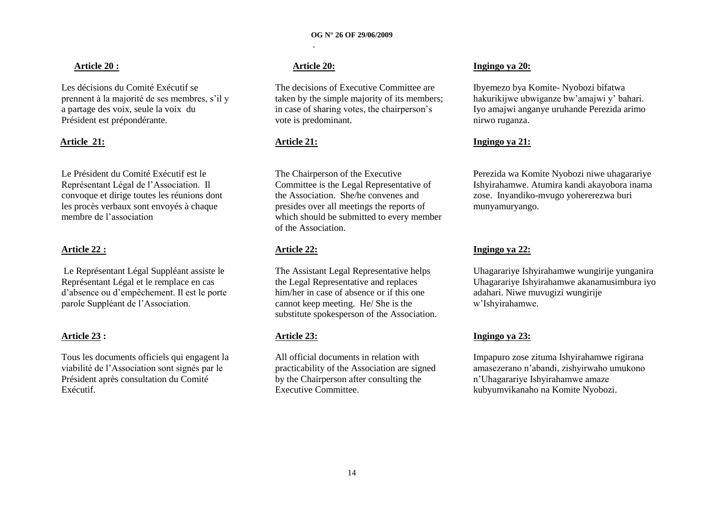# **Article 20 :**

Les décisions du Comité Exécutif se prennent à la majorité de ses membres, s'il y a partage des voix, seule la voix du Président est prépondérante.

# **Article 21:**

Le Président du Comité Exécutif est le Représentant Légal de l'Association. Il convoque et dirige toutes les réunions dont les procès verbaux sont envoyés à chaque membre de l'association

## **Article 22 :**

Le Représentant Légal Suppléant assiste le Représentant Légal et le remplace en cas d'absence ou d'empêchement. Il est le porte parole Suppléant de l'Association.

## **Article 23 :**

Tous les documents officiels qui engagent la viabilité de l'Association sont signés par le Président après consultation du Comité Exécutif.

# **Article 20:**

.

The decisions of Executive Committee are taken by the simple majority of its members; in case of sharing votes, the chairperson's vote is predominant.

# **Article 21:**

The Chairperson of the Executive Committee is the Legal Representative of the Association. She/he convenes and presides over all meetings the reports of which should be submitted to every member of the Association.

# **Article 22:**

The Assistant Legal Representative helps the Legal Representative and replaces him/her in case of absence or if this one cannot keep meeting. He/ She is the substitute spokesperson of the Association.

# **Article 23:**

All official documents in relation with practicability of the Association are signed by the Chairperson after consulting the Executive Committee.

#### **Ingingo ya 20:**

Ibyemezo bya Komite- Nyobozi bifatwa hakurikijwe ubwiganze bw'amajwi y' bahari. Iyo amajwi anganye uruhande Perezida arimo nirwo ruganza.

#### **Ingingo ya 21:**

Perezida wa Komite Nyobozi niwe uhagarariye Ishyirahamwe. Atumira kandi akayobora inama zose. Inyandiko-mvugo yohererezwa buri munyamuryango.

#### **Ingingo ya 22:**

Uhagarariye Ishyirahamwe wungirije yunganira Uhagarariye Ishyirahamwe akanamusimbura iyo adahari. Niwe muvugizi wungirije w'Ishyirahamwe.

# **Ingingo ya 23:**

Impapuro zose zituma Ishyirahamwe rigirana amasezerano n'abandi, zishyirwaho umukono n'Uhagarariye Ishyirahamwe amaze kubyumvikanaho na Komite Nyobozi.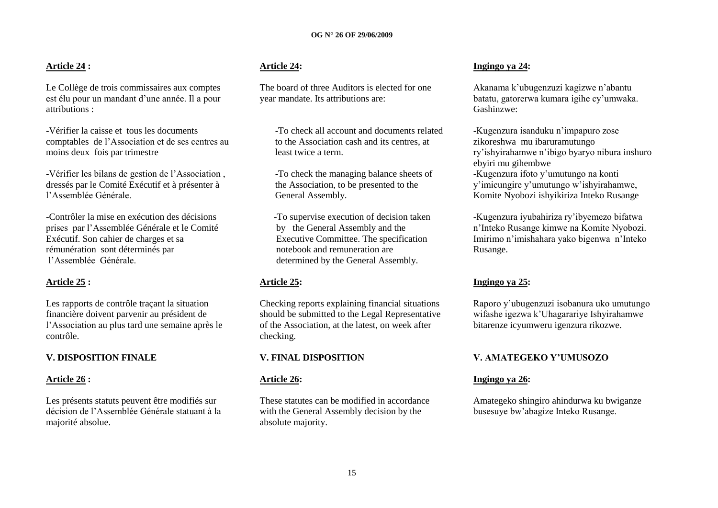# **Article 24 :**

Le Collège de trois commissaires aux comptes est élu pour un mandant d'une année. Il a pour attributions :

-Vérifier la caisse et tous les documents comptables de l'Association et de ses centres au moins deux fois par trimestre

-Vérifier les bilans de gestion de l'Association , dressés par le Comité Exécutif et à présenter à l'Assemblée Générale.

-Contrôler la mise en exécution des décisions prises par l'Assemblée Générale et le Comité Exécutif. Son cahier de charges et sa rémunération sont déterminés par l'Assemblée Générale.

## **Article 25 :**

Les rapports de contrôle traçant la situation financière doivent parvenir au président de l'Association au plus tard une semaine après le contrôle.

## **V. DISPOSITION FINALE**

#### **Article 26 :**

Les présents statuts peuvent être modifiés sur décision de l'Assemblée Générale statuant à la majorité absolue.

# **Article 24:**

The board of three Auditors is elected for one year mandate. Its attributions are:

-To check all account and documents related to the Association cash and its centres, at least twice a term.

-To check the managing balance sheets of the Association, to be presented to the General Assembly.

 -To supervise execution of decision taken by the General Assembly and the Executive Committee. The specification notebook and remuneration are determined by the General Assembly.

## **Article 25:**

Checking reports explaining financial situations should be submitted to the Legal Representative of the Association, at the latest, on week after checking.

## **V. FINAL DISPOSITION**

## **Article 26:**

These statutes can be modified in accordance with the General Assembly decision by the absolute majority.

## **Ingingo ya 24:**

Akanama k'ubugenzuzi kagizwe n'abantu batatu, gatorerwa kumara igihe cy'umwaka. Gashinzwe:

-Kugenzura isanduku n'impapuro zose zikoreshwa mu ibaruramutungo ry'ishyirahamwe n'ibigo byaryo nibura inshuro ebyiri mu gihembwe -Kugenzura ifoto y'umutungo na konti y'imicungire y'umutungo w'ishyirahamwe, Komite Nyobozi ishyikiriza Inteko Rusange

-Kugenzura iyubahiriza ry'ibyemezo bifatwa n'Inteko Rusange kimwe na Komite Nyobozi. Imirimo n'imishahara yako bigenwa n'Inteko Rusange.

## **Ingingo ya 25:**

Raporo y'ubugenzuzi isobanura uko umutungo wifashe igezwa k'Uhagarariye Ishyirahamwe bitarenze icyumweru igenzura rikozwe.

## **V. AMATEGEKO Y'UMUSOZO**

# **Ingingo ya 26:**

Amategeko shingiro ahindurwa ku bwiganze busesuye bw'abagize Inteko Rusange.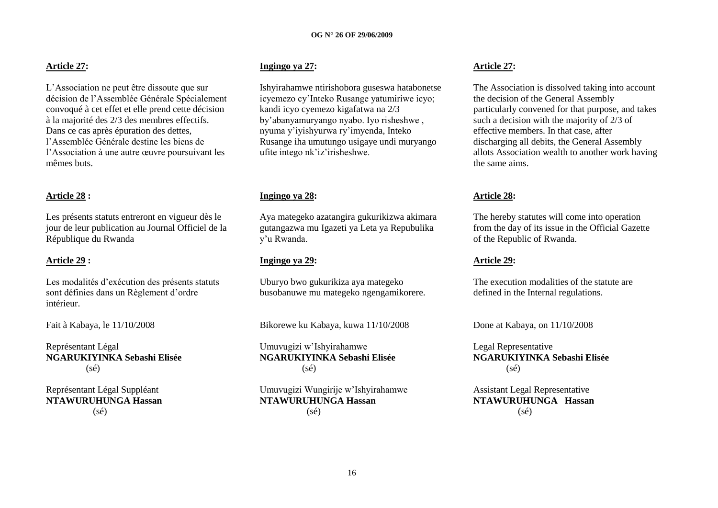# **Article 27:**

L'Association ne peut être dissoute que sur décision de l'Assemblée Générale Spécialement convoqué à cet effet et elle prend cette décision à la majorité des 2/3 des membres effectifs. Dans ce cas après épuration des dettes. l'Assemblée Générale destine les biens de l'Association à une autre œuvre poursuivant les mêmes buts.

## **Article 28 :**

Les présents statuts entreront en vigueur dès le jour de leur publication au Journal Officiel de la République du Rwanda

## **Article 29 :**

Les modalités d'exécution des présents statuts sont définies dans un Règlement d'ordre intérieur.

Fait à Kabaya, le 11/10/2008

Représentant Légal **NGARUKIYINKA Sebashi Elisée**  $(s\acute{e})$ 

Représentant Légal Suppléant **NTAWURUHUNGA Hassan**  (sé)

## **Ingingo ya 27:**

Ishyirahamwe ntirishobora guseswa hatabonetse icyemezo cy'Inteko Rusange yatumiriwe icyo; kandi icyo cyemezo kigafatwa na 2/3 by'abanyamuryango nyabo. Iyo risheshwe , nyuma y'iyishyurwa ry'imyenda, Inteko Rusange iha umutungo usigaye undi muryango ufite intego nk'iz'irisheshwe.

## **Ingingo ya 28:**

Aya mategeko azatangira gukurikizwa akimara gutangazwa mu Igazeti ya Leta ya Repubulika y'u Rwanda.

# **Ingingo ya 29:**

Uburyo bwo gukurikiza aya mategeko busobanuwe mu mategeko ngengamikorere.

Bikorewe ku Kabaya, kuwa 11/10/2008

Umuvugizi w'Ishyirahamwe **NGARUKIYINKA Sebashi Elisée**  (sé)

Umuvugizi Wungirije w'Ishyirahamwe **NTAWURUHUNGA Hassan**  $(sé)$ 

#### **Article 27:**

The Association is dissolved taking into account the decision of the General Assembly particularly convened for that purpose, and takes such a decision with the majority of 2/3 of effective members. In that case, after discharging all debits, the General Assembly allots Association wealth to another work having the same aims.

## **Article 28:**

The hereby statutes will come into operation from the day of its issue in the Official Gazette of the Republic of Rwanda.

#### **Article 29:**

The execution modalities of the statute are defined in the Internal regulations.

Done at Kabaya, on 11/10/2008

Legal Representative **NGARUKIYINKA Sebashi Elisée**  (sé)

Assistant Legal Representative **NTAWURUHUNGA Hassan**  (sé)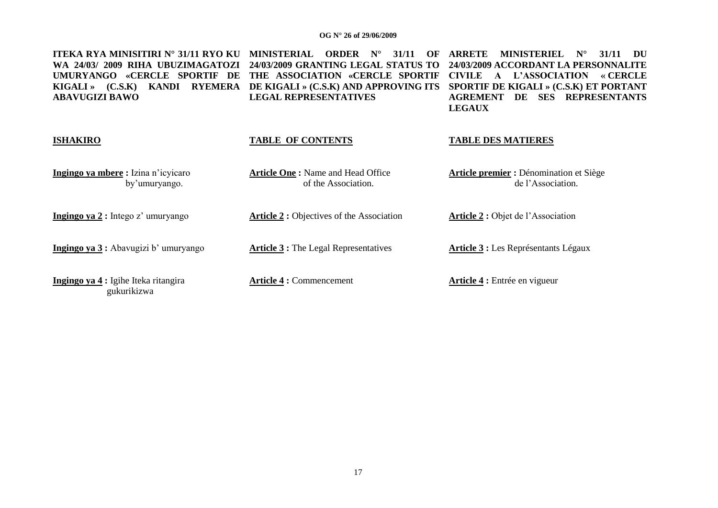**ARRETE MINISTERIEL N° 31/11 DU** 

**ITEKA RYA MINISITIRI N° 31/11 RYO KU MINISTERIAL ORDER N° 31/11 OF WA 24/03/ 2009 RIHA UBUZIMAGATOZI 24/03/2009 GRANTING LEGAL STATUS TO UMURYANGO «CERCLE SPORTIF DE THE ASSOCIATION «CERCLE SPORTIF KIGALI » (C.S.K) KANDI RYEMERA DE KIGALI » (C.S.K) AND APPROVING ITS ABAVUGIZI BAWO ISHAKIRO Ingingo ya mbere :** Izina n'icyicaro by'umuryango. **Ingingo ya 2 :** Intego z' umuryango **Ingingo ya 3 :** Abavugizi b' umuryango **Ingingo ya 4 :** Igihe Iteka ritangira gukurikizwa **LEGAL REPRESENTATIVES TABLE OF CONTENTS Article One :** Name and Head Office of the Association. **Article 2 :** Objectives of the Association **Article 3 :** The Legal Representatives **Article 4 :** Commencement **24/03/2009 ACCORDANT LA PERSONNALITE CIVILE A L'ASSOCIATION « CERCLE SPORTIF DE KIGALI » (C.S.K) ET PORTANT AGREMENT DE SES REPRESENTANTS LEGAUX TABLE DES MATIERES Article premier :** Dénomination et Siège de l'Association. **Article 2 :** Objet de l'Association **Article 3 :** Les Représentants Légaux **Article 4 :** Entrée en vigueur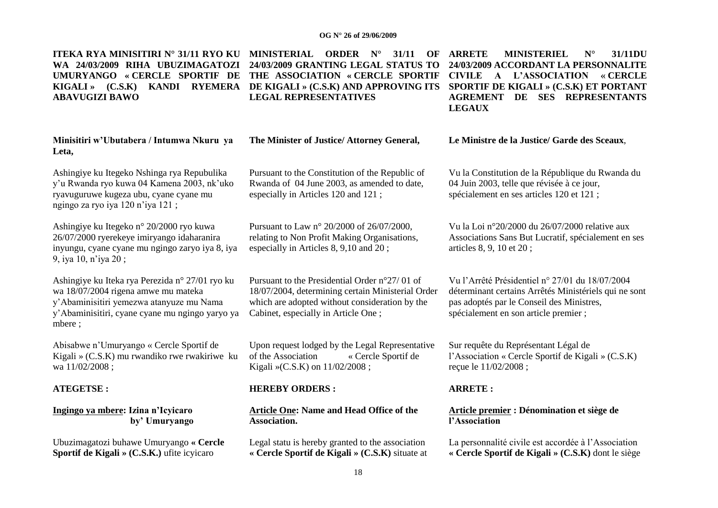**ITEKA RYA MINISITIRI N° 31/11 RYO KU MINISTERIAL ORDER N° 31/11 OF ABAVUGIZI BAWO**

**LEGAL REPRESENTATIVES**

**WA 24/03/2009 RIHA UBUZIMAGATOZI 24/03/2009 GRANTING LEGAL STATUS TO 24/03/2009 ACCORDANT LA PERSONNALITE UMURYANGO « CERCLE SPORTIF DE THE ASSOCIATION « CERCLE SPORTIF CIVILE A L'ASSOCIATION « CERCLE KIGALI » (C.S.K) KANDI RYEMERA DE KIGALI » (C.S.K) AND APPROVING ITS SPORTIF DE KIGALI » (C.S.K) ET PORTANT ARRIFIC MINISTERIEL N° 31/11DU AGREMENT DE SES REPRESENTANTS LEGAUX**

| Minisitiri w'Ubutabera / Intumwa Nkuru ya<br>Leta,                                                                                                                                              | The Minister of Justice/ Attorney General,                                                                                                                                                           | Le Ministre de la Justice/ Garde des Sceaux.                                                                                                                                                   |  |
|-------------------------------------------------------------------------------------------------------------------------------------------------------------------------------------------------|------------------------------------------------------------------------------------------------------------------------------------------------------------------------------------------------------|------------------------------------------------------------------------------------------------------------------------------------------------------------------------------------------------|--|
| Ashingiye ku Itegeko Nshinga rya Repubulika<br>y'u Rwanda ryo kuwa 04 Kamena 2003, nk'uko<br>ryavuguruwe kugeza ubu, cyane cyane mu<br>ngingo za ryo iya 120 n'iya 121;                         | Pursuant to the Constitution of the Republic of<br>Rwanda of 04 June 2003, as amended to date,<br>especially in Articles 120 and 121;                                                                | Vu la Constitution de la République du Rwanda du<br>04 Juin 2003, telle que révisée à ce jour,<br>spécialement en ses articles 120 et 121 ;                                                    |  |
| Ashingiye ku Itegeko n° 20/2000 ryo kuwa<br>26/07/2000 ryerekeye imiryango idaharanira<br>inyungu, cyane cyane mu ngingo zaryo iya 8, iya<br>9, iya 10, n'iya 20;                               | Pursuant to Law n° 20/2000 of 26/07/2000,<br>relating to Non Profit Making Organisations,<br>especially in Articles 8, 9,10 and 20;                                                                  | Vu la Loi n°20/2000 du 26/07/2000 relative aux<br>Associations Sans But Lucratif, spécialement en ses<br>articles 8, 9, 10 et 20;                                                              |  |
| Ashingiye ku Iteka rya Perezida n° 27/01 ryo ku<br>wa 18/07/2004 rigena amwe mu mateka<br>y'Abaminisitiri yemezwa atanyuze mu Nama<br>y'Abaminisitiri, cyane cyane mu ngingo yaryo ya<br>mbere; | Pursuant to the Presidential Order $n^{\circ}27/01$ of<br>18/07/2004, determining certain Ministerial Order<br>which are adopted without consideration by the<br>Cabinet, especially in Article One; | Vu l'Arrêté Présidentiel n° 27/01 du 18/07/2004<br>déterminant certains Arrêtés Ministériels qui ne sont<br>pas adoptés par le Conseil des Ministres,<br>spécialement en son article premier ; |  |
| Abisabwe n'Umuryango « Cercle Sportif de<br>Kigali » (C.S.K) mu rwandiko rwe rwakiriwe ku<br>wa 11/02/2008;                                                                                     | Upon request lodged by the Legal Representative<br>of the Association<br>« Cercle Sportif de<br>Kigali »(C.S.K) on $11/02/2008$ ;                                                                    | Sur requête du Représentant Légal de<br>l'Association « Cercle Sportif de Kigali » (C.S.K)<br>reçue le 11/02/2008 ;                                                                            |  |
| <b>ATEGETSE:</b>                                                                                                                                                                                | <b>HEREBY ORDERS:</b>                                                                                                                                                                                | <b>ARRETE:</b>                                                                                                                                                                                 |  |
| Ingingo ya mbere: Izina n'Icyicaro<br>by' Umuryango                                                                                                                                             | <b>Article One: Name and Head Office of the</b><br>Association.                                                                                                                                      | Article premier : Dénomination et siège de<br>l'Association                                                                                                                                    |  |
| Ubuzimagatozi buhawe Umuryango « Cercle<br>Legal statu is hereby granted to the association<br>Sportif de Kigali » (C.S.K.) ufite icyicaro<br>« Cercle Sportif de Kigali » (C.S.K) situate at   |                                                                                                                                                                                                      | La personnalité civile est accordée à l'Association<br>« Cercle Sportif de Kigali » (C.S.K) dont le siège                                                                                      |  |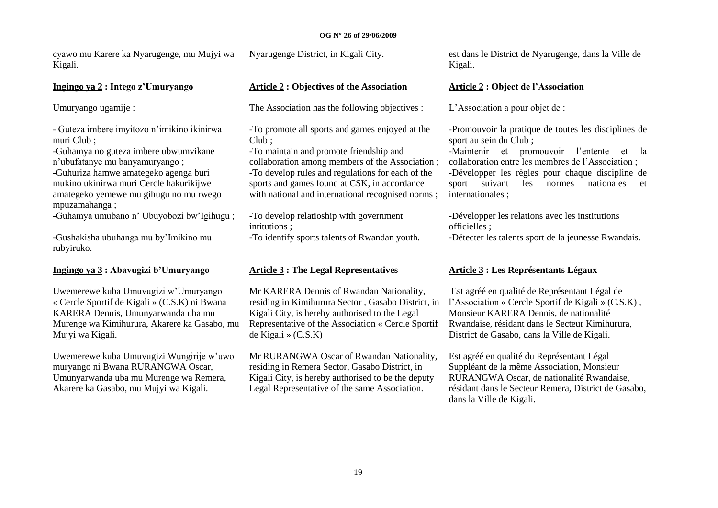cyawo mu Karere ka Nyarugenge, mu Mujyi wa Kigali.

## **Ingingo ya 2 : Intego z'Umuryango**

Umuryango ugamije :

- Guteza imbere imyitozo n'imikino ikinirwa muri Club ;

-Guhamya no guteza imbere ubwumvikane n'ubufatanye mu banyamuryango ;

-Guhuriza hamwe amategeko agenga buri mukino ukinirwa muri Cercle hakurikijwe amategeko yemewe mu gihugu no mu rwego mpuzamahanga ;

-Guhamya umubano n' Ubuyobozi bw'Igihugu ;

-Gushakisha ubuhanga mu by'Imikino mu rubyiruko.

#### **Ingingo ya 3 : Abavugizi b'Umuryango**

Uwemerewe kuba Umuvugizi w'Umuryango « Cercle Sportif de Kigali » (C.S.K) ni Bwana KARERA Dennis, Umunyarwanda uba mu Murenge wa Kimihurura, Akarere ka Gasabo, mu Mujyi wa Kigali.

Uwemerewe kuba Umuvugizi Wungirije w'uwo muryango ni Bwana RURANGWA Oscar, Umunyarwanda uba mu Murenge wa Remera, Akarere ka Gasabo, mu Mujyi wa Kigali.

Nyarugenge District, in Kigali City.

# **Article 2 : Objectives of the Association**

The Association has the following objectives :

-To promote all sports and games enjoyed at the Club ;

-To maintain and promote friendship and collaboration among members of the Association ; -To develop rules and regulations for each of the sports and games found at CSK, in accordance with national and international recognised norms ;

-To develop relatioship with government intitutions ; -To identify sports talents of Rwandan youth.

#### **Article 3 : The Legal Representatives**

Mr KARERA Dennis of Rwandan Nationality, residing in Kimihurura Sector , Gasabo District, in Kigali City, is hereby authorised to the Legal Representative of the Association « Cercle Sportif de Kigali » (C.S.K)

Mr RURANGWA Oscar of Rwandan Nationality, residing in Remera Sector, Gasabo District, in Kigali City, is hereby authorised to be the deputy Legal Representative of the same Association.

est dans le District de Nyarugenge, dans la Ville de Kigali.

## **Article 2 : Object de l'Association**

L'Association a pour objet de :

-Promouvoir la pratique de toutes les disciplines de sport au sein du Club ;

-Maintenir et promouvoir l'entente et la collaboration entre les membres de l'Association ;

-Développer les règles pour chaque discipline de sport suivant les normes nationales et internationales ;

-Développer les relations avec les institutions officielles ;

-Détecter les talents sport de la jeunesse Rwandais.

## **Article 3 : Les Représentants Légaux**

Est agréé en qualité de Représentant Légal de l'Association « Cercle Sportif de Kigali » (C.S.K) , Monsieur KARERA Dennis, de nationalité Rwandaise, résidant dans le Secteur Kimihurura, District de Gasabo, dans la Ville de Kigali.

Est agréé en qualité du Représentant Légal Suppléant de la même Association, Monsieur RURANGWA Oscar, de nationalité Rwandaise, résidant dans le Secteur Remera, District de Gasabo, dans la Ville de Kigali.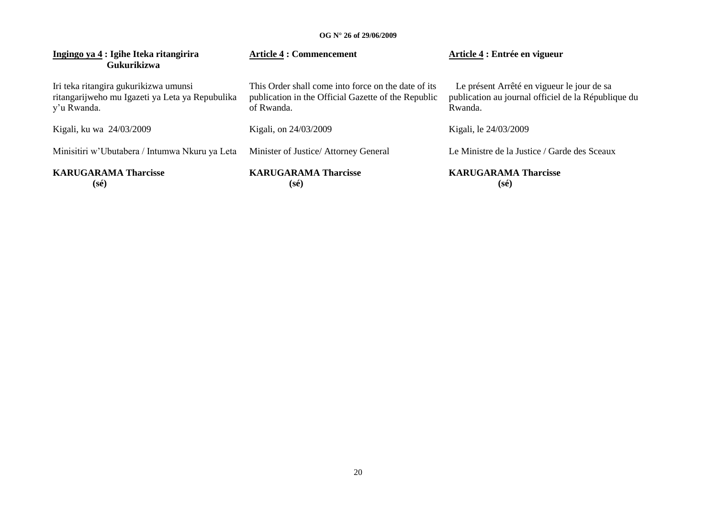| Ingingo ya 4 : Igihe Iteka ritangirira<br>Gukurikizwa                                                   | <b>Article 4 : Commencement</b>                                                                                          | Article 4 : Entrée en vigueur                                                                                |
|---------------------------------------------------------------------------------------------------------|--------------------------------------------------------------------------------------------------------------------------|--------------------------------------------------------------------------------------------------------------|
| Iri teka ritangira gukurikizwa umunsi<br>ritangarijweho mu Igazeti ya Leta ya Repubulika<br>y'u Rwanda. | This Order shall come into force on the date of its<br>publication in the Official Gazette of the Republic<br>of Rwanda. | Le présent Arrêté en vigueur le jour de sa<br>publication au journal officiel de la République du<br>Rwanda. |
| Kigali, ku wa 24/03/2009                                                                                | Kigali, on 24/03/2009                                                                                                    | Kigali, le 24/03/2009                                                                                        |
| Minisitiri w'Ubutabera / Intumwa Nkuru ya Leta                                                          | Minister of Justice/ Attorney General                                                                                    | Le Ministre de la Justice / Garde des Sceaux                                                                 |
| <b>KARUGARAMA Tharcisse</b><br>(sé)                                                                     | <b>KARUGARAMA Tharcisse</b><br>$(s\acute{e})$                                                                            | <b>KARUGARAMA Tharcisse</b><br>$(s\acute{e})$                                                                |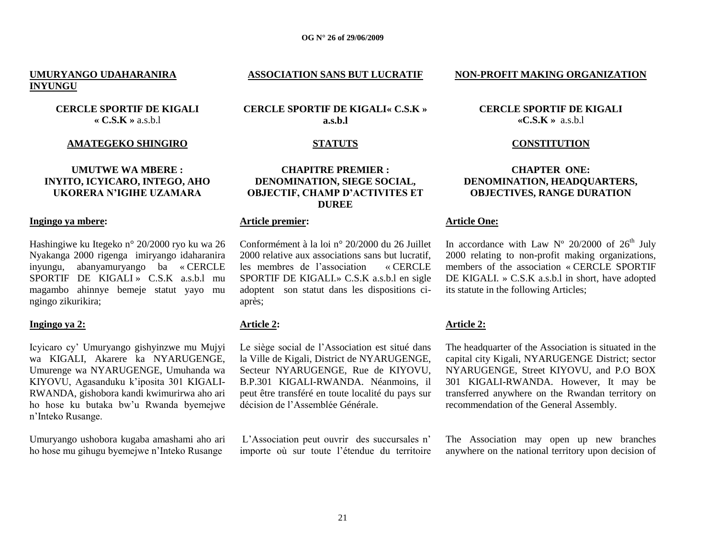#### **UMURYANGO UDAHARANIRA INYUNGU**

**CERCLE SPORTIF DE KIGALI « C.S.K »** a.s.b.l

#### **AMATEGEKO SHINGIRO**

# **UMUTWE WA MBERE : INYITO, ICYICARO, INTEGO, AHO UKORERA N'IGIHE UZAMARA**

#### **Ingingo ya mbere:**

Hashingiwe ku Itegeko n° 20/2000 ryo ku wa 26 Nyakanga 2000 rigenga imiryango idaharanira inyungu, abanyamuryango ba « CERCLE SPORTIF DE KIGALI » C.S.K a.s.b.l mu magambo ahinnye bemeje statut yayo mu ngingo zikurikira;

#### **Ingingo ya 2:**

Icyicaro cy' Umuryango gishyinzwe mu Mujyi wa KIGALI, Akarere ka NYARUGENGE, Umurenge wa NYARUGENGE, Umuhanda wa KIYOVU, Agasanduku k'iposita 301 KIGALI-RWANDA, gishobora kandi kwimurirwa aho ari ho hose ku butaka bw'u Rwanda byemejwe n'Inteko Rusange.

Umuryango ushobora kugaba amashami aho ari ho hose mu gihugu byemejwe n'Inteko Rusange

#### **ASSOCIATION SANS BUT LUCRATIF**

**CERCLE SPORTIF DE KIGALI« C.S.K » a.s.b.l**

#### **STATUTS**

## **CHAPITRE PREMIER : DENOMINATION, SIEGE SOCIAL, OBJECTIF, CHAMP D'ACTIVITES ET DUREE**

#### **Article premier:**

Conformément à la loi n° 20/2000 du 26 Juillet 2000 relative aux associations sans but lucratif, les membres de l'association « CERCLE SPORTIF DE KIGALI.» C.S.K a.s.b.l en sigle adoptent son statut dans les dispositions ciaprès;

# **Article 2:**

Le siège social de l'Association est situé dans la Ville de Kigali, District de NYARUGENGE, Secteur NYARUGENGE, Rue de KIYOVU, B.P.301 KIGALI-RWANDA. Néanmoins, il peut être transféré en toute localité du pays sur décision de l'Assemblée Générale.

L'Association peut ouvrir des succursales n' importe où sur toute l'étendue du territoire

#### **NON-PROFIT MAKING ORGANIZATION**

**CERCLE SPORTIF DE KIGALI**  $\mathcal{C}.S.K \rightarrow ash1$ 

#### **CONSTITUTION**

# **CHAPTER ONE: DENOMINATION, HEADQUARTERS, OBJECTIVES, RANGE DURATION**

#### **Article One:**

In accordance with Law  $N^{\circ}$  20/2000 of 26<sup>th</sup> July 2000 relating to non-profit making organizations, members of the association « CERCLE SPORTIF DE KIGALI. » C.S.K a.s.b.l in short, have adopted its statute in the following Articles;

#### **Article 2:**

The headquarter of the Association is situated in the capital city Kigali, NYARUGENGE District; sector NYARUGENGE, Street KIYOVU, and P.O BOX 301 KIGALI-RWANDA. However, It may be transferred anywhere on the Rwandan territory on recommendation of the General Assembly.

The Association may open up new branches anywhere on the national territory upon decision of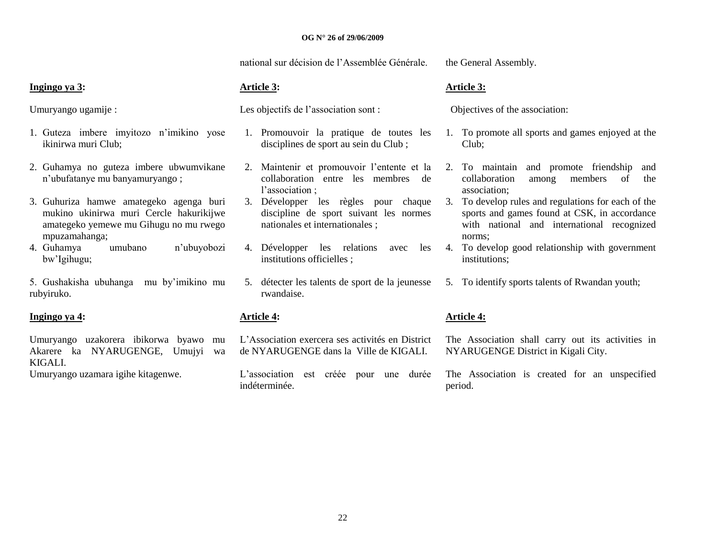#### **OG N° 26 of 29/06/2009**

national sur décision de l'Assemblée Générale. the General Assembly.

**Ingingo ya 3:** 

Umuryango ugamije :

- 1. Guteza imbere imyitozo n'imikino yose ikinirwa muri Club;
- 2. Guhamya no guteza imbere ubwumvikane n'ubufatanye mu banyamuryango ;
- 3. Guhuriza hamwe amategeko agenga buri mukino ukinirwa muri Cercle hakurikijwe amategeko yemewe mu Gihugu no mu rwego mpuzamahanga;
- 4. Guhamya umubano n'ubuyobozi bw'Igihugu;
- 5. Gushakisha ubuhanga mu by'imikino mu rubyiruko.

#### **Ingingo ya 4:**

Umuryango uzakorera ibikorwa byawo mu Akarere ka NYARUGENGE, Umujyi wa KIGALI.

Umuryango uzamara igihe kitagenwe.

## **Article 3:**

Les objectifs de l'association sont :

- 1. Promouvoir la pratique de toutes les disciplines de sport au sein du Club ;
- 2. Maintenir et promouvoir l'entente et la collaboration entre les membres de l'association ;
- 3. Développer les règles pour chaque discipline de sport suivant les normes nationales et internationales ;
- 4. Développer les relations avec les institutions officielles ;
- 5. détecter les talents de sport de la jeunesse rwandaise.

#### **Article 4:**

- L'Association exercera ses activités en District de NYARUGENGE dans la Ville de KIGALI.
- L'association est créée pour une durée indéterminée.

#### **Article 3:**

Objectives of the association:

- 1. To promote all sports and games enjoyed at the Club;
- 2. To maintain and promote friendship and collaboration among members of the association;
- 3. To develop rules and regulations for each of the sports and games found at CSK, in accordance with national and international recognized norms;
- 4. To develop good relationship with government institutions;
- 5. To identify sports talents of Rwandan youth;

#### **Article 4:**

The Association shall carry out its activities in NYARUGENGE District in Kigali City.

The Association is created for an unspecified period.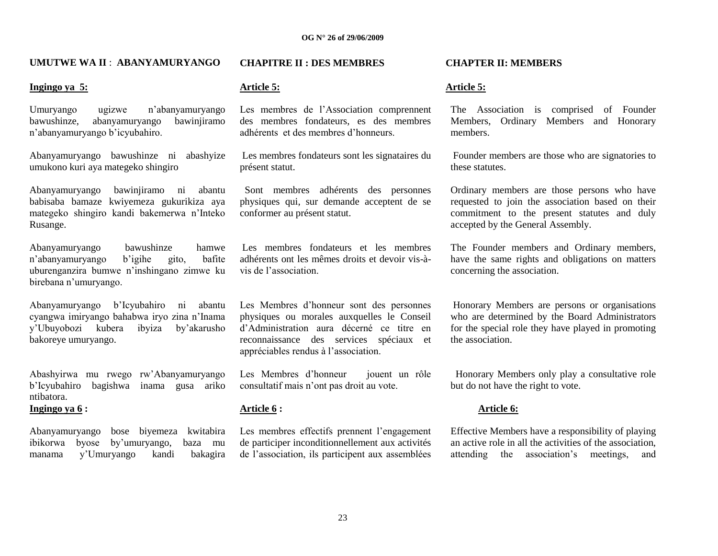**UMUTWE WA II** : **ABANYAMURYANGO CHAPITRE II : DES MEMBRES CHAPTER II: MEMBERS**

#### **Ingingo ya 5:**

Umuryango ugizwe n'abanyamuryango bawushinze, abanyamuryango bawinjiramo n'abanyamuryango b'icyubahiro.

Abanyamuryango bawushinze ni abashyize umukono kuri aya mategeko shingiro

Abanyamuryango bawinjiramo ni abantu babisaba bamaze kwiyemeza gukurikiza aya mategeko shingiro kandi bakemerwa n'Inteko Rusange.

Abanyamuryango bawushinze hamwe n'abanyamuryango b'igihe gito, bafite uburenganzira bumwe n'inshingano zimwe ku birebana n'umuryango.

Abanyamuryango b'Icyubahiro ni abantu cyangwa imiryango bahabwa iryo zina n'Inama y'Ubuyobozi kubera ibyiza by'akarusho bakoreye umuryango.

Abashyirwa mu rwego rw'Abanyamuryango b'Icyubahiro bagishwa inama gusa ariko ntibatora.

#### **Ingingo ya 6 :**

Abanyamuryango bose biyemeza kwitabira ibikorwa byose by'umuryango, baza mu manama y'Umuryango kandi bakagira

#### **Article 5:**

Les membres de l'Association comprennent des membres fondateurs, es des membres adhérents et des membres d'honneurs.

Les membres fondateurs sont les signataires du présent statut.

 Sont membres adhérents des personnes physiques qui, sur demande acceptent de se conformer au présent statut.

Les membres fondateurs et les membres adhérents ont les mêmes droits et devoir vis-àvis de l'association.

Les Membres d'honneur sont des personnes physiques ou morales auxquelles le Conseil d'Administration aura décerné ce titre en reconnaissance des services spéciaux et appréciables rendus à l'association.

Les Membres d'honneur iouent un rôle consultatif mais n'ont pas droit au vote.

#### **Article 6 :**

Les membres effectifs prennent l'engagement de participer inconditionnellement aux activités de l'association, ils participent aux assemblées

#### **Article 5:**

The Association is comprised of Founder Members, Ordinary Members and Honorary members.

Founder members are those who are signatories to these statutes.

Ordinary members are those persons who have requested to join the association based on their commitment to the present statutes and duly accepted by the General Assembly.

The Founder members and Ordinary members, have the same rights and obligations on matters concerning the association.

Honorary Members are persons or organisations who are determined by the Board Administrators for the special role they have played in promoting the association.

 Honorary Members only play a consultative role but do not have the right to vote.

#### **Article 6:**

Effective Members have a responsibility of playing an active role in all the activities of the association, attending the association's meetings, and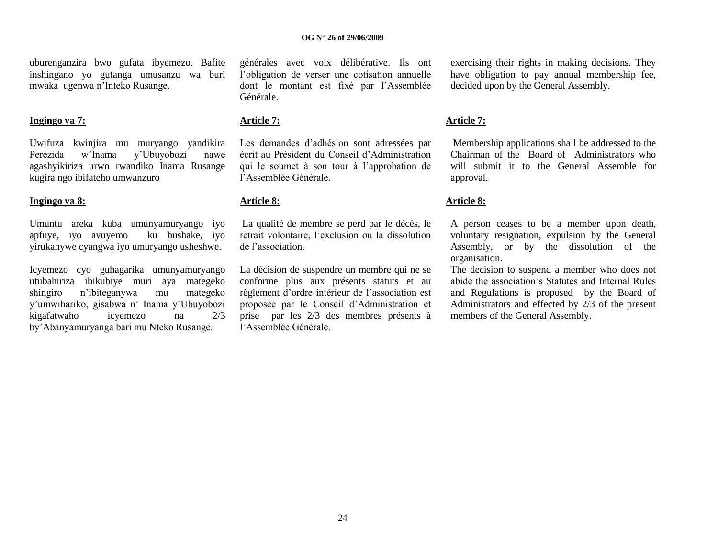uburenganzira bwo gufata ibyemezo. Bafite inshingano yo gutanga umusanzu wa buri mwaka ugenwa n'Inteko Rusange.

#### **Ingingo ya 7:**

Uwifuza kwinjira mu muryango yandikira Perezida w'Inama y'Ubuyobozi nawe agashyikiriza urwo rwandiko Inama Rusange kugira ngo ibifateho umwanzuro

#### **Ingingo ya 8:**

Umuntu areka kuba umunyamuryango iyo apfuye, iyo ayuyemo yirukanywe cyangwa iyo umuryango usheshwe.

Icyemezo cyo guhagarika umunyamuryango utubahiriza ibikubiye muri aya mategeko shingiro n'ibiteganywa mu mategeko y'umwihariko, gisabwa n' Inama y'Ubuyobozi kigafatwaho icyemezo na 2/3 by'Abanyamuryanga bari mu Nteko Rusange.

générales avec voix délibérative. Ils ont l'obligation de verser une cotisation annuelle dont le montant est fixé par l'Assemblée Générale.

#### **Article 7:**

Les demandes d'adhésion sont adressées par écrit au Président du Conseil d'Administration qui le soumet à son tour à l'approbation de l'Assemblée Générale.

#### **Article 8:**

La qualité de membre se perd par le décès, le retrait volontaire, l'exclusion ou la dissolution de l'association.

La décision de suspendre un membre qui ne se conforme plus aux présents statuts et au règlement d'ordre intérieur de l'association est proposée par le Conseil d'Administration et prise par les 2/3 des membres présents à l'Assemblée Générale.

exercising their rights in making decisions. They have obligation to pay annual membership fee, decided upon by the General Assembly.

#### **Article 7:**

Membership applications shall be addressed to the Chairman of the Board of Administrators who will submit it to the General Assemble for approval.

#### **Article 8:**

A person ceases to be a member upon death, voluntary resignation, expulsion by the General Assembly, or by the dissolution of the organisation.

The decision to suspend a member who does not abide the association's Statutes and Internal Rules and Regulations is proposed by the Board of Administrators and effected by 2/3 of the present members of the General Assembly.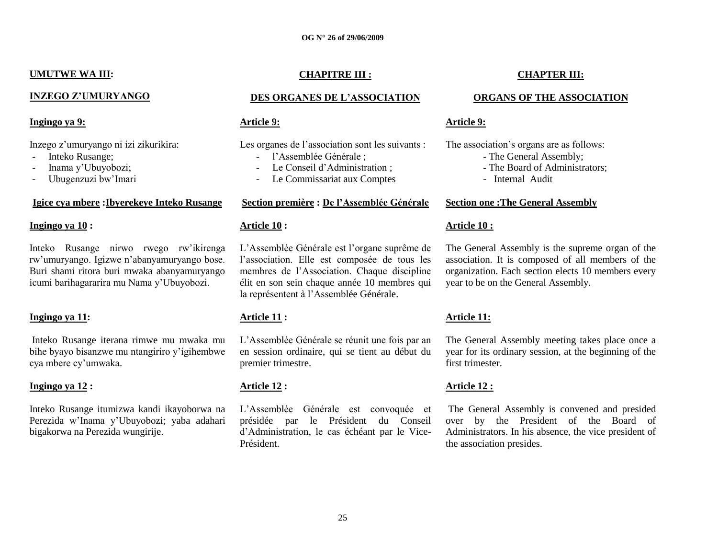# **UMUTWE WA III:**

# **INZEGO Z'UMURYANGO**

#### **Ingingo ya 9:**

Inzego z'umuryango ni izi zikurikira:

- Inteko Rusange;
- Inama y'Ubuyobozi;
- Ubugenzuzi bw'Imari

#### **Igice cya mbere :Ibyerekeye Inteko Rusange**

#### **Ingingo ya 10 :**

Inteko Rusange nirwo rwego rw'ikirenga rw'umuryango. Igizwe n'abanyamuryango bose. Buri shami ritora buri mwaka abanyamuryango icumi barihagararira mu Nama y'Ubuyobozi.

#### **Ingingo ya 11:**

Inteko Rusange iterana rimwe mu mwaka mu bihe byayo bisanzwe mu ntangiriro y'igihembwe cya mbere cy'umwaka.

#### **Ingingo ya 12 :**

Inteko Rusange itumizwa kandi ikayoborwa na Perezida w'Inama y'Ubuyobozi; yaba adahari bigakorwa na Perezida wungirije.

# **CHAPITRE III :**

## **DES ORGANES DE L'ASSOCIATION**

# **Article 9:**

Les organes de l'association sont les suivants :

- l'Assemblée Générale ;
- Le Conseil d'Administration ;
- Le Commissariat aux Comptes

#### **Section première : De l'Assemblée Générale**

#### **Article 10 :**

L'Assemblée Générale est l'organe suprême de l'association. Elle est composée de tous les membres de l'Association. Chaque discipline élit en son sein chaque année 10 membres qui la représentent à l'Assemblée Générale.

# **Article 11 :**

L'Assemblée Générale se réunit une fois par an en session ordinaire, qui se tient au début du premier trimestre.

# **Article 12 :**

L'Assemblée Générale est convoquée et présidée par le Président du Conseil d'Administration, le cas échéant par le Vice-Président.

# **CHAPTER III:**

## **ORGANS OF THE ASSOCIATION**

#### **Article 9:**

The association's organs are as follows:

- The General Assembly;
- The Board of Administrators;
- Internal Audit

## **Section one :The General Assembly**

#### **Article 10 :**

The General Assembly is the supreme organ of the association. It is composed of all members of the organization. Each section elects 10 members every year to be on the General Assembly.

# **Article 11:**

The General Assembly meeting takes place once a year for its ordinary session, at the beginning of the first trimester.

#### **Article 12 :**

The General Assembly is convened and presided over by the President of the Board of Administrators. In his absence, the vice president of the association presides.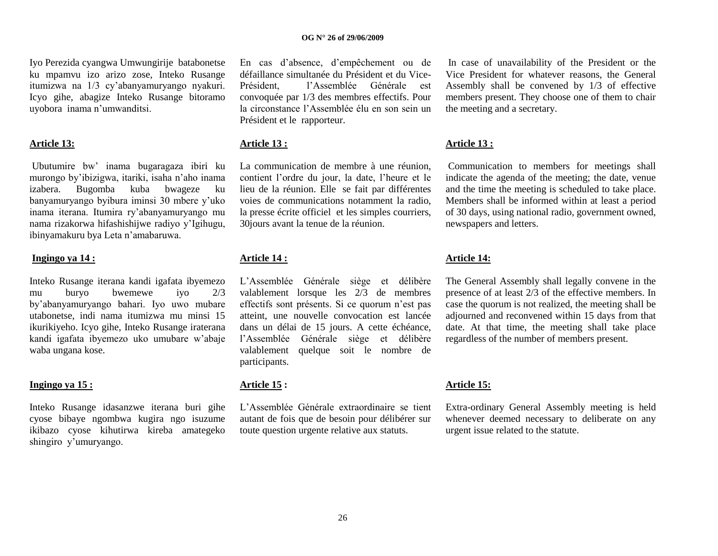Iyo Perezida cyangwa Umwungirije batabonetse ku mpamvu izo arizo zose, Inteko Rusange itumizwa na 1/3 cy'abanyamuryango nyakuri. Icyo gihe, abagize Inteko Rusange bitoramo uyobora inama n'umwanditsi.

#### **Article 13:**

Ubutumire bw' inama bugaragaza ibiri ku murongo by'ibizigwa, itariki, isaha n'aho inama izabera. Bugomba kuba bwageze ku banyamuryango byibura iminsi 30 mbere y'uko inama iterana. Itumira ry'abanyamuryango mu nama rizakorwa hifashishijwe radiyo y'Igihugu, ibinyamakuru bya Leta n'amabaruwa.

#### **Ingingo ya 14 :**

Inteko Rusange iterana kandi igafata ibyemezo mu buryo bwemewe iyo 2/3 by'abanyamuryango bahari. Iyo uwo mubare utabonetse, indi nama itumizwa mu minsi 15 ikurikiyeho. Icyo gihe, Inteko Rusange iraterana kandi igafata ibyemezo uko umubare w'abaje waba ungana kose.

## **Ingingo ya 15 :**

Inteko Rusange idasanzwe iterana buri gihe cyose bibaye ngombwa kugira ngo isuzume ikibazo cyose kihutirwa kireba amategeko shingiro y'umuryango.

En cas d'absence, d'empêchement ou de défaillance simultanée du Président et du Vice-Président, l'Assemblée Générale est convoquée par 1/3 des membres effectifs. Pour la circonstance l'Assemblée élu en son sein un Président et le rapporteur.

#### **Article 13 :**

La communication de membre à une réunion. contient l'ordre du jour, la date, l'heure et le lieu de la réunion. Elle se fait par différentes voies de communications notamment la radio, la presse écrite officiel et les simples courriers, 30jours avant la tenue de la réunion.

# **Article 14 :**

L'Assemblée Générale siège et délibère valablement lorsque les 2/3 de membres effectifs sont présents. Si ce quorum n'est pas atteint, une nouvelle convocation est lancée dans un délai de 15 jours. A cette échéance, l'Assemblée Générale siège et délibère valablement quelque soit le nombre de participants.

#### **Article 15 :**

L'Assemblée Générale extraordinaire se tient autant de fois que de besoin pour délibérer sur toute question urgente relative aux statuts.

In case of unavailability of the President or the Vice President for whatever reasons, the General Assembly shall be convened by 1/3 of effective members present. They choose one of them to chair the meeting and a secretary.

#### **Article 13 :**

Communication to members for meetings shall indicate the agenda of the meeting; the date, venue and the time the meeting is scheduled to take place. Members shall be informed within at least a period of 30 days, using national radio, government owned, newspapers and letters.

#### **Article 14:**

The General Assembly shall legally convene in the presence of at least 2/3 of the effective members. In case the quorum is not realized, the meeting shall be adjourned and reconvened within 15 days from that date. At that time, the meeting shall take place regardless of the number of members present.

#### **Article 15:**

Extra-ordinary General Assembly meeting is held whenever deemed necessary to deliberate on any urgent issue related to the statute.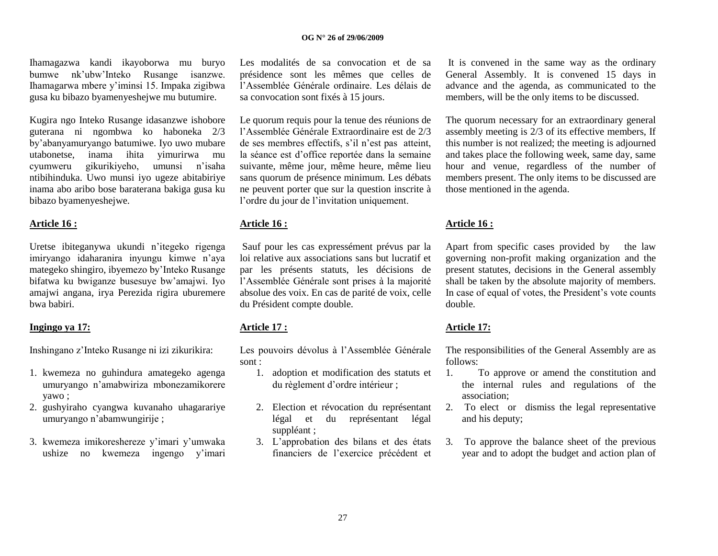Ihamagazwa kandi ikayoborwa mu buryo bumwe nk'ubw'Inteko Rusange isanzwe. Ihamagarwa mbere y'iminsi 15. Impaka zigibwa gusa ku bibazo byamenyeshejwe mu butumire.

Kugira ngo Inteko Rusange idasanzwe ishobore guterana ni ngombwa ko haboneka 2/3 by'abanyamuryango batumiwe. Iyo uwo mubare utabonetse, inama ihita yimurirwa mu cyumweru gikurikiyeho, umunsi n'isaha ntibihinduka. Uwo munsi iyo ugeze abitabiriye inama abo aribo bose baraterana bakiga gusa ku bibazo byamenyeshejwe.

## **Article 16 :**

Uretse ibiteganywa ukundi n'itegeko rigenga imiryango idaharanira inyungu kimwe n'aya mategeko shingiro, ibyemezo by'Inteko Rusange bifatwa ku bwiganze busesuye bw'amajwi. Iyo amajwi angana, irya Perezida rigira uburemere bwa babiri.

# **Ingingo ya 17:**

Inshingano z'Inteko Rusange ni izi zikurikira:

- 1. kwemeza no guhindura amategeko agenga umuryango n'amabwiriza mbonezamikorere yawo ;
- 2. gushyiraho cyangwa kuvanaho uhagarariye umuryango n'abamwungirije ;
- 3. kwemeza imikoreshereze y'imari y'umwaka ushize no kwemeza ingengo y'imari

Les modalités de sa convocation et de sa présidence sont les mêmes que celles de l'Assemblée Générale ordinaire. Les délais de sa convocation sont fixés à 15 jours.

Le quorum requis pour la tenue des réunions de l'Assemblée Générale Extraordinaire est de 2/3 de ses membres effectifs, s'il n'est pas atteint, la séance est d'office reportée dans la semaine suivante, même jour, même heure, même lieu sans quorum de présence minimum. Les débats ne peuvent porter que sur la question inscrite à l'ordre du jour de l'invitation uniquement.

## **Article 16 :**

Sauf pour les cas expressément prévus par la loi relative aux associations sans but lucratif et par les présents statuts, les décisions de l'Assemblée Générale sont prises à la majorité absolue des voix. En cas de parité de voix, celle du Président compte double.

# **Article 17 :**

Les pouvoirs dévolus à l'Assemblée Générale sont :

- 1. adoption et modification des statuts et du règlement d'ordre intérieur ;
- 2. Election et révocation du représentant légal et du représentant légal suppléant ;
- 3. L'approbation des bilans et des états financiers de l'exercice précédent et

It is convened in the same way as the ordinary General Assembly. It is convened 15 days in advance and the agenda, as communicated to the members, will be the only items to be discussed.

The quorum necessary for an extraordinary general assembly meeting is 2/3 of its effective members, If this number is not realized; the meeting is adjourned and takes place the following week, same day, same hour and venue, regardless of the number of members present. The only items to be discussed are those mentioned in the agenda.

# **Article 16 :**

Apart from specific cases provided by the law governing non-profit making organization and the present statutes, decisions in the General assembly shall be taken by the absolute majority of members. In case of equal of votes, the President's vote counts double.

# **Article 17:**

The responsibilities of the General Assembly are as follows:

- 1. To approve or amend the constitution and the internal rules and regulations of the association;
- 2. To elect or dismiss the legal representative and his deputy;
- 3. To approve the balance sheet of the previous year and to adopt the budget and action plan of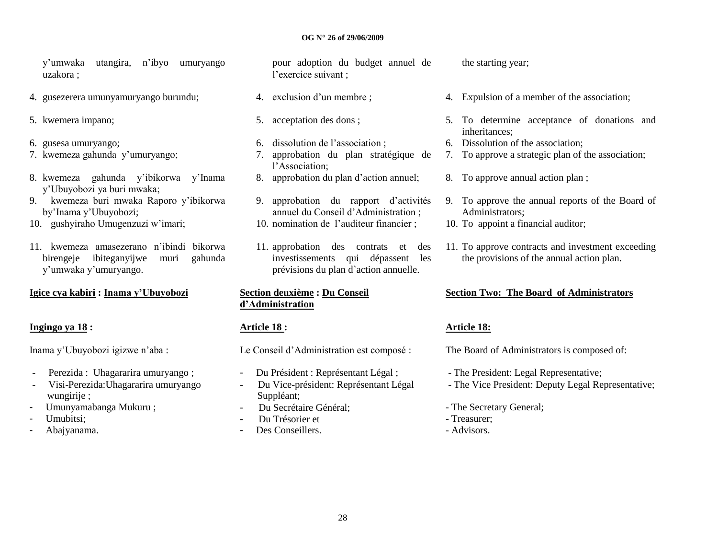y'umwaka utangira, n'ibyo umuryango uzakora ;

- 4. gusezerera umunyamuryango burundu;
- 5. kwemera impano;
- 6. gusesa umuryango;
- 7. kwemeza gahunda y'umuryango;
- 8. kwemeza gahunda y'ibikorwa y'Inama y'Ubuyobozi ya buri mwaka;
- 9. kwemeza buri mwaka Raporo y'ibikorwa by'Inama y'Ubuyobozi;
- 10. gushyiraho Umugenzuzi w'imari;
- 11. kwemeza amasezerano n'ibindi bikorwa birengeje ibiteganyijwe muri gahunda y'umwaka y'umuryango.

**Igice cya kabiri : Inama y'Ubuyobozi**

# **Ingingo ya 18 :**

Inama y'Ubuyobozi igizwe n'aba :

- Perezida : Uhagararira umuryango ;
- Visi-Perezida:Uhagararira umuryango wungirije ;
- Umunyamabanga Mukuru ;
- Umubitsi:
- Abajyanama.

pour adoption du budget annuel de l'exercice suivant ;

- 4. exclusion d'un membre ;
- 5. acceptation des dons ;
- 6. dissolution de l'association ;
- 7. approbation du plan stratégique de l'Association;
- 8. approbation du plan d'action annuel;
- 9. approbation du rapport d'activités annuel du Conseil d'Administration ; 10. nomination de l'auditeur financier ;
- 
- 11. approbation des contrats et des investissements qui dépassent les prévisions du plan d`action annuelle.

# **Section deuxième : Du Conseil d'Administration**

# **Article 18 :**

Le Conseil d'Administration est composé :

- Du Président : Représentant Légal ;
- Du Vice-président: Représentant Légal Suppléant;
- Du Secrétaire Général;
- Du Trésorier et
- Des Conseillers.

the starting year;

- 4. Expulsion of a member of the association;
- 5. To determine acceptance of donations and inheritances;
- 6. Dissolution of the association;
- 7. To approve a strategic plan of the association;
- 8. To approve annual action plan ;
- 9. To approve the annual reports of the Board of Administrators;
- 10. To appoint a financial auditor;
- 11. To approve contracts and investment exceeding the provisions of the annual action plan.

# **Section Two: The Board of Administrators**

# **Article 18:**

The Board of Administrators is composed of:

- The President: Legal Representative;
- The Vice President: Deputy Legal Representative;
- The Secretary General;
- Treasurer;
- Advisors.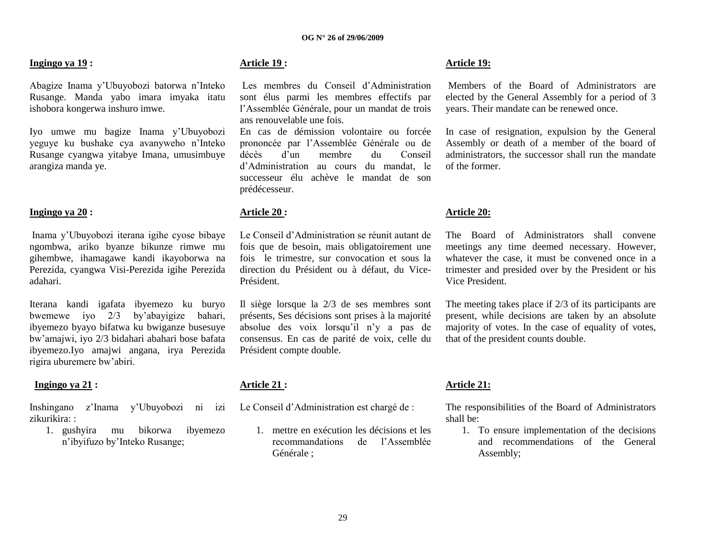#### **Ingingo ya 19 :**

Abagize Inama y'Ubuyobozi batorwa n'Inteko Rusange. Manda yabo imara imyaka itatu ishobora kongerwa inshuro imwe.

Iyo umwe mu bagize Inama y'Ubuyobozi yeguye ku bushake cya avanyweho n'Inteko Rusange cyangwa yitabye Imana, umusimbuye arangiza manda ye.

#### **Ingingo ya 20 :**

Inama y'Ubuyobozi iterana igihe cyose bibaye ngombwa, ariko byanze bikunze rimwe mu gihembwe, ihamagawe kandi ikayoborwa na Perezida, cyangwa Visi-Perezida igihe Perezida adahari.

Iterana kandi igafata ibyemezo ku buryo bwemewe iyo 2/3 by'abayigize bahari, ibyemezo byayo bifatwa ku bwiganze busesuye bw'amajwi, iyo 2/3 bidahari abahari bose bafata ibyemezo.Iyo amajwi angana, irya Perezida rigira uburemere bw'abiri.

#### **Ingingo ya 21 :**

Inshingano z'Inama y'Ubuyobozi ni izi Le Conseil d'Administration est chargé de : zikurikira: :

1. gushyira mu bikorwa ibyemezo n'ibyifuzo by'Inteko Rusange;

#### **Article 19 :**

Les membres du Conseil d'Administration sont élus parmi les membres effectifs par l'Assemblée Générale, pour un mandat de trois ans renouvelable une fois.

En cas de démission volontaire ou forcée prononcée par l'Assemblée Générale ou de décès d'un membre du Conseil d'Administration au cours du mandat, le successeur élu achève le mandat de son prédécesseur.

#### **Article 20 :**

Le Conseil d'Administration se réunit autant de fois que de besoin, mais obligatoirement une fois le trimestre, sur convocation et sous la direction du Président ou à défaut, du Vice-Président.

Il siège lorsque la 2/3 de ses membres sont présents, Ses décisions sont prises à la majorité absolue des voix lorsqu'il n'y a pas de consensus. En cas de parité de voix, celle du Président compte double.

#### **Article 21 :**

1. mettre en exécution les décisions et les recommandations de l'Assemblée Générale ;

#### **Article 19:**

Members of the Board of Administrators are elected by the General Assembly for a period of 3 years. Their mandate can be renewed once.

In case of resignation, expulsion by the General Assembly or death of a member of the board of administrators, the successor shall run the mandate of the former.

#### **Article 20:**

The Board of Administrators shall convene meetings any time deemed necessary. However, whatever the case, it must be convened once in a trimester and presided over by the President or his Vice President.

The meeting takes place if 2/3 of its participants are present, while decisions are taken by an absolute majority of votes. In the case of equality of votes, that of the president counts double.

## **Article 21:**

The responsibilities of the Board of Administrators shall be:

1. To ensure implementation of the decisions and recommendations of the General Assembly;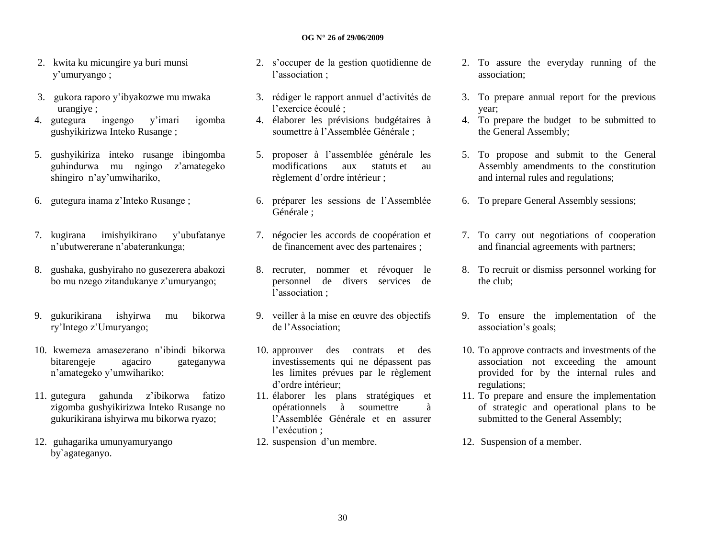- 2. kwita ku micungire ya buri munsi y'umuryango ;
- 3. gukora raporo y'ibyakozwe mu mwaka urangiye ;
- 4. gutegura ingengo y'imari igomba gushyikirizwa Inteko Rusange ;
- 5. gushyikiriza inteko rusange ibingomba guhindurwa mu ngingo z'amategeko shingiro n'ay'umwihariko,
- 6. gutegura inama z'Inteko Rusange ;
- 7. kugirana imishyikirano y'ubufatanye n'ubutwererane n'abaterankunga;
- 8. gushaka, gushyiraho no gusezerera abakozi bo mu nzego zitandukanye z'umuryango;
- 9. gukurikirana ishyirwa mu bikorwa ry'Intego z'Umuryango;
- 10. kwemeza amasezerano n'ibindi bikorwa bitarengeje agaciro gateganywa n'amategeko y'umwihariko;
- 11. gutegura gahunda z'ibikorwa fatizo zigomba gushyikirizwa Inteko Rusange no gukurikirana ishyirwa mu bikorwa ryazo;
- 12. guhagarika umunyamuryango by`agateganyo.
- 2. s'occuper de la gestion quotidienne de l'association ;
- 3. rédiger le rapport annuel d'activités de l'exercice écoulé ;
- 4. élaborer les prévisions budgétaires à soumettre à l'Assemblée Générale ;
- 5. proposer à l'assemblée générale les modifications aux statuts et au règlement d'ordre intérieur ;
- 6. préparer les sessions de l'Assemblée Générale ;
- 7. négocier les accords de coopération et de financement avec des partenaires ;
- 8. recruter, nommer et révoquer le personnel de divers services de l'association ;
- 9. veiller à la mise en œuvre des objectifs de l'Association;
- 10. approuver des contrats et des investissements qui ne dépassent pas les limites prévues par le règlement d'ordre intérieur;
- 11. élaborer les plans stratégiques et opérationnels à soumettre à l'Assemblée Générale et en assurer l'exécution ;
- 12. suspension d'un membre.
- 2. To assure the everyday running of the association;
- 3. To prepare annual report for the previous year;
- 4. To prepare the budget to be submitted to the General Assembly;
- 5. To propose and submit to the General Assembly amendments to the constitution and internal rules and regulations;
- 6. To prepare General Assembly sessions;
- 7. To carry out negotiations of cooperation and financial agreements with partners;
- 8. To recruit or dismiss personnel working for the club;
- 9. To ensure the implementation of the association's goals;
- 10. To approve contracts and investments of the association not exceeding the amount provided for by the internal rules and regulations;
- 11. To prepare and ensure the implementation of strategic and operational plans to be submitted to the General Assembly;
- 12. Suspension of a member.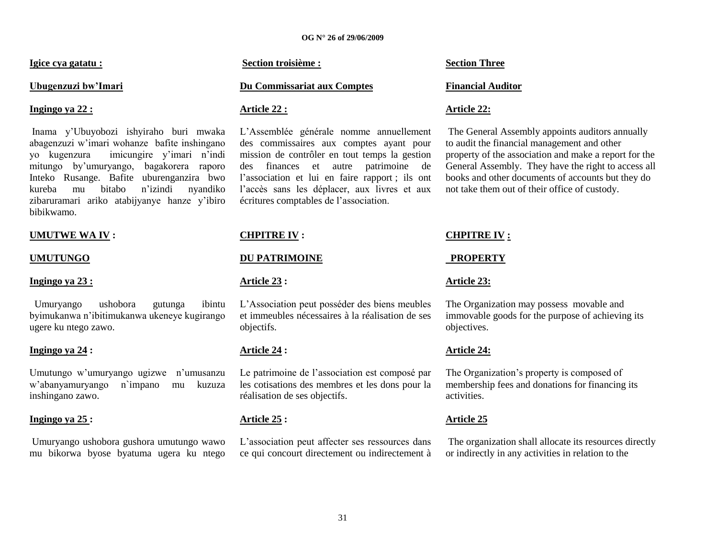#### **OG N° 26 of 29/06/2009**

#### **Igice cya gatatu :**

#### **Ubugenzuzi bw'Imari**

#### **Ingingo ya 22 :**

Inama y'Ubuyobozi ishyiraho buri mwaka abagenzuzi w'imari wohanze bafite inshingano yo kugenzura imicungire y'imari n'indi mitungo by'umuryango, bagakorera raporo Inteko Rusange. Bafite uburenganzira bwo kureba mu bitabo n'izindi nyandiko zibaruramari ariko atabijyanye hanze y'ibiro bibikwamo.

## **UMUTWE WA IV :**

#### **UMUTUNGO**

#### **Ingingo ya 23 :**

 Umuryango ushobora gutunga ibintu byimukanwa n'ibitimukanwa ukeneye kugirango ugere ku ntego zawo.

## **Ingingo ya 24 :**

Umutungo w'umuryango ugizwe n'umusanzu w'abanyamuryango n`impano mu kuzuza inshingano zawo.

#### **Ingingo ya 25 :**

Umuryango ushobora gushora umutungo wawo mu bikorwa byose byatuma ugera ku ntego

#### **Section troisième :**

#### **Du Commissariat aux Comptes**

#### **Article 22 :**

L'Assemblée générale nomme annuellement des commissaires aux comptes ayant pour mission de contrôler en tout temps la gestion des finances et autre patrimoine de l'association et lui en faire rapport ; ils ont l'accès sans les déplacer, aux livres et aux écritures comptables de l'association.

#### **CHPITRE IV :**

#### **DU PATRIMOINE**

#### **Article 23 :**

L'Association peut posséder des biens meubles et immeubles nécessaires à la réalisation de ses objectifs.

#### **Article 24 :**

Le patrimoine de l'association est composé par les cotisations des membres et les dons pour la réalisation de ses objectifs.

#### **Article 25 :**

L'association peut affecter ses ressources dans ce qui concourt directement ou indirectement à

## **Section Three**

#### **Financial Auditor**

#### **Article 22:**

The General Assembly appoints auditors annually to audit the financial management and other property of the association and make a report for the General Assembly. They have the right to access all books and other documents of accounts but they do not take them out of their office of custody.

## **CHPITRE IV :**

#### **PROPERTY**

#### **Article 23:**

The Organization may possess movable and immovable goods for the purpose of achieving its objectives.

#### **Article 24:**

The Organization's property is composed of membership fees and donations for financing its activities.

## **Article 25**

The organization shall allocate its resources directly or indirectly in any activities in relation to the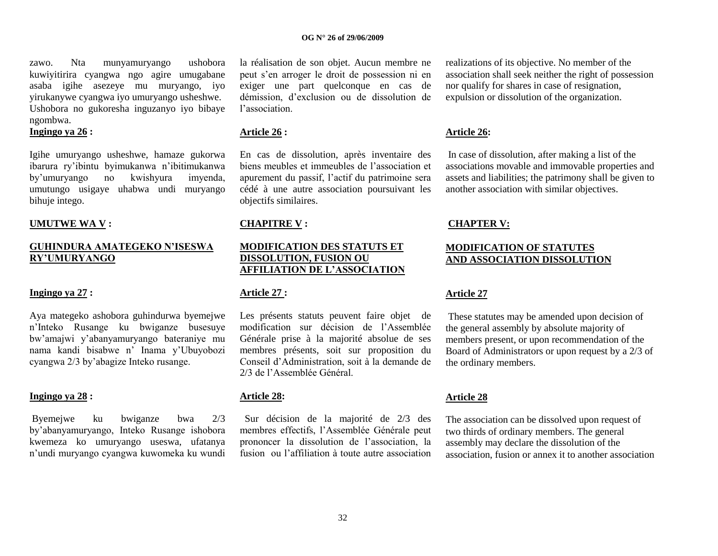zawo. Nta munyamuryango ushobora kuwiyitirira cyangwa ngo agire umugabane asaba igihe asezeye mu muryango, iyo yirukanywe cyangwa iyo umuryango usheshwe. Ushobora no gukoresha inguzanyo iyo bibaye ngombwa.

## **Ingingo ya 26 :**

Igihe umuryango usheshwe, hamaze gukorwa ibarura ry'ibintu byimukanwa n'ibitimukanwa by'umuryango no kwishyura imyenda, umutungo usigaye uhabwa undi muryango bihuje intego.

#### **UMUTWE WA V :**

# **GUHINDURA AMATEGEKO N'ISESWA RY'UMURYANGO**

#### **Ingingo ya 27 :**

Aya mategeko ashobora guhindurwa byemejwe n'Inteko Rusange ku bwiganze busesuye bw'amajwi y'abanyamuryango bateraniye mu nama kandi bisabwe n' Inama y'Ubuyobozi cyangwa 2/3 by'abagize Inteko rusange.

#### **Ingingo ya 28 :**

Byemejwe ku bwiganze bwa 2/3 by'abanyamuryango, Inteko Rusange ishobora kwemeza ko umuryango useswa, ufatanya n'undi muryango cyangwa kuwomeka ku wundi

la réalisation de son objet. Aucun membre ne peut s'en arroger le droit de possession ni en exiger une part quelconque en cas de démission, d'exclusion ou de dissolution de l'association.

#### **Article 26 :**

En cas de dissolution, après inventaire des biens meubles et immeubles de l'association et apurement du passif, l'actif du patrimoine sera cédé à une autre association poursuivant les objectifs similaires.

#### **CHAPITRE V :**

#### **MODIFICATION DES STATUTS ET DISSOLUTION, FUSION OU AFFILIATION DE L'ASSOCIATION**

#### **Article 27 :**

Les présents statuts peuvent faire objet de modification sur décision de l'Assemblée Générale prise à la majorité absolue de ses membres présents, soit sur proposition du Conseil d'Administration, soit à la demande de 2/3 de l'Assemblée Général.

#### **Article 28:**

 Sur décision de la majorité de 2/3 des membres effectifs, l'Assemblée Générale peut prononcer la dissolution de l'association, la fusion ou l'affiliation à toute autre association realizations of its objective. No member of the association shall seek neither the right of possession nor qualify for shares in case of resignation, expulsion or dissolution of the organization.

#### **Article 26:**

In case of dissolution, after making a list of the associations movable and immovable properties and assets and liabilities; the patrimony shall be given to another association with similar objectives.

#### **CHAPTER V:**

#### **MODIFICATION OF STATUTES AND ASSOCIATION DISSOLUTION**

#### **Article 27**

These statutes may be amended upon decision of the general assembly by absolute majority of members present, or upon recommendation of the Board of Administrators or upon request by a 2/3 of the ordinary members.

#### **Article 28**

The association can be dissolved upon request of two thirds of ordinary members. The general assembly may declare the dissolution of the association, fusion or annex it to another association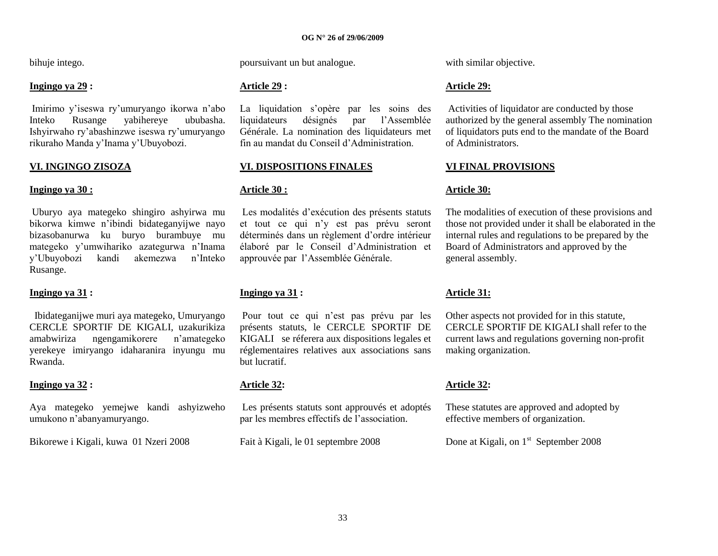bihuje intego.

# **Ingingo ya 29 :**

Imirimo y'iseswa ry'umuryango ikorwa n'abo Inteko Rusange yabihereye ububasha. Ishyirwaho ry'abashinzwe iseswa ry'umuryango rikuraho Manda y'Inama y'Ubuyobozi.

# **VI. INGINGO ZISOZA**

#### **Ingingo ya 30 :**

Uburyo aya mategeko shingiro ashyirwa mu bikorwa kimwe n'ibindi bidateganyijwe nayo bizasobanurwa ku buryo burambuye mu mategeko y'umwihariko azategurwa n'Inama y'Ubuyobozi kandi akemezwa n'Inteko Rusange.

# **Ingingo ya 31 :**

 Ibidateganijwe muri aya mategeko, Umuryango CERCLE SPORTIF DE KIGALI, uzakurikiza amabwiriza ngengamikorere n'amategeko yerekeye imiryango idaharanira inyungu mu Rwanda.

# **Ingingo ya 32 :**

Aya mategeko yemejwe kandi ashyizweho umukono n'abanyamuryango.

Bikorewe i Kigali, kuwa 01 Nzeri 2008

poursuivant un but analogue.

# **Article 29 :**

La liquidation s'opère par les soins des liquidateurs désignés par l'Assemblée Générale. La nomination des liquidateurs met fin au mandat du Conseil d'Administration.

## **VI. DISPOSITIONS FINALES**

# **Article 30 :**

Les modalités d'exécution des présents statuts et tout ce qui n'y est pas prévu seront déterminés dans un règlement d'ordre intérieur élaboré par le Conseil d'Administration et approuvée par l'Assemblée Générale.

#### **Ingingo ya 31 :**

Pour tout ce qui n'est pas prévu par les présents statuts, le CERCLE SPORTIF DE KIGALI se réferera aux dispositions legales et réglementaires relatives aux associations sans but lucratif.

# **Article 32:**

Les présents statuts sont approuvés et adoptés par les membres effectifs de l'association.

Fait à Kigali, le 01 septembre 2008

with similar objective.

# **Article 29:**

Activities of liquidator are conducted by those authorized by the general assembly The nomination of liquidators puts end to the mandate of the Board of Administrators.

# **VI FINAL PROVISIONS**

## **Article 30:**

The modalities of execution of these provisions and those not provided under it shall be elaborated in the internal rules and regulations to be prepared by the Board of Administrators and approved by the general assembly.

# **Article 31:**

Other aspects not provided for in this statute, CERCLE SPORTIF DE KIGALI shall refer to the current laws and regulations governing non-profit making organization.

# **Article 32:**

These statutes are approved and adopted by effective members of organization.

Done at Kigali, on 1<sup>st</sup> September 2008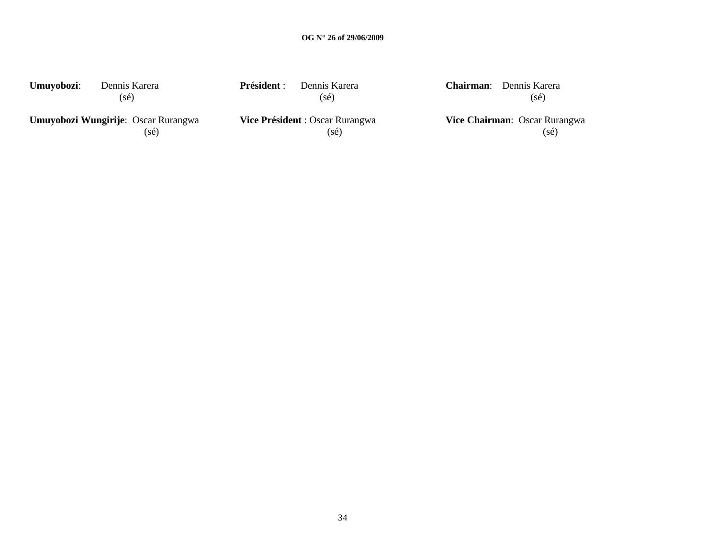| Umuyobozi: | Dennis Karera<br>(sé)                              | <b>Président:</b> | Dennis Karera<br>(sé)                   | Chairman: | Dennis Karera<br>(sé)                 |
|------------|----------------------------------------------------|-------------------|-----------------------------------------|-----------|---------------------------------------|
|            | <b>Umuyobozi Wungirije: Oscar Rurangwa</b><br>(sé) |                   | Vice Président : Oscar Rurangwa<br>(sé) |           | Vice Chairman: Oscar Rurangwa<br>(sé) |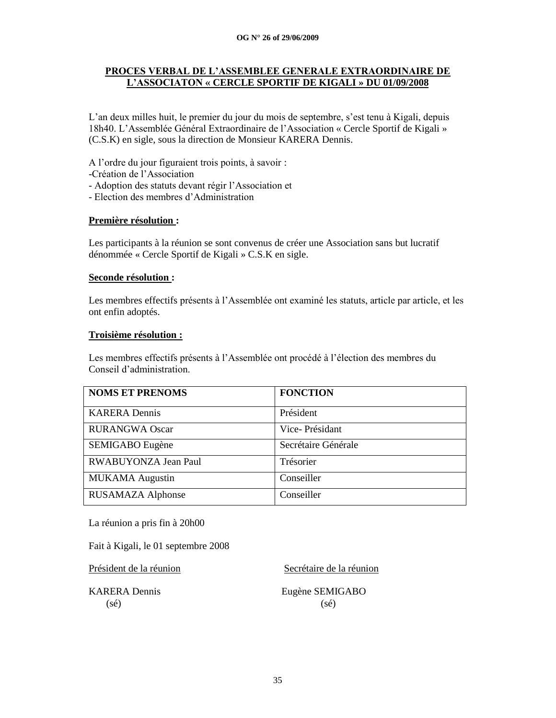#### **OG N° 26 of 29/06/2009**

## **PROCES VERBAL DE L'ASSEMBLEE GENERALE EXTRAORDINAIRE DE L'ASSOCIATON « CERCLE SPORTIF DE KIGALI » DU 01/09/2008**

L'an deux milles huit, le premier du jour du mois de septembre, s'est tenu à Kigali, depuis 18h40. L'Assemblée Général Extraordinaire de l'Association « Cercle Sportif de Kigali » (C.S.K) en sigle, sous la direction de Monsieur KARERA Dennis.

A l'ordre du jour figuraient trois points, à savoir :

-Création de l'Association

- Adoption des statuts devant régir l'Association et

- Election des membres d'Administration

## **Première résolution :**

Les participants à la réunion se sont convenus de créer une Association sans but lucratif dénommée « Cercle Sportif de Kigali » C.S.K en sigle.

### **Seconde résolution :**

Les membres effectifs présents à l'Assemblée ont examiné les statuts, article par article, et les ont enfin adoptés.

### **Troisième résolution :**

Les membres effectifs présents à l'Assemblée ont procédé à l'élection des membres du Conseil d'administration.

| <b>NOMS ET PRENOMS</b> | <b>FONCTION</b>     |
|------------------------|---------------------|
| <b>KARERA Dennis</b>   | Président           |
| <b>RURANGWA Oscar</b>  | Vice-Présidant      |
| SEMIGABO Eugène        | Secrétaire Générale |
| RWABUYONZA Jean Paul   | Trésorier           |
| <b>MUKAMA</b> Augustin | Conseiller          |
| RUSAMAZA Alphonse      | Conseiller          |

La réunion a pris fin à 20h00

Fait à Kigali, le 01 septembre 2008

Président de la réunion Secrétaire de la réunion

 $(s\acute{e})$  (sé)

KARERA Dennis Eugène SEMIGABO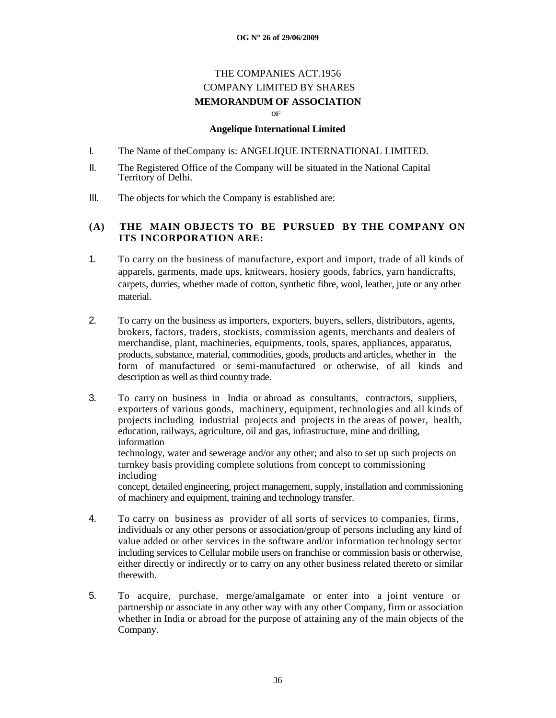# THE COMPANIES ACT.1956 COMPANY LIMITED BY SHARES **MEMORANDUM OF ASSOCIATION**  $\Omega$ F

## **Angelique International Limited**

- I. The Name of theCompany is: ANGELIQUE INTERNATIONAL LIMITED.
- II. The Registered Office of the Company will be situated in the National Capital Territory of Delhi.
- III. The objects for which the Company is established are:

# **(A) THE MAIN OBJECTS TO BE PURSUED BY THE COMPANY ON ITS INCORPORATION ARE:**

- 1. To carry on the business of manufacture, export and import, trade of all kinds of apparels, garments, made ups, knitwears, hosiery goods, fabrics, yarn handicrafts, carpets, durries, whether made of cotton, synthetic fibre, wool, leather, jute or any other material.
- 2. To carry on the business as importers, exporters, buyers, sellers, distributors, agents, brokers, factors, traders, stockists, commission agents, merchants and dealers of merchandise, plant, machineries, equipments, tools, spares, appliances, apparatus, products, substance, material, commodities, goods, products and articles, whether in the form of manufactured or semi-manufactured or otherwise, of all kinds and description as well as third country trade.
- 3. To carry on business in India or abroad as consultants, contractors, suppliers, exporters of various goods, machinery, equipment, technologies and all kinds of projects including industrial projects and projects in the areas of power, health, education, railways, agriculture, oil and gas, infrastructure, mine and drilling, information technology, water and sewerage and/or any other; and also to set up such projects on turnkey basis providing complete solutions from concept to commissioning including concept, detailed engineering, project management, supply, installation and commissioning of machinery and equipment, training and technology transfer.
- 4. To carry on business as provider of all sorts of services to companies, firms, individuals or any other persons or association/group of persons including any kind of value added or other services in the software and/or information technology sector including services to Cellular mobile users on franchise or commission basis or otherwise, either directly or indirectly or to carry on any other business related thereto or similar therewith.
- 5. To acquire, purchase, merge/amalgamate or enter into a joint venture or partnership or associate in any other way with any other Company, firm or association whether in India or abroad for the purpose of attaining any of the main objects of the Company.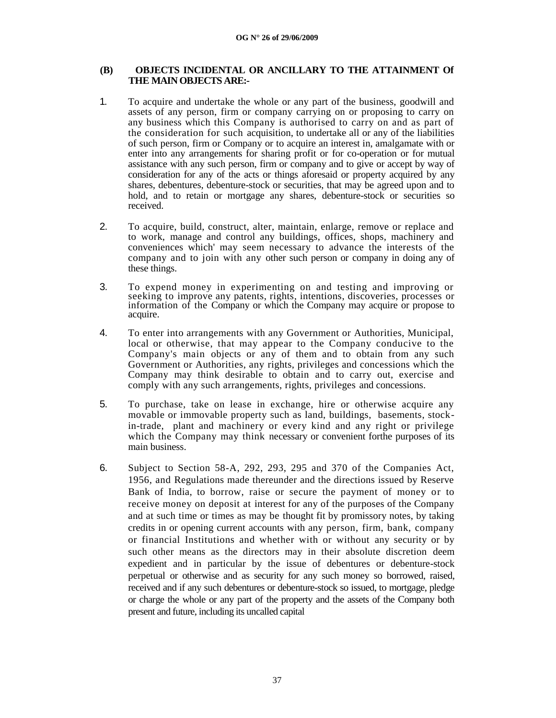# **(B) OBJECTS INCIDENTAL OR ANCILLARY TO THE ATTAINMENT Of THE MAIN OBJECTS ARE:-**

- 1. To acquire and undertake the whole or any part of the business, goodwill and assets of any person, firm or company carrying on or proposing to carry on any business which this Company is authorised to carry on and as part of the consideration for such acquisition, to undertake all or any of the liabilities of such person, firm or Company or to acquire an interest in, amalgamate with or enter into any arrangements for sharing profit or for co-operation or for mutual assistance with any such person, firm or company and to give or accept by way of consideration for any of the acts or things aforesaid or property acquired by any shares, debentures, debenture-stock or securities, that may be agreed upon and to hold, and to retain or mortgage any shares, debenture-stock or securities so received.
- 2. To acquire, build, construct, alter, maintain, enlarge, remove or replace and to work, manage and control any buildings, offices, shops, machinery and conveniences which' may seem necessary to advance the interests of the company and to join with any other such person or company in doing any of these things.
- 3. To expend money in experimenting on and testing and improving or seeking to improve any patents, rights, intentions, discoveries, processes or information of the Company or which the Company may acquire or propose to acquire.
- 4. To enter into arrangements with any Government or Authorities, Municipal, local or otherwise, that may appear to the Company conducive to the Company's main objects or any of them and to obtain from any such Government or Authorities, any rights, privileges and concessions which the Company may think desirable to obtain and to carry out, exercise and comply with any such arrangements, rights, privileges and concessions.
- 5. To purchase, take on lease in exchange, hire or otherwise acquire any movable or immovable property such as land, buildings, basements, stockin-trade, plant and machinery or every kind and any right or privilege which the Company may think necessary or convenient forthe purposes of its main business.
- 6. Subject to Section 58-A, 292, 293, 295 and 370 of the Companies Act, 1956, and Regulations made thereunder and the directions issued by Reserve Bank of India, to borrow, raise or secure the payment of money or to receive money on deposit at interest for any of the purposes of the Company and at such time or times as may be thought fit by promissory notes, by taking credits in or opening current accounts with any person, firm, bank, company or financial Institutions and whether with or without any security or by such other means as the directors may in their absolute discretion deem expedient and in particular by the issue of debentures or debenture-stock perpetual or otherwise and as security for any such money so borrowed, raised, received and if any such debentures or debenture-stock so issued, to mortgage, pledge or charge the whole or any part of the property and the assets of the Company both present and future, including its uncalled capital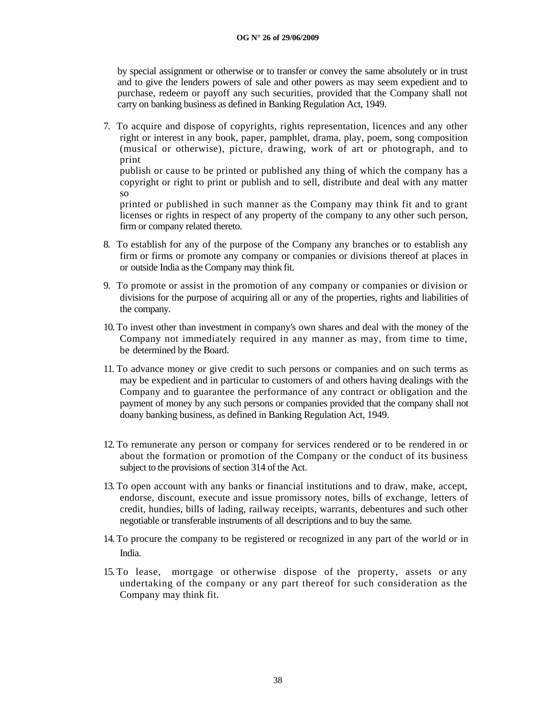#### **OG N° 26 of 29/06/2009**

by special assignment or otherwise or to transfer or convey the same absolutely or in trust and to give the lenders powers of sale and other powers as may seem expedient and to purchase, redeem or payoff any such securities, provided that the Company shall not carry on banking business as defined in Banking Regulation Act, 1949.

7. To acquire and dispose of copyrights, rights representation, licences and any other right or interest in any book, paper, pamphlet, drama, play, poem, song composition (musical or otherwise), picture, drawing, work of art or photograph, and to print

publish or cause to be printed or published any thing of which the company has a copyright or right to print or publish and to sell, distribute and deal with any matter so

printed or published in such manner as the Company may think fit and to grant licenses or rights in respect of any property of the company to any other such person, firm or company related thereto.

- 8. To establish for any of the purpose of the Company any branches or to establish any firm or firms or promote any company or companies or divisions thereof at places in or outside India as the Company may think fit.
- 9. To promote or assist in the promotion of any company or companies or division or divisions for the purpose of acquiring all or any of the properties, rights and liabilities of the company.
- 10. To invest other than investment in company's own shares and deal with the money of the Company not immediately required in any manner as may, from time to time, be determined by the Board.
- 11. To advance money or give credit to such persons or companies and on such terms as may be expedient and in particular to customers of and others having dealings with the Company and to guarantee the performance of any contract or obligation and the payment of money by any such persons or companies provided that the company shall not doany banking business, as defined in Banking Regulation Act, 1949.
- 12. To remunerate any person or company for services rendered or to be rendered in or about the formation or promotion of the Company or the conduct of its business subject to the provisions of section 314 of the Act.
- 13. To open account with any banks or financial institutions and to draw, make, accept, endorse, discount, execute and issue promissory notes, bills of exchange, letters of credit, hundies, bills of lading, railway receipts, warrants, debentures and such other negotiable or transferable instruments of all descriptions and to buy the same.
- 14. To procure the company to be registered or recognized in any part of the world or in India.
- 15. To lease, mortgage or otherwise dispose of the property, assets or any undertaking of the company or any part thereof for such consideration as the Company may think fit.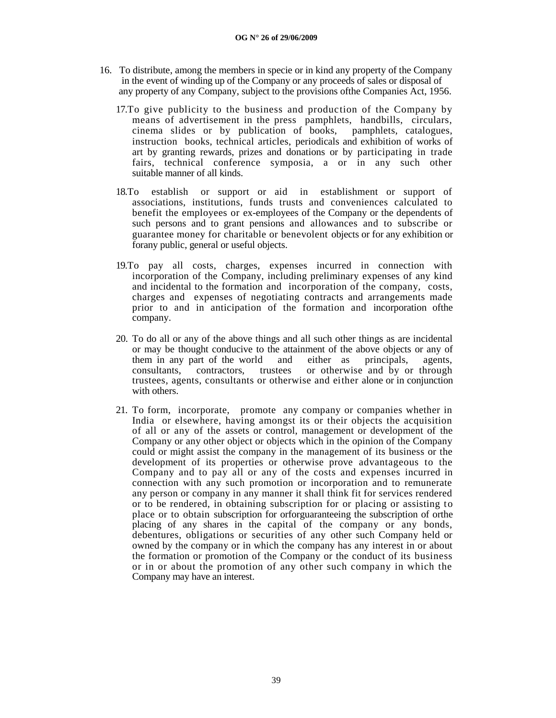- 16. To distribute, among the members in specie or in kind any property of the Company in the event of winding up of the Company or any proceeds of sales or disposal of any property of any Company, subject to the provisions ofthe Companies Act, 1956.
	- 17.To give publicity to the business and production of the Company by means of advertisement in the press pamphlets, handbills, circulars, cinema slides or by publication of books, pamphlets, catalogues,  $c$ inema slides or by publication of books, instruction books, technical articles, periodicals and exhibition of works of art by granting rewards, prizes and donations or by participating in trade fairs, technical conference symposia, a or in any such other suitable manner of all kinds.
	- 18.To establish or support or aid in establishment or support of associations, institutions, funds trusts and conveniences calculated to benefit the employees or ex-employees of the Company or the dependents of such persons and to grant pensions and allowances and to subscribe or guarantee money for charitable or benevolent objects or for any exhibition or forany public, general or useful objects.
	- 19.To pay all costs, charges, expenses incurred in connection with incorporation of the Company, including preliminary expenses of any kind and incidental to the formation and incorporation of the company, costs, charges and expenses of negotiating contracts and arrangements made prior to and in anticipation of the formation and incorporation ofthe company.
	- 20. To do all or any of the above things and all such other things as are incidental or may be thought conducive to the attainment of the above objects or any of them in any part of the world and either as principals, agents, consultants, contractors, trustees or otherwise and by or through trustees, agents, consultants or otherwise and either alone or in conjunction with others.
	- 21. To form, incorporate, promote any company or companies whether in India or elsewhere, having amongst its or their objects the acquisition of all or any of the assets or control, management or development of the Company or any other object or objects which in the opinion of the Company could or might assist the company in the management of its business or the development of its properties or otherwise prove advantageous to the Company and to pay all or any of the costs and expenses incurred in connection with any such promotion or incorporation and to remunerate any person or company in any manner it shall think fit for services rendered or to be rendered, in obtaining subscription for or placing or assisting to place or to obtain subscription for orforguaranteeing the subscription of orthe placing of any shares in the capital of the company or any bonds, debentures, obligations or securities of any other such Company held or owned by the company or in which the company has any interest in or about the formation or promotion of the Company or the conduct of its business or in or about the promotion of any other such company in which the Company may have an interest.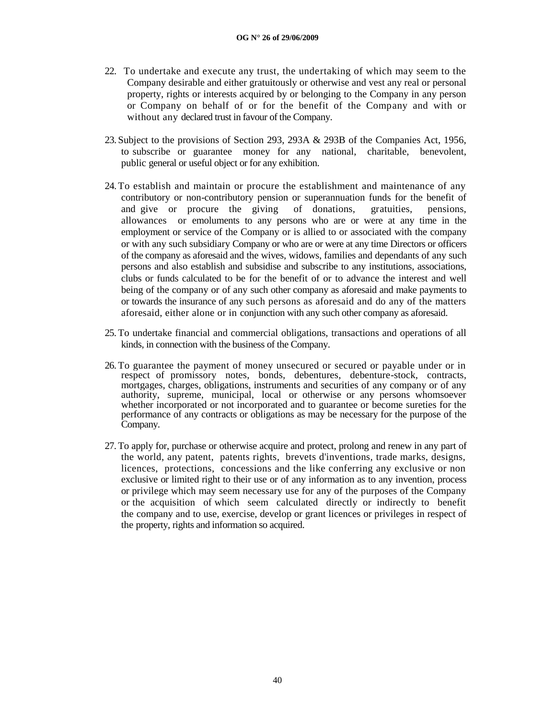- 22. To undertake and execute any trust, the undertaking of which may seem to the Company desirable and either gratuitously or otherwise and vest any real or personal property, rights or interests acquired by or belonging to the Company in any person or Company on behalf of or for the benefit of the Company and with or without any declared trust in favour of the Company.
- 23. Subject to the provisions of Section 293, 293A & 293B of the Companies Act, 1956, to subscribe or guarantee money for any national, charitable, benevolent, public general or useful object or for any exhibition.
- 24.To establish and maintain or procure the establishment and maintenance of any contributory or non-contributory pension or superannuation funds for the benefit of and give or procure the giving of donations, gratuities, pensions, allowances or emoluments to any persons who are or were at any time in the employment or service of the Company or is allied to or associated with the company or with any such subsidiary Company or who are or were at any time Directors or officers of the company as aforesaid and the wives, widows, families and dependants of any such persons and also establish and subsidise and subscribe to any institutions, associations, clubs or funds calculated to be for the benefit of or to advance the interest and well being of the company or of any such other company as aforesaid and make payments to or towards the insurance of any such persons as aforesaid and do any of the matters aforesaid, either alone or in conjunction with any such other company as aforesaid.
- 25. To undertake financial and commercial obligations, transactions and operations of all kinds, in connection with the business of the Company.
- 26. To guarantee the payment of money unsecured or secured or payable under or in respect of promissory notes, bonds, debentures, debenture-stock, contracts, mortgages, charges, obligations, instruments and securities of any company or of any authority, supreme, municipal, local or otherwise or any persons whomsoever whether incorporated or not incorporated and to guarantee or become sureties for the performance of any contracts or obligations as may be necessary for the purpose of the Company.
- 27. To apply for, purchase or otherwise acquire and protect, prolong and renew in any part of the world, any patent, patents rights, brevets d'inventions, trade marks, designs, licences, protections, concessions and the like conferring any exclusive or non exclusive or limited right to their use or of any information as to any invention, process or privilege which may seem necessary use for any of the purposes of the Company or the acquisition of which seem calculated directly or indirectly to benefit the company and to use, exercise, develop or grant licences or privileges in respect of the property, rights and information so acquired.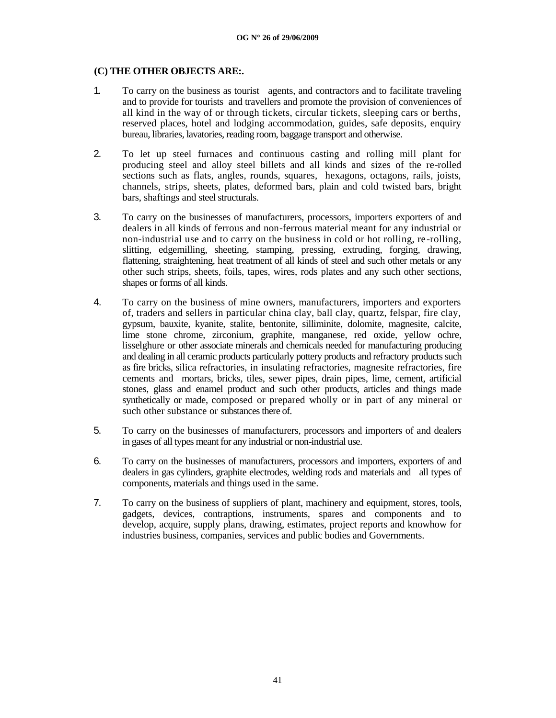# **(C) THE OTHER OBJECTS ARE:.**

- 1. To carry on the business as tourist agents, and contractors and to facilitate traveling and to provide for tourists and travellers and promote the provision of conveniences of all kind in the way of or through tickets, circular tickets, sleeping cars or berths, reserved places, hotel and lodging accommodation, guides, safe deposits, enquiry bureau, libraries, lavatories, reading room, baggage transport and otherwise.
- 2. To let up steel furnaces and continuous casting and rolling mill plant for producing steel and alloy steel billets and all kinds and sizes of the re-rolled sections such as flats, angles, rounds, squares, hexagons, octagons, rails, joists, channels, strips, sheets, plates, deformed bars, plain and cold twisted bars, bright bars, shaftings and steel structurals.
- 3. To carry on the businesses of manufacturers, processors, importers exporters of and dealers in all kinds of ferrous and non-ferrous material meant for any industrial or non-industrial use and to carry on the business in cold or hot rolling, re-rolling, slitting, edgemilling, sheeting, stamping, pressing, extruding, forging, drawing, flattening, straightening, heat treatment of all kinds of steel and such other metals or any other such strips, sheets, foils, tapes, wires, rods plates and any such other sections, shapes or forms of all kinds.
- 4. To carry on the business of mine owners, manufacturers, importers and exporters of, traders and sellers in particular china clay, ball clay, quartz, felspar, fire clay, gypsum, bauxite, kyanite, stalite, bentonite, silliminite, dolomite, magnesite, calcite, lime stone chrome, zirconium, graphite, manganese, red oxide, yellow ochre, lisselghure or other associate minerals and chemicals needed for manufacturing producing and dealing in all ceramic products particularly pottery products and refractory products such as fire bricks, silica refractories, in insulating refractories, magnesite refractories, fire cements and mortars, bricks, tiles, sewer pipes, drain pipes, lime, cement, artificial stones, glass and enamel product and such other products, articles and things made synthetically or made, composed or prepared wholly or in part of any mineral or such other substance or substances there of.
- 5. To carry on the businesses of manufacturers, processors and importers of and dealers in gases of all types meant for any industrial or non-industrial use.
- 6. To carry on the businesses of manufacturers, processors and importers, exporters of and dealers in gas cylinders, graphite electrodes, welding rods and materials and all types of components, materials and things used in the same.
- 7. To carry on the business of suppliers of plant, machinery and equipment, stores, tools, gadgets, devices, contraptions, instruments, spares and components and to develop, acquire, supply plans, drawing, estimates, project reports and knowhow for industries business, companies, services and public bodies and Governments.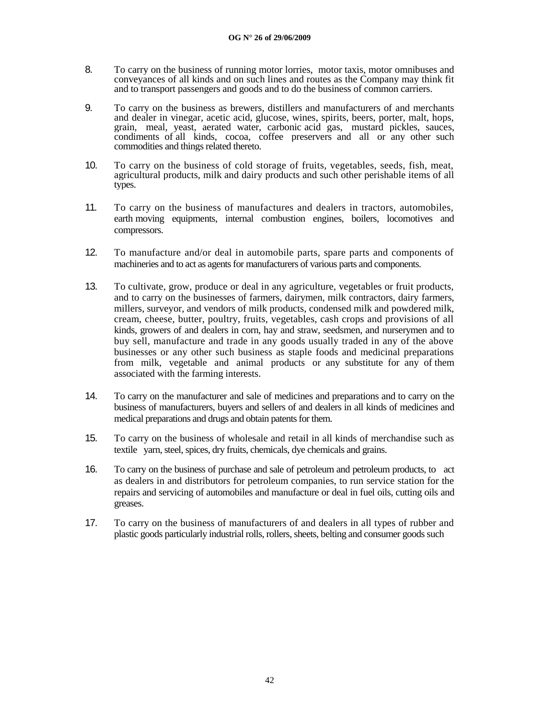#### **OG N° 26 of 29/06/2009**

- 8. To carry on the business of running motor lorries, motor taxis, motor omnibuses and conveyances of all kinds and on such lines and routes as the Company may think fit and to transport passengers and goods and to do the business of common carriers.
- 9. To carry on the business as brewers, distillers and manufacturers of and merchants and dealer in vinegar, acetic acid, glucose, wines, spirits, beers, porter, malt, hops, grain, meal, yeast, aerated water, carbonic acid gas, mustard pickles, sauces, condiments of all kinds, cocoa, coffee preservers and all or any other such commodities and things related thereto.
- 10. To carry on the business of cold storage of fruits, vegetables, seeds, fish, meat, agricultural products, milk and dairy products and such other perishable items of all types.
- 11. To carry on the business of manufactures and dealers in tractors, automobiles, earth moving equipments, internal combustion engines, boilers, locomotives and compressors.
- 12. To manufacture and/or deal in automobile parts, spare parts and components of machineries and to act as agents for manufacturers of various parts and components.
- 13. To cultivate, grow, produce or deal in any agriculture, vegetables or fruit products, and to carry on the businesses of farmers, dairymen, milk contractors, dairy farmers, millers, surveyor, and vendors of milk products, condensed milk and powdered milk, cream, cheese, butter, poultry, fruits, vegetables, cash crops and provisions of all kinds, growers of and dealers in corn, hay and straw, seedsmen, and nurserymen and to buy sell, manufacture and trade in any goods usually traded in any of the above businesses or any other such business as staple foods and medicinal preparations from milk, vegetable and animal products or any substitute for any of them associated with the farming interests.
- 14. To carry on the manufacturer and sale of medicines and preparations and to carry on the business of manufacturers, buyers and sellers of and dealers in all kinds of medicines and medical preparations and drugs and obtain patents for them.
- 15. To carry on the business of wholesale and retail in all kinds of merchandise such as textile yarn, steel, spices, dry fruits, chemicals, dye chemicals and grains.
- 16. To carry on the business of purchase and sale of petroleum and petroleum products, to act as dealers in and distributors for petroleum companies, to run service station for the repairs and servicing of automobiles and manufacture or deal in fuel oils, cutting oils and greases.
- 17. To carry on the business of manufacturers of and dealers in all types of rubber and plastic goods particularly industrial rolls, rollers, sheets, belting and consumer goods such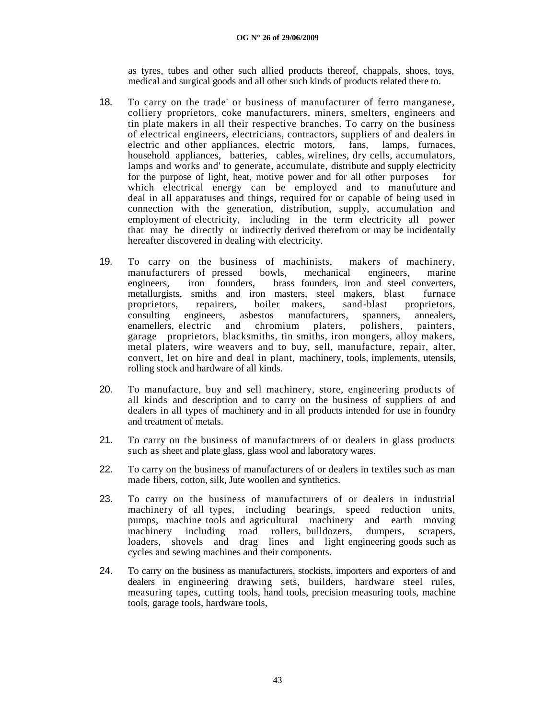#### **OG N° 26 of 29/06/2009**

as tyres, tubes and other such allied products thereof, chappals, shoes, toys, medical and surgical goods and all other such kinds of products related there to.

- 18. To carry on the trade' or business of manufacturer of ferro manganese, colliery proprietors, coke manufacturers, miners, smelters, engineers and tin plate makers in all their respective branches. To carry on the business of electrical engineers, electricians, contractors, suppliers of and dealers in electric and other appliances, electric motors, fans, lamps, furnaces, household appliances, batteries, cables, wirelines, dry cells, accumulators, lamps and works and' to generate, accumulate, distribute and supply electricity for the purpose of light, heat, motive power and for all other purposes for which electrical energy can be employed and to manufuture and deal in all apparatuses and things, required for or capable of being used in connection with the generation, distribution, supply, accumulation and employment of electricity, including in the term electricity all power that may be directly or indirectly derived therefrom or may be incidentally hereafter discovered in dealing with electricity.
- 19. To carry on the business of machinists, makers of machinery, manufacturers of pressed bowls, mechanical engineers, marine engineers, iron founders, brass founders, iron and steel converters, engineers, iron founders, brass founders, iron and steel converters, metallurgists, smiths and iron masters, steel makers, blast furnace proprietors, repairers, boiler makers, sand-blast proprietors, consulting engineers, asbestos manufacturers, spanners, annealers, enamellers, electric and chromium platers, polishers, painters, garage proprietors, blacksmiths, tin smiths, iron mongers, alloy makers, metal platers, wire weavers and to buy, sell, manufacture, repair, alter, convert, let on hire and deal in plant, machinery, tools, implements, utensils, rolling stock and hardware of all kinds.
- 20. To manufacture, buy and sell machinery, store, engineering products of all kinds and description and to carry on the business of suppliers of and dealers in all types of machinery and in all products intended for use in foundry and treatment of metals.
- 21. To carry on the business of manufacturers of or dealers in glass products such as sheet and plate glass, glass wool and laboratory wares.
- 22. To carry on the business of manufacturers of or dealers in textiles such as man made fibers, cotton, silk, Jute woollen and synthetics.
- 23. To carry on the business of manufacturers of or dealers in industrial machinery of all types, including bearings, speed reduction units, pumps, machine tools and agricultural machinery and earth moving machinery including road rollers, bulldozers, dumpers, scrapers, loaders, shovels and drag lines and light engineering goods such as cycles and sewing machines and their components.
- 24. To carry on the business as manufacturers, stockists, importers and exporters of and dealers in engineering drawing sets, builders, hardware steel rules, measuring tapes, cutting tools, hand tools, precision measuring tools, machine tools, garage tools, hardware tools,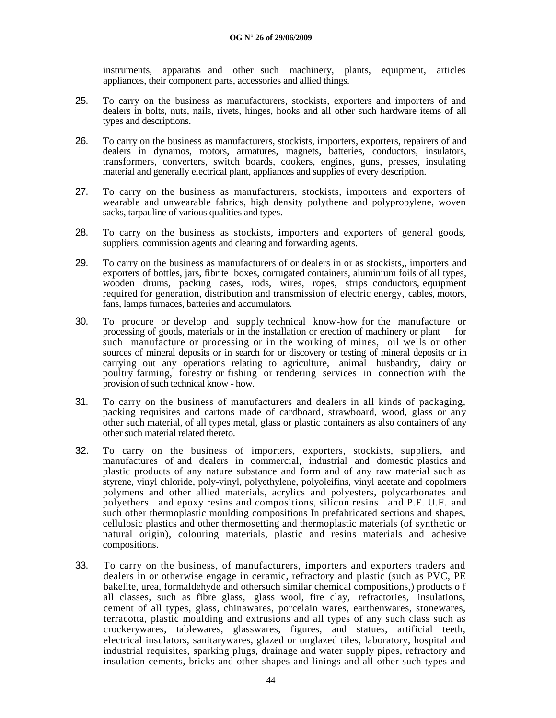instruments, apparatus and other such machinery, plants, equipment, articles appliances, their component parts, accessories and allied things.

- 25. To carry on the business as manufacturers, stockists, exporters and importers of and dealers in bolts, nuts, nails, rivets, hinges, hooks and all other such hardware items of all types and descriptions.
- 26. To carry on the business as manufacturers, stockists, importers, exporters, repairers of and dealers in dynamos, motors, armatures, magnets, batteries, conductors, insulators, transformers, converters, switch boards, cookers, engines, guns, presses, insulating material and generally electrical plant, appliances and supplies of every description.
- 27. To carry on the business as manufacturers, stockists, importers and exporters of wearable and unwearable fabrics, high density polythene and polypropylene, woven sacks, tarpauline of various qualities and types.
- 28. To carry on the business as stockists, importers and exporters of general goods, suppliers, commission agents and clearing and forwarding agents.
- 29. To carry on the business as manufacturers of or dealers in or as stockists,, importers and exporters of bottles, jars, fibrite boxes, corrugated containers, aluminium foils of all types, wooden drums, packing cases, rods, wires, ropes, strips conductors, equipment required for generation, distribution and transmission of electric energy, cables, motors, fans, lamps furnaces, batteries and accumulators.
- 30. To procure or develop and supply technical know-how for the manufacture or processing of goods, materials or in the installation or erection of machinery or plant for such manufacture or processing or in the working of mines, oil wells or other sources of mineral deposits or in search for or discovery or testing of mineral deposits or in carrying out any operations relating to agriculture, animal husbandry, dairy or poultry farming, forestry or fishing or rendering services in connection with the provision of such technical know - how.
- 31. To carry on the business of manufacturers and dealers in all kinds of packaging, packing requisites and cartons made of cardboard, strawboard, wood, glass or any other such material, of all types metal, glass or plastic containers as also containers of any other such material related thereto.
- 32. To carry on the business of importers, exporters, stockists, suppliers, and manufactures of and dealers in commercial, industrial and domestic plastics and plastic products of any nature substance and form and of any raw material such as styrene, vinyl chloride, poly-vinyl, polyethylene, polyoleifins, vinyl acetate and copolmers polymens and other allied materials, acrylics and polyesters, polycarbonates and polyethers and epoxy resins and compositions, silicon resins and P.F. U.F. and such other thermoplastic moulding compositions In prefabricated sections and shapes, cellulosic plastics and other thermosetting and thermoplastic materials (of synthetic or natural origin), colouring materials, plastic and resins materials and adhesive compositions.
- 33. To carry on the business, of manufacturers, importers and exporters traders and dealers in or otherwise engage in ceramic, refractory and plastic (such as PVC, PE bakelite, urea, formaldehyde and othersuch similar chemical compositions,) products o f all classes, such as fibre glass, glass wool, fire clay, refractories, insulations, cement of all types, glass, chinawares, porcelain wares, earthenwares, stonewares, terracotta, plastic moulding and extrusions and all types of any such class such as crockerywares, tablewares, glasswares, figures, and statues, artificial teeth, electrical insulators, sanitarywares, glazed or unglazed tiles, laboratory, hospital and industrial requisites, sparking plugs, drainage and water supply pipes, refractory and insulation cements, bricks and other shapes and linings and all other such types and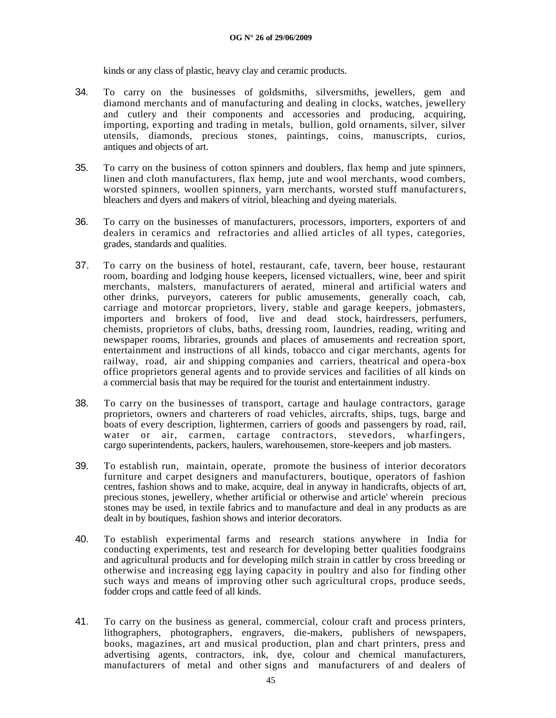kinds or any class of plastic, heavy clay and ceramic products.

- 34. To carry on the businesses of goldsmiths, silversmiths, jewellers, gem and diamond merchants and of manufacturing and dealing in clocks, watches, jewellery and cutlery and their components and accessories and producing, acquiring, importing, exporting and trading in metals, bullion, gold ornaments, silver, silver utensils, diamonds, precious stones, paintings, coins, manuscripts, curios, antiques and objects of art.
- 35. To carry on the business of cotton spinners and doublers, flax hemp and jute spinners, linen and cloth manufacturers, flax hemp, jute and wool merchants, wood combers, worsted spinners, woollen spinners, yarn merchants, worsted stuff manufacturers, bleachers and dyers and makers of vitriol, bleaching and dyeing materials.
- 36. To carry on the businesses of manufacturers, processors, importers, exporters of and dealers in ceramics and refractories and allied articles of all types, categories, grades, standards and qualities.
- 37. To carry on the business of hotel, restaurant, cafe, tavern, beer house, restaurant room, boarding and lodging house keepers, licensed victuallers, wine, beer and spirit merchants, malsters, manufacturers of aerated, mineral and artificial waters and other drinks, purveyors, caterers for public amusements, generally coach, cab, carriage and motorcar proprietors, livery, stable and garage keepers, jobmasters, importers and brokers of food, live and dead stock, hairdressers, perfumers, chemists, proprietors of clubs, baths, dressing room, laundries, reading, writing and newspaper rooms, libraries, grounds and places of amusements and recreation sport, entertainment and instructions of all kinds, tobacco and cigar merchants, agents for railway, road, air and shipping companies and carriers, theatrical and opera -box office proprietors general agents and to provide services and facilities of all kinds on a commercial basis that may be required for the tourist and entertainment industry.
- 38. To carry on the businesses of transport, cartage and haulage contractors, garage proprietors, owners and charterers of road vehicles, aircrafts, ships, tugs, barge and boats of every description, lightermen, carriers of goods and passengers by road, rail, water or air, carmen, cartage contractors, stevedors, wharfingers, cargo superintendents, packers, haulers, warehousemen, store-keepers and job masters.
- 39. To establish run, maintain, operate, promote the business of interior decorators furniture and carpet designers and manufacturers, boutique, operators of fashion centres, fashion shows and to make, acquire, deal in anyway in handicrafts, objects of art, precious stones, jewellery, whether artificial or otherwise and article' wherein precious stones may be used, in textile fabrics and to manufacture and deal in any products as are dealt in by boutiques, fashion shows and interior decorators.
- 40. To establish experimental farms and research stations anywhere in India for conducting experiments, test and research for developing better qualities foodgrains and agricultural products and for developing milch strain in cattler by cross breeding or otherwise and increasing egg laying capacity in poultry and also for finding other such ways and means of improving other such agricultural crops, produce seeds, fodder crops and cattle feed of all kinds.
- 41. To carry on the business as general, commercial, colour craft and process printers, lithographers, photographers, engravers, die-makers, publishers of newspapers, books, magazines, art and musical production, plan and chart printers, press and advertising agents, contractors, ink, dye, colour and chemical manufacturers, manufacturers of metal and other signs and manufacturers of and dealers of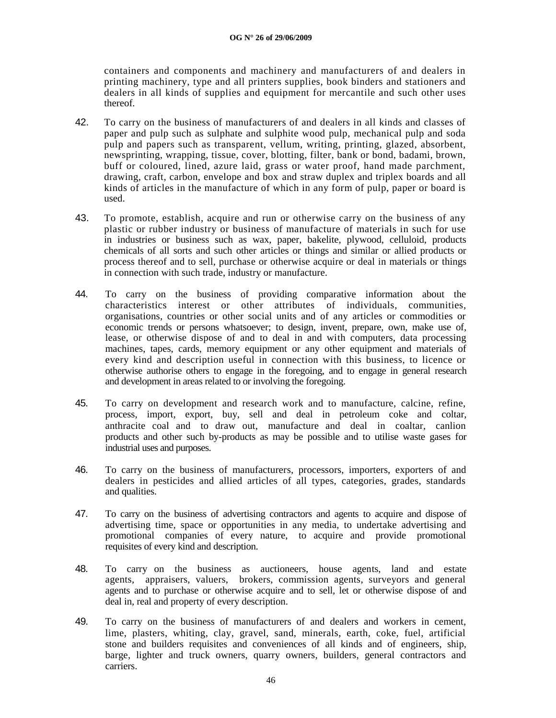containers and components and machinery and manufacturers of and dealers in printing machinery, type and all printers supplies, book binders and stationers and dealers in all kinds of supplies and equipment for mercantile and such other uses thereof.

- 42. To carry on the business of manufacturers of and dealers in all kinds and classes of paper and pulp such as sulphate and sulphite wood pulp, mechanical pulp and soda pulp and papers such as transparent, vellum, writing, printing, glazed, absorbent, newsprinting, wrapping, tissue, cover, blotting, filter, bank or bond, badami, brown, buff or coloured, lined, azure laid, grass or water proof, hand made parchment, drawing, craft, carbon, envelope and box and straw duplex and triplex boards and all kinds of articles in the manufacture of which in any form of pulp, paper or board is used.
- 43. To promote, establish, acquire and run or otherwise carry on the business of any plastic or rubber industry or business of manufacture of materials in such for use in industries or business such as wax, paper, bakelite, plywood, celluloid, products chemicals of all sorts and such other articles or things and similar or allied products or process thereof and to sell, purchase or otherwise acquire or deal in materials or things in connection with such trade, industry or manufacture.
- 44. To carry on the business of providing comparative information about the characteristics interest or other attributes of individuals, communities, organisations, countries or other social units and of any articles or commodities or economic trends or persons whatsoever; to design, invent, prepare, own, make use of, lease, or otherwise dispose of and to deal in and with computers, data processing machines, tapes, cards, memory equipment or any other equipment and materials of every kind and description useful in connection with this business, to licence or otherwise authorise others to engage in the foregoing, and to engage in general research and development in areas related to or involving the foregoing.
- 45. To carry on development and research work and to manufacture, calcine, refine, process, import, export, buy, sell and deal in petroleum coke and coltar, anthracite coal and to draw out, manufacture and deal in coaltar, canlion products and other such by-products as may be possible and to utilise waste gases for industrial uses and purposes.
- 46. To carry on the business of manufacturers, processors, importers, exporters of and dealers in pesticides and allied articles of all types, categories, grades, standards and qualities.
- 47. To carry on the business of advertising contractors and agents to acquire and dispose of advertising time, space or opportunities in any media, to undertake advertising and promotional companies of every nature, to acquire and provide promotional requisites of every kind and description.
- 48. To carry on the business as auctioneers, house agents, land and estate agents, appraisers, valuers, brokers, commission agents, surveyors and general agents and to purchase or otherwise acquire and to sell, let or otherwise dispose of and deal in, real and property of every description.
- 49. To carry on the business of manufacturers of and dealers and workers in cement, lime, plasters, whiting, clay, gravel, sand, minerals, earth, coke, fuel, artificial stone and builders requisites and conveniences of all kinds and of engineers, ship, barge, lighter and truck owners, quarry owners, builders, general contractors and carriers.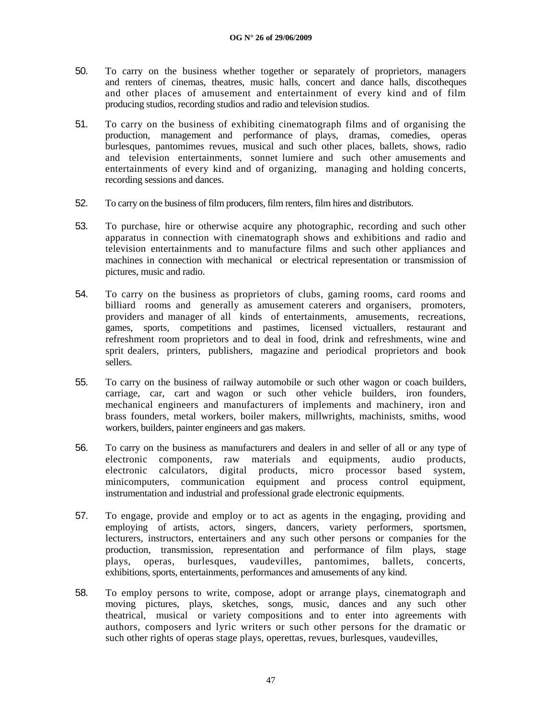- 50. To carry on the business whether together or separately of proprietors, managers and renters of cinemas, theatres, music halls, concert and dance halls, discotheques and other places of amusement and entertainment of every kind and of film producing studios, recording studios and radio and television studios.
- 51. To carry on the business of exhibiting cinematograph films and of organising the production, management and performance of plays, dramas, comedies, operas burlesques, pantomimes revues, musical and such other places, ballets, shows, radio and television entertainments, sonnet lumiere and such other amusements and entertainments of every kind and of organizing, managing and holding concerts, recording sessions and dances.
- 52. To carry on the business of film producers, film renters, film hires and distributors.
- 53. To purchase, hire or otherwise acquire any photographic, recording and such other apparatus in connection with cinematograph shows and exhibitions and radio and television entertainments and to manufacture films and such other appliances and machines in connection with mechanical or electrical representation or transmission of pictures, music and radio.
- 54. To carry on the business as proprietors of clubs, gaming rooms, card rooms and billiard rooms and generally as amusement caterers and organisers, promoters, providers and manager of all kinds of entertainments, amusements, recreations, games, sports, competitions and pastimes, licensed victuallers, restaurant and refreshment room proprietors and to deal in food, drink and refreshments, wine and sprit dealers, printers, publishers, magazine and periodical proprietors and book sellers.
- 55. To carry on the business of railway automobile or such other wagon or coach builders, carriage, car, cart and wagon or such other vehicle builders, iron founders, mechanical engineers and manufacturers of implements and machinery, iron and brass founders, metal workers, boiler makers, millwrights, machinists, smiths, wood workers, builders, painter engineers and gas makers.
- 56. To carry on the business as manufacturers and dealers in and seller of all or any type of electronic components, raw materials and equipments, audio products, electronic calculators, digital products, micro processor based system, minicomputers, communication equipment and process control equipment, instrumentation and industrial and professional grade electronic equipments.
- 57. To engage, provide and employ or to act as agents in the engaging, providing and employing of artists, actors, singers, dancers, variety performers, sportsmen, lecturers, instructors, entertainers and any such other persons or companies for the production, transmission, representation and performance of film plays, stage plays, operas, burlesques, vaudevilles, pantomimes, ballets, concerts, exhibitions, sports, entertainments, performances and amusements of any kind.
- 58. To employ persons to write, compose, adopt or arrange plays, cinematograph and moving pictures, plays, sketches, songs, music, dances and any such other theatrical, musical or variety compositions and to enter into agreements with authors, composers and lyric writers or such other persons for the dramatic or such other rights of operas stage plays, operettas, revues, burlesques, vaudevilles,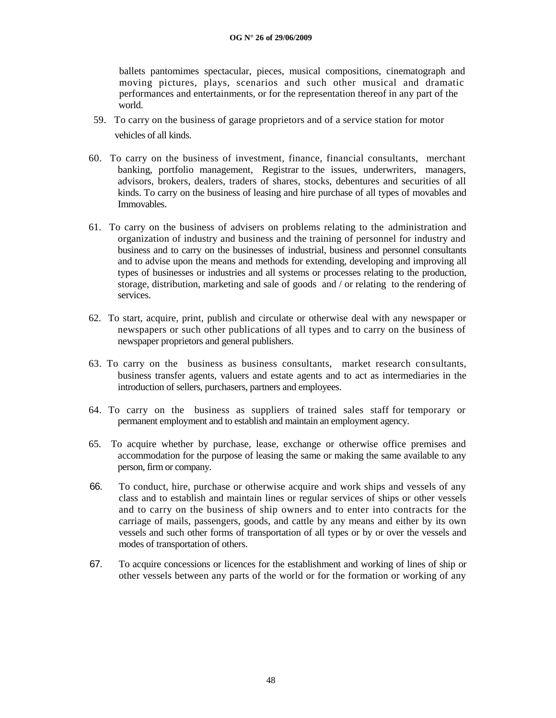ballets pantomimes spectacular, pieces, musical compositions, cinematograph and moving pictures, plays, scenarios and such other musical and dramatic performances and entertainments, or for the representation thereof in any part of the world.

- 59. To carry on the business of garage proprietors and of a service station for motor vehicles of all kinds.
- 60. To carry on the business of investment, finance, financial consultants, merchant banking, portfolio management, Registrar to the issues, underwriters, managers, advisors, brokers, dealers, traders of shares, stocks, debentures and securities of all kinds. To carry on the business of leasing and hire purchase of all types of movables and **Immovables**
- 61. To carry on the business of advisers on problems relating to the administration and organization of industry and business and the training of personnel for industry and business and to carry on the businesses of industrial, business and personnel consultants and to advise upon the means and methods for extending, developing and improving all types of businesses or industries and all systems or processes relating to the production, storage, distribution, marketing and sale of goods and / or relating to the rendering of services.
- 62. To start, acquire, print, publish and circulate or otherwise deal with any newspaper or newspapers or such other publications of all types and to carry on the business of newspaper proprietors and general publishers.
- 63. To carry on the business as business consultants, market research consultants, business transfer agents, valuers and estate agents and to act as intermediaries in the introduction of sellers, purchasers, partners and employees.
- 64. To carry on the business as suppliers of trained sales staff for temporary or permanent employment and to establish and maintain an employment agency.
- 65. To acquire whether by purchase, lease, exchange or otherwise office premises and accommodation for the purpose of leasing the same or making the same available to any person, firm or company.
- 66. To conduct, hire, purchase or otherwise acquire and work ships and vessels of any class and to establish and maintain lines or regular services of ships or other vessels and to carry on the business of ship owners and to enter into contracts for the carriage of mails, passengers, goods, and cattle by any means and either by its own vessels and such other forms of transportation of all types or by or over the vessels and modes of transportation of others.
- 67. To acquire concessions or licences for the establishment and working of lines of ship or other vessels between any parts of the world or for the formation or working of any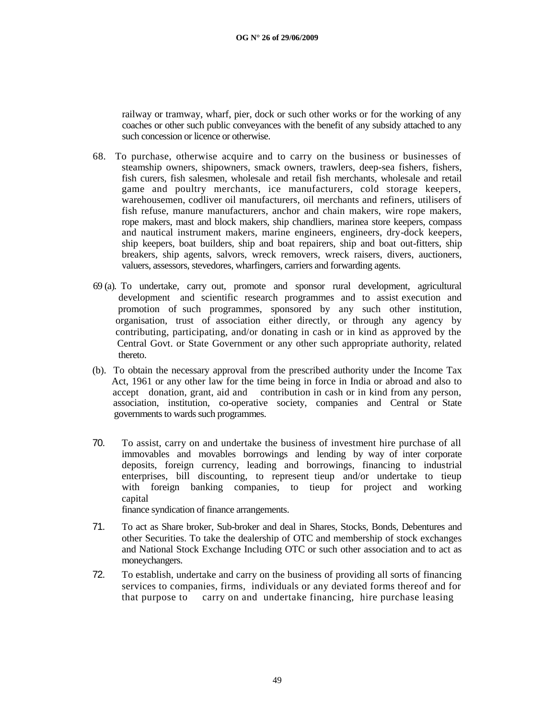railway or tramway, wharf, pier, dock or such other works or for the working of any coaches or other such public conveyances with the benefit of any subsidy attached to any such concession or licence or otherwise.

- 68. To purchase, otherwise acquire and to carry on the business or businesses of steamship owners, shipowners, smack owners, trawlers, deep-sea fishers, fishers, fish curers, fish salesmen, wholesale and retail fish merchants, wholesale and retail game and poultry merchants, ice manufacturers, cold storage keepers, warehousemen, codliver oil manufacturers, oil merchants and refiners, utilisers of fish refuse, manure manufacturers, anchor and chain makers, wire rope makers, rope makers, mast and block makers, ship chandliers, marinea store keepers, compass and nautical instrument makers, marine engineers, engineers, dry-dock keepers, ship keepers, boat builders, ship and boat repairers, ship and boat out-fitters, ship breakers, ship agents, salvors, wreck removers, wreck raisers, divers, auctioners, valuers, assessors, stevedores, wharfingers, carriers and forwarding agents.
- 69 (a). To undertake, carry out, promote and sponsor rural development, agricultural development and scientific research programmes and to assist execution and promotion of such programmes, sponsored by any such other institution, organisation, trust of association either directly, or through any agency by contributing, participating, and/or donating in cash or in kind as approved by the Central Govt. or State Government or any other such appropriate authority, related thereto.
- (b). To obtain the necessary approval from the prescribed authority under the Income Tax Act, 1961 or any other law for the time being in force in India or abroad and also to accept donation, grant, aid and contribution in cash or in kind from any person, association, institution, co-operative society, companies and Central or State governments to wards such programmes.
- 70. To assist, carry on and undertake the business of investment hire purchase of all immovables and movables borrowings and lending by way of inter corporate deposits, foreign currency, leading and borrowings, financing to industrial enterprises, bill discounting, to represent tieup and/or undertake to tieup with foreign banking companies, to tieup for project and working capital

finance syndication of finance arrangements.

- 71. To act as Share broker, Sub-broker and deal in Shares, Stocks, Bonds, Debentures and other Securities. To take the dealership of OTC and membership of stock exchanges and National Stock Exchange Including OTC or such other association and to act as moneychangers.
- 72. To establish, undertake and carry on the business of providing all sorts of financing services to companies, firms, individuals or any deviated forms thereof and for that purpose to carry on and undertake financing, hire purchase leasing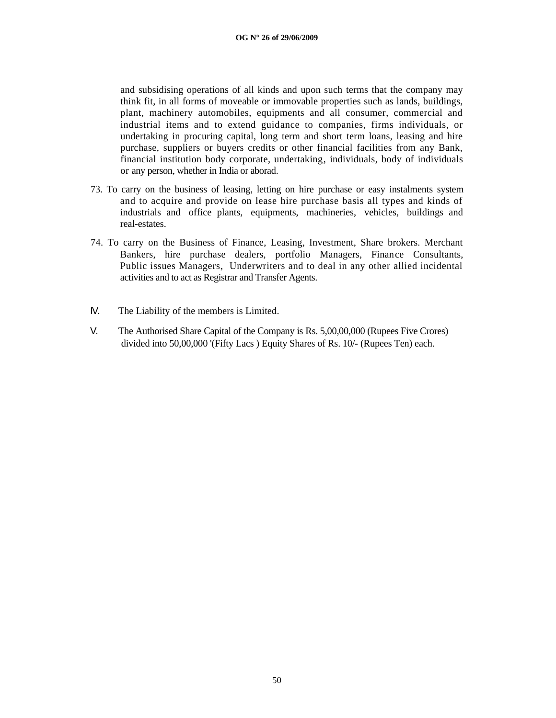and subsidising operations of all kinds and upon such terms that the company may think fit, in all forms of moveable or immovable properties such as lands, buildings, plant, machinery automobiles, equipments and all consumer, commercial and industrial items and to extend guidance to companies, firms individuals, or undertaking in procuring capital, long term and short term loans, leasing and hire purchase, suppliers or buyers credits or other financial facilities from any Bank, financial institution body corporate, undertaking, individuals, body of individuals or any person, whether in India or aborad.

- 73. To carry on the business of leasing, letting on hire purchase or easy instalments system and to acquire and provide on lease hire purchase basis all types and kinds of industrials and office plants, equipments, machineries, vehicles, buildings and real-estates.
- 74. To carry on the Business of Finance, Leasing, Investment, Share brokers. Merchant Bankers, hire purchase dealers, portfolio Managers, Finance Consultants, Public issues Managers, Underwriters and to deal in any other allied incidental activities and to act as Registrar and Transfer Agents.
- IV. The Liability of the members is Limited.
- V. The Authorised Share Capital of the Company is Rs. 5,00,00,000 (Rupees Five Crores) divided into 50,00,000 '(Fifty Lacs ) Equity Shares of Rs. 10/- (Rupees Ten) each.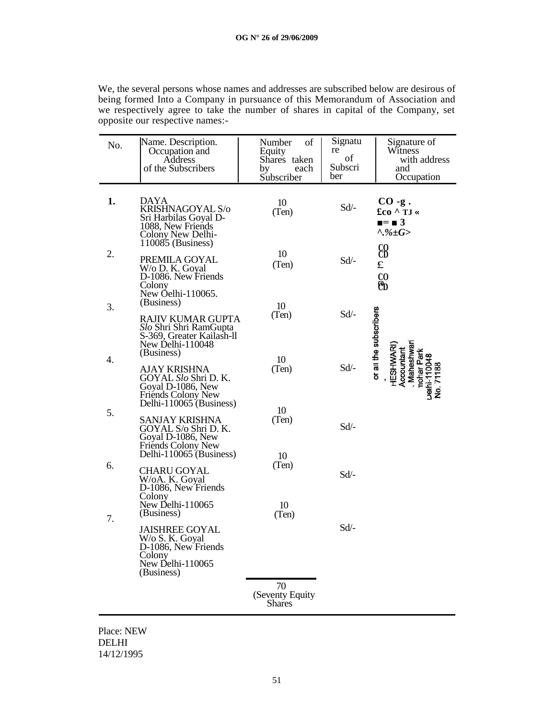We, the several persons whose names and addresses are subscribed below are desirous of being formed Into a Company in pursuance of this Memorandum of Association and we respectively agree to take the number of shares in capital of the Company, set opposite our respective names:-

| No. | Name. Description.<br>Occupation and<br>Address<br>of the Subscribers                                                     | Number<br>of<br>Equity<br>Shares taken<br>each<br>by<br>Subscriber | Signatu<br>re<br>of<br>Subscri<br>ber | Signature of<br>Witness<br>with address<br>and<br>Occupation                                |
|-----|---------------------------------------------------------------------------------------------------------------------------|--------------------------------------------------------------------|---------------------------------------|---------------------------------------------------------------------------------------------|
| 1.  | <b>DAYA</b><br>KRISHNAGOYAL S/o<br>Sri Harbilas Goyal D-<br>1088, New Friends<br>Colony New Delhi-                        | 10<br>(Ten)                                                        | Sd/-                                  | $CO - g$ .<br>£co ^ TJ «<br>$= 3$<br>$. \% \pm G >$                                         |
| 2.  | 110085 (Business)<br>PREMILA GOYAL<br>W/o D. K. Goyal<br>D-1086. New Friends<br>Colony<br>New Oelhi-110065.               | 10<br>(Ten)                                                        | Sd/-                                  | 88<br>$\mathbf f$<br>$\bf CO$<br>ED                                                         |
| 3.  | (Business)<br>RAJIV KUMAR GUPTA<br>Slo Shri Shri RamGupta<br>S-369, Greater Kailash-ll<br>New Delhi-110048                | 10<br>(Ten)                                                        | Sd/-                                  | or all the subscribers                                                                      |
| 4.  | (Business)<br>AJAY KRISHNA<br>GOYAL Slo Shri D. K.<br>Goyal D-1086, New<br>Friends Colony New<br>Delhi-110065 (Business)  | 10<br>(Ten)                                                        | Sd/-                                  | <b>HESHWARI</b><br>Maheshwa<br>Accountant<br>nohar Park<br><b>Delhi-110048</b><br>No. 71188 |
| 5.  | SANJAY KRISHNA<br>GOYAL S/o Shri D. K.<br>Goyal D-1086, New<br>Friends Colony New<br>Delhi-110065 (Business)              | 10<br>(Ten)<br>10                                                  | Sd/-                                  |                                                                                             |
| 6.  | <b>CHARU GOYAL</b><br>W/oA. K. Goyal<br>D-1086, New Friends<br>Colony<br>New Delhi-110065                                 | (Ten)<br>10                                                        | Sd/-                                  |                                                                                             |
| 7.  | (Business)<br><b>JAISHREE GOYAL</b><br>W/o S. K. Goyal<br>D-1086, New Friends<br>Colony<br>New Delhi-110065<br>(Business) | (Ten)                                                              | Sd/-                                  |                                                                                             |
|     |                                                                                                                           | 70<br>(Seventy Equity)<br><b>Shares</b>                            |                                       |                                                                                             |

Place: NEW DELHI 14/12/1995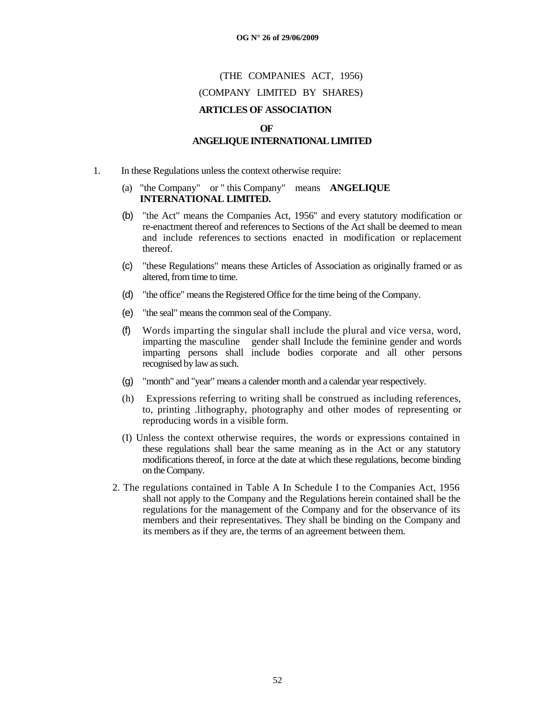# (THE COMPANIES ACT, 1956) (COMPANY LIMITED BY SHARES)

# **ARTICLES OF ASSOCIATION**

# *OF*

# **ANGELIQUE INTERNATIONAL LIMITED**

- 1. In these Regulations unless the context otherwise require:
	- (a) "the Company" or " this Company" means **ANGELIQUE INTERNATIONAL LIMITED.**
	- (b) "the Act" means the Companies Act, 1956" and every statutory modification or re-enactment thereof and references to Sections of the Act shall be deemed to mean and include references to sections enacted in modification or replacement thereof.
	- (c) "these Regulations" means these Articles of Association as originally framed or as altered, from time to time.
	- (d) "the office" means the Registered Office for the time being of the Company.
	- (e) "the seal" means the common seal of the Company.
	- (f) Words imparting the singular shall include the plural and vice versa, word, imparting the masculine gender shall Include the feminine gender and words imparting persons shall include bodies corporate and all other persons recognised by law as such.
	- (g) "month" and "year" means a calender month and a calendar year respectively.
	- (h) Expressions referring to writing shall be construed as including references, to, printing .lithography, photography and other modes of representing or reproducing words in a visible form.
	- (I) Unless the context otherwise requires, the words or expressions contained in these regulations shall bear the same meaning as in the Act or any statutory modifications thereof, in force at the date at which these regulations, become binding on the Company.
	- 2. The regulations contained in Table A In Schedule I to the Companies Act, 1956 shall not apply to the Company and the Regulations herein contained shall be the regulations for the management of the Company and for the observance of its members and their representatives. They shall be binding on the Company and its members as if they are, the terms of an agreement between them.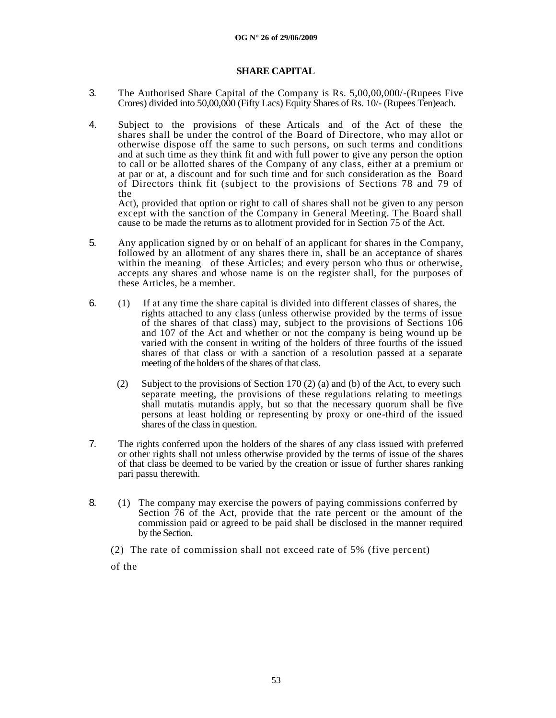## **SHARE CAPITAL**

- 3. The Authorised Share Capital of the Company is Rs. 5,00,00,000/-(Rupees Five Crores) divided into 50,00,000 (Fifty Lacs) Equity Shares of Rs. 10/- (Rupees Ten)each.
- 4. Subject to the provisions of these Articals and of the Act of these the shares shall be under the control of the Board of Directore, who may allot or otherwise dispose off the same to such persons, on such terms and conditions and at such time as they think fit and with full power to give any person the option to call or be allotted shares of the Company of any class, either at a premium or at par or at, a discount and for such time and for such consideration as the Board of Directors think fit (subject to the provisions of Sections 78 and 79 of the

Act), provided that option or right to call of shares shall not be given to any person except with the sanction of the Company in General Meeting. The Board shall cause to be made the returns as to allotment provided for in Section 75 of the Act.

- 5. Any application signed by or on behalf of an applicant for shares in the Company, followed by an allotment of any shares there in, shall be an acceptance of shares within the meaning of these Articles; and every person who thus or otherwise, accepts any shares and whose name is on the register shall, for the purposes of these Articles, be a member.
- 6. (1) If at any time the share capital is divided into different classes of shares, the rights attached to any class (unless otherwise provided by the terms of issue of the shares of that class) may, subject to the provisions of Sections 106 and 107 of the Act and whether or not the company is being wound up be varied with the consent in writing of the holders of three fourths of the issued shares of that class or with a sanction of a resolution passed at a separate meeting of the holders of the shares of that class.
	- (2) Subject to the provisions of Section 170 (2) (a) and (b) of the Act, to every such separate meeting, the provisions of these regulations relating to meetings shall mutatis mutandis apply, but so that the necessary quorum shall be five persons at least holding or representing by proxy or one-third of the issued shares of the class in question.
- 7. The rights conferred upon the holders of the shares of any class issued with preferred or other rights shall not unless otherwise provided by the terms of issue of the shares of that class be deemed to be varied by the creation or issue of further shares ranking pari passu therewith.
- 8. (1) The company may exercise the powers of paying commissions conferred by Section 76 of the Act, provide that the rate percent or the amount of the commission paid or agreed to be paid shall be disclosed in the manner required by the Section.
	- (2) The rate of commission shall not exceed rate of 5% (five percent)

of the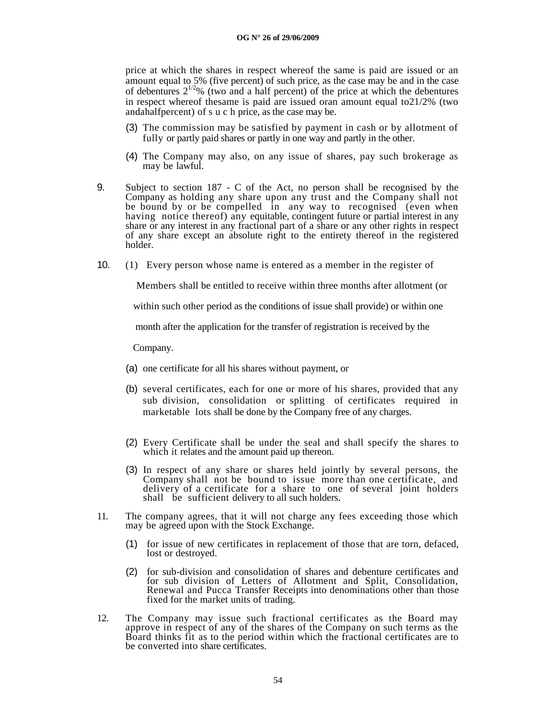price at which the shares in respect whereof the same is paid are issued or an amount equal to 5% (five percent) of such price, as the case may be and in the case of debentures  $2^{1/2}\%$  (two and a half percent) of the price at which the debentures in respect whereof thesame is paid are issued oran amount equal to21/2% (two andahalfpercent) of s u c h price, as the case may be.

- (3) The commission may be satisfied by payment in cash or by allotment of fully or partly paid shares or partly in one way and partly in the other.
- (4) The Company may also, on any issue of shares, pay such brokerage as may be lawful.
- 9. Subject to section 187 C of the Act, no person shall be recognised by the Company as holding any share upon any trust and the Company shall not be bound by or be compelled in any way to recognised (even when having notice thereof) any equitable, contingent future or partial interest in any share or any interest in any fractional part of a share or any other rights in respect of any share except an absolute right to the entirety thereof in the registered holder.
- 10. (1) Every person whose name is entered as a member in the register of

Members shall be entitled to receive within three months after allotment (or

within such other period as the conditions of issue shall provide) or within one

month after the application for the transfer of registration is received by the

Company.

- (a) one certificate for all his shares without payment, or
- (b) several certificates, each for one or more of his shares, provided that any sub division, consolidation or splitting of certificates required in marketable lots shall be done by the Company free of any charges.
- (2) Every Certificate shall be under the seal and shall specify the shares to which it relates and the amount paid up thereon.
- (3) In respect of any share or shares held jointly by several persons, the Company shall not be bound to issue more than one certificate, and delivery of a certificate for a share to one of several joint holders shall be sufficient delivery to all such holders.
- 11. The company agrees, that it will not charge any fees exceeding those which may be agreed upon with the Stock Exchange.
	- (1) for issue of new certificates in replacement of those that are torn, defaced, lost or destroyed.
	- (2) for sub-division and consolidation of shares and debenture certificates and for sub division of Letters of Allotment and Split, Consolidation, Renewal and Pucca Transfer Receipts into denominations other than those fixed for the market units of trading.
- 12. The Company may issue such fractional certificates as the Board may approve in respect of any of the shares of the Company on such terms as the Board thinks fit as to the period within which the fractional certificates are to be converted into share certificates.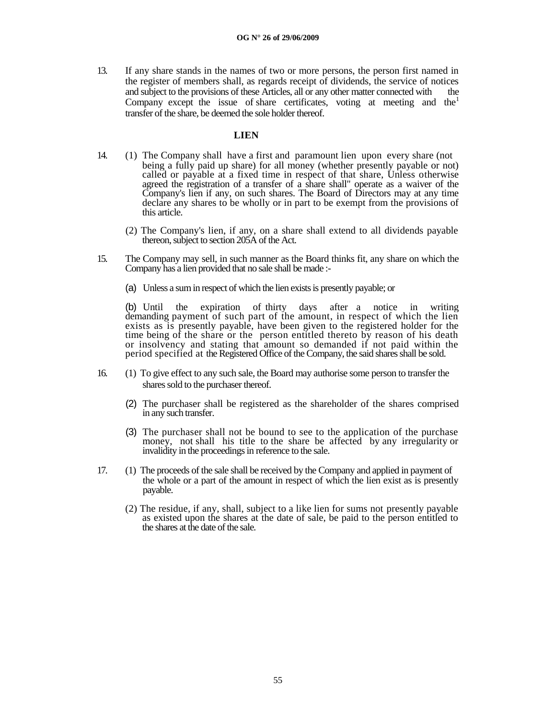13. If any share stands in the names of two or more persons, the person first named in the register of members shall, as regards receipt of dividends, the service of notices and subject to the provisions of these Articles, all or any other matter connected with the Company except the issue of share certificates, voting at meeting and the<sup>1</sup> transfer of the share, be deemed the sole holder thereof.

## **LIEN**

- 14. (1) The Company shall have a first and paramount lien upon every share (not being a fully paid up share) for all money (whether presently payable or not) called or payable at a fixed time in respect of that share, Unless otherwise agreed the registration of a transfer of a share shall" operate as a waiver of the Company's lien if any, on such shares. The Board of Directors may at any time declare any shares to be wholly or in part to be exempt from the provisions of this article.
	- (2) The Company's lien, if any, on a share shall extend to all dividends payable thereon, subject to section 205A of the Act.
- 15. The Company may sell, in such manner as the Board thinks fit, any share on which the Company has a lien provided that no sale shall be made :-
	- (a) Unless a sum in respect of which the lien exists is presently payable; or

(b) Until the expiration of thirty days after a notice in writing demanding payment of such part of the amount, in respect of which the lien exists as is presently payable, have been given to the registered holder for the time being of the share or the person entitled thereto by reason of his death or insolvency and stating that amount so demanded if not paid within the period specified at the Registered Office of the Company, the said shares shall be sold.

- 16. (1) To give effect to any such sale, the Board may authorise some person to transfer the shares sold to the purchaser thereof.
	- (2) The purchaser shall be registered as the shareholder of the shares comprised in any such transfer.
	- (3) The purchaser shall not be bound to see to the application of the purchase money, not shall his title to the share be affected by any irregularity or invalidity in the proceedings in reference to the sale.
- 17. (1) The proceeds of the sale shall be received by the Company and applied in payment of the whole or a part of the amount in respect of which the lien exist as is presently payable.
	- (2) The residue, if any, shall, subject to a like lien for sums not presently payable as existed upon the shares at the date of sale, be paid to the person entitled to the shares at the date of the sale.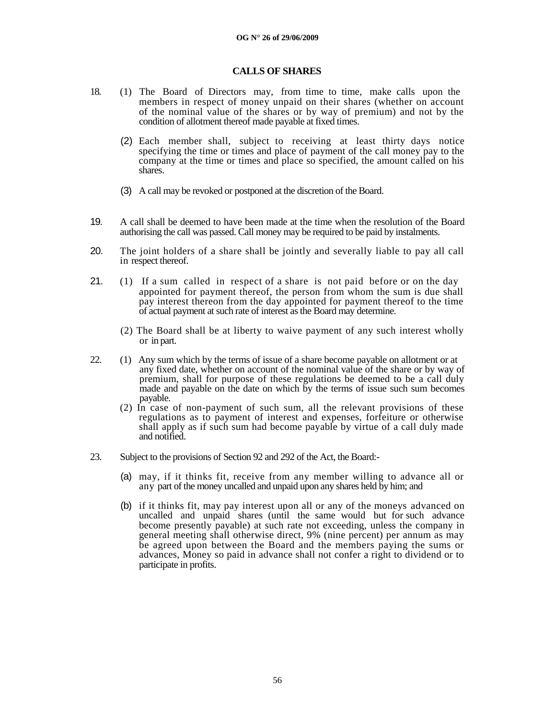### **CALLS OF SHARES**

- 18. (1) The Board of Directors may, from time to time, make calls upon the members in respect of money unpaid on their shares (whether on account of the nominal value of the shares or by way of premium) and not by the condition of allotment thereof made payable at fixed times.
	- (2) Each member shall, subject to receiving at least thirty days notice specifying the time or times and place of payment of the call money pay to the company at the time or times and place so specified, the amount called on his shares.
	- (3) A call may be revoked or postponed at the discretion of the Board.
- 19. A call shall be deemed to have been made at the time when the resolution of the Board authorising the call was passed. Call money may be required to be paid by instalments.
- 20. The joint holders of a share shall be jointly and severally liable to pay all call in respect thereof.
- 21. (1) If a sum called in respect of a share is not paid before or on the day appointed for payment thereof, the person from whom the sum is due shall pay interest thereon from the day appointed for payment thereof to the time of actual payment at such rate of interest as the Board may determine.
	- (2) The Board shall be at liberty to waive payment of any such interest wholly or in part.
- 22. (1) Any sum which by the terms of issue of a share become payable on allotment or at any fixed date, whether on account of the nominal value of the share or by way of premium, shall for purpose of these regulations be deemed to be a call duly made and payable on the date on which by the terms of issue such sum becomes payable.
	- (2) In case of non-payment of such sum, all the relevant provisions of these regulations as to payment of interest and expenses, forfeiture or otherwise shall apply as if such sum had become payable by virtue of a call duly made and notified.
- 23. Subject to the provisions of Section 92 and 292 of the Act, the Board:-
	- (a) may, if it thinks fit, receive from any member willing to advance all or any part of the money uncalled and unpaid upon any shares held by him; and
	- (b) if it thinks fit, may pay interest upon all or any of the moneys advanced on uncalled and unpaid shares (until the same would but for such advance become presently payable) at such rate not exceeding, unless the company in general meeting shall otherwise direct, 9% (nine percent) per annum as may be agreed upon between the Board and the members paying the sums or advances, Money so paid in advance shall not confer a right to dividend or to participate in profits.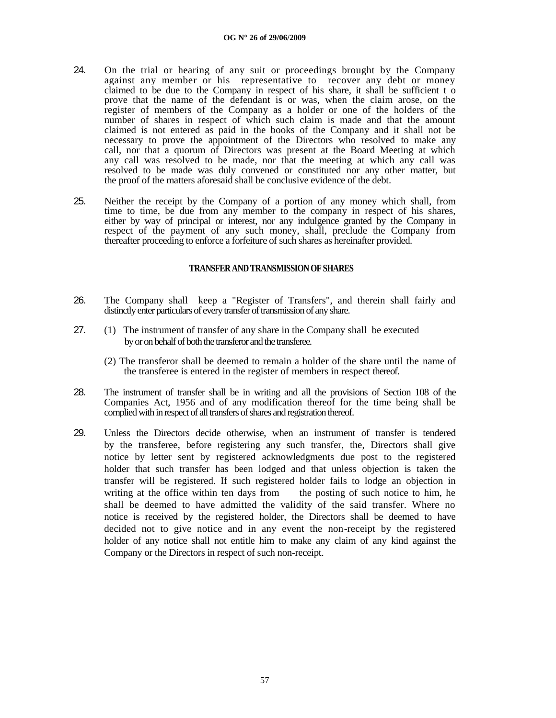#### **OG N° 26 of 29/06/2009**

- 24. On the trial or hearing of any suit or proceedings brought by the Company against any member or his representative to recover any debt or money claimed to be due to the Company in respect of his share, it shall be sufficient t o prove that the name of the defendant is or was, when the claim arose, on the register of members of the Company as a holder or one of the holders of the number of shares in respect of which such claim is made and that the amount claimed is not entered as paid in the books of the Company and it shall not be necessary to prove the appointment of the Directors who resolved to make any call, nor that a quorum of Directors was present at the Board Meeting at which any call was resolved to be made, nor that the meeting at which any call was resolved to be made was duly convened or constituted nor any other matter, but the proof of the matters aforesaid shall be conclusive evidence of the debt.
- 25. Neither the receipt by the Company of a portion of any money which shall, from time to time, be due from any member to the company in respect of his shares, either by way of principal or interest, nor any indulgence granted by the Company in respect of the payment of any such money, shall, preclude the Company from thereafter proceeding to enforce a forfeiture of such shares as hereinafter provided.

### **TRANSFER AND TRANSMISSION OF SHARES**

- 26. The Company shall keep a "Register of Transfers", and therein shall fairly and distinctly enter particulars of every transfer of transmission of any share.
- 27. (1) The instrument of transfer of any share in the Company shall be executed by or on behalf of both the transferor and the transferee.
	- (2) The transferor shall be deemed to remain a holder of the share until the name of the transferee is entered in the register of members in respect thereof.
- 28. The instrument of transfer shall be in writing and all the provisions of Section 108 of the Companies Act, 1956 and of any modification thereof for the time being shall be complied with in respect of all transfers of shares and registration thereof.
- 29. Unless the Directors decide otherwise, when an instrument of transfer is tendered by the transferee, before registering any such transfer, the, Directors shall give notice by letter sent by registered acknowledgments due post to the registered holder that such transfer has been lodged and that unless objection is taken the transfer will be registered. If such registered holder fails to lodge an objection in writing at the office within ten days from the posting of such notice to him, he shall be deemed to have admitted the validity of the said transfer. Where no notice is received by the registered holder, the Directors shall be deemed to have decided not to give notice and in any event the non-receipt by the registered holder of any notice shall not entitle him to make any claim of any kind against the Company or the Directors in respect of such non-receipt.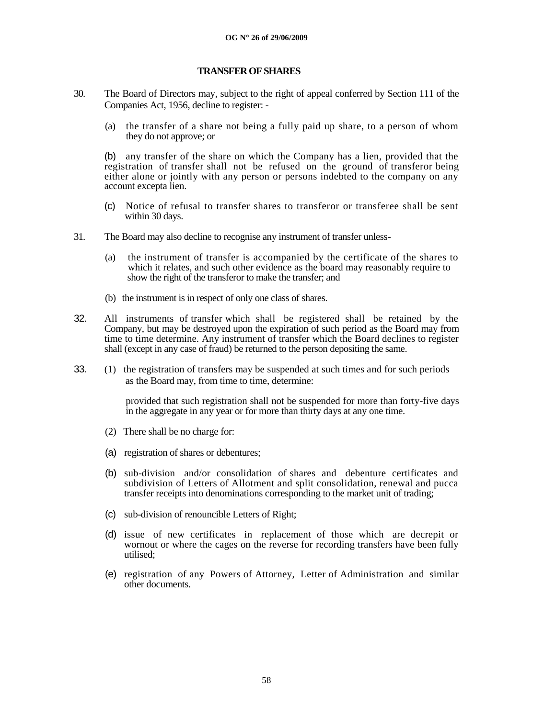## **TRANSFER OF SHARES**

- 30. The Board of Directors may, subject to the right of appeal conferred by Section 111 of the Companies Act, 1956, decline to register: -
	- (a) the transfer of a share not being a fully paid up share, to a person of whom they do not approve; or

(b) any transfer of the share on which the Company has a lien, provided that the registration of transfer shall not be refused on the ground of transferor being either alone or jointly with any person or persons indebted to the company on any account excepta lien.

- (c) Notice of refusal to transfer shares to transferor or transferee shall be sent within 30 days.
- 31. The Board may also decline to recognise any instrument of transfer unless-
	- (a) the instrument of transfer is accompanied by the certificate of the shares to which it relates, and such other evidence as the board may reasonably require to show the right of the transferor to make the transfer; and
	- (b) the instrument is in respect of only one class of shares.
- 32. All instruments of transfer which shall be registered shall be retained by the Company, but may be destroyed upon the expiration of such period as the Board may from time to time determine. Any instrument of transfer which the Board declines to register shall (except in any case of fraud) be returned to the person depositing the same.
- 33. (1) the registration of transfers may be suspended at such times and for such periods as the Board may, from time to time, determine:

provided that such registration shall not be suspended for more than forty-five days in the aggregate in any year or for more than thirty days at any one time.

- (2) There shall be no charge for:
- (a) registration of shares or debentures;
- (b) sub-division and/or consolidation of shares and debenture certificates and subdivision of Letters of Allotment and split consolidation, renewal and pucca transfer receipts into denominations corresponding to the market unit of trading;
- (c) sub-division of renouncible Letters of Right;
- (d) issue of new certificates in replacement of those which are decrepit or wornout or where the cages on the reverse for recording transfers have been fully utilised;
- (e) registration of any Powers of Attorney, Letter of Administration and similar other documents.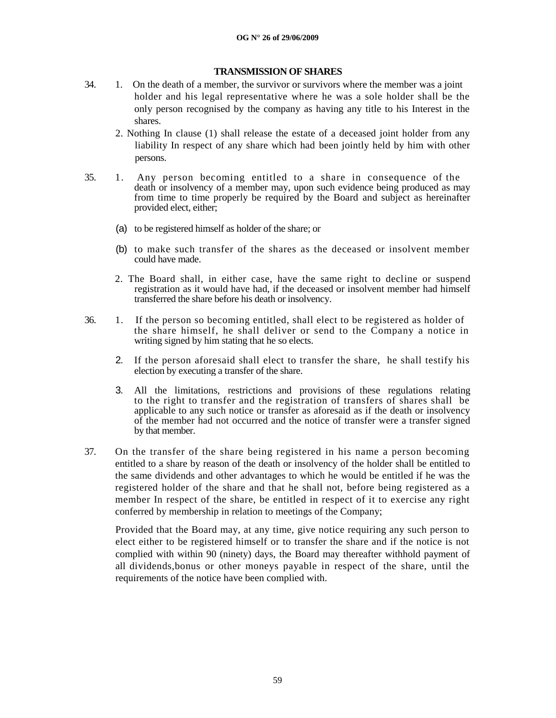# **TRANSMISSION OF SHARES**

- 34. 1. On the death of a member, the survivor or survivors where the member was a joint holder and his legal representative where he was a sole holder shall be the only person recognised by the company as having any title to his Interest in the shares.
	- 2. Nothing In clause (1) shall release the estate of a deceased joint holder from any liability In respect of any share which had been jointly held by him with other persons.
- 35. 1. Any person becoming entitled to a share in consequence of the death or insolvency of a member may, upon such evidence being produced as may from time to time properly be required by the Board and subject as hereinafter provided elect, either;
	- (a) to be registered himself as holder of the share; or
	- (b) to make such transfer of the shares as the deceased or insolvent member could have made.
	- 2. The Board shall, in either case, have the same right to decline or suspend registration as it would have had, if the deceased or insolvent member had himself transferred the share before his death or insolvency.
- 36. 1. If the person so becoming entitled, shall elect to be registered as holder of the share himself, he shall deliver or send to the Company a notice in writing signed by him stating that he so elects.
	- 2. If the person aforesaid shall elect to transfer the share, he shall testify his election by executing a transfer of the share.
	- 3. All the limitations, restrictions and provisions of these regulations relating to the right to transfer and the registration of transfers of shares shall be applicable to any such notice or transfer as aforesaid as if the death or insolvency of the member had not occurred and the notice of transfer were a transfer signed by that member.
- 37. On the transfer of the share being registered in his name a person becoming entitled to a share by reason of the death or insolvency of the holder shall be entitled to the same dividends and other advantages to which he would be entitled if he was the registered holder of the share and that he shall not, before being registered as a member In respect of the share, be entitled in respect of it to exercise any right conferred by membership in relation to meetings of the Company;

Provided that the Board may, at any time, give notice requiring any such person to elect either to be registered himself or to transfer the share and if the notice is not complied with within 90 (ninety) days, the Board may thereafter withhold payment of all dividends,bonus or other moneys payable in respect of the share, until the requirements of the notice have been complied with.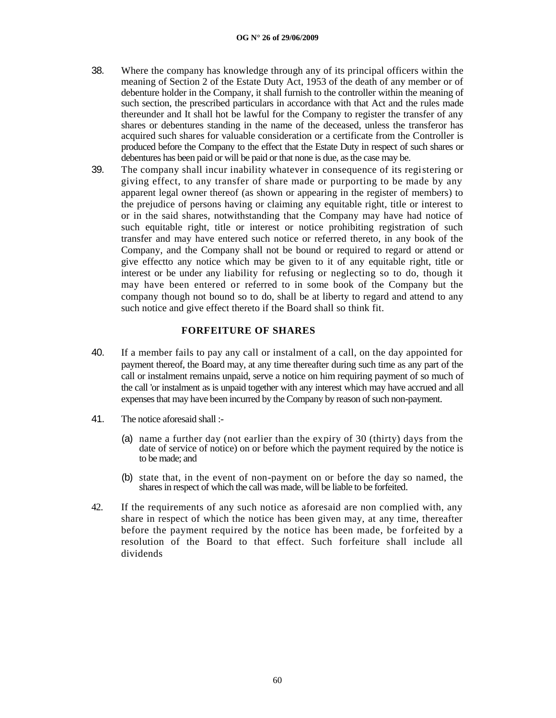- 38. Where the company has knowledge through any of its principal officers within the meaning of Section 2 of the Estate Duty Act, 1953 of the death of any member or of debenture holder in the Company, it shall furnish to the controller within the meaning of such section, the prescribed particulars in accordance with that Act and the rules made thereunder and It shall hot be lawful for the Company to register the transfer of any shares or debentures standing in the name of the deceased, unless the transferor has acquired such shares for valuable consideration or a certificate from the Controller is produced before the Company to the effect that the Estate Duty in respect of such shares or debentures has been paid or will be paid or that none is due, as the case may be.
- 39. The company shall incur inability whatever in consequence of its registering or giving effect, to any transfer of share made or purporting to be made by any apparent legal owner thereof (as shown or appearing in the register of members) to the prejudice of persons having or claiming any equitable right, title or interest to or in the said shares, notwithstanding that the Company may have had notice of such equitable right, title or interest or notice prohibiting registration of such transfer and may have entered such notice or referred thereto, in any book of the Company, and the Company shall not be bound or required to regard or attend or give effectto any notice which may be given to it of any equitable right, title or interest or be under any liability for refusing or neglecting so to do, though it may have been entered or referred to in some book of the Company but the company though not bound so to do, shall be at liberty to regard and attend to any such notice and give effect thereto if the Board shall so think fit.

# **FORFEITURE OF SHARES**

- 40. If a member fails to pay any call or instalment of a call, on the day appointed for payment thereof, the Board may, at any time thereafter during such time as any part of the call or instalment remains unpaid, serve a notice on him requiring payment of so much of the call 'or instalment as is unpaid together with any interest which may have accrued and all expenses that may have been incurred by the Company by reason of such non-payment.
- 41. The notice aforesaid shall :-
	- (a) name a further day (not earlier than the expiry of 30 (thirty) days from the date of service of notice) on or before which the payment required by the notice is to be made; and
	- (b) state that, in the event of non-payment on or before the day so named, the shares in respect of which the call was made, will be liable to be forfeited.
- 42. If the requirements of any such notice as aforesaid are non complied with, any share in respect of which the notice has been given may, at any time, thereafter before the payment required by the notice has been made, be forfeited by a resolution of the Board to that effect. Such forfeiture shall include all dividends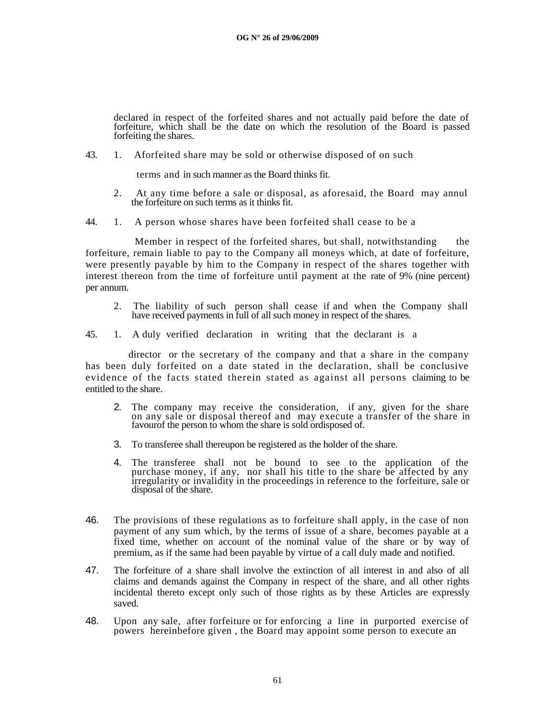declared in respect of the forfeited shares and not actually paid before the date of forfeiture, which shall be the date on which the resolution of the Board is passed forfeiting the shares.

43. 1. Aforfeited share may be sold or otherwise disposed of on such

terms and in such manner as the Board thinks fit.

- 2. At any time before a sale or disposal, as aforesaid, the Board may annul the forfeiture on such terms as it thinks fit.
- 44. 1. A person whose shares have been forfeited shall cease to be a

 Member in respect of the forfeited shares, but shall, notwithstanding the forfeiture, remain liable to pay to the Company all moneys which, at date of forfeiture, were presently payable by him to the Company in respect of the shares together with interest thereon from the time of forfeiture until payment at the rate of 9% (nine percent) per annum.

- 2. The liability of such person shall cease if and when the Company shall have received payments in full of all such money in respect of the shares.
- 45. 1. A duly verified declaration in writing that the declarant is a

 director or the secretary of the company and that a share in the company has been duly forfeited on a date stated in the declaration, shall be conclusive evidence of the facts stated therein stated as against all persons claiming to be entitled to the share.

- 2. The company may receive the consideration, if any, given for the share on any sale or disposal thereof and may execute a transfer of the share in favourof the person to whom the share is sold ordisposed of.
- 3. To transferee shall thereupon be registered as the holder of the share.
- 4. The transferee shall not be bound to see to the application of the purchase money, if any, nor shall his title to the share be affected by any irregularity or invalidity in the proceedings in reference to the forfeiture, sale or disposal of the share.
- 46. The provisions of these regulations as to forfeiture shall apply, in the case of non payment of any sum which, by the terms of issue of a share, becomes payable at a fixed time, whether on account of the nominal value of the share or by way of premium, as if the same had been payable by virtue of a call duly made and notified.
- 47. The forfeiture of a share shall involve the extinction of all interest in and also of all claims and demands against the Company in respect of the share, and all other rights incidental thereto except only such of those rights as by these Articles are expressly saved.
- 48. Upon any sale, after forfeiture or for enforcing a line in purported exercise of powers hereinbefore given , the Board may appoint some person to execute an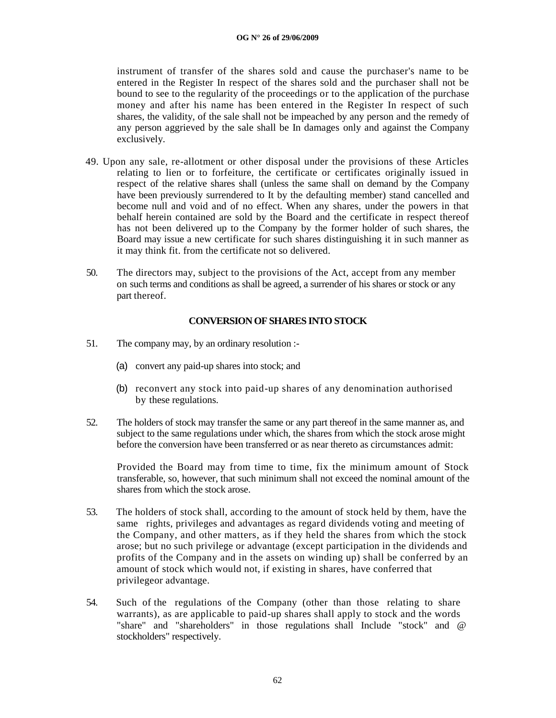#### **OG N° 26 of 29/06/2009**

instrument of transfer of the shares sold and cause the purchaser's name to be entered in the Register In respect of the shares sold and the purchaser shall not be bound to see to the regularity of the proceedings or to the application of the purchase money and after his name has been entered in the Register In respect of such shares, the validity, of the sale shall not be impeached by any person and the remedy of any person aggrieved by the sale shall be In damages only and against the Company exclusively.

- 49. Upon any sale, re-allotment or other disposal under the provisions of these Articles relating to lien or to forfeiture, the certificate or certificates originally issued in respect of the relative shares shall (unless the same shall on demand by the Company have been previously surrendered to It by the defaulting member) stand cancelled and become null and void and of no effect. When any shares, under the powers in that behalf herein contained are sold by the Board and the certificate in respect thereof has not been delivered up to the Company by the former holder of such shares, the Board may issue a new certificate for such shares distinguishing it in such manner as it may think fit. from the certificate not so delivered.
- 50. The directors may, subject to the provisions of the Act, accept from any member on such terms and conditions as shall be agreed, a surrender of his shares or stock or any part thereof.

# **CONVERSION OF SHARES INTO STOCK**

- 51. The company may, by an ordinary resolution :-
	- (a) convert any paid-up shares into stock; and
	- (b) reconvert any stock into paid-up shares of any denomination authorised by these regulations.
- 52. The holders of stock may transfer the same or any part thereof in the same manner as, and subject to the same regulations under which, the shares from which the stock arose might before the conversion have been transferred or as near thereto as circumstances admit:

Provided the Board may from time to time, fix the minimum amount of Stock transferable, so, however, that such minimum shall not exceed the nominal amount of the shares from which the stock arose.

- 53. The holders of stock shall, according to the amount of stock held by them, have the same rights, privileges and advantages as regard dividends voting and meeting of the Company, and other matters, as if they held the shares from which the stock arose; but no such privilege or advantage (except participation in the dividends and profits of the Company and in the assets on winding up) shall be conferred by an amount of stock which would not, if existing in shares, have conferred that privilegeor advantage.
- 54. Such of the regulations of the Company (other than those relating to share warrants), as are applicable to paid-up shares shall apply to stock and the words "share" and "shareholders" in those regulations shall Include "stock" and @ stockholders" respectively.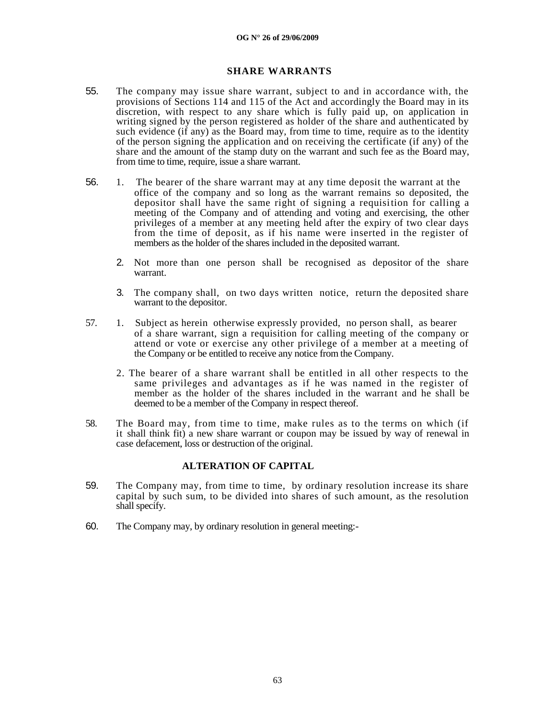#### **OG N° 26 of 29/06/2009**

## **SHARE WARRANTS**

- 55. The company may issue share warrant, subject to and in accordance with, the provisions of Sections 114 and 115 of the Act and accordingly the Board may in its discretion, with respect to any share which is fully paid up, on application in writing signed by the person registered as holder of the share and authenticated by such evidence (if any) as the Board may, from time to time, require as to the identity of the person signing the application and on receiving the certificate (if any) of the share and the amount of the stamp duty on the warrant and such fee as the Board may, from time to time, require, issue a share warrant.
- 56. 1. The bearer of the share warrant may at any time deposit the warrant at the office of the company and so long as the warrant remains so deposited, the depositor shall have the same right of signing a requisition for calling a meeting of the Company and of attending and voting and exercising, the other privileges of a member at any meeting held after the expiry of two clear days from the time of deposit, as if his name were inserted in the register of members as the holder of the shares included in the deposited warrant.
	- 2. Not more than one person shall be recognised as depositor of the share warrant.
	- 3. The company shall, on two days written notice, return the deposited share warrant to the depositor.
- 57. 1. Subject as herein otherwise expressly provided, no person shall, as bearer of a share warrant, sign a requisition for calling meeting of the company or attend or vote or exercise any other privilege of a member at a meeting of the Company or be entitled to receive any notice from the Company.
	- 2. The bearer of a share warrant shall be entitled in all other respects to the same privileges and advantages as if he was named in the register of member as the holder of the shares included in the warrant and he shall be deemed to be a member of the Company in respect thereof.
- 58. The Board may, from time to time, make rules as to the terms on which (if it shall think fit) a new share warrant or coupon may be issued by way of renewal in case defacement, loss or destruction of the original.

# **ALTERATION OF CAPITAL**

- 59. The Company may, from time to time, by ordinary resolution increase its share capital by such sum, to be divided into shares of such amount, as the resolution shall specify.
- 60. The Company may, by ordinary resolution in general meeting:-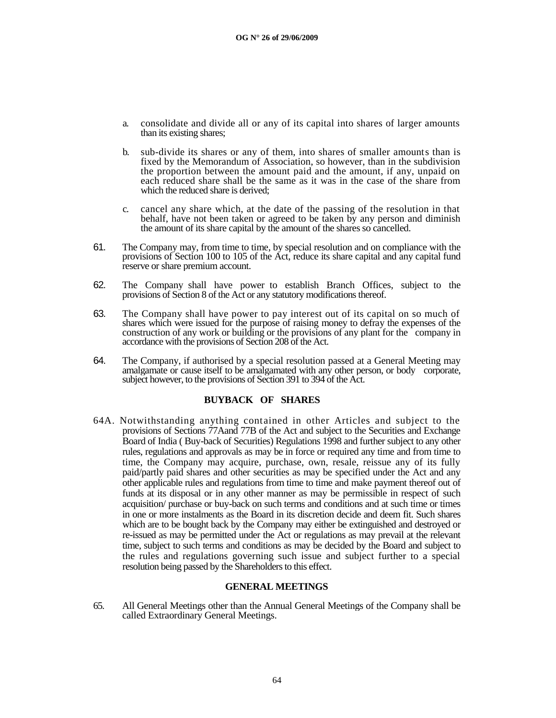- a. consolidate and divide all or any of its capital into shares of larger amounts than its existing shares;
- b. sub-divide its shares or any of them, into shares of smaller amounts than is fixed by the Memorandum of Association, so however, than in the subdivision the proportion between the amount paid and the amount, if any, unpaid on each reduced share shall be the same as it was in the case of the share from which the reduced share is derived;
- c. cancel any share which, at the date of the passing of the resolution in that behalf, have not been taken or agreed to be taken by any person and diminish the amount of its share capital by the amount of the shares so cancelled.
- 61. The Company may, from time to time, by special resolution and on compliance with the provisions of Section 100 to 105 of the Act, reduce its share capital and any capital fund reserve or share premium account.
- 62. The Company shall have power to establish Branch Offices, subject to the provisions of Section 8 of the Act or any statutory modifications thereof.
- 63. The Company shall have power to pay interest out of its capital on so much of shares which were issued for the purpose of raising money to defray the expenses of the construction of any work or building or the provisions of any plant for the company in accordance with the provisions of Section 208 of the Act.
- 64. The Company, if authorised by a special resolution passed at a General Meeting may amalgamate or cause itself to be amalgamated with any other person, or body corporate, subject however, to the provisions of Section 391 to 394 of the Act.

### **BUYBACK OF SHARES**

64A. Notwithstanding anything contained in other Articles and subject to the provisions of Sections 77Aand 77B of the Act and subject to the Securities and Exchange Board of India ( Buy-back of Securities) Regulations 1998 and further subject to any other rules, regulations and approvals as may be in force or required any time and from time to time, the Company may acquire, purchase, own, resale, reissue any of its fully paid/partly paid shares and other securities as may be specified under the Act and any other applicable rules and regulations from time to time and make payment thereof out of funds at its disposal or in any other manner as may be permissible in respect of such acquisition/ purchase or buy-back on such terms and conditions and at such time or times in one or more instalments as the Board in its discretion decide and deem fit. Such shares which are to be bought back by the Company may either be extinguished and destroyed or re-issued as may be permitted under the Act or regulations as may prevail at the relevant time, subject to such terms and conditions as may be decided by the Board and subject to the rules and regulations governing such issue and subject further to a special resolution being passed by the Shareholders to this effect.

### **GENERAL MEETINGS**

65. All General Meetings other than the Annual General Meetings of the Company shall be called Extraordinary General Meetings.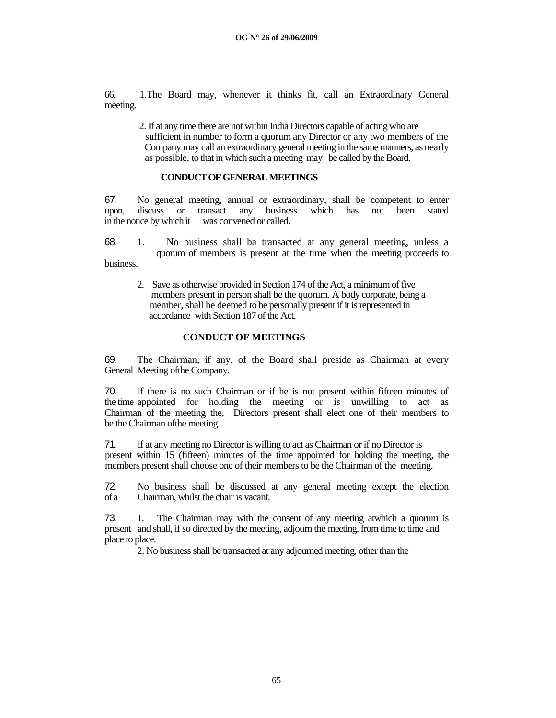66. 1.The Board may, whenever it thinks fit, call an Extraordinary General meeting.

> 2. If at any time there are not within India Directors capable of acting who are sufficient in number to form a quorum any Director or any two members of the Company may call an extraordinary general meeting in the same manners, as nearly as possible, to that in which such a meeting may be called by the Board.

## **CONDUCT OF GENERAL MEETINGS**

67. No general meeting, annual or extraordinary, shall be competent to enter upon, discuss or transact any business which has not been stated in the notice by which it was convened or called.

68. 1. No business shall ba transacted at any general meeting, unless a quorum of members is present at the time when the meeting proceeds to business.

2. Save as otherwise provided in Section 174 of the Act, a minimum of five members present in person shall be the quorum. A body corporate, being a member, shall be deemed to be personally present if it is represented in accordance with Section 187 of the Act.

## **CONDUCT OF MEETINGS**

69. The Chairman, if any, of the Board shall preside as Chairman at every General Meeting ofthe Company.

70. If there is no such Chairman or if he is not present within fifteen minutes of the time appointed for holding the meeting or is unwilling to act as Chairman of the meeting the, Directors present shall elect one of their members to be the Chairman ofthe meeting.

71. If at any meeting no Director is willing to act as Chairman or if no Director is present within 15 (fifteen) minutes of the time appointed for holding the meeting, the members present shall choose one of their members to be the Chairman of the meeting.

72. No business shall be discussed at any general meeting except the election of a Chairman, whilst the chair is vacant.

73. 1. The Chairman may with the consent of any meeting atwhich a quorum is present and shall, if so directed by the meeting, adjourn the meeting, from time to time and place to place.

2. No business shall be transacted at any adjourned meeting, other than the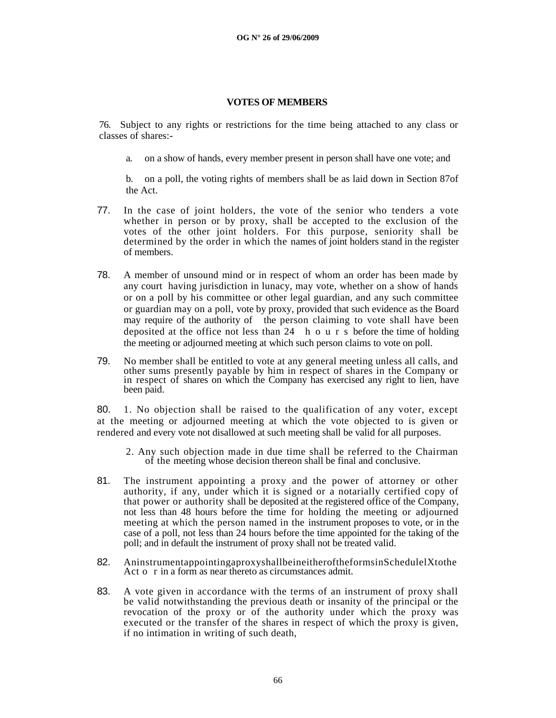# **VOTES OF MEMBERS**

76. Subject to any rights or restrictions for the time being attached to any class or classes of shares:-

a. on a show of hands, every member present in person shall have one vote; and

b. on a poll, the voting rights of members shall be as laid down in Section 87of the Act.

- 77. In the case of joint holders, the vote of the senior who tenders a vote whether in person or by proxy, shall be accepted to the exclusion of the votes of the other joint holders. For this purpose, seniority shall be determined by the order in which the names of joint holders stand in the register of members.
- 78. A member of unsound mind or in respect of whom an order has been made by any court having jurisdiction in lunacy, may vote, whether on a show of hands or on a poll by his committee or other legal guardian, and any such committee or guardian may on a poll, vote by proxy, provided that such evidence as the Board may require of the authority of the person claiming to vote shall have been deposited at the office not less than 24 h o u r s before the time of holding the meeting or adjourned meeting at which such person claims to vote on poll.
- 79. No member shall be entitled to vote at any general meeting unless all calls, and other sums presently payable by him in respect of shares in the Company or in respect of shares on which the Company has exercised any right to lien, have been paid.

80. 1. No objection shall be raised to the qualification of any voter, except at the meeting or adjourned meeting at which the vote objected to is given or rendered and every vote not disallowed at such meeting shall be valid for all purposes.

- 2. Any such objection made in due time shall be referred to the Chairman of the meeting whose decision thereon shall be final and conclusive.
- 81. The instrument appointing a proxy and the power of attorney or other authority, if any, under which it is signed or a notarially certified copy of that power or authority shall be deposited at the registered office of the Company, not less than 48 hours before the time for holding the meeting or adjourned meeting at which the person named in the instrument proposes to vote, or in the case of a poll, not less than 24 hours before the time appointed for the taking of the poll; and in default the instrument of proxy shall not be treated valid.
- 82. AninstrumentappointingaproxyshallbeineitheroftheformsinSchedulelXtothe Act o r in a form as near thereto as circumstances admit.
- 83. A vote given in accordance with the terms of an instrument of proxy shall be valid notwithstanding the previous death or insanity of the principal or the revocation of the proxy or of the authority under which the proxy was executed or the transfer of the shares in respect of which the proxy is given, if no intimation in writing of such death,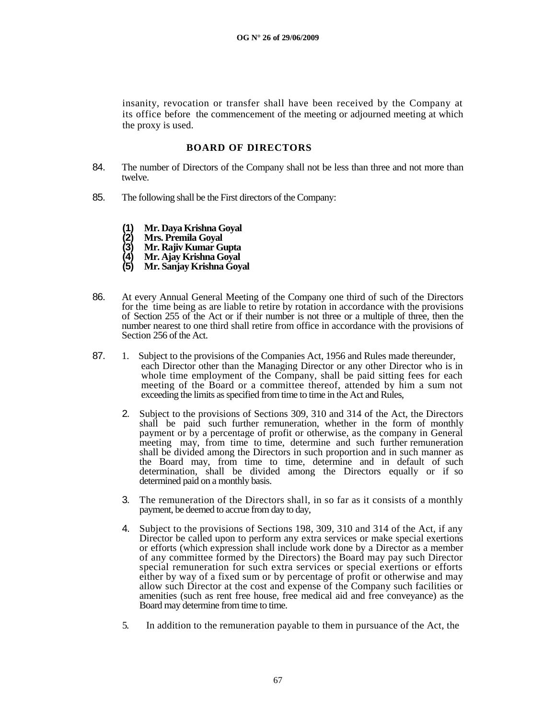insanity, revocation or transfer shall have been received by the Company at its office before the commencement of the meeting or adjourned meeting at which the proxy is used.

# **BOARD OF DIRECTORS**

- 84. The number of Directors of the Company shall not be less than three and not more than twelve.
- 85. The following shall be the First directors of the Company:
	- **(1) Mr. Daya Krishna Goyal**
	- **(2) Mrs. Premila Goyal**
	- **(3) Mr. Rajiv Kumar Gupta**
	- **(4) Mr. Ajay Krishna Goyal**
	- **(5) Mr. Sanjay Krishna Goyal**
- 86. At every Annual General Meeting of the Company one third of such of the Directors for the time being as are liable to retire by rotation in accordance with the provisions of Section 255 of the Act or if their number is not three or a multiple of three, then the number nearest to one third shall retire from office in accordance with the provisions of Section 256 of the Act.
- 87. 1. Subject to the provisions of the Companies Act, 1956 and Rules made thereunder, each Director other than the Managing Director or any other Director who is in whole time employment of the Company, shall be paid sitting fees for each meeting of the Board or a committee thereof, attended by him a sum not exceeding the limits as specified from time to time in the Act and Rules,
	- 2. Subject to the provisions of Sections 309, 310 and 314 of the Act, the Directors shall be paid such further remuneration, whether in the form of monthly payment or by a percentage of profit or otherwise, as the company in General meeting may, from time to time, determine and such further remuneration shall be divided among the Directors in such proportion and in such manner as the Board may, from time to time, determine and in default of such determination, shall be divided among the Directors equally or if so determined paid on a monthly basis.
	- 3. The remuneration of the Directors shall, in so far as it consists of a monthly payment, be deemed to accrue from day to day,
	- 4. Subject to the provisions of Sections 198, 309, 310 and 314 of the Act, if any Director be called upon to perform any extra services or make special exertions or efforts (which expression shall include work done by a Director as a member of any committee formed by the Directors) the Board may pay such Director special remuneration for such extra services or special exertions or efforts either by way of a fixed sum or by percentage of profit or otherwise and may allow such Director at the cost and expense of the Company such facilities or amenities (such as rent free house, free medical aid and free conveyance) as the Board may determine from time to time.
	- 5. In addition to the remuneration payable to them in pursuance of the Act, the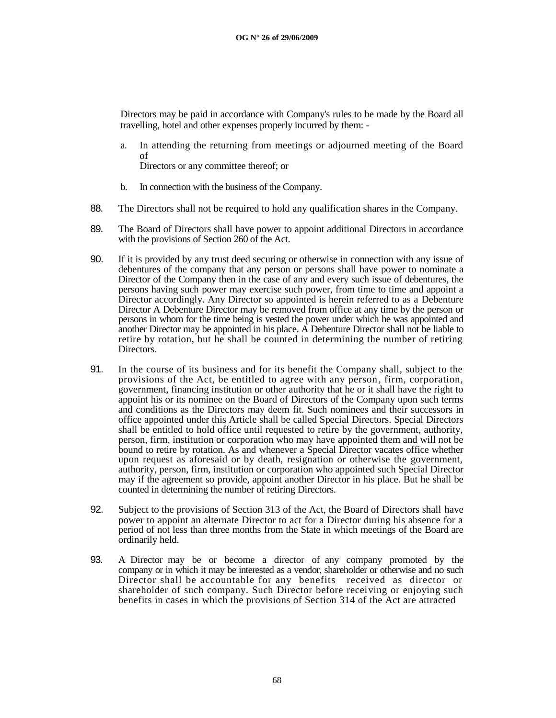Directors may be paid in accordance with Company's rules to be made by the Board all travelling, hotel and other expenses properly incurred by them: -

a. In attending the returning from meetings or adjourned meeting of the Board of

Directors or any committee thereof; or

- b. In connection with the business of the Company.
- 88. The Directors shall not be required to hold any qualification shares in the Company.
- 89. The Board of Directors shall have power to appoint additional Directors in accordance with the provisions of Section 260 of the Act.
- 90. If it is provided by any trust deed securing or otherwise in connection with any issue of debentures of the company that any person or persons shall have power to nominate a Director of the Company then in the case of any and every such issue of debentures, the persons having such power may exercise such power, from time to time and appoint a Director accordingly. Any Director so appointed is herein referred to as a Debenture Director A Debenture Director may be removed from office at any time by the person or persons in whom for the time being is vested the power under which he was appointed and another Director may be appointed in his place. A Debenture Director shall not be liable to retire by rotation, but he shall be counted in determining the number of retiring Directors.
- 91. In the course of its business and for its benefit the Company shall, subject to the provisions of the Act, be entitled to agree with any person, firm, corporation, government, financing institution or other authority that he or it shall have the right to appoint his or its nominee on the Board of Directors of the Company upon such terms and conditions as the Directors may deem fit. Such nominees and their successors in office appointed under this Article shall be called Special Directors. Special Directors shall be entitled to hold office until requested to retire by the government, authority, person, firm, institution or corporation who may have appointed them and will not be bound to retire by rotation. As and whenever a Special Director vacates office whether upon request as aforesaid or by death, resignation or otherwise the government, authority, person, firm, institution or corporation who appointed such Special Director may if the agreement so provide, appoint another Director in his place. But he shall be counted in determining the number of retiring Directors.
- 92. Subject to the provisions of Section 313 of the Act, the Board of Directors shall have power to appoint an alternate Director to act for a Director during his absence for a period of not less than three months from the State in which meetings of the Board are ordinarily held.
- 93. A Director may be or become a director of any company promoted by the company or in which it may be interested as a vendor, shareholder or otherwise and no such Director shall be accountable for any benefits received as director or shareholder of such company. Such Director before receiving or enjoying such benefits in cases in which the provisions of Section 314 of the Act are attracted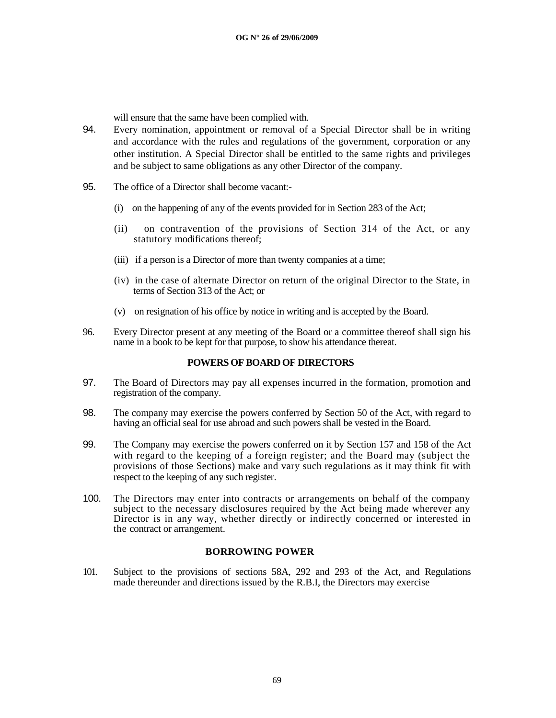will ensure that the same have been complied with.

- 94. Every nomination, appointment or removal of a Special Director shall be in writing and accordance with the rules and regulations of the government, corporation or any other institution. A Special Director shall be entitled to the same rights and privileges and be subject to same obligations as any other Director of the company.
- 95. The office of a Director shall become vacant:-
	- (i) on the happening of any of the events provided for in Section 283 of the Act;
	- (ii) on contravention of the provisions of Section 314 of the Act, or any statutory modifications thereof;
	- (iii) if a person is a Director of more than twenty companies at a time;
	- (iv) in the case of alternate Director on return of the original Director to the State, in terms of Section 313 of the Act; or
	- (v) on resignation of his office by notice in writing and is accepted by the Board.
- 96. Every Director present at any meeting of the Board or a committee thereof shall sign his name in a book to be kept for that purpose, to show his attendance thereat.

## **POWERS OF BOARD OF DIRECTORS**

- 97. The Board of Directors may pay all expenses incurred in the formation, promotion and registration of the company.
- 98. The company may exercise the powers conferred by Section 50 of the Act, with regard to having an official seal for use abroad and such powers shall be vested in the Board.
- 99. The Company may exercise the powers conferred on it by Section 157 and 158 of the Act with regard to the keeping of a foreign register; and the Board may (subject the provisions of those Sections) make and vary such regulations as it may think fit with respect to the keeping of any such register.
- 100. The Directors may enter into contracts or arrangements on behalf of the company subject to the necessary disclosures required by the Act being made wherever any Director is in any way, whether directly or indirectly concerned or interested in the contract or arrangement.

## **BORROWING POWER**

101. Subject to the provisions of sections 58A, 292 and 293 of the Act, and Regulations made thereunder and directions issued by the R.B.I, the Directors may exercise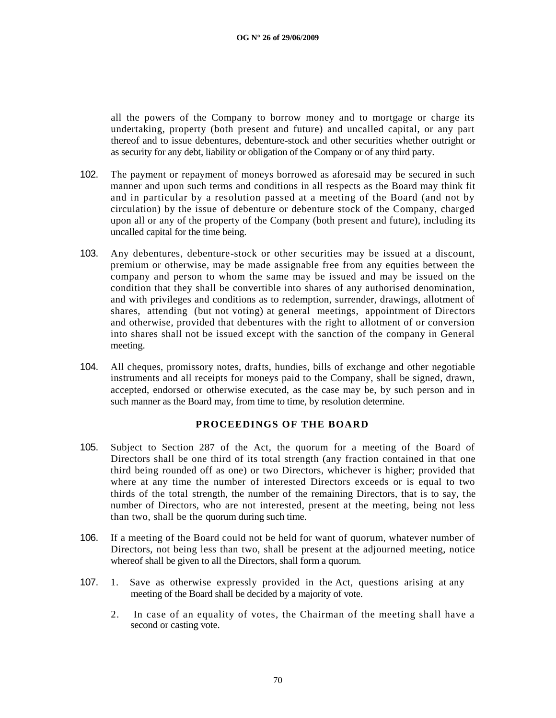all the powers of the Company to borrow money and to mortgage or charge its undertaking, property (both present and future) and uncalled capital, or any part thereof and to issue debentures, debenture-stock and other securities whether outright or as security for any debt, liability or obligation of the Company or of any third party.

- 102. The payment or repayment of moneys borrowed as aforesaid may be secured in such manner and upon such terms and conditions in all respects as the Board may think fit and in particular by a resolution passed at a meeting of the Board (and not by circulation) by the issue of debenture or debenture stock of the Company, charged upon all or any of the property of the Company (both present and future), including its uncalled capital for the time being.
- 103. Any debentures, debenture-stock or other securities may be issued at a discount, premium or otherwise, may be made assignable free from any equities between the company and person to whom the same may be issued and may be issued on the condition that they shall be convertible into shares of any authorised denomination, and with privileges and conditions as to redemption, surrender, drawings, allotment of shares, attending (but not voting) at general meetings, appointment of Directors and otherwise, provided that debentures with the right to allotment of or conversion into shares shall not be issued except with the sanction of the company in General meeting.
- 104. All cheques, promissory notes, drafts, hundies, bills of exchange and other negotiable instruments and all receipts for moneys paid to the Company, shall be signed, drawn, accepted, endorsed or otherwise executed, as the case may be, by such person and in such manner as the Board may, from time to time, by resolution determine.

# **PROCEEDINGS OF THE BOARD**

- 105. Subject to Section 287 of the Act, the quorum for a meeting of the Board of Directors shall be one third of its total strength (any fraction contained in that one third being rounded off as one) or two Directors, whichever is higher; provided that where at any time the number of interested Directors exceeds or is equal to two thirds of the total strength, the number of the remaining Directors, that is to say, the number of Directors, who are not interested, present at the meeting, being not less than two, shall be the quorum during such time.
- 106. If a meeting of the Board could not be held for want of quorum, whatever number of Directors, not being less than two, shall be present at the adjourned meeting, notice whereof shall be given to all the Directors, shall form a quorum.
- 107. 1. Save as otherwise expressly provided in the Act, questions arising at any meeting of the Board shall be decided by a majority of vote.
	- 2. In case of an equality of votes, the Chairman of the meeting shall have a second or casting vote.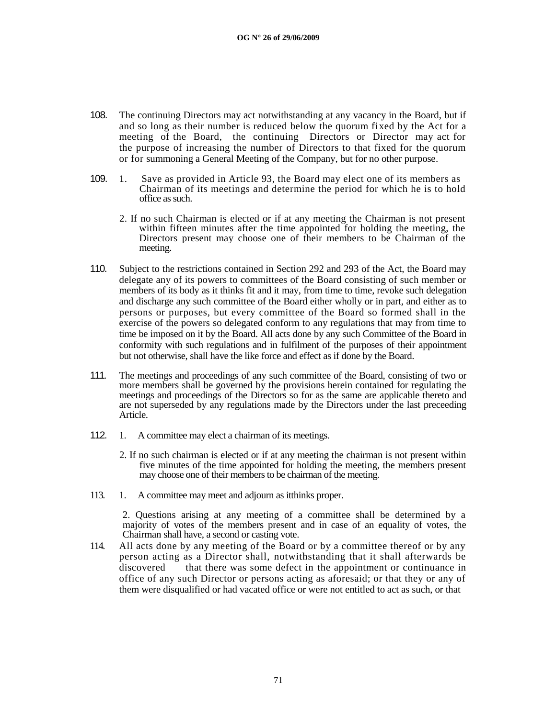- 108. The continuing Directors may act notwithstanding at any vacancy in the Board, but if and so long as their number is reduced below the quorum fixed by the Act for a meeting of the Board, the continuing Directors or Director may act for the purpose of increasing the number of Directors to that fixed for the quorum or for summoning a General Meeting of the Company, but for no other purpose.
- 109. 1. Save as provided in Article 93, the Board may elect one of its members as Chairman of its meetings and determine the period for which he is to hold office as such.
	- 2. If no such Chairman is elected or if at any meeting the Chairman is not present within fifteen minutes after the time appointed for holding the meeting, the Directors present may choose one of their members to be Chairman of the meeting.
- 110. Subject to the restrictions contained in Section 292 and 293 of the Act, the Board may delegate any of its powers to committees of the Board consisting of such member or members of its body as it thinks fit and it may, from time to time, revoke such delegation and discharge any such committee of the Board either wholly or in part, and either as to persons or purposes, but every committee of the Board so formed shall in the exercise of the powers so delegated conform to any regulations that may from time to time be imposed on it by the Board. All acts done by any such Committee of the Board in conformity with such regulations and in fulfilment of the purposes of their appointment but not otherwise, shall have the like force and effect as if done by the Board.
- 111. The meetings and proceedings of any such committee of the Board, consisting of two or more members shall be governed by the provisions herein contained for regulating the meetings and proceedings of the Directors so for as the same are applicable thereto and are not superseded by any regulations made by the Directors under the last preceeding Article.
- 112. 1. A committee may elect a chairman of its meetings.
	- 2. If no such chairman is elected or if at any meeting the chairman is not present within five minutes of the time appointed for holding the meeting, the members present may choose one of their members to be chairman of the meeting.
- 113. 1. A committee may meet and adjourn as itthinks proper.

2. Questions arising at any meeting of a committee shall be determined by a majority of votes of the members present and in case of an equality of votes, the Chairman shall have, a second or casting vote.

114. All acts done by any meeting of the Board or by a committee thereof or by any person acting as a Director shall, notwithstanding that it shall afterwards be discovered that there was some defect in the appointment or continuance in office of any such Director or persons acting as aforesaid; or that they or any of them were disqualified or had vacated office or were not entitled to act as such, or that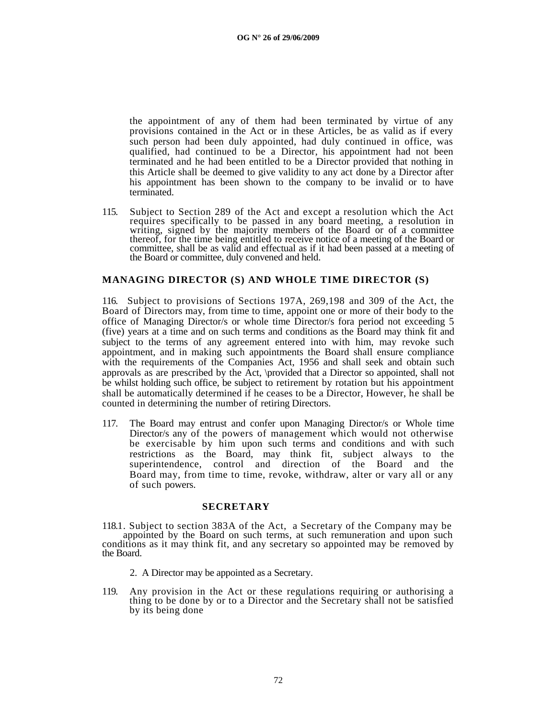the appointment of any of them had been terminated by virtue of any provisions contained in the Act or in these Articles, be as valid as if every such person had been duly appointed, had duly continued in office, was qualified, had continued to be a Director, his appointment had not been terminated and he had been entitled to be a Director provided that nothing in this Article shall be deemed to give validity to any act done by a Director after his appointment has been shown to the company to be invalid or to have terminated.

115. Subject to Section 289 of the Act and except a resolution which the Act requires specifically to be passed in any board meeting, a resolution in writing, signed by the majority members of the Board or of a committee thereof, for the time being entitled to receive notice of a meeting of the Board or committee, shall be as valid and effectual as if it had been passed at a meeting of the Board or committee, duly convened and held.

# **MANAGING DIRECTOR (S) AND WHOLE TIME DIRECTOR (S)**

116. Subject to provisions of Sections 197A, 269,198 and 309 of the Act, the Board of Directors may, from time to time, appoint one or more of their body to the office of Managing Director/s or whole time Director/s fora period not exceeding 5 (five) years at a time and on such terms and conditions as the Board may think fit and subject to the terms of any agreement entered into with him, may revoke such appointment, and in making such appointments the Board shall ensure compliance with the requirements of the Companies Act, 1956 and shall seek and obtain such approvals as are prescribed by the Act, \provided that a Director so appointed, shall not be whilst holding such office, be subject to retirement by rotation but his appointment shall be automatically determined if he ceases to be a Director, However, he shall be counted in determining the number of retiring Directors.

117. The Board may entrust and confer upon Managing Director/s or Whole time Director/s any of the powers of management which would not otherwise be exercisable by him upon such terms and conditions and with such restrictions as the Board, may think fit, subject always to the superintendence, control and direction of the Board and the Board may, from time to time, revoke, withdraw, alter or vary all or any of such powers.

## **SECRETARY**

118.1. Subject to section 383A of the Act, a Secretary of the Company may be appointed by the Board on such terms, at such remuneration and upon such conditions as it may think fit, and any secretary so appointed may be removed by the Board.

- 2. A Director may be appointed as a Secretary.
- 119. Any provision in the Act or these regulations requiring or authorising a thing to be done by or to a Director and the Secretary shall not be satisfied by its being done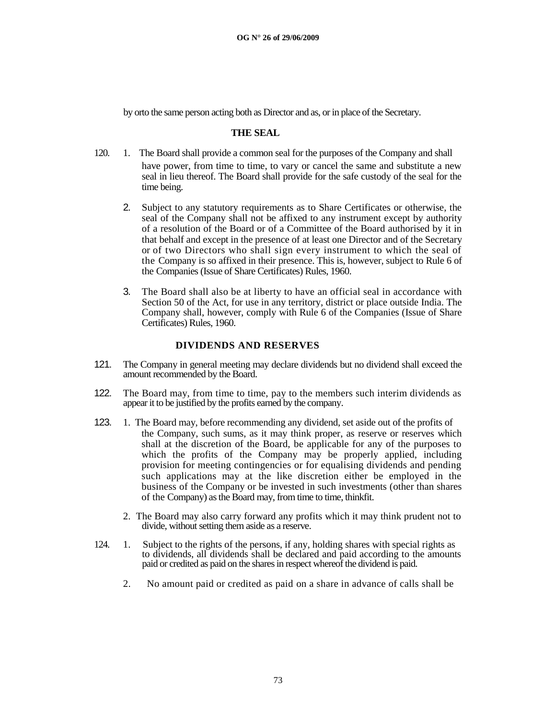by orto the same person acting both as Director and as, or in place of the Secretary.

## **THE SEAL**

- 120. 1. The Board shall provide a common seal for the purposes of the Company and shall have power, from time to time, to vary or cancel the same and substitute a new seal in lieu thereof. The Board shall provide for the safe custody of the seal for the time being.
	- 2. Subject to any statutory requirements as to Share Certificates or otherwise, the seal of the Company shall not be affixed to any instrument except by authority of a resolution of the Board or of a Committee of the Board authorised by it in that behalf and except in the presence of at least one Director and of the Secretary or of two Directors who shall sign every instrument to which the seal of the Company is so affixed in their presence. This is, however, subject to Rule 6 of the Companies (Issue of Share Certificates) Rules, 1960.
	- 3. The Board shall also be at liberty to have an official seal in accordance with Section 50 of the Act, for use in any territory, district or place outside India. The Company shall, however, comply with Rule 6 of the Companies (Issue of Share Certificates) Rules, 1960.

### **DIVIDENDS AND RESERVES**

- 121. The Company in general meeting may declare dividends but no dividend shall exceed the amount recommended by the Board.
- 122. The Board may, from time to time, pay to the members such interim dividends as appear it to be justified by the profits earned by the company.
- 123. 1. The Board may, before recommending any dividend, set aside out of the profits of the Company, such sums, as it may think proper, as reserve or reserves which shall at the discretion of the Board, be applicable for any of the purposes to which the profits of the Company may be properly applied, including provision for meeting contingencies or for equalising dividends and pending such applications may at the like discretion either be employed in the business of the Company or be invested in such investments (other than shares of the Company) as the Board may, from time to time, thinkfit.
	- 2. The Board may also carry forward any profits which it may think prudent not to divide, without setting them aside as a reserve.
- 124. 1. Subject to the rights of the persons, if any, holding shares with special rights as to dividends, all dividends shall be declared and paid according to the amounts paid or credited as paid on the shares in respect whereof the dividend is paid.
	- 2. No amount paid or credited as paid on a share in advance of calls shall be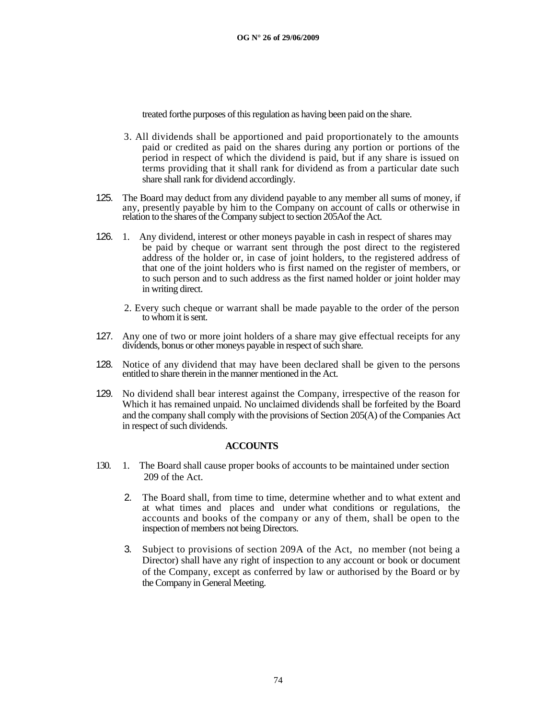treated forthe purposes of this regulation as having been paid on the share.

- 3. All dividends shall be apportioned and paid proportionately to the amounts paid or credited as paid on the shares during any portion or portions of the period in respect of which the dividend is paid, but if any share is issued on terms providing that it shall rank for dividend as from a particular date such share shall rank for dividend accordingly.
- 125. The Board may deduct from any dividend payable to any member all sums of money, if any, presently payable by him to the Company on account of calls or otherwise in relation to the shares of the Company subject to section 205Aof the Act.
- 126. 1. Any dividend, interest or other moneys payable in cash in respect of shares may be paid by cheque or warrant sent through the post direct to the registered address of the holder or, in case of joint holders, to the registered address of that one of the joint holders who is first named on the register of members, or to such person and to such address as the first named holder or joint holder may in writing direct.
	- 2. Every such cheque or warrant shall be made payable to the order of the person to whom it is sent.
- 127. Any one of two or more joint holders of a share may give effectual receipts for any dividends, bonus or other moneys payable in respect of such share.
- 128. Notice of any dividend that may have been declared shall be given to the persons entitled to share therein in the manner mentioned in the Act.
- 129. No dividend shall bear interest against the Company, irrespective of the reason for Which it has remained unpaid. No unclaimed dividends shall be forfeited by the Board and the company shall comply with the provisions of Section 205(A) of the Companies Act in respect of such dividends.

### **ACCOUNTS**

- 130. 1. The Board shall cause proper books of accounts to be maintained under section 209 of the Act.
	- 2. The Board shall, from time to time, determine whether and to what extent and at what times and places and under what conditions or regulations, the accounts and books of the company or any of them, shall be open to the inspection of members not being Directors.
	- 3. Subject to provisions of section 209A of the Act, no member (not being a Director) shall have any right of inspection to any account or book or document of the Company, except as conferred by law or authorised by the Board or by the Company in General Meeting.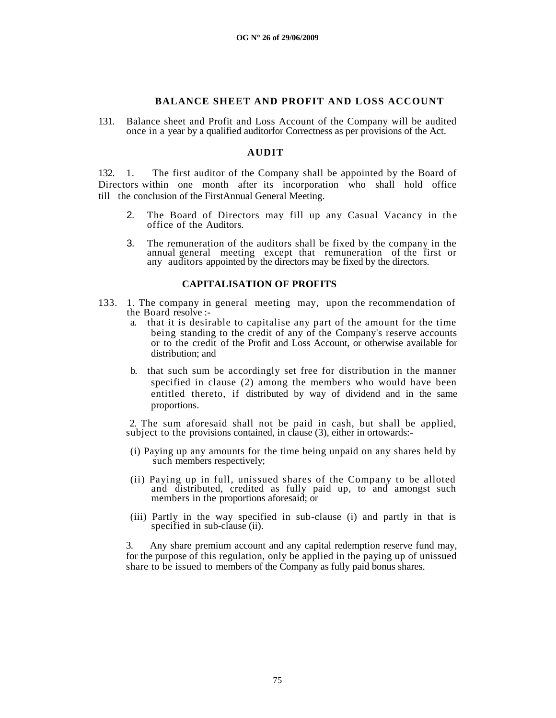## **BALANCE SHEET AND PROFIT AND LOSS ACCOUNT**

131. Balance sheet and Profit and Loss Account of the Company will be audited once in a year by a qualified auditorfor Correctness as per provisions of the Act.

## **AUDIT**

132. 1. The first auditor of the Company shall be appointed by the Board of Directors within one month after its incorporation who shall hold office till the conclusion of the FirstAnnual General Meeting.

- 2. The Board of Directors may fill up any Casual Vacancy in the office of the Auditors.
- 3. The remuneration of the auditors shall be fixed by the company in the annual general meeting except that remuneration of the first or any auditors appointed by the directors may be fixed by the directors.

## **CAPITALISATION OF PROFITS**

- 133. 1. The company in general meeting may, upon the recommendation of the Board resolve :
	- a. that it is desirable to capitalise any part of the amount for the time being standing to the credit of any of the Company's reserve accounts or to the credit of the Profit and Loss Account, or otherwise available for distribution; and
	- b. that such sum be accordingly set free for distribution in the manner specified in clause (2) among the members who would have been entitled thereto, if distributed by way of dividend and in the same proportions.

2. The sum aforesaid shall not be paid in cash, but shall be applied, subject to the provisions contained, in clause (3), either in ortowards:-

- (i) Paying up any amounts for the time being unpaid on any shares held by such members respectively;
- (ii) Paying up in full, unissued shares of the Company to be alloted and distributed, credited as fully paid up, to and amongst such members in the proportions aforesaid; or
- (iii) Partly in the way specified in sub-clause (i) and partly in that is specified in sub-clause (ii).

3. Any share premium account and any capital redemption reserve fund may, for the purpose of this regulation, only be applied in the paying up of unissued share to be issued to members of the Company as fully paid bonus shares.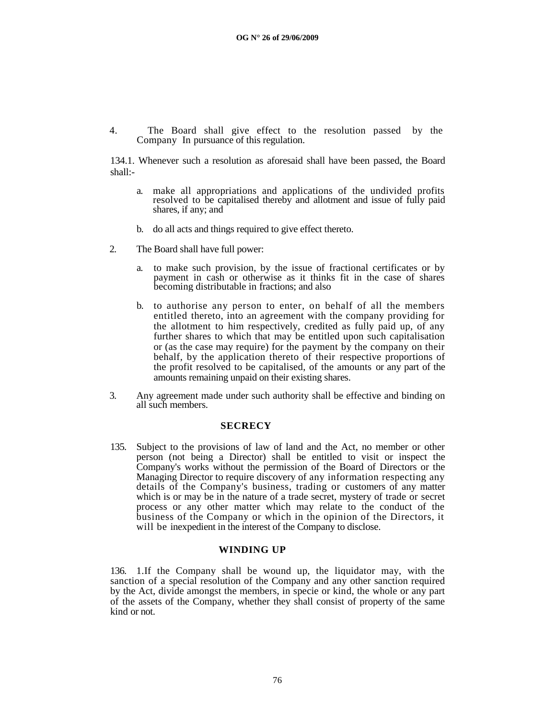4. The Board shall give effect to the resolution passed by the Company In pursuance of this regulation.

134.1. Whenever such a resolution as aforesaid shall have been passed, the Board shall:-

- a. make all appropriations and applications of the undivided profits resolved to be capitalised thereby and allotment and issue of fully paid shares, if any; and
- b. do all acts and things required to give effect thereto.
- 2. The Board shall have full power:
	- a. to make such provision, by the issue of fractional certificates or by payment in cash or otherwise as it thinks fit in the case of shares becoming distributable in fractions; and also
	- b. to authorise any person to enter, on behalf of all the members entitled thereto, into an agreement with the company providing for the allotment to him respectively, credited as fully paid up, of any further shares to which that may be entitled upon such capitalisation or (as the case may require) for the payment by the company on their behalf, by the application thereto of their respective proportions of the profit resolved to be capitalised, of the amounts or any part of the amounts remaining unpaid on their existing shares.
- 3. Any agreement made under such authority shall be effective and binding on all such members.

### **SECRECY**

135. Subject to the provisions of law of land and the Act, no member or other person (not being a Director) shall be entitled to visit or inspect the Company's works without the permission of the Board of Directors or the Managing Director to require discovery of any information respecting any details of the Company's business, trading or customers of any matter which is or may be in the nature of a trade secret, mystery of trade or secret process or any other matter which may relate to the conduct of the business of the Company or which in the opinion of the Directors, it will be inexpedient in the interest of the Company to disclose.

### **WINDING UP**

136. 1.If the Company shall be wound up, the liquidator may, with the sanction of a special resolution of the Company and any other sanction required by the Act, divide amongst the members, in specie or kind, the whole or any part of the assets of the Company, whether they shall consist of property of the same kind or not.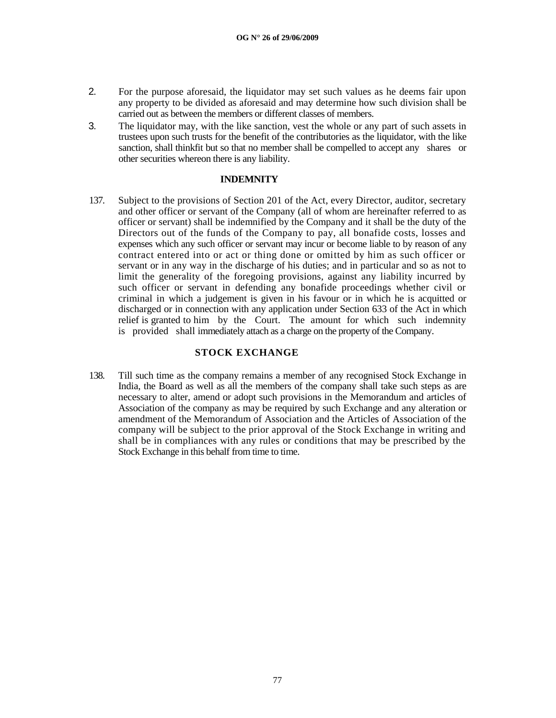- 2. For the purpose aforesaid, the liquidator may set such values as he deems fair upon any property to be divided as aforesaid and may determine how such division shall be carried out as between the members or different classes of members.
- 3. The liquidator may, with the like sanction, vest the whole or any part of such assets in trustees upon such trusts for the benefit of the contributories as the liquidator, with the like sanction, shall thinkfit but so that no member shall be compelled to accept any shares or other securities whereon there is any liability.

## **INDEMNITY**

137. Subject to the provisions of Section 201 of the Act, every Director, auditor, secretary and other officer or servant of the Company (all of whom are hereinafter referred to as officer or servant) shall be indemnified by the Company and it shall be the duty of the Directors out of the funds of the Company to pay, all bonafide costs, losses and expenses which any such officer or servant may incur or become liable to by reason of any contract entered into or act or thing done or omitted by him as such officer or servant or in any way in the discharge of his duties; and in particular and so as not to limit the generality of the foregoing provisions, against any liability incurred by such officer or servant in defending any bonafide proceedings whether civil or criminal in which a judgement is given in his favour or in which he is acquitted or discharged or in connection with any application under Section 633 of the Act in which relief is granted to him by the Court. The amount for which such indemnity is provided shall immediately attach as a charge on the property of the Company.

## **STOCK EXCHANGE**

138. Till such time as the company remains a member of any recognised Stock Exchange in India, the Board as well as all the members of the company shall take such steps as are necessary to alter, amend or adopt such provisions in the Memorandum and articles of Association of the company as may be required by such Exchange and any alteration or amendment of the Memorandum of Association and the Articles of Association of the company will be subject to the prior approval of the Stock Exchange in writing and shall be in compliances with any rules or conditions that may be prescribed by the Stock Exchange in this behalf from time to time.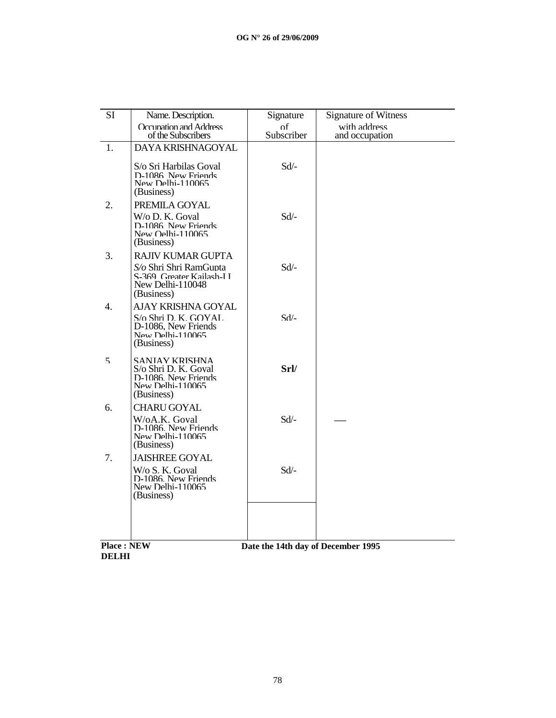| SI                                                      | Name. Description.                                                                                     | Signature                | <b>Signature of Witness</b>    |  |
|---------------------------------------------------------|--------------------------------------------------------------------------------------------------------|--------------------------|--------------------------------|--|
|                                                         | Occupation and Address<br>of the Subscribers                                                           | $\alpha$ f<br>Subscriber | with address<br>and occupation |  |
| 1.                                                      | DAYA KRISHNAGOYAL                                                                                      |                          |                                |  |
|                                                         | S/o Sri Harbilas Goval<br>D-1086 New Friends<br>New Delhi-110065<br>(Business)                         | $Sd$ -                   |                                |  |
| 2.                                                      | PREMILA GOYAL                                                                                          |                          |                                |  |
|                                                         | W/o D. K. Goval<br>D-1086 New Friends<br>New Oelhi-110065<br>(Business)                                | $Sd$ -                   |                                |  |
| 3.                                                      | <b>RAJIV KUMAR GUPTA</b>                                                                               |                          |                                |  |
|                                                         | S/o Shri Shri RamGupta<br>S-369 Greater Kailash-LL<br>New Delhi-110048<br>(Business)                   | Sd/-                     |                                |  |
| 4.                                                      | AJAY KRISHNA GOYAL                                                                                     |                          |                                |  |
|                                                         | S/o Shri D K GOYAL<br>D-1086, New Friends<br>New Delhi <sub>-110065</sub><br>(Business)                | $Sd$ /-                  |                                |  |
| $\mathbf{5}$                                            | <b>SANIAY KRISHNA</b><br>S/o Shri D. K. Goval<br>D-1086. New Friends<br>New Delhi-110065<br>(Business) | Srl/                     |                                |  |
| 6.                                                      | <b>CHARU GOYAL</b>                                                                                     |                          |                                |  |
|                                                         | W/oA.K. Goval<br>D-1086 New Friends<br>New Delhi-110065<br>(Business)                                  | $Sd$ <sup>-</sup>        |                                |  |
| 7.                                                      | <b>JAISHREE GOYAL</b>                                                                                  |                          |                                |  |
|                                                         | W/o S. K. Goval<br>D-1086. New Friends<br>New Delhi-110065<br>(Business)                               | Sd/-                     |                                |  |
|                                                         |                                                                                                        |                          |                                |  |
| <b>Place: NEW</b><br>Date the 14th day of December 1995 |                                                                                                        |                          |                                |  |

**DELHI**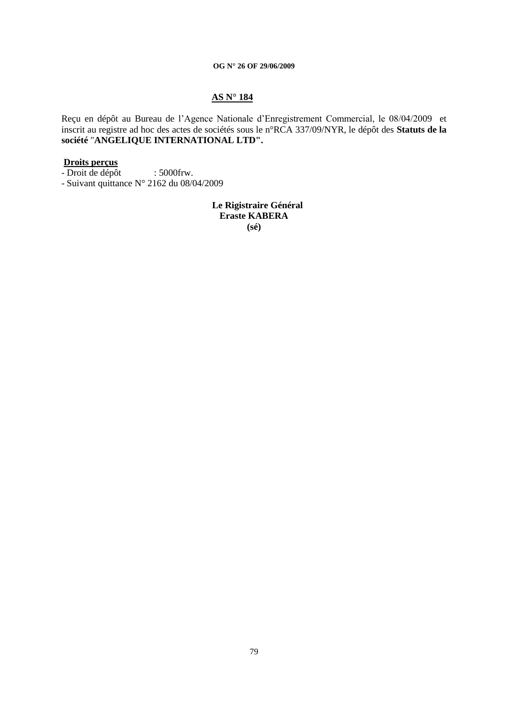## **AS N° 184**

Reçu en dépôt au Bureau de l'Agence Nationale d'Enregistrement Commercial, le 08/04/2009 et inscrit au registre ad hoc des actes de sociétés sous le n°RCA 337/09/NYR, le dépôt des **Statuts de la société** "**ANGELIQUE INTERNATIONAL LTD".**

# **Droits perçus**

- Droit de dépôt : 5000frw.

- Suivant quittance N° 2162 du 08/04/2009

 **Le Rigistraire Général Eraste KABERA (sé)**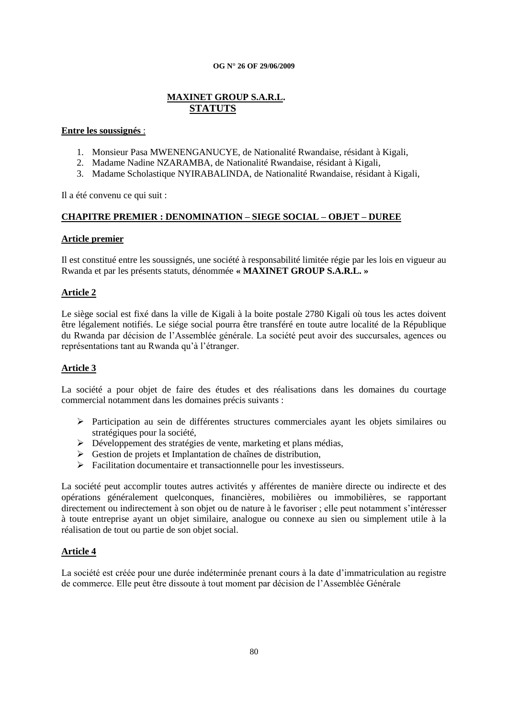# **MAXINET GROUP S.A.R.L. STATUTS**

### **Entre les soussignés** :

- 1. Monsieur Pasa MWENENGANUCYE, de Nationalité Rwandaise, résidant à Kigali,
- 2. Madame Nadine NZARAMBA, de Nationalité Rwandaise, résidant à Kigali,
- 3. Madame Scholastique NYIRABALINDA, de Nationalité Rwandaise, résidant à Kigali,

Il a été convenu ce qui suit :

## **CHAPITRE PREMIER : DENOMINATION – SIEGE SOCIAL – OBJET – DUREE**

## **Article premier**

Il est constitué entre les soussignés, une société à responsabilité limitée régie par les lois en vigueur au Rwanda et par les présents statuts, dénommée **« MAXINET GROUP S.A.R.L. »**

# **Article 2**

Le siège social est fixé dans la ville de Kigali à la boite postale 2780 Kigali où tous les actes doivent être légalement notifiés. Le siége social pourra être transféré en toute autre localité de la République du Rwanda par décision de l'Assemblée générale. La société peut avoir des succursales, agences ou représentations tant au Rwanda qu'à l'étranger.

## **Article 3**

La société a pour objet de faire des études et des réalisations dans les domaines du courtage commercial notamment dans les domaines précis suivants :

- Participation au sein de différentes structures commerciales ayant les objets similaires ou stratégiques pour la société,
- Développement des stratégies de vente, marketing et plans médias,
- $\triangleright$  Gestion de projets et Implantation de chaînes de distribution.
- $\triangleright$  Facilitation documentaire et transactionnelle pour les investisseurs.

La société peut accomplir toutes autres activités y afférentes de manière directe ou indirecte et des opérations généralement quelconques, financières, mobilières ou immobilières, se rapportant directement ou indirectement à son objet ou de nature à le favoriser ; elle peut notamment s'intéresser à toute entreprise ayant un objet similaire, analogue ou connexe au sien ou simplement utile à la réalisation de tout ou partie de son objet social.

## **Article 4**

La société est créée pour une durée indéterminée prenant cours à la date d'immatriculation au registre de commerce. Elle peut être dissoute à tout moment par décision de l'Assemblée Générale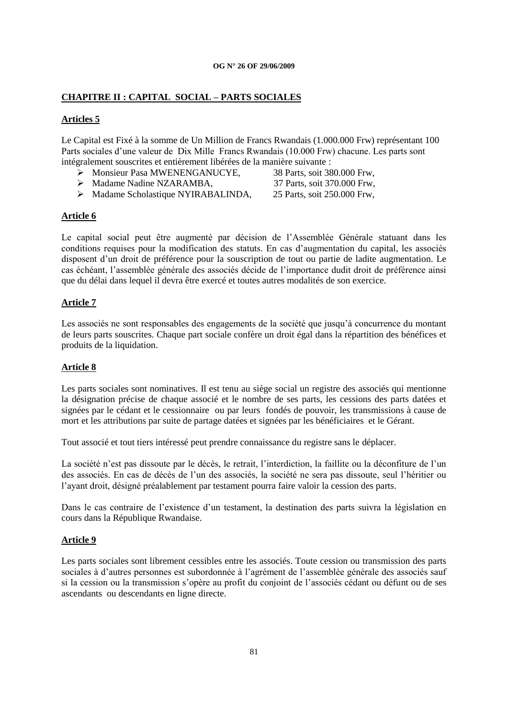## **CHAPITRE II : CAPITAL SOCIAL – PARTS SOCIALES**

## **Articles 5**

Le Capital est Fixé à la somme de Un Million de Francs Rwandais (1.000.000 Frw) représentant 100 Parts sociales d'une valeur de Dix Mille Francs Rwandais (10.000 Frw) chacune. Les parts sont intégralement souscrites et entièrement libérées de la manière suivante :

- Monsieur Pasa MWENENGANUCYE, 38 Parts, soit 380.000 Frw,
- > Madame Nadine NZARAMBA, 37 Parts, soit 370.000 Frw,
- -
- > Madame Scholastique NYIRABALINDA, 25 Parts, soit 250.000 Frw,

## **Article 6**

Le capital social peut être augmenté par décision de l'Assemblée Générale statuant dans les conditions requises pour la modification des statuts. En cas d'augmentation du capital, les associés disposent d'un droit de préférence pour la souscription de tout ou partie de ladite augmentation. Le cas échéant, l'assemblée générale des associés décide de l'importance dudit droit de préférence ainsi que du délai dans lequel il devra être exercé et toutes autres modalités de son exercice.

## **Article 7**

Les associés ne sont responsables des engagements de la société que jusqu'à concurrence du montant de leurs parts souscrites. Chaque part sociale confère un droit égal dans la répartition des bénéfices et produits de la liquidation.

# **Article 8**

Les parts sociales sont nominatives. Il est tenu au siège social un registre des associés qui mentionne la désignation précise de chaque associé et le nombre de ses parts, les cessions des parts datées et signées par le cédant et le cessionnaire ou par leurs fondés de pouvoir, les transmissions à cause de mort et les attributions par suite de partage datées et signées par les bénéficiaires et le Gérant.

Tout associé et tout tiers intéressé peut prendre connaissance du registre sans le déplacer.

La société n'est pas dissoute par le décès, le retrait, l'interdiction, la faillite ou la déconfiture de l'un des associés. En cas de décès de l'un des associés, la société ne sera pas dissoute, seul l'héritier ou l'ayant droit, désigné préalablement par testament pourra faire valoir la cession des parts.

Dans le cas contraire de l'existence d'un testament, la destination des parts suivra la législation en cours dans la République Rwandaise.

## **Article 9**

Les parts sociales sont librement cessibles entre les associés. Toute cession ou transmission des parts sociales à d'autres personnes est subordonnée à l'agrément de l'assemblée générale des associés sauf si la cession ou la transmission s'opère au profit du conjoint de l'associés cédant ou défunt ou de ses ascendants ou descendants en ligne directe.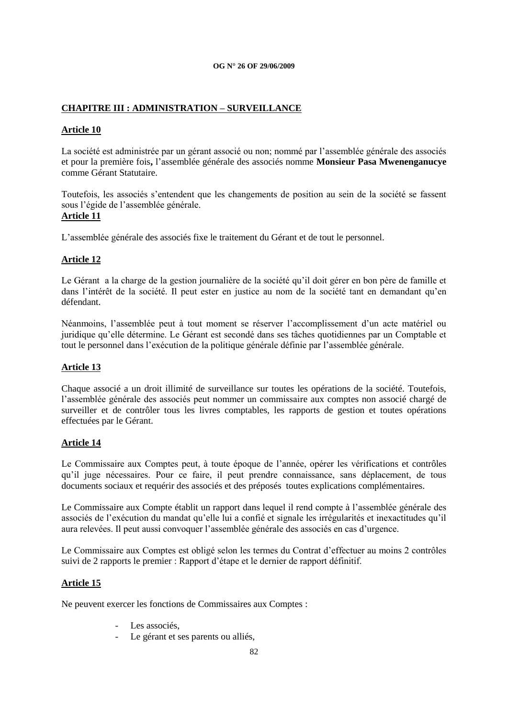# **CHAPITRE III : ADMINISTRATION – SURVEILLANCE**

# **Article 10**

La société est administrée par un gérant associé ou non; nommé par l'assemblée générale des associés et pour la première fois**,** l'assemblée générale des associés nomme **Monsieur Pasa Mwenenganucye**  comme Gérant Statutaire.

Toutefois, les associés s'entendent que les changements de position au sein de la société se fassent sous l'égide de l'assemblée générale.

# **Article 11**

L'assemblée générale des associés fixe le traitement du Gérant et de tout le personnel.

# **Article 12**

Le Gérant a la charge de la gestion journalière de la société qu'il doit gérer en bon père de famille et dans l'intérêt de la société. Il peut ester en justice au nom de la société tant en demandant qu'en défendant.

Néanmoins, l'assemblée peut à tout moment se réserver l'accomplissement d'un acte matériel ou juridique qu'elle détermine. Le Gérant est secondé dans ses tâches quotidiennes par un Comptable et tout le personnel dans l'exécution de la politique générale définie par l'assemblée générale.

# **Article 13**

Chaque associé a un droit illimité de surveillance sur toutes les opérations de la société. Toutefois, l'assemblée générale des associés peut nommer un commissaire aux comptes non associé chargé de surveiller et de contrôler tous les livres comptables, les rapports de gestion et toutes opérations effectuées par le Gérant.

## **Article 14**

Le Commissaire aux Comptes peut, à toute époque de l'année, opérer les vérifications et contrôles qu'il juge nécessaires. Pour ce faire, il peut prendre connaissance, sans déplacement, de tous documents sociaux et requérir des associés et des préposés toutes explications complémentaires.

Le Commissaire aux Compte établit un rapport dans lequel il rend compte à l'assemblée générale des associés de l'exécution du mandat qu'elle lui a confié et signale les irrégularités et inexactitudes qu'il aura relevées. Il peut aussi convoquer l'assemblée générale des associés en cas d'urgence.

Le Commissaire aux Comptes est obligé selon les termes du Contrat d'effectuer au moins 2 contrôles suivi de 2 rapports le premier : Rapport d'étape et le dernier de rapport définitif.

# **Article 15**

Ne peuvent exercer les fonctions de Commissaires aux Comptes :

- Les associés,
- Le gérant et ses parents ou alliés,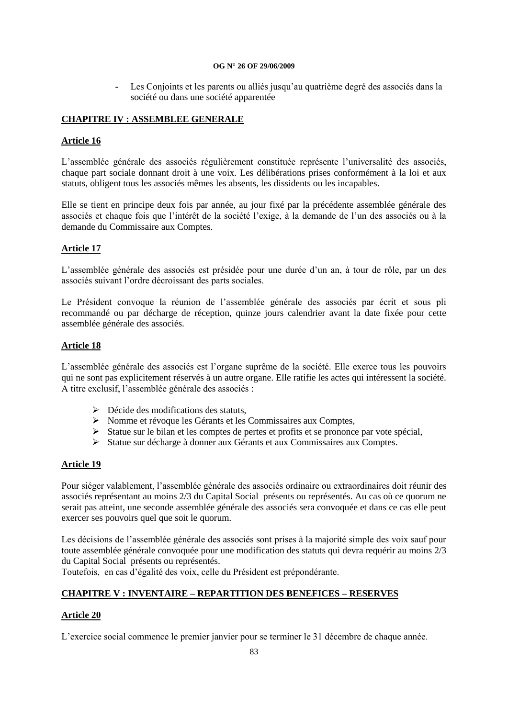- Les Conjoints et les parents ou alliés jusqu'au quatrième degré des associés dans la société ou dans une société apparentée

# **CHAPITRE IV : ASSEMBLEE GENERALE**

# **Article 16**

L'assemblée générale des associés régulièrement constituée représente l'universalité des associés, chaque part sociale donnant droit à une voix. Les délibérations prises conformément à la loi et aux statuts, obligent tous les associés mêmes les absents, les dissidents ou les incapables.

Elle se tient en principe deux fois par année, au jour fixé par la précédente assemblée générale des associés et chaque fois que l'intérêt de la société l'exige, à la demande de l'un des associés ou à la demande du Commissaire aux Comptes.

# **Article 17**

L'assemblée générale des associés est présidée pour une durée d'un an, à tour de rôle, par un des associés suivant l'ordre décroissant des parts sociales.

Le Président convoque la réunion de l'assemblée générale des associés par écrit et sous pli recommandé ou par décharge de réception, quinze jours calendrier avant la date fixée pour cette assemblée générale des associés.

## **Article 18**

L'assemblée générale des associés est l'organe suprême de la société. Elle exerce tous les pouvoirs qui ne sont pas explicitement réservés à un autre organe. Elle ratifie les actes qui intéressent la société. A titre exclusif, l'assemblée générale des associés :

- $\triangleright$  Décide des modifications des statuts.
- Nomme et révoque les Gérants et les Commissaires aux Comptes,
- Statue sur le bilan et les comptes de pertes et profits et se prononce par vote spécial,
- Statue sur décharge à donner aux Gérants et aux Commissaires aux Comptes.

## **Article 19**

Pour siéger valablement, l'assemblée générale des associés ordinaire ou extraordinaires doit réunir des associés représentant au moins 2/3 du Capital Social présents ou représentés. Au cas où ce quorum ne serait pas atteint, une seconde assemblée générale des associés sera convoquée et dans ce cas elle peut exercer ses pouvoirs quel que soit le quorum.

Les décisions de l'assemblée générale des associés sont prises à la majorité simple des voix sauf pour toute assemblée générale convoquée pour une modification des statuts qui devra requérir au moins 2/3 du Capital Social présents ou représentés.

Toutefois, en cas d'égalité des voix, celle du Président est prépondérante.

# **CHAPITRE V : INVENTAIRE – REPARTITION DES BENEFICES – RESERVES**

## **Article 20**

L'exercice social commence le premier janvier pour se terminer le 31 décembre de chaque année.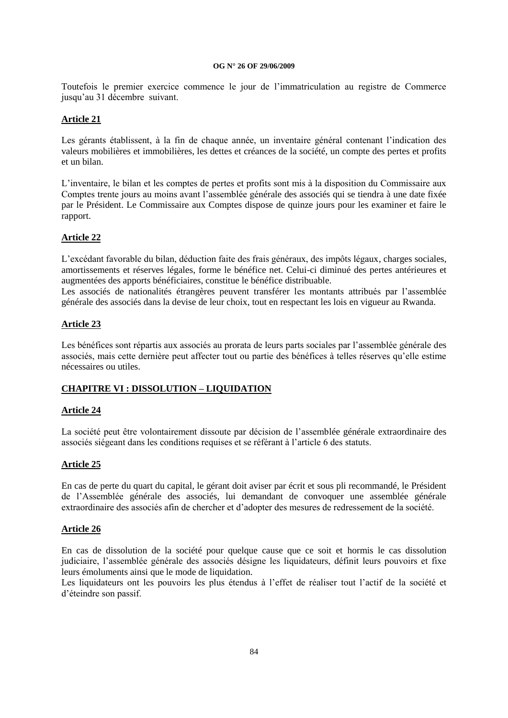Toutefois le premier exercice commence le jour de l'immatriculation au registre de Commerce jusqu'au 31 décembre suivant.

# **Article 21**

Les gérants établissent, à la fin de chaque année, un inventaire général contenant l'indication des valeurs mobilières et immobilières, les dettes et créances de la société, un compte des pertes et profits et un bilan.

L'inventaire, le bilan et les comptes de pertes et profits sont mis à la disposition du Commissaire aux Comptes trente jours au moins avant l'assemblée générale des associés qui se tiendra à une date fixée par le Président. Le Commissaire aux Comptes dispose de quinze jours pour les examiner et faire le rapport.

# **Article 22**

L'excédant favorable du bilan, déduction faite des frais généraux, des impôts légaux, charges sociales, amortissements et réserves légales, forme le bénéfice net. Celui-ci diminué des pertes antérieures et augmentées des apports bénéficiaires, constitue le bénéfice distribuable.

Les associés de nationalités étrangères peuvent transférer les montants attribués par l'assemblée générale des associés dans la devise de leur choix, tout en respectant les lois en vigueur au Rwanda.

# **Article 23**

Les bénéfices sont répartis aux associés au prorata de leurs parts sociales par l'assemblée générale des associés, mais cette dernière peut affecter tout ou partie des bénéfices à telles réserves qu'elle estime nécessaires ou utiles.

## **CHAPITRE VI : DISSOLUTION – LIQUIDATION**

## **Article 24**

La société peut être volontairement dissoute par décision de l'assemblée générale extraordinaire des associés siégeant dans les conditions requises et se référant à l'article 6 des statuts.

## **Article 25**

En cas de perte du quart du capital, le gérant doit aviser par écrit et sous pli recommandé, le Président de l'Assemblée générale des associés, lui demandant de convoquer une assemblée générale extraordinaire des associés afin de chercher et d'adopter des mesures de redressement de la société.

## **Article 26**

En cas de dissolution de la société pour quelque cause que ce soit et hormis le cas dissolution judiciaire, l'assemblée générale des associés désigne les liquidateurs, définit leurs pouvoirs et fixe leurs émoluments ainsi que le mode de liquidation.

Les liquidateurs ont les pouvoirs les plus étendus à l'effet de réaliser tout l'actif de la société et d'éteindre son passif.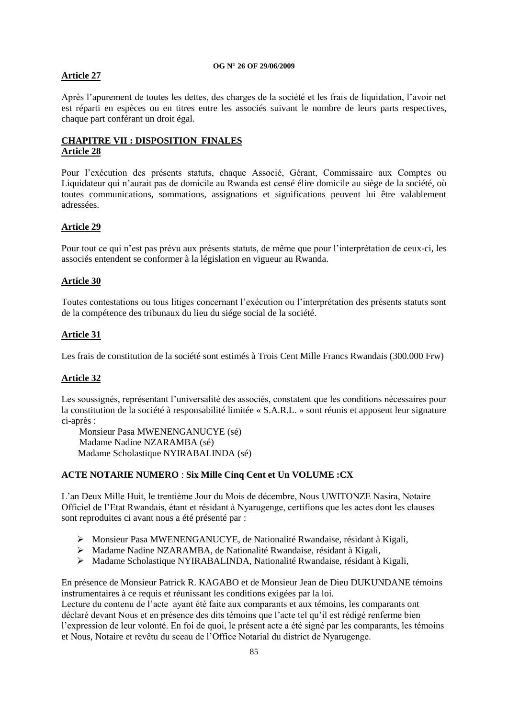# **Article 27**

Après l'apurement de toutes les dettes, des charges de la société et les frais de liquidation, l'avoir net est réparti en espèces ou en titres entre les associés suivant le nombre de leurs parts respectives, chaque part conférant un droit égal.

# **CHAPITRE VII : DISPOSITION FINALES Article 28**

Pour l'exécution des présents statuts, chaque Associé, Gérant, Commissaire aux Comptes ou Liquidateur qui n'aurait pas de domicile au Rwanda est censé élire domicile au siège de la société, où toutes communications, sommations, assignations et significations peuvent lui être valablement adressées.

## **Article 29**

Pour tout ce qui n'est pas prévu aux présents statuts, de même que pour l'interprétation de ceux-ci, les associés entendent se conformer à la législation en vigueur au Rwanda.

## **Article 30**

Toutes contestations ou tous litiges concernant l'exécution ou l'interprétation des présents statuts sont de la compétence des tribunaux du lieu du siége social de la société.

## **Article 31**

Les frais de constitution de la société sont estimés à Trois Cent Mille Francs Rwandais (300.000 Frw)

## **Article 32**

Les soussignés, représentant l'universalité des associés, constatent que les conditions nécessaires pour la constitution de la société à responsabilité limitée « S.A.R.L. » sont réunis et apposent leur signature ci-après :

Monsieur Pasa MWENENGANUCYE (sé) Madame Nadine NZARAMBA (sé) Madame Scholastique NYIRABALINDA (sé)

## **ACTE NOTARIE NUMERO** : **Six Mille Cinq Cent et Un VOLUME :CX**

L'an Deux Mille Huit, le trentième Jour du Mois de décembre, Nous UWITONZE Nasira, Notaire Officiel de l'Etat Rwandais, étant et résidant à Nyarugenge, certifions que les actes dont les clauses sont reproduites ci avant nous a été présenté par :

- Monsieur Pasa MWENENGANUCYE, de Nationalité Rwandaise, résidant à Kigali,
- Madame Nadine NZARAMBA, de Nationalité Rwandaise, résidant à Kigali,
- Madame Scholastique NYIRABALINDA, Nationalité Rwandaise, résidant à Kigali,

En présence de Monsieur Patrick R. KAGABO et de Monsieur Jean de Dieu DUKUNDANE témoins instrumentaires à ce requis et réunissant les conditions exigées par la loi.

Lecture du contenu de l'acte ayant été faite aux comparants et aux témoins, les comparants ont déclaré devant Nous et en présence des dits témoins que l'acte tel qu'il est rédigé renferme bien l'expression de leur volonté. En foi de quoi, le présent acte a été signé par les comparants, les témoins et Nous, Notaire et revêtu du sceau de l'Office Notarial du district de Nyarugenge.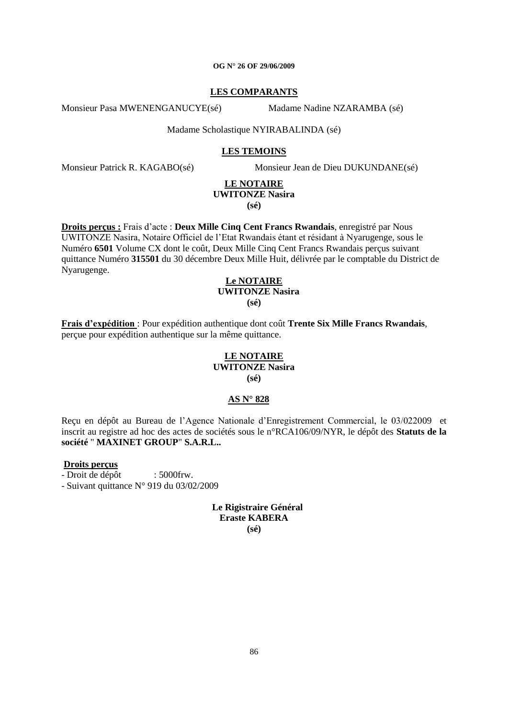## **LES COMPARANTS**

Monsieur Pasa MWENENGANUCYE(sé) Madame Nadine NZARAMBA (sé)

Madame Scholastique NYIRABALINDA (sé)

### **LES TEMOINS**

Monsieur Patrick R. KAGABO(sé) Monsieur Jean de Dieu DUKUNDANE(sé)

# **LE NOTAIRE**

# **UWITONZE Nasira**

**(sé)**

**Droits perçus :** Frais d'acte : **Deux Mille Cinq Cent Francs Rwandais**, enregistré par Nous UWITONZE Nasira, Notaire Officiel de l'Etat Rwandais étant et résidant à Nyarugenge, sous le Numéro **6501** Volume CX dont le coût, Deux Mille Cinq Cent Francs Rwandais perçus suivant quittance Numéro **315501** du 30 décembre Deux Mille Huit, délivrée par le comptable du District de Nyarugenge.

## **Le NOTAIRE UWITONZE Nasira (sé)**

**Frais d'expédition** : Pour expédition authentique dont coût **Trente Six Mille Francs Rwandais**, perçue pour expédition authentique sur la même quittance.

## **LE NOTAIRE UWITONZE Nasira (sé)**

## **AS N° 828**

Reçu en dépôt au Bureau de l'Agence Nationale d'Enregistrement Commercial, le 03/022009 et inscrit au registre ad hoc des actes de sociétés sous le n°RCA106/09/NYR, le dépôt des **Statuts de la société** " **MAXINET GROUP**" **S.A.R.L..**

# **Droits perçus**

- Droit de dépôt : 5000 frw.

- Suivant quittance N° 919 du 03/02/2009

## **Le Rigistraire Général Eraste KABERA (sé)**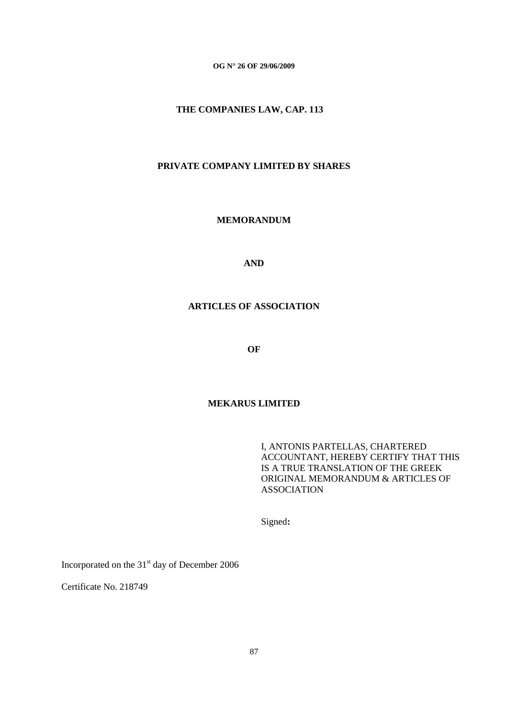**THE COMPANIES LAW, CAP. 113**

**PRIVATE COMPANY LIMITED BY SHARES**

**MEMORANDUM** 

**AND** 

# **ARTICLES OF ASSOCIATION**

**OF**

# **MEKARUS LIMITED**

I, ANTONIS PARTELLAS, CHARTERED ACCOUNTANT, HEREBY CERTIFY THAT THIS IS A TRUE TRANSLATION OF THE GREEK ORIGINAL MEMORANDUM & ARTICLES OF ASSOCIATION

Signed**:** 

Incorporated on the 31<sup>st</sup> day of December 2006

Certificate No. 218749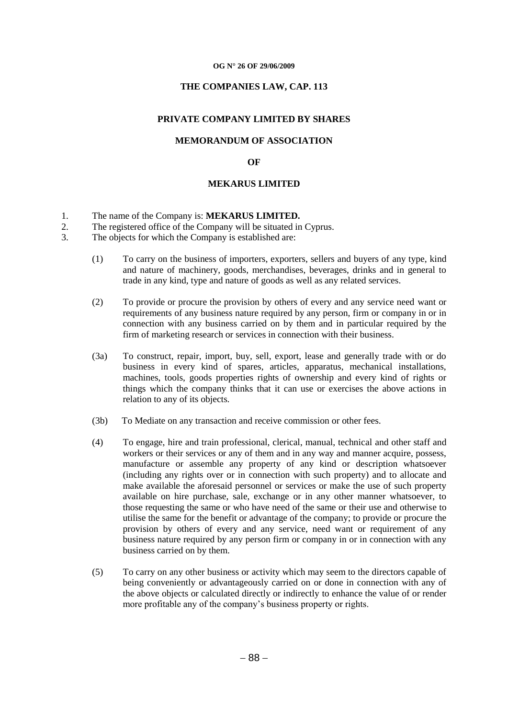## **THE COMPANIES LAW, CAP. 113**

# **PRIVATE COMPANY LIMITED BY SHARES**

## **MEMORANDUM OF ASSOCIATION**

### **OF**

## **MEKARUS LIMITED**

- 1. The name of the Company is: **MEKARUS LIMITED.**
- 2. The registered office of the Company will be situated in Cyprus.
- 3. The objects for which the Company is established are:
	- (1) To carry on the business of importers, exporters, sellers and buyers of any type, kind and nature of machinery, goods, merchandises, beverages, drinks and in general to trade in any kind, type and nature of goods as well as any related services.
	- (2) To provide or procure the provision by others of every and any service need want or requirements of any business nature required by any person, firm or company in or in connection with any business carried on by them and in particular required by the firm of marketing research or services in connection with their business.
	- (3a) To construct, repair, import, buy, sell, export, lease and generally trade with or do business in every kind of spares, articles, apparatus, mechanical installations, machines, tools, goods properties rights of ownership and every kind of rights or things which the company thinks that it can use or exercises the above actions in relation to any of its objects.
	- (3b) To Mediate on any transaction and receive commission or other fees.
	- (4) To engage, hire and train professional, clerical, manual, technical and other staff and workers or their services or any of them and in any way and manner acquire, possess, manufacture or assemble any property of any kind or description whatsoever (including any rights over or in connection with such property) and to allocate and make available the aforesaid personnel or services or make the use of such property available on hire purchase, sale, exchange or in any other manner whatsoever, to those requesting the same or who have need of the same or their use and otherwise to utilise the same for the benefit or advantage of the company; to provide or procure the provision by others of every and any service, need want or requirement of any business nature required by any person firm or company in or in connection with any business carried on by them.
	- (5) To carry on any other business or activity which may seem to the directors capable of being conveniently or advantageously carried on or done in connection with any of the above objects or calculated directly or indirectly to enhance the value of or render more profitable any of the company's business property or rights.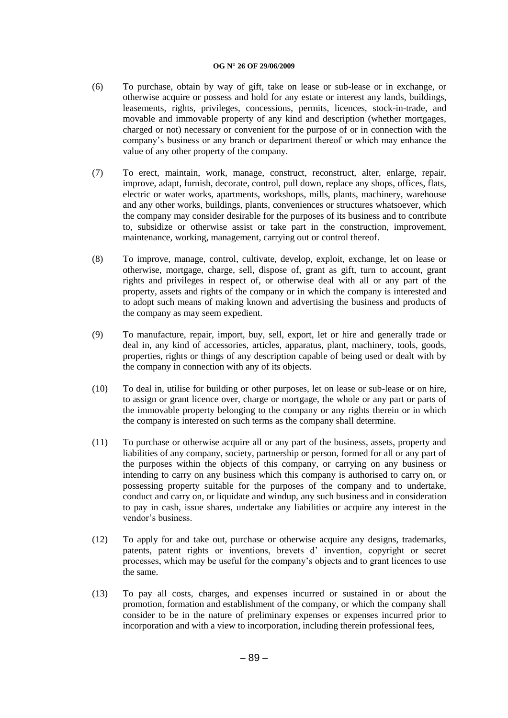- (6) To purchase, obtain by way of gift, take on lease or sub-lease or in exchange, or otherwise acquire or possess and hold for any estate or interest any lands, buildings, leasements, rights, privileges, concessions, permits, licences, stock-in-trade, and movable and immovable property of any kind and description (whether mortgages, charged or not) necessary or convenient for the purpose of or in connection with the company's business or any branch or department thereof or which may enhance the value of any other property of the company.
- (7) To erect, maintain, work, manage, construct, reconstruct, alter, enlarge, repair, improve, adapt, furnish, decorate, control, pull down, replace any shops, offices, flats, electric or water works, apartments, workshops, mills, plants, machinery, warehouse and any other works, buildings, plants, conveniences or structures whatsoever, which the company may consider desirable for the purposes of its business and to contribute to, subsidize or otherwise assist or take part in the construction, improvement, maintenance, working, management, carrying out or control thereof.
- (8) To improve, manage, control, cultivate, develop, exploit, exchange, let on lease or otherwise, mortgage, charge, sell, dispose of, grant as gift, turn to account, grant rights and privileges in respect of, or otherwise deal with all or any part of the property, assets and rights of the company or in which the company is interested and to adopt such means of making known and advertising the business and products of the company as may seem expedient.
- (9) To manufacture, repair, import, buy, sell, export, let or hire and generally trade or deal in, any kind of accessories, articles, apparatus, plant, machinery, tools, goods, properties, rights or things of any description capable of being used or dealt with by the company in connection with any of its objects.
- (10) To deal in, utilise for building or other purposes, let on lease or sub-lease or on hire, to assign or grant licence over, charge or mortgage, the whole or any part or parts of the immovable property belonging to the company or any rights therein or in which the company is interested on such terms as the company shall determine.
- (11) To purchase or otherwise acquire all or any part of the business, assets, property and liabilities of any company, society, partnership or person, formed for all or any part of the purposes within the objects of this company, or carrying on any business or intending to carry on any business which this company is authorised to carry on, or possessing property suitable for the purposes of the company and to undertake, conduct and carry on, or liquidate and windup, any such business and in consideration to pay in cash, issue shares, undertake any liabilities or acquire any interest in the vendor's business.
- (12) To apply for and take out, purchase or otherwise acquire any designs, trademarks, patents, patent rights or inventions, brevets d' invention, copyright or secret processes, which may be useful for the company's objects and to grant licences to use the same.
- (13) To pay all costs, charges, and expenses incurred or sustained in or about the promotion, formation and establishment of the company, or which the company shall consider to be in the nature of preliminary expenses or expenses incurred prior to incorporation and with a view to incorporation, including therein professional fees,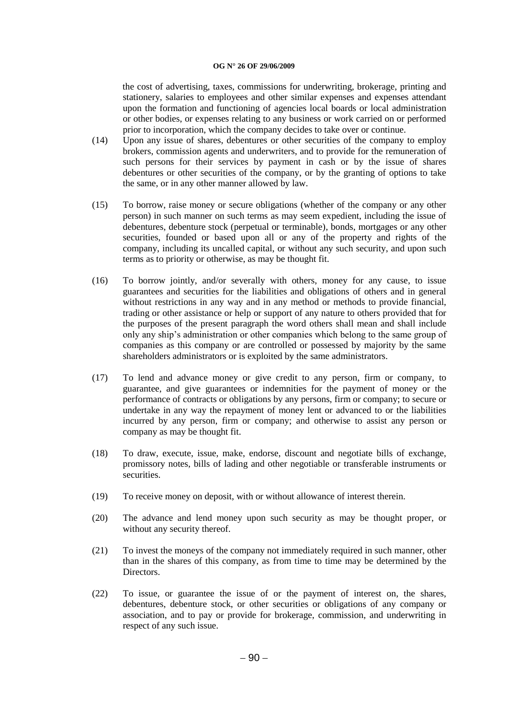the cost of advertising, taxes, commissions for underwriting, brokerage, printing and stationery, salaries to employees and other similar expenses and expenses attendant upon the formation and functioning of agencies local boards or local administration or other bodies, or expenses relating to any business or work carried on or performed prior to incorporation, which the company decides to take over or continue.

- (14) Upon any issue of shares, debentures or other securities of the company to employ brokers, commission agents and underwriters, and to provide for the remuneration of such persons for their services by payment in cash or by the issue of shares debentures or other securities of the company, or by the granting of options to take the same, or in any other manner allowed by law.
- (15) To borrow, raise money or secure obligations (whether of the company or any other person) in such manner on such terms as may seem expedient, including the issue of debentures, debenture stock (perpetual or terminable), bonds, mortgages or any other securities, founded or based upon all or any of the property and rights of the company, including its uncalled capital, or without any such security, and upon such terms as to priority or otherwise, as may be thought fit.
- (16) To borrow jointly, and/or severally with others, money for any cause, to issue guarantees and securities for the liabilities and obligations of others and in general without restrictions in any way and in any method or methods to provide financial, trading or other assistance or help or support of any nature to others provided that for the purposes of the present paragraph the word others shall mean and shall include only any ship's administration or other companies which belong to the same group of companies as this company or are controlled or possessed by majority by the same shareholders administrators or is exploited by the same administrators.
- (17) To lend and advance money or give credit to any person, firm or company, to guarantee, and give guarantees or indemnities for the payment of money or the performance of contracts or obligations by any persons, firm or company; to secure or undertake in any way the repayment of money lent or advanced to or the liabilities incurred by any person, firm or company; and otherwise to assist any person or company as may be thought fit.
- (18) To draw, execute, issue, make, endorse, discount and negotiate bills of exchange, promissory notes, bills of lading and other negotiable or transferable instruments or securities.
- (19) To receive money on deposit, with or without allowance of interest therein.
- (20) The advance and lend money upon such security as may be thought proper, or without any security thereof.
- (21) To invest the moneys of the company not immediately required in such manner, other than in the shares of this company, as from time to time may be determined by the Directors.
- (22) To issue, or guarantee the issue of or the payment of interest on, the shares, debentures, debenture stock, or other securities or obligations of any company or association, and to pay or provide for brokerage, commission, and underwriting in respect of any such issue.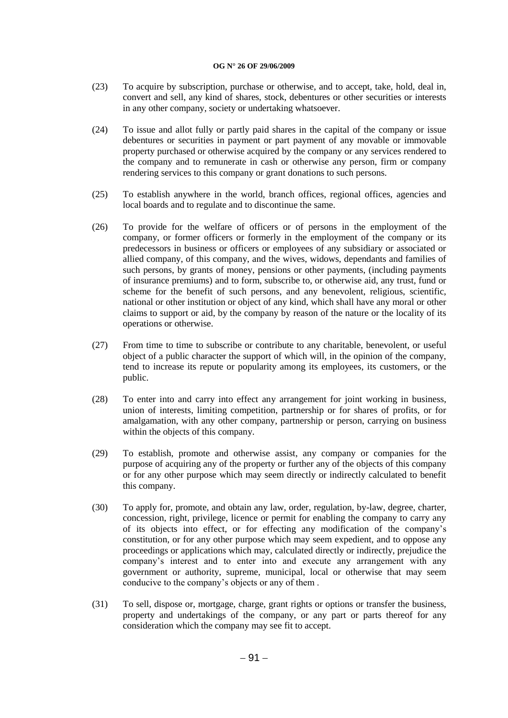- (23) To acquire by subscription, purchase or otherwise, and to accept, take, hold, deal in, convert and sell, any kind of shares, stock, debentures or other securities or interests in any other company, society or undertaking whatsoever.
- (24) To issue and allot fully or partly paid shares in the capital of the company or issue debentures or securities in payment or part payment of any movable or immovable property purchased or otherwise acquired by the company or any services rendered to the company and to remunerate in cash or otherwise any person, firm or company rendering services to this company or grant donations to such persons.
- (25) To establish anywhere in the world, branch offices, regional offices, agencies and local boards and to regulate and to discontinue the same.
- (26) To provide for the welfare of officers or of persons in the employment of the company, or former officers or formerly in the employment of the company or its predecessors in business or officers or employees of any subsidiary or associated or allied company, of this company, and the wives, widows, dependants and families of such persons, by grants of money, pensions or other payments, (including payments of insurance premiums) and to form, subscribe to, or otherwise aid, any trust, fund or scheme for the benefit of such persons, and any benevolent, religious, scientific, national or other institution or object of any kind, which shall have any moral or other claims to support or aid, by the company by reason of the nature or the locality of its operations or otherwise.
- (27) From time to time to subscribe or contribute to any charitable, benevolent, or useful object of a public character the support of which will, in the opinion of the company, tend to increase its repute or popularity among its employees, its customers, or the public.
- (28) To enter into and carry into effect any arrangement for joint working in business, union of interests, limiting competition, partnership or for shares of profits, or for amalgamation, with any other company, partnership or person, carrying on business within the objects of this company.
- (29) To establish, promote and otherwise assist, any company or companies for the purpose of acquiring any of the property or further any of the objects of this company or for any other purpose which may seem directly or indirectly calculated to benefit this company.
- (30) To apply for, promote, and obtain any law, order, regulation, by-law, degree, charter, concession, right, privilege, licence or permit for enabling the company to carry any of its objects into effect, or for effecting any modification of the company's constitution, or for any other purpose which may seem expedient, and to oppose any proceedings or applications which may, calculated directly or indirectly, prejudice the company's interest and to enter into and execute any arrangement with any government or authority, supreme, municipal, local or otherwise that may seem conducive to the company's objects or any of them .
- (31) To sell, dispose or, mortgage, charge, grant rights or options or transfer the business, property and undertakings of the company, or any part or parts thereof for any consideration which the company may see fit to accept.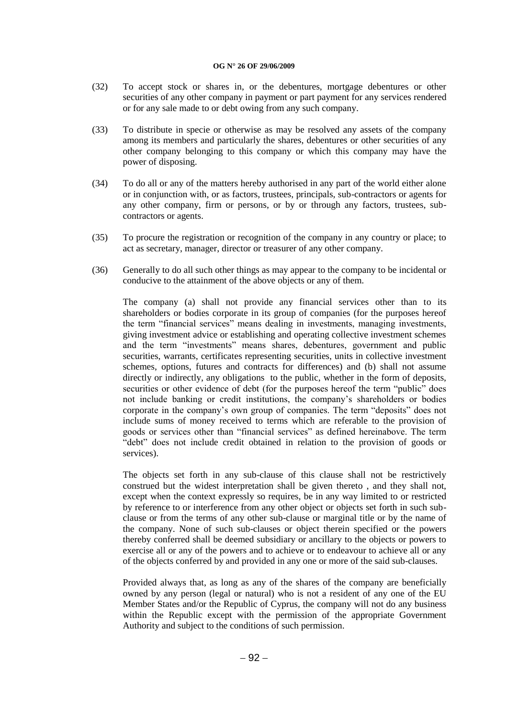- (32) To accept stock or shares in, or the debentures, mortgage debentures or other securities of any other company in payment or part payment for any services rendered or for any sale made to or debt owing from any such company.
- (33) To distribute in specie or otherwise as may be resolved any assets of the company among its members and particularly the shares, debentures or other securities of any other company belonging to this company or which this company may have the power of disposing.
- (34) To do all or any of the matters hereby authorised in any part of the world either alone or in conjunction with, or as factors, trustees, principals, sub-contractors or agents for any other company, firm or persons, or by or through any factors, trustees, subcontractors or agents.
- (35) To procure the registration or recognition of the company in any country or place; to act as secretary, manager, director or treasurer of any other company.
- (36) Generally to do all such other things as may appear to the company to be incidental or conducive to the attainment of the above objects or any of them.

The company (a) shall not provide any financial services other than to its shareholders or bodies corporate in its group of companies (for the purposes hereof the term "financial services" means dealing in investments, managing investments, giving investment advice or establishing and operating collective investment schemes and the term "investments" means shares, debentures, government and public securities, warrants, certificates representing securities, units in collective investment schemes, options, futures and contracts for differences) and (b) shall not assume directly or indirectly, any obligations to the public, whether in the form of deposits, securities or other evidence of debt (for the purposes hereof the term "public" does not include banking or credit institutions, the company's shareholders or bodies corporate in the company's own group of companies. The term "deposits" does not include sums of money received to terms which are referable to the provision of goods or services other than "financial services" as defined hereinabove. The term "debt" does not include credit obtained in relation to the provision of goods or services).

The objects set forth in any sub-clause of this clause shall not be restrictively construed but the widest interpretation shall be given thereto , and they shall not, except when the context expressly so requires, be in any way limited to or restricted by reference to or interference from any other object or objects set forth in such subclause or from the terms of any other sub-clause or marginal title or by the name of the company. None of such sub-clauses or object therein specified or the powers thereby conferred shall be deemed subsidiary or ancillary to the objects or powers to exercise all or any of the powers and to achieve or to endeavour to achieve all or any of the objects conferred by and provided in any one or more of the said sub-clauses.

Provided always that, as long as any of the shares of the company are beneficially owned by any person (legal or natural) who is not a resident of any one of the EU Member States and/or the Republic of Cyprus, the company will not do any business within the Republic except with the permission of the appropriate Government Authority and subject to the conditions of such permission.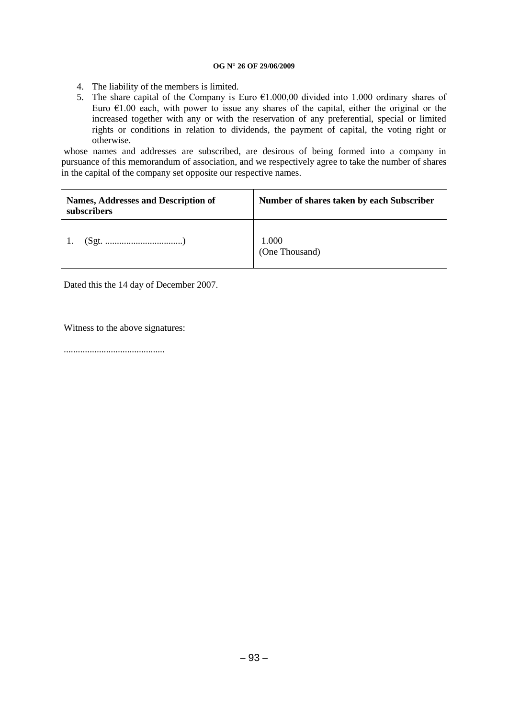- 4. The liability of the members is limited.
- 5. The share capital of the Company is Euro  $\epsilon$ 1.000,00 divided into 1.000 ordinary shares of Euro  $\epsilon$ 1.00 each, with power to issue any shares of the capital, either the original or the increased together with any or with the reservation of any preferential, special or limited rights or conditions in relation to dividends, the payment of capital, the voting right or otherwise.

whose names and addresses are subscribed, are desirous of being formed into a company in pursuance of this memorandum of association, and we respectively agree to take the number of shares in the capital of the company set opposite our respective names.

| <b>Names, Addresses and Description of</b><br>subscribers | Number of shares taken by each Subscriber |  |
|-----------------------------------------------------------|-------------------------------------------|--|
|                                                           | 1.000<br>(One Thousand)                   |  |

Dated this the 14 day of December 2007.

Witness to the above signatures:

...........................................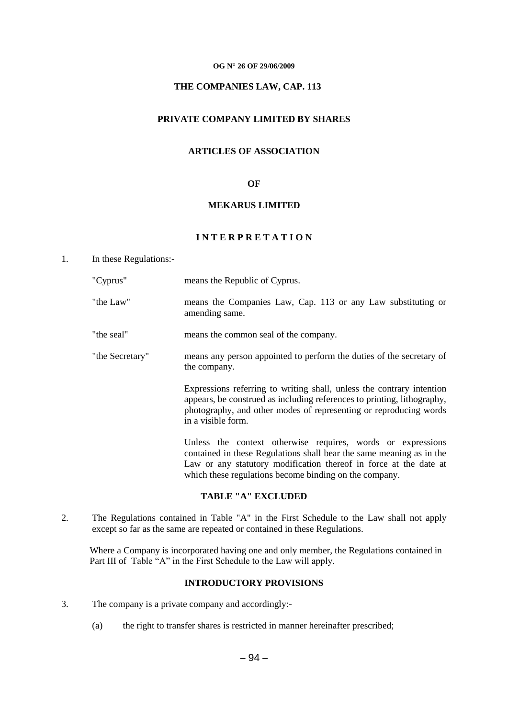## **THE COMPANIES LAW, CAP. 113**

# **PRIVATE COMPANY LIMITED BY SHARES**

## **ARTICLES OF ASSOCIATION**

# **OF**

## **MEKARUS LIMITED**

# **I N T E R P R E T A T I O N**

1. In these Regulations:-

| "Cyprus"        | means the Republic of Cyprus.                                                                                                                                                                                                                                      |  |  |
|-----------------|--------------------------------------------------------------------------------------------------------------------------------------------------------------------------------------------------------------------------------------------------------------------|--|--|
| "the Law"       | means the Companies Law, Cap. 113 or any Law substituting or<br>amending same.                                                                                                                                                                                     |  |  |
| "the seal"      | means the common seal of the company.                                                                                                                                                                                                                              |  |  |
| "the Secretary" | means any person appointed to perform the duties of the secretary of<br>the company.                                                                                                                                                                               |  |  |
|                 | Expressions referring to writing shall, unless the contrary intention<br>appears, be construed as including references to printing, lithography,<br>photography, and other modes of representing or reproducing words<br>in a visible form.                        |  |  |
|                 | Unless the context otherwise requires, words or expressions<br>contained in these Regulations shall bear the same meaning as in the<br>Law or any statutory modification thereof in force at the date at<br>which these regulations become binding on the company. |  |  |

# **TABLE "A" EXCLUDED**

2. The Regulations contained in Table "A" in the First Schedule to the Law shall not apply except so far as the same are repeated or contained in these Regulations.

 Where a Company is incorporated having one and only member, the Regulations contained in Part III of Table "A" in the First Schedule to the Law will apply.

## **INTRODUCTORY PROVISIONS**

- 3. The company is a private company and accordingly:-
	- (a) the right to transfer shares is restricted in manner hereinafter prescribed;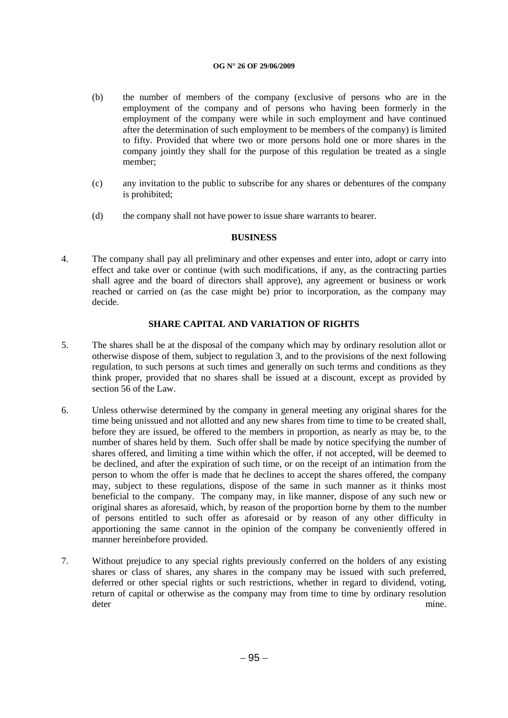- (b) the number of members of the company (exclusive of persons who are in the employment of the company and of persons who having been formerly in the employment of the company were while in such employment and have continued after the determination of such employment to be members of the company) is limited to fifty. Provided that where two or more persons hold one or more shares in the company jointly they shall for the purpose of this regulation be treated as a single member;
- (c) any invitation to the public to subscribe for any shares or debentures of the company is prohibited;
- (d) the company shall not have power to issue share warrants to bearer.

# **BUSINESS**

4. The company shall pay all preliminary and other expenses and enter into, adopt or carry into effect and take over or continue (with such modifications, if any, as the contracting parties shall agree and the board of directors shall approve), any agreement or business or work reached or carried on (as the case might be) prior to incorporation, as the company may decide.

# **SHARE CAPITAL AND VARIATION OF RIGHTS**

- 5. The shares shall be at the disposal of the company which may by ordinary resolution allot or otherwise dispose of them, subject to regulation 3, and to the provisions of the next following regulation, to such persons at such times and generally on such terms and conditions as they think proper, provided that no shares shall be issued at a discount, except as provided by section 56 of the Law.
- 6. Unless otherwise determined by the company in general meeting any original shares for the time being unissued and not allotted and any new shares from time to time to be created shall, before they are issued, be offered to the members in proportion, as nearly as may be, to the number of shares held by them. Such offer shall be made by notice specifying the number of shares offered, and limiting a time within which the offer, if not accepted, will be deemed to be declined, and after the expiration of such time, or on the receipt of an intimation from the person to whom the offer is made that he declines to accept the shares offered, the company may, subject to these regulations, dispose of the same in such manner as it thinks most beneficial to the company. The company may, in like manner, dispose of any such new or original shares as aforesaid, which, by reason of the proportion borne by them to the number of persons entitled to such offer as aforesaid or by reason of any other difficulty in apportioning the same cannot in the opinion of the company be conveniently offered in manner hereinbefore provided.
- 7. Without prejudice to any special rights previously conferred on the holders of any existing shares or class of shares, any shares in the company may be issued with such preferred, deferred or other special rights or such restrictions, whether in regard to dividend, voting, return of capital or otherwise as the company may from time to time by ordinary resolution deter mine.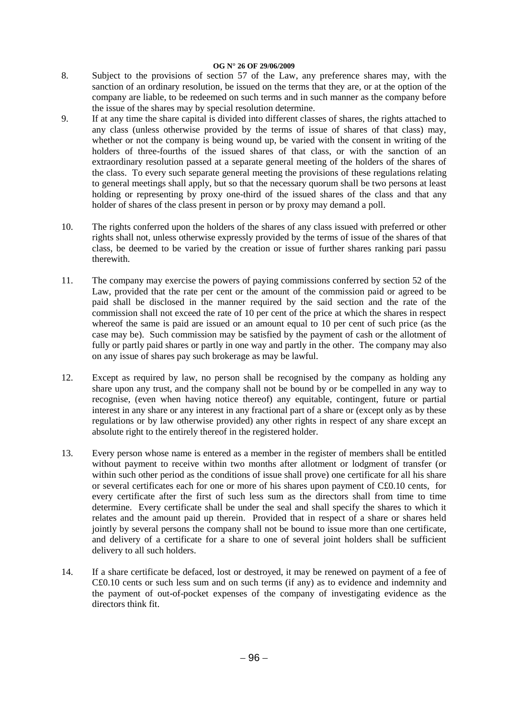- 8. Subject to the provisions of section 57 of the Law, any preference shares may, with the sanction of an ordinary resolution, be issued on the terms that they are, or at the option of the company are liable, to be redeemed on such terms and in such manner as the company before the issue of the shares may by special resolution determine.
- 9. If at any time the share capital is divided into different classes of shares, the rights attached to any class (unless otherwise provided by the terms of issue of shares of that class) may, whether or not the company is being wound up, be varied with the consent in writing of the holders of three-fourths of the issued shares of that class, or with the sanction of an extraordinary resolution passed at a separate general meeting of the holders of the shares of the class. To every such separate general meeting the provisions of these regulations relating to general meetings shall apply, but so that the necessary quorum shall be two persons at least holding or representing by proxy one-third of the issued shares of the class and that any holder of shares of the class present in person or by proxy may demand a poll.
- 10. The rights conferred upon the holders of the shares of any class issued with preferred or other rights shall not, unless otherwise expressly provided by the terms of issue of the shares of that class, be deemed to be varied by the creation or issue of further shares ranking pari passu therewith.
- 11. The company may exercise the powers of paying commissions conferred by section 52 of the Law, provided that the rate per cent or the amount of the commission paid or agreed to be paid shall be disclosed in the manner required by the said section and the rate of the commission shall not exceed the rate of 10 per cent of the price at which the shares in respect whereof the same is paid are issued or an amount equal to 10 per cent of such price (as the case may be). Such commission may be satisfied by the payment of cash or the allotment of fully or partly paid shares or partly in one way and partly in the other. The company may also on any issue of shares pay such brokerage as may be lawful.
- 12. Except as required by law, no person shall be recognised by the company as holding any share upon any trust, and the company shall not be bound by or be compelled in any way to recognise, (even when having notice thereof) any equitable, contingent, future or partial interest in any share or any interest in any fractional part of a share or (except only as by these regulations or by law otherwise provided) any other rights in respect of any share except an absolute right to the entirely thereof in the registered holder.
- 13. Every person whose name is entered as a member in the register of members shall be entitled without payment to receive within two months after allotment or lodgment of transfer (or within such other period as the conditions of issue shall prove) one certificate for all his share or several certificates each for one or more of his shares upon payment of C£0.10 cents, for every certificate after the first of such less sum as the directors shall from time to time determine. Every certificate shall be under the seal and shall specify the shares to which it relates and the amount paid up therein. Provided that in respect of a share or shares held jointly by several persons the company shall not be bound to issue more than one certificate, and delivery of a certificate for a share to one of several joint holders shall be sufficient delivery to all such holders.
- 14. If a share certificate be defaced, lost or destroyed, it may be renewed on payment of a fee of C£0.10 cents or such less sum and on such terms (if any) as to evidence and indemnity and the payment of out-of-pocket expenses of the company of investigating evidence as the directors think fit.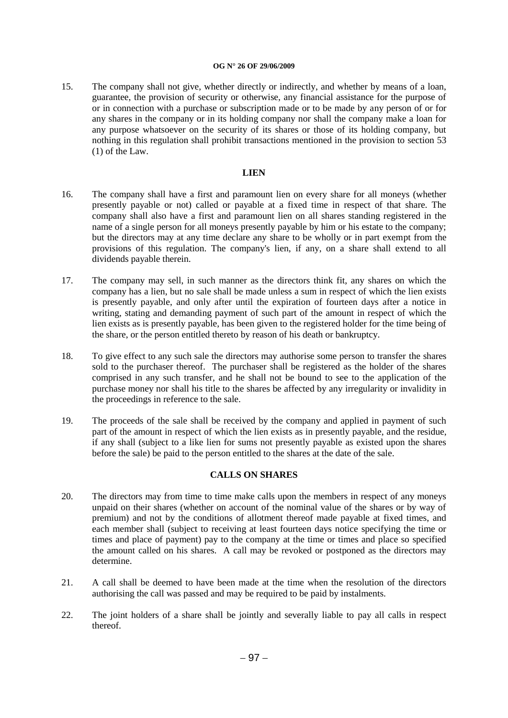15. The company shall not give, whether directly or indirectly, and whether by means of a loan, guarantee, the provision of security or otherwise, any financial assistance for the purpose of or in connection with a purchase or subscription made or to be made by any person of or for any shares in the company or in its holding company nor shall the company make a loan for any purpose whatsoever on the security of its shares or those of its holding company, but nothing in this regulation shall prohibit transactions mentioned in the provision to section 53 (1) of the Law.

## **LIEN**

- 16. The company shall have a first and paramount lien on every share for all moneys (whether presently payable or not) called or payable at a fixed time in respect of that share. The company shall also have a first and paramount lien on all shares standing registered in the name of a single person for all moneys presently payable by him or his estate to the company; but the directors may at any time declare any share to be wholly or in part exempt from the provisions of this regulation. The company's lien, if any, on a share shall extend to all dividends payable therein.
- 17. The company may sell, in such manner as the directors think fit, any shares on which the company has a lien, but no sale shall be made unless a sum in respect of which the lien exists is presently payable, and only after until the expiration of fourteen days after a notice in writing, stating and demanding payment of such part of the amount in respect of which the lien exists as is presently payable, has been given to the registered holder for the time being of the share, or the person entitled thereto by reason of his death or bankruptcy.
- 18. To give effect to any such sale the directors may authorise some person to transfer the shares sold to the purchaser thereof. The purchaser shall be registered as the holder of the shares comprised in any such transfer, and he shall not be bound to see to the application of the purchase money nor shall his title to the shares be affected by any irregularity or invalidity in the proceedings in reference to the sale.
- 19. The proceeds of the sale shall be received by the company and applied in payment of such part of the amount in respect of which the lien exists as in presently payable, and the residue, if any shall (subject to a like lien for sums not presently payable as existed upon the shares before the sale) be paid to the person entitled to the shares at the date of the sale.

## **CALLS ON SHARES**

- 20. The directors may from time to time make calls upon the members in respect of any moneys unpaid on their shares (whether on account of the nominal value of the shares or by way of premium) and not by the conditions of allotment thereof made payable at fixed times, and each member shall (subject to receiving at least fourteen days notice specifying the time or times and place of payment) pay to the company at the time or times and place so specified the amount called on his shares. A call may be revoked or postponed as the directors may determine.
- 21. A call shall be deemed to have been made at the time when the resolution of the directors authorising the call was passed and may be required to be paid by instalments.
- 22. The joint holders of a share shall be jointly and severally liable to pay all calls in respect thereof.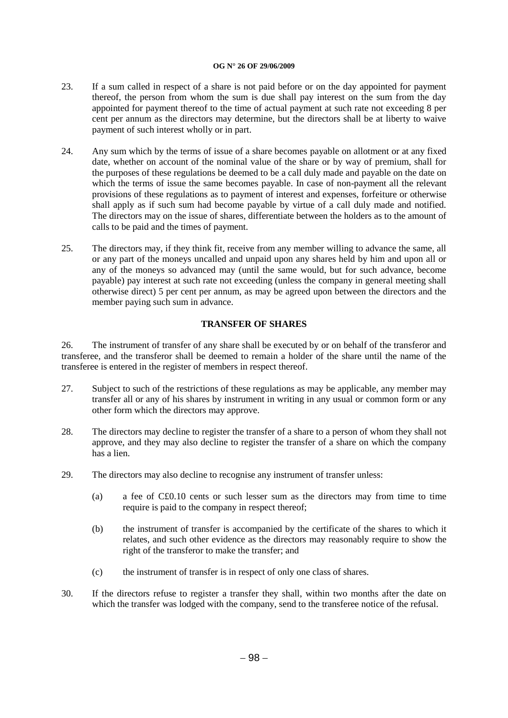- 23. If a sum called in respect of a share is not paid before or on the day appointed for payment thereof, the person from whom the sum is due shall pay interest on the sum from the day appointed for payment thereof to the time of actual payment at such rate not exceeding 8 per cent per annum as the directors may determine, but the directors shall be at liberty to waive payment of such interest wholly or in part.
- 24. Any sum which by the terms of issue of a share becomes payable on allotment or at any fixed date, whether on account of the nominal value of the share or by way of premium, shall for the purposes of these regulations be deemed to be a call duly made and payable on the date on which the terms of issue the same becomes payable. In case of non-payment all the relevant provisions of these regulations as to payment of interest and expenses, forfeiture or otherwise shall apply as if such sum had become payable by virtue of a call duly made and notified. The directors may on the issue of shares, differentiate between the holders as to the amount of calls to be paid and the times of payment.
- 25. The directors may, if they think fit, receive from any member willing to advance the same, all or any part of the moneys uncalled and unpaid upon any shares held by him and upon all or any of the moneys so advanced may (until the same would, but for such advance, become payable) pay interest at such rate not exceeding (unless the company in general meeting shall otherwise direct) 5 per cent per annum, as may be agreed upon between the directors and the member paying such sum in advance.

# **TRANSFER OF SHARES**

26. The instrument of transfer of any share shall be executed by or on behalf of the transferor and transferee, and the transferor shall be deemed to remain a holder of the share until the name of the transferee is entered in the register of members in respect thereof.

- 27. Subject to such of the restrictions of these regulations as may be applicable, any member may transfer all or any of his shares by instrument in writing in any usual or common form or any other form which the directors may approve.
- 28. The directors may decline to register the transfer of a share to a person of whom they shall not approve, and they may also decline to register the transfer of a share on which the company has a lien.
- 29. The directors may also decline to recognise any instrument of transfer unless:
	- (a) a fee of C£0.10 cents or such lesser sum as the directors may from time to time require is paid to the company in respect thereof;
	- (b) the instrument of transfer is accompanied by the certificate of the shares to which it relates, and such other evidence as the directors may reasonably require to show the right of the transferor to make the transfer; and
	- (c) the instrument of transfer is in respect of only one class of shares.
- 30. If the directors refuse to register a transfer they shall, within two months after the date on which the transfer was lodged with the company, send to the transferee notice of the refusal.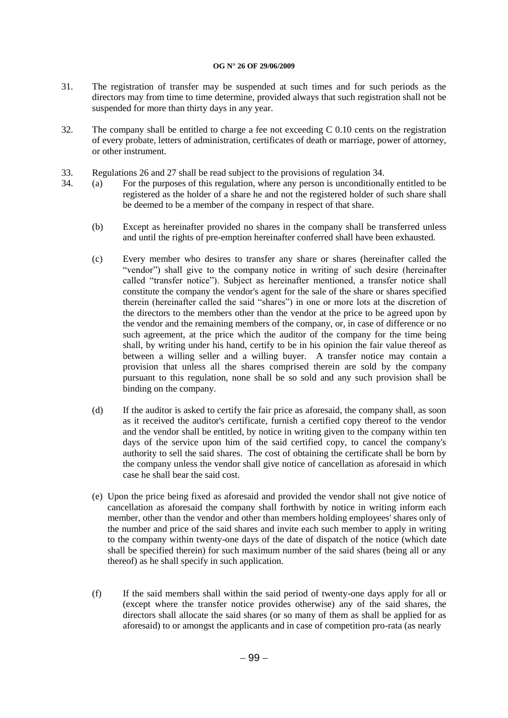- 31. The registration of transfer may be suspended at such times and for such periods as the directors may from time to time determine, provided always that such registration shall not be suspended for more than thirty days in any year.
- 32. The company shall be entitled to charge a fee not exceeding C 0.10 cents on the registration of every probate, letters of administration, certificates of death or marriage, power of attorney, or other instrument.
- 33. Regulations 26 and 27 shall be read subject to the provisions of regulation 34.
- 34. (a) For the purposes of this regulation, where any person is unconditionally entitled to be registered as the holder of a share he and not the registered holder of such share shall be deemed to be a member of the company in respect of that share.
	- (b) Except as hereinafter provided no shares in the company shall be transferred unless and until the rights of pre-emption hereinafter conferred shall have been exhausted.
	- (c) Every member who desires to transfer any share or shares (hereinafter called the "vendor") shall give to the company notice in writing of such desire (hereinafter called "transfer notice"). Subject as hereinafter mentioned, a transfer notice shall constitute the company the vendor's agent for the sale of the share or shares specified therein (hereinafter called the said "shares") in one or more lots at the discretion of the directors to the members other than the vendor at the price to be agreed upon by the vendor and the remaining members of the company, or, in case of difference or no such agreement, at the price which the auditor of the company for the time being shall, by writing under his hand, certify to be in his opinion the fair value thereof as between a willing seller and a willing buyer. A transfer notice may contain a provision that unless all the shares comprised therein are sold by the company pursuant to this regulation, none shall be so sold and any such provision shall be binding on the company.
	- (d) If the auditor is asked to certify the fair price as aforesaid, the company shall, as soon as it received the auditor's certificate, furnish a certified copy thereof to the vendor and the vendor shall be entitled, by notice in writing given to the company within ten days of the service upon him of the said certified copy, to cancel the company's authority to sell the said shares. The cost of obtaining the certificate shall be born by the company unless the vendor shall give notice of cancellation as aforesaid in which case he shall bear the said cost.
	- (e) Upon the price being fixed as aforesaid and provided the vendor shall not give notice of cancellation as aforesaid the company shall forthwith by notice in writing inform each member, other than the vendor and other than members holding employees' shares only of the number and price of the said shares and invite each such member to apply in writing to the company within twenty-one days of the date of dispatch of the notice (which date shall be specified therein) for such maximum number of the said shares (being all or any thereof) as he shall specify in such application.
	- (f) If the said members shall within the said period of twenty-one days apply for all or (except where the transfer notice provides otherwise) any of the said shares, the directors shall allocate the said shares (or so many of them as shall be applied for as aforesaid) to or amongst the applicants and in case of competition pro-rata (as nearly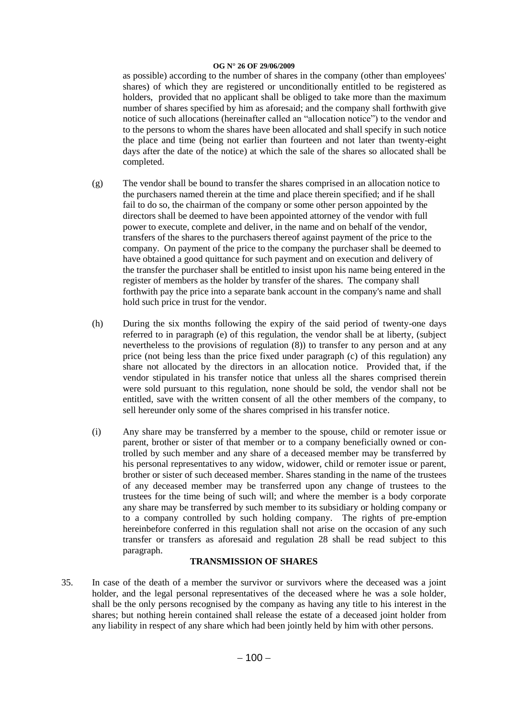as possible) according to the number of shares in the company (other than employees' shares) of which they are registered or unconditionally entitled to be registered as holders, provided that no applicant shall be obliged to take more than the maximum number of shares specified by him as aforesaid; and the company shall forthwith give notice of such allocations (hereinafter called an "allocation notice") to the vendor and to the persons to whom the shares have been allocated and shall specify in such notice the place and time (being not earlier than fourteen and not later than twenty-eight days after the date of the notice) at which the sale of the shares so allocated shall be completed.

- (g) The vendor shall be bound to transfer the shares comprised in an allocation notice to the purchasers named therein at the time and place therein specified; and if he shall fail to do so, the chairman of the company or some other person appointed by the directors shall be deemed to have been appointed attorney of the vendor with full power to execute, complete and deliver, in the name and on behalf of the vendor, transfers of the shares to the purchasers thereof against payment of the price to the company. On payment of the price to the company the purchaser shall be deemed to have obtained a good quittance for such payment and on execution and delivery of the transfer the purchaser shall be entitled to insist upon his name being entered in the register of members as the holder by transfer of the shares. The company shall forthwith pay the price into a separate bank account in the company's name and shall hold such price in trust for the vendor.
- (h) During the six months following the expiry of the said period of twenty-one days referred to in paragraph (e) of this regulation, the vendor shall be at liberty, (subject nevertheless to the provisions of regulation (8)) to transfer to any person and at any price (not being less than the price fixed under paragraph (c) of this regulation) any share not allocated by the directors in an allocation notice. Provided that, if the vendor stipulated in his transfer notice that unless all the shares comprised therein were sold pursuant to this regulation, none should be sold, the vendor shall not be entitled, save with the written consent of all the other members of the company, to sell hereunder only some of the shares comprised in his transfer notice.
- (i) Any share may be transferred by a member to the spouse, child or remoter issue or parent, brother or sister of that member or to a company beneficially owned or controlled by such member and any share of a deceased member may be transferred by his personal representatives to any widow, widower, child or remoter issue or parent, brother or sister of such deceased member. Shares standing in the name of the trustees of any deceased member may be transferred upon any change of trustees to the trustees for the time being of such will; and where the member is a body corporate any share may be transferred by such member to its subsidiary or holding company or to a company controlled by such holding company. The rights of pre-emption hereinbefore conferred in this regulation shall not arise on the occasion of any such transfer or transfers as aforesaid and regulation 28 shall be read subject to this paragraph.

## **TRANSMISSION OF SHARES**

35. In case of the death of a member the survivor or survivors where the deceased was a joint holder, and the legal personal representatives of the deceased where he was a sole holder, shall be the only persons recognised by the company as having any title to his interest in the shares; but nothing herein contained shall release the estate of a deceased joint holder from any liability in respect of any share which had been jointly held by him with other persons.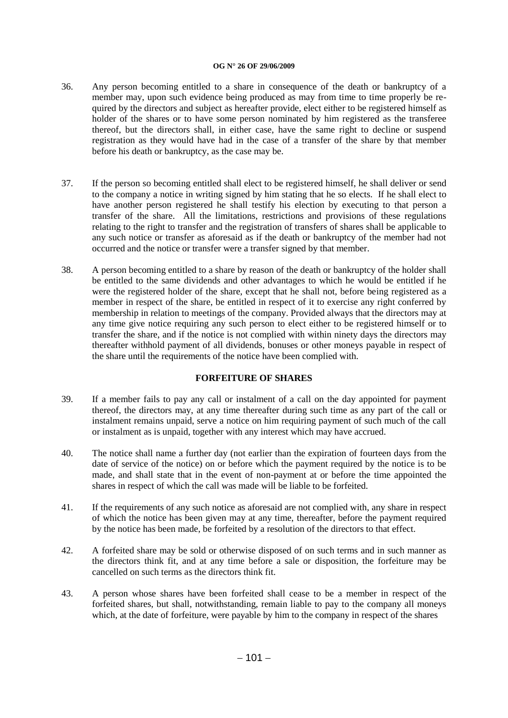- 36. Any person becoming entitled to a share in consequence of the death or bankruptcy of a member may, upon such evidence being produced as may from time to time properly be required by the directors and subject as hereafter provide, elect either to be registered himself as holder of the shares or to have some person nominated by him registered as the transferee thereof, but the directors shall, in either case, have the same right to decline or suspend registration as they would have had in the case of a transfer of the share by that member before his death or bankruptcy, as the case may be.
- 37. If the person so becoming entitled shall elect to be registered himself, he shall deliver or send to the company a notice in writing signed by him stating that he so elects. If he shall elect to have another person registered he shall testify his election by executing to that person a transfer of the share. All the limitations, restrictions and provisions of these regulations relating to the right to transfer and the registration of transfers of shares shall be applicable to any such notice or transfer as aforesaid as if the death or bankruptcy of the member had not occurred and the notice or transfer were a transfer signed by that member.
- 38. A person becoming entitled to a share by reason of the death or bankruptcy of the holder shall be entitled to the same dividends and other advantages to which he would be entitled if he were the registered holder of the share, except that he shall not, before being registered as a member in respect of the share, be entitled in respect of it to exercise any right conferred by membership in relation to meetings of the company. Provided always that the directors may at any time give notice requiring any such person to elect either to be registered himself or to transfer the share, and if the notice is not complied with within ninety days the directors may thereafter withhold payment of all dividends, bonuses or other moneys payable in respect of the share until the requirements of the notice have been complied with.

# **FORFEITURE OF SHARES**

- 39. If a member fails to pay any call or instalment of a call on the day appointed for payment thereof, the directors may, at any time thereafter during such time as any part of the call or instalment remains unpaid, serve a notice on him requiring payment of such much of the call or instalment as is unpaid, together with any interest which may have accrued.
- 40. The notice shall name a further day (not earlier than the expiration of fourteen days from the date of service of the notice) on or before which the payment required by the notice is to be made, and shall state that in the event of non-payment at or before the time appointed the shares in respect of which the call was made will be liable to be forfeited.
- 41. If the requirements of any such notice as aforesaid are not complied with, any share in respect of which the notice has been given may at any time, thereafter, before the payment required by the notice has been made, be forfeited by a resolution of the directors to that effect.
- 42. A forfeited share may be sold or otherwise disposed of on such terms and in such manner as the directors think fit, and at any time before a sale or disposition, the forfeiture may be cancelled on such terms as the directors think fit.
- 43. A person whose shares have been forfeited shall cease to be a member in respect of the forfeited shares, but shall, notwithstanding, remain liable to pay to the company all moneys which, at the date of forfeiture, were payable by him to the company in respect of the shares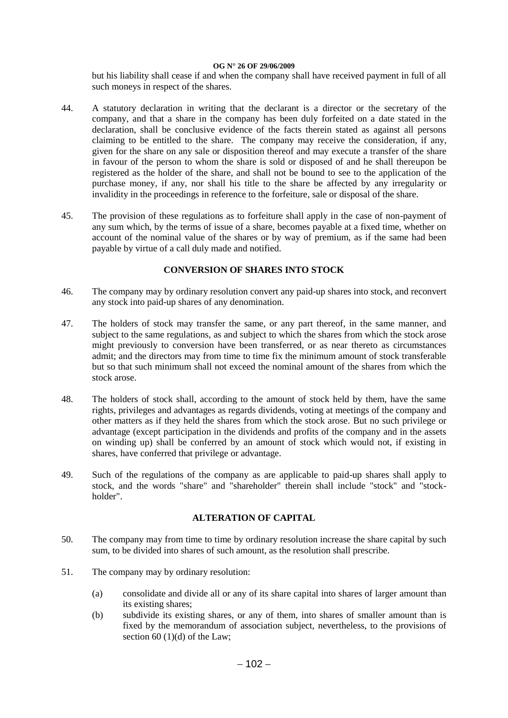but his liability shall cease if and when the company shall have received payment in full of all such moneys in respect of the shares.

- 44. A statutory declaration in writing that the declarant is a director or the secretary of the company, and that a share in the company has been duly forfeited on a date stated in the declaration, shall be conclusive evidence of the facts therein stated as against all persons claiming to be entitled to the share. The company may receive the consideration, if any, given for the share on any sale or disposition thereof and may execute a transfer of the share in favour of the person to whom the share is sold or disposed of and he shall thereupon be registered as the holder of the share, and shall not be bound to see to the application of the purchase money, if any, nor shall his title to the share be affected by any irregularity or invalidity in the proceedings in reference to the forfeiture, sale or disposal of the share.
- 45. The provision of these regulations as to forfeiture shall apply in the case of non-payment of any sum which, by the terms of issue of a share, becomes payable at a fixed time, whether on account of the nominal value of the shares or by way of premium, as if the same had been payable by virtue of a call duly made and notified.

# **CONVERSION OF SHARES INTO STOCK**

- 46. The company may by ordinary resolution convert any paid-up shares into stock, and reconvert any stock into paid-up shares of any denomination.
- 47. The holders of stock may transfer the same, or any part thereof, in the same manner, and subject to the same regulations, as and subject to which the shares from which the stock arose might previously to conversion have been transferred, or as near thereto as circumstances admit; and the directors may from time to time fix the minimum amount of stock transferable but so that such minimum shall not exceed the nominal amount of the shares from which the stock arose.
- 48. The holders of stock shall, according to the amount of stock held by them, have the same rights, privileges and advantages as regards dividends, voting at meetings of the company and other matters as if they held the shares from which the stock arose. But no such privilege or advantage (except participation in the dividends and profits of the company and in the assets on winding up) shall be conferred by an amount of stock which would not, if existing in shares, have conferred that privilege or advantage.
- 49. Such of the regulations of the company as are applicable to paid-up shares shall apply to stock, and the words "share" and "shareholder" therein shall include "stock" and "stockholder".

# **ALTERATION OF CAPITAL**

- 50. The company may from time to time by ordinary resolution increase the share capital by such sum, to be divided into shares of such amount, as the resolution shall prescribe.
- 51. The company may by ordinary resolution:
	- (a) consolidate and divide all or any of its share capital into shares of larger amount than its existing shares;
	- (b) subdivide its existing shares, or any of them, into shares of smaller amount than is fixed by the memorandum of association subject, nevertheless, to the provisions of section  $60(1)(d)$  of the Law;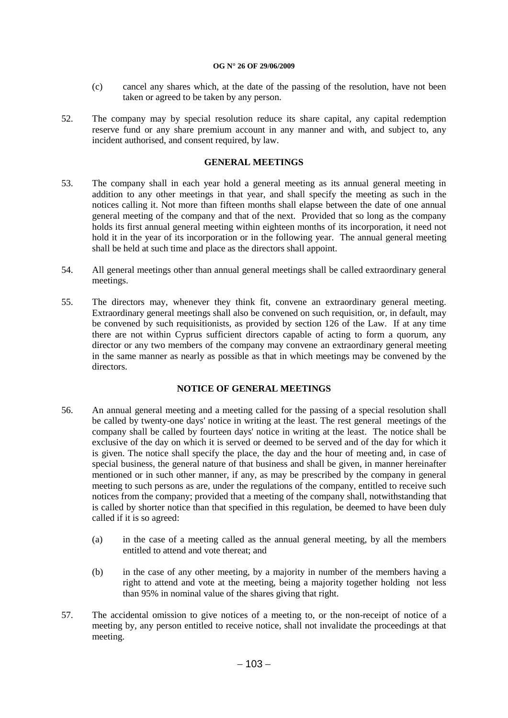- (c) cancel any shares which, at the date of the passing of the resolution, have not been taken or agreed to be taken by any person.
- 52. The company may by special resolution reduce its share capital, any capital redemption reserve fund or any share premium account in any manner and with, and subject to, any incident authorised, and consent required, by law.

## **GENERAL MEETINGS**

- 53. The company shall in each year hold a general meeting as its annual general meeting in addition to any other meetings in that year, and shall specify the meeting as such in the notices calling it. Not more than fifteen months shall elapse between the date of one annual general meeting of the company and that of the next. Provided that so long as the company holds its first annual general meeting within eighteen months of its incorporation, it need not hold it in the year of its incorporation or in the following year. The annual general meeting shall be held at such time and place as the directors shall appoint.
- 54. All general meetings other than annual general meetings shall be called extraordinary general meetings.
- 55. The directors may, whenever they think fit, convene an extraordinary general meeting. Extraordinary general meetings shall also be convened on such requisition, or, in default, may be convened by such requisitionists, as provided by section 126 of the Law. If at any time there are not within Cyprus sufficient directors capable of acting to form a quorum, any director or any two members of the company may convene an extraordinary general meeting in the same manner as nearly as possible as that in which meetings may be convened by the directors.

## **NOTICE OF GENERAL MEETINGS**

- 56. An annual general meeting and a meeting called for the passing of a special resolution shall be called by twenty-one days' notice in writing at the least. The rest general meetings of the company shall be called by fourteen days' notice in writing at the least. The notice shall be exclusive of the day on which it is served or deemed to be served and of the day for which it is given. The notice shall specify the place, the day and the hour of meeting and, in case of special business, the general nature of that business and shall be given, in manner hereinafter mentioned or in such other manner, if any, as may be prescribed by the company in general meeting to such persons as are, under the regulations of the company, entitled to receive such notices from the company; provided that a meeting of the company shall, notwithstanding that is called by shorter notice than that specified in this regulation, be deemed to have been duly called if it is so agreed:
	- (a) in the case of a meeting called as the annual general meeting, by all the members entitled to attend and vote thereat; and
	- (b) in the case of any other meeting, by a majority in number of the members having a right to attend and vote at the meeting, being a majority together holding not less than 95% in nominal value of the shares giving that right.
- 57. The accidental omission to give notices of a meeting to, or the non-receipt of notice of a meeting by, any person entitled to receive notice, shall not invalidate the proceedings at that meeting.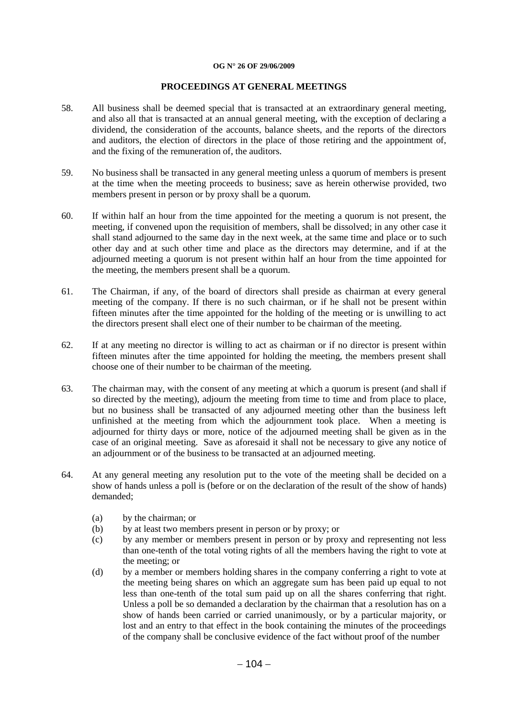## **PROCEEDINGS AT GENERAL MEETINGS**

- 58. All business shall be deemed special that is transacted at an extraordinary general meeting, and also all that is transacted at an annual general meeting, with the exception of declaring a dividend, the consideration of the accounts, balance sheets, and the reports of the directors and auditors, the election of directors in the place of those retiring and the appointment of, and the fixing of the remuneration of, the auditors.
- 59. No business shall be transacted in any general meeting unless a quorum of members is present at the time when the meeting proceeds to business; save as herein otherwise provided, two members present in person or by proxy shall be a quorum.
- 60. If within half an hour from the time appointed for the meeting a quorum is not present, the meeting, if convened upon the requisition of members, shall be dissolved; in any other case it shall stand adjourned to the same day in the next week, at the same time and place or to such other day and at such other time and place as the directors may determine, and if at the adjourned meeting a quorum is not present within half an hour from the time appointed for the meeting, the members present shall be a quorum.
- 61. The Chairman, if any, of the board of directors shall preside as chairman at every general meeting of the company. If there is no such chairman, or if he shall not be present within fifteen minutes after the time appointed for the holding of the meeting or is unwilling to act the directors present shall elect one of their number to be chairman of the meeting.
- 62. If at any meeting no director is willing to act as chairman or if no director is present within fifteen minutes after the time appointed for holding the meeting, the members present shall choose one of their number to be chairman of the meeting.
- 63. The chairman may, with the consent of any meeting at which a quorum is present (and shall if so directed by the meeting), adjourn the meeting from time to time and from place to place, but no business shall be transacted of any adjourned meeting other than the business left unfinished at the meeting from which the adjournment took place. When a meeting is adjourned for thirty days or more, notice of the adjourned meeting shall be given as in the case of an original meeting. Save as aforesaid it shall not be necessary to give any notice of an adjournment or of the business to be transacted at an adjourned meeting.
- 64. At any general meeting any resolution put to the vote of the meeting shall be decided on a show of hands unless a poll is (before or on the declaration of the result of the show of hands) demanded;
	- (a) by the chairman; or
	- (b) by at least two members present in person or by proxy; or
	- (c) by any member or members present in person or by proxy and representing not less than one-tenth of the total voting rights of all the members having the right to vote at the meeting; or
	- (d) by a member or members holding shares in the company conferring a right to vote at the meeting being shares on which an aggregate sum has been paid up equal to not less than one-tenth of the total sum paid up on all the shares conferring that right. Unless a poll be so demanded a declaration by the chairman that a resolution has on a show of hands been carried or carried unanimously, or by a particular majority, or lost and an entry to that effect in the book containing the minutes of the proceedings of the company shall be conclusive evidence of the fact without proof of the number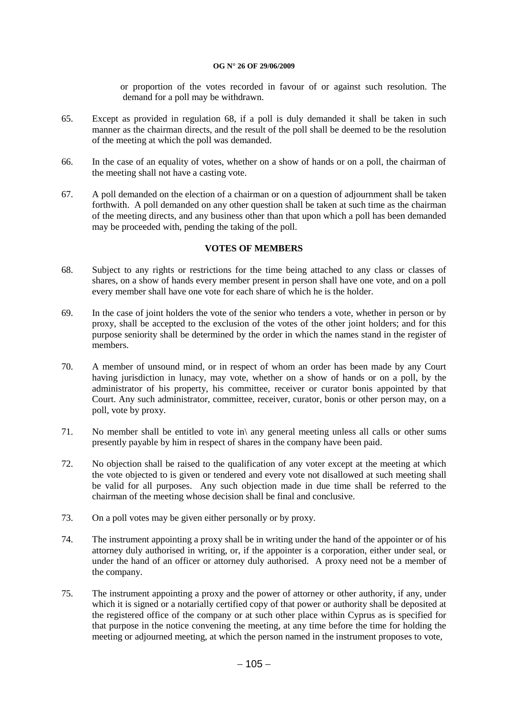or proportion of the votes recorded in favour of or against such resolution. The demand for a poll may be withdrawn.

- 65. Except as provided in regulation 68, if a poll is duly demanded it shall be taken in such manner as the chairman directs, and the result of the poll shall be deemed to be the resolution of the meeting at which the poll was demanded.
- 66. In the case of an equality of votes, whether on a show of hands or on a poll, the chairman of the meeting shall not have a casting vote.
- 67. A poll demanded on the election of a chairman or on a question of adjournment shall be taken forthwith. A poll demanded on any other question shall be taken at such time as the chairman of the meeting directs, and any business other than that upon which a poll has been demanded may be proceeded with, pending the taking of the poll.

## **VOTES OF MEMBERS**

- 68. Subject to any rights or restrictions for the time being attached to any class or classes of shares, on a show of hands every member present in person shall have one vote, and on a poll every member shall have one vote for each share of which he is the holder.
- 69. In the case of joint holders the vote of the senior who tenders a vote, whether in person or by proxy, shall be accepted to the exclusion of the votes of the other joint holders; and for this purpose seniority shall be determined by the order in which the names stand in the register of members.
- 70. A member of unsound mind, or in respect of whom an order has been made by any Court having jurisdiction in lunacy, may vote, whether on a show of hands or on a poll, by the administrator of his property, his committee, receiver or curator bonis appointed by that Court. Any such administrator, committee, receiver, curator, bonis or other person may, on a poll, vote by proxy.
- 71. No member shall be entitled to vote in\ any general meeting unless all calls or other sums presently payable by him in respect of shares in the company have been paid.
- 72. No objection shall be raised to the qualification of any voter except at the meeting at which the vote objected to is given or tendered and every vote not disallowed at such meeting shall be valid for all purposes. Any such objection made in due time shall be referred to the chairman of the meeting whose decision shall be final and conclusive.
- 73. On a poll votes may be given either personally or by proxy.
- 74. The instrument appointing a proxy shall be in writing under the hand of the appointer or of his attorney duly authorised in writing, or, if the appointer is a corporation, either under seal, or under the hand of an officer or attorney duly authorised. A proxy need not be a member of the company.
- 75. The instrument appointing a proxy and the power of attorney or other authority, if any, under which it is signed or a notarially certified copy of that power or authority shall be deposited at the registered office of the company or at such other place within Cyprus as is specified for that purpose in the notice convening the meeting, at any time before the time for holding the meeting or adjourned meeting, at which the person named in the instrument proposes to vote,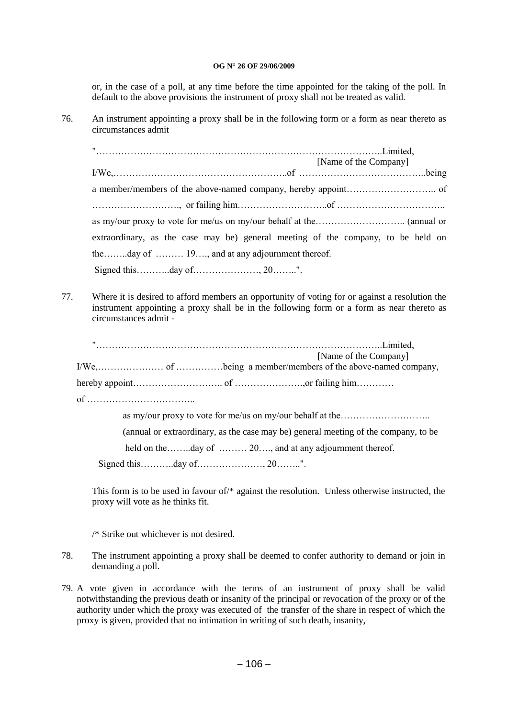or, in the case of a poll, at any time before the time appointed for the taking of the poll. In default to the above provisions the instrument of proxy shall not be treated as valid.

76. An instrument appointing a proxy shall be in the following form or a form as near thereto as circumstances admit

|                                                                                  | [Name of the Company] |  |
|----------------------------------------------------------------------------------|-----------------------|--|
|                                                                                  |                       |  |
|                                                                                  |                       |  |
|                                                                                  |                       |  |
|                                                                                  |                       |  |
| extraordinary, as the case may be) general meeting of the company, to be held on |                       |  |
| theday of  19, and at any adjournment thereof.                                   |                       |  |
|                                                                                  |                       |  |

77. Where it is desired to afford members an opportunity of voting for or against a resolution the instrument appointing a proxy shall be in the following form or a form as near thereto as circumstances admit -

| 11 |                       |
|----|-----------------------|
|    | [Name of the Company] |
|    |                       |
|    |                       |
|    |                       |

as my/our proxy to vote for me/us on my/our behalf at the………………………..

(annual or extraordinary, as the case may be) general meeting of the company, to be

held on the……..day of ……… 20…… and at any adjournment thereof.

Signed this………..day of…………………, 20……..".

This form is to be used in favour of/\* against the resolution. Unless otherwise instructed, the proxy will vote as he thinks fit.

/\* Strike out whichever is not desired.

- 78. The instrument appointing a proxy shall be deemed to confer authority to demand or join in demanding a poll.
- 79. A vote given in accordance with the terms of an instrument of proxy shall be valid notwithstanding the previous death or insanity of the principal or revocation of the proxy or of the authority under which the proxy was executed of the transfer of the share in respect of which the proxy is given, provided that no intimation in writing of such death, insanity,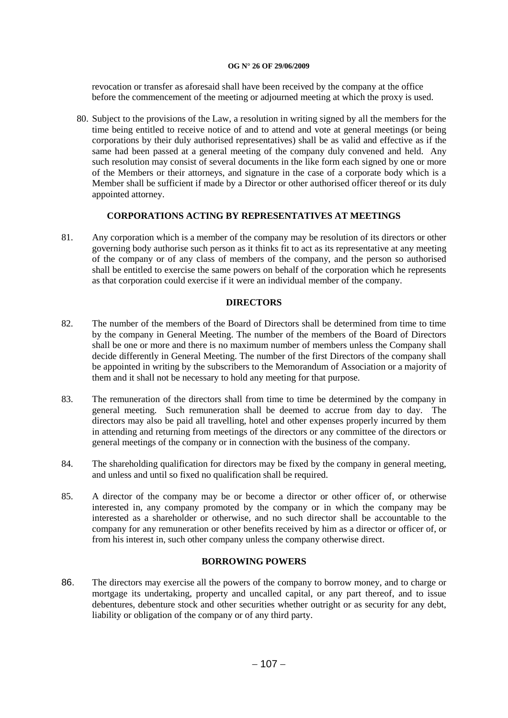revocation or transfer as aforesaid shall have been received by the company at the office before the commencement of the meeting or adjourned meeting at which the proxy is used.

80. Subject to the provisions of the Law, a resolution in writing signed by all the members for the time being entitled to receive notice of and to attend and vote at general meetings (or being corporations by their duly authorised representatives) shall be as valid and effective as if the same had been passed at a general meeting of the company duly convened and held. Any such resolution may consist of several documents in the like form each signed by one or more of the Members or their attorneys, and signature in the case of a corporate body which is a Member shall be sufficient if made by a Director or other authorised officer thereof or its duly appointed attorney.

# **CORPORATIONS ACTING BY REPRESENTATIVES AT MEETINGS**

81. Any corporation which is a member of the company may be resolution of its directors or other governing body authorise such person as it thinks fit to act as its representative at any meeting of the company or of any class of members of the company, and the person so authorised shall be entitled to exercise the same powers on behalf of the corporation which he represents as that corporation could exercise if it were an individual member of the company.

# **DIRECTORS**

- 82. The number of the members of the Board of Directors shall be determined from time to time by the company in General Meeting. The number of the members of the Board of Directors shall be one or more and there is no maximum number of members unless the Company shall decide differently in General Meeting. The number of the first Directors of the company shall be appointed in writing by the subscribers to the Memorandum of Association or a majority of them and it shall not be necessary to hold any meeting for that purpose.
- 83. The remuneration of the directors shall from time to time be determined by the company in general meeting. Such remuneration shall be deemed to accrue from day to day. The directors may also be paid all travelling, hotel and other expenses properly incurred by them in attending and returning from meetings of the directors or any committee of the directors or general meetings of the company or in connection with the business of the company.
- 84. The shareholding qualification for directors may be fixed by the company in general meeting, and unless and until so fixed no qualification shall be required.
- 85. A director of the company may be or become a director or other officer of, or otherwise interested in, any company promoted by the company or in which the company may be interested as a shareholder or otherwise, and no such director shall be accountable to the company for any remuneration or other benefits received by him as a director or officer of, or from his interest in, such other company unless the company otherwise direct.

## **BORROWING POWERS**

86. The directors may exercise all the powers of the company to borrow money, and to charge or mortgage its undertaking, property and uncalled capital, or any part thereof, and to issue debentures, debenture stock and other securities whether outright or as security for any debt, liability or obligation of the company or of any third party.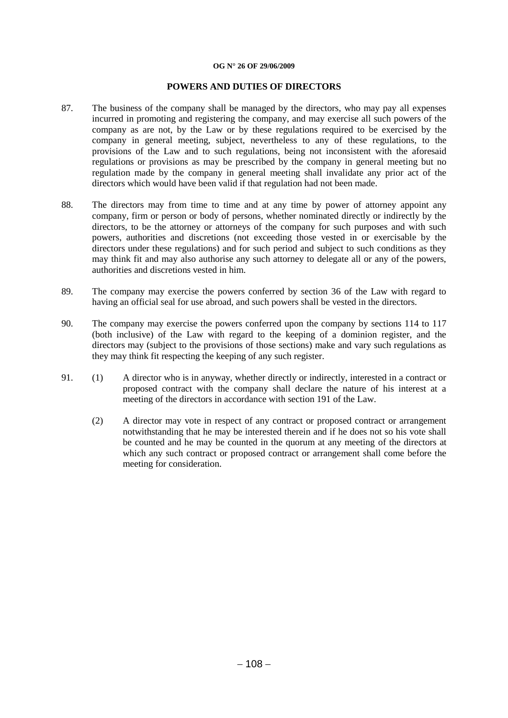## **POWERS AND DUTIES OF DIRECTORS**

- 87. The business of the company shall be managed by the directors, who may pay all expenses incurred in promoting and registering the company, and may exercise all such powers of the company as are not, by the Law or by these regulations required to be exercised by the company in general meeting, subject, nevertheless to any of these regulations, to the provisions of the Law and to such regulations, being not inconsistent with the aforesaid regulations or provisions as may be prescribed by the company in general meeting but no regulation made by the company in general meeting shall invalidate any prior act of the directors which would have been valid if that regulation had not been made.
- 88. The directors may from time to time and at any time by power of attorney appoint any company, firm or person or body of persons, whether nominated directly or indirectly by the directors, to be the attorney or attorneys of the company for such purposes and with such powers, authorities and discretions (not exceeding those vested in or exercisable by the directors under these regulations) and for such period and subject to such conditions as they may think fit and may also authorise any such attorney to delegate all or any of the powers, authorities and discretions vested in him.
- 89. The company may exercise the powers conferred by section 36 of the Law with regard to having an official seal for use abroad, and such powers shall be vested in the directors.
- 90. The company may exercise the powers conferred upon the company by sections 114 to 117 (both inclusive) of the Law with regard to the keeping of a dominion register, and the directors may (subject to the provisions of those sections) make and vary such regulations as they may think fit respecting the keeping of any such register.
- 91. (1) A director who is in anyway, whether directly or indirectly, interested in a contract or proposed contract with the company shall declare the nature of his interest at a meeting of the directors in accordance with section 191 of the Law.
	- (2) A director may vote in respect of any contract or proposed contract or arrangement notwithstanding that he may be interested therein and if he does not so his vote shall be counted and he may be counted in the quorum at any meeting of the directors at which any such contract or proposed contract or arrangement shall come before the meeting for consideration.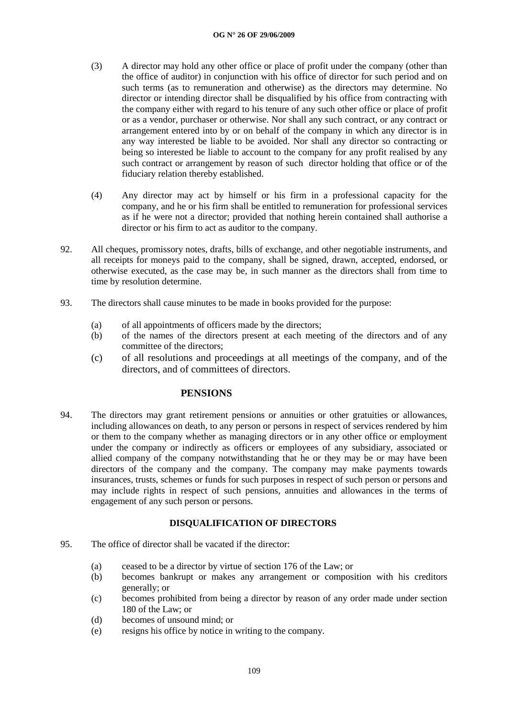#### **OG N° 26 OF 29/06/2009**

- (3) A director may hold any other office or place of profit under the company (other than the office of auditor) in conjunction with his office of director for such period and on such terms (as to remuneration and otherwise) as the directors may determine. No director or intending director shall be disqualified by his office from contracting with the company either with regard to his tenure of any such other office or place of profit or as a vendor, purchaser or otherwise. Nor shall any such contract, or any contract or arrangement entered into by or on behalf of the company in which any director is in any way interested be liable to be avoided. Nor shall any director so contracting or being so interested be liable to account to the company for any profit realised by any such contract or arrangement by reason of such director holding that office or of the fiduciary relation thereby established.
- (4) Any director may act by himself or his firm in a professional capacity for the company, and he or his firm shall be entitled to remuneration for professional services as if he were not a director; provided that nothing herein contained shall authorise a director or his firm to act as auditor to the company.
- 92. All cheques, promissory notes, drafts, bills of exchange, and other negotiable instruments, and all receipts for moneys paid to the company, shall be signed, drawn, accepted, endorsed, or otherwise executed, as the case may be, in such manner as the directors shall from time to time by resolution determine.
- 93. The directors shall cause minutes to be made in books provided for the purpose:
	- (a) of all appointments of officers made by the directors;
	- (b) of the names of the directors present at each meeting of the directors and of any committee of the directors;
	- (c) of all resolutions and proceedings at all meetings of the company, and of the directors, and of committees of directors.

# **PENSIONS**

94. The directors may grant retirement pensions or annuities or other gratuities or allowances, including allowances on death, to any person or persons in respect of services rendered by him or them to the company whether as managing directors or in any other office or employment under the company or indirectly as officers or employees of any subsidiary, associated or allied company of the company notwithstanding that he or they may be or may have been directors of the company and the company. The company may make payments towards insurances, trusts, schemes or funds for such purposes in respect of such person or persons and may include rights in respect of such pensions, annuities and allowances in the terms of engagement of any such person or persons.

## **DISQUALIFICATION OF DIRECTORS**

- 95. The office of director shall be vacated if the director:
	- (a) ceased to be a director by virtue of section 176 of the Law; or
	- (b) becomes bankrupt or makes any arrangement or composition with his creditors generally; or
	- (c) becomes prohibited from being a director by reason of any order made under section 180 of the Law; or
	- (d) becomes of unsound mind; or
	- (e) resigns his office by notice in writing to the company.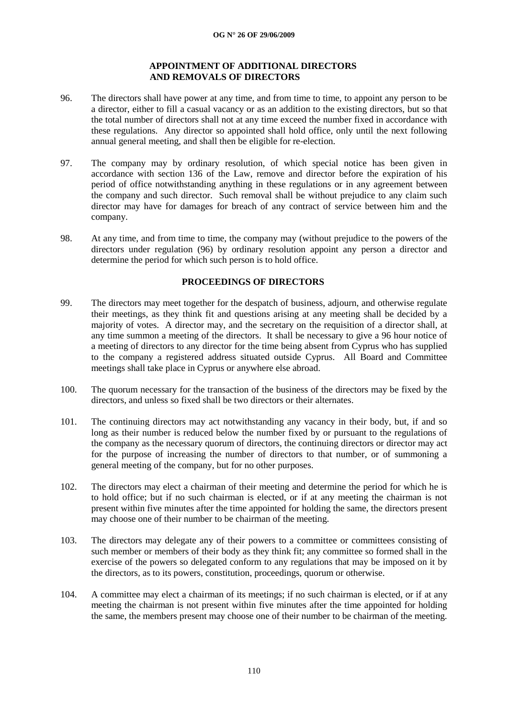## **APPOINTMENT OF ADDITIONAL DIRECTORS AND REMOVALS OF DIRECTORS**

- 96. The directors shall have power at any time, and from time to time, to appoint any person to be a director, either to fill a casual vacancy or as an addition to the existing directors, but so that the total number of directors shall not at any time exceed the number fixed in accordance with these regulations. Any director so appointed shall hold office, only until the next following annual general meeting, and shall then be eligible for re-election.
- 97. The company may by ordinary resolution, of which special notice has been given in accordance with section 136 of the Law, remove and director before the expiration of his period of office notwithstanding anything in these regulations or in any agreement between the company and such director. Such removal shall be without prejudice to any claim such director may have for damages for breach of any contract of service between him and the company.
- 98. At any time, and from time to time, the company may (without prejudice to the powers of the directors under regulation (96) by ordinary resolution appoint any person a director and determine the period for which such person is to hold office.

## **PROCEEDINGS OF DIRECTORS**

- 99. The directors may meet together for the despatch of business, adjourn, and otherwise regulate their meetings, as they think fit and questions arising at any meeting shall be decided by a majority of votes. A director may, and the secretary on the requisition of a director shall, at any time summon a meeting of the directors. It shall be necessary to give a 96 hour notice of a meeting of directors to any director for the time being absent from Cyprus who has supplied to the company a registered address situated outside Cyprus. All Board and Committee meetings shall take place in Cyprus or anywhere else abroad.
- 100. The quorum necessary for the transaction of the business of the directors may be fixed by the directors, and unless so fixed shall be two directors or their alternates.
- 101. The continuing directors may act notwithstanding any vacancy in their body, but, if and so long as their number is reduced below the number fixed by or pursuant to the regulations of the company as the necessary quorum of directors, the continuing directors or director may act for the purpose of increasing the number of directors to that number, or of summoning a general meeting of the company, but for no other purposes.
- 102. The directors may elect a chairman of their meeting and determine the period for which he is to hold office; but if no such chairman is elected, or if at any meeting the chairman is not present within five minutes after the time appointed for holding the same, the directors present may choose one of their number to be chairman of the meeting.
- 103. The directors may delegate any of their powers to a committee or committees consisting of such member or members of their body as they think fit; any committee so formed shall in the exercise of the powers so delegated conform to any regulations that may be imposed on it by the directors, as to its powers, constitution, proceedings, quorum or otherwise.
- 104. A committee may elect a chairman of its meetings; if no such chairman is elected, or if at any meeting the chairman is not present within five minutes after the time appointed for holding the same, the members present may choose one of their number to be chairman of the meeting.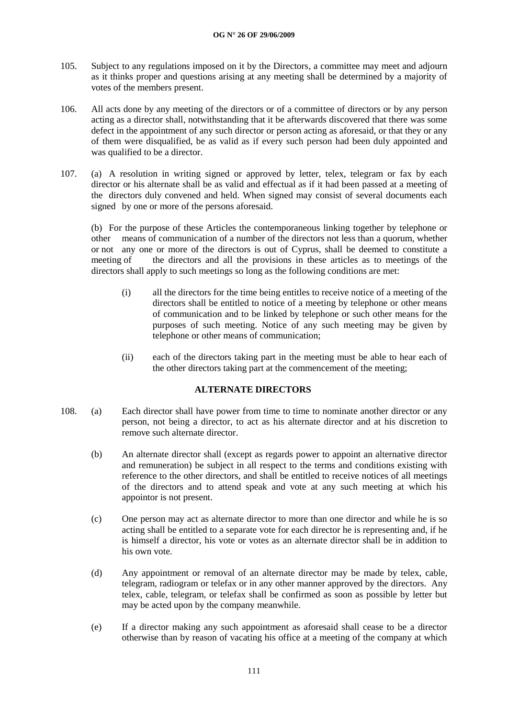- 105. Subject to any regulations imposed on it by the Directors, a committee may meet and adjourn as it thinks proper and questions arising at any meeting shall be determined by a majority of votes of the members present.
- 106. All acts done by any meeting of the directors or of a committee of directors or by any person acting as a director shall, notwithstanding that it be afterwards discovered that there was some defect in the appointment of any such director or person acting as aforesaid, or that they or any of them were disqualified, be as valid as if every such person had been duly appointed and was qualified to be a director.
- 107. (a) A resolution in writing signed or approved by letter, telex, telegram or fax by each director or his alternate shall be as valid and effectual as if it had been passed at a meeting of the directors duly convened and held. When signed may consist of several documents each signed by one or more of the persons aforesaid.

(b) For the purpose of these Articles the contemporaneous linking together by telephone or other means of communication of a number of the directors not less than a quorum, whether or not any one or more of the directors is out of Cyprus, shall be deemed to constitute a meeting of the directors and all the provisions in these articles as to meetings of the directors shall apply to such meetings so long as the following conditions are met:

- (i) all the directors for the time being entitles to receive notice of a meeting of the directors shall be entitled to notice of a meeting by telephone or other means of communication and to be linked by telephone or such other means for the purposes of such meeting. Notice of any such meeting may be given by telephone or other means of communication;
- (ii) each of the directors taking part in the meeting must be able to hear each of the other directors taking part at the commencement of the meeting;

# **ALTERNATE DIRECTORS**

- 108. (a) Each director shall have power from time to time to nominate another director or any person, not being a director, to act as his alternate director and at his discretion to remove such alternate director.
	- (b) An alternate director shall (except as regards power to appoint an alternative director and remuneration) be subject in all respect to the terms and conditions existing with reference to the other directors, and shall be entitled to receive notices of all meetings of the directors and to attend speak and vote at any such meeting at which his appointor is not present.
	- (c) One person may act as alternate director to more than one director and while he is so acting shall be entitled to a separate vote for each director he is representing and, if he is himself a director, his vote or votes as an alternate director shall be in addition to his own vote.
	- (d) Any appointment or removal of an alternate director may be made by telex, cable, telegram, radiogram or telefax or in any other manner approved by the directors. Any telex, cable, telegram, or telefax shall be confirmed as soon as possible by letter but may be acted upon by the company meanwhile.
	- (e) If a director making any such appointment as aforesaid shall cease to be a director otherwise than by reason of vacating his office at a meeting of the company at which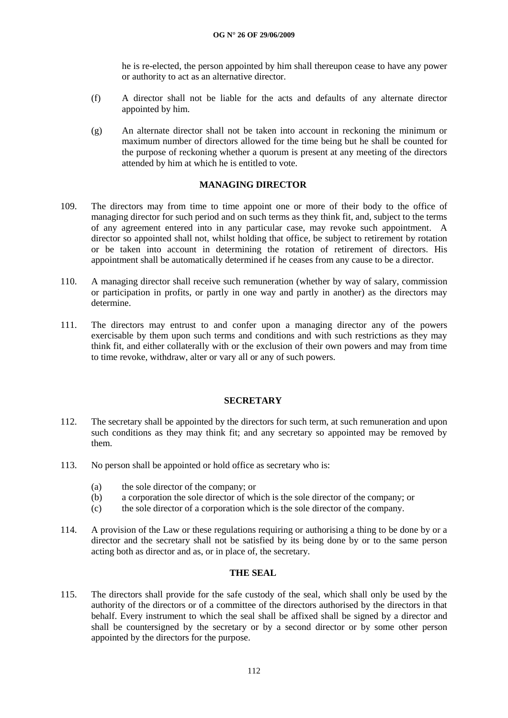he is re-elected, the person appointed by him shall thereupon cease to have any power or authority to act as an alternative director.

- (f) A director shall not be liable for the acts and defaults of any alternate director appointed by him.
- (g) An alternate director shall not be taken into account in reckoning the minimum or maximum number of directors allowed for the time being but he shall be counted for the purpose of reckoning whether a quorum is present at any meeting of the directors attended by him at which he is entitled to vote.

## **MANAGING DIRECTOR**

- 109. The directors may from time to time appoint one or more of their body to the office of managing director for such period and on such terms as they think fit, and, subject to the terms of any agreement entered into in any particular case, may revoke such appointment. A director so appointed shall not, whilst holding that office, be subject to retirement by rotation or be taken into account in determining the rotation of retirement of directors. His appointment shall be automatically determined if he ceases from any cause to be a director.
- 110. A managing director shall receive such remuneration (whether by way of salary, commission or participation in profits, or partly in one way and partly in another) as the directors may determine.
- 111. The directors may entrust to and confer upon a managing director any of the powers exercisable by them upon such terms and conditions and with such restrictions as they may think fit, and either collaterally with or the exclusion of their own powers and may from time to time revoke, withdraw, alter or vary all or any of such powers.

## **SECRETARY**

- 112. The secretary shall be appointed by the directors for such term, at such remuneration and upon such conditions as they may think fit; and any secretary so appointed may be removed by them.
- 113. No person shall be appointed or hold office as secretary who is:
	- (a) the sole director of the company; or
	- (b) a corporation the sole director of which is the sole director of the company; or
	- (c) the sole director of a corporation which is the sole director of the company.
- 114. A provision of the Law or these regulations requiring or authorising a thing to be done by or a director and the secretary shall not be satisfied by its being done by or to the same person acting both as director and as, or in place of, the secretary.

## **THE SEAL**

115. The directors shall provide for the safe custody of the seal, which shall only be used by the authority of the directors or of a committee of the directors authorised by the directors in that behalf. Every instrument to which the seal shall be affixed shall be signed by a director and shall be countersigned by the secretary or by a second director or by some other person appointed by the directors for the purpose.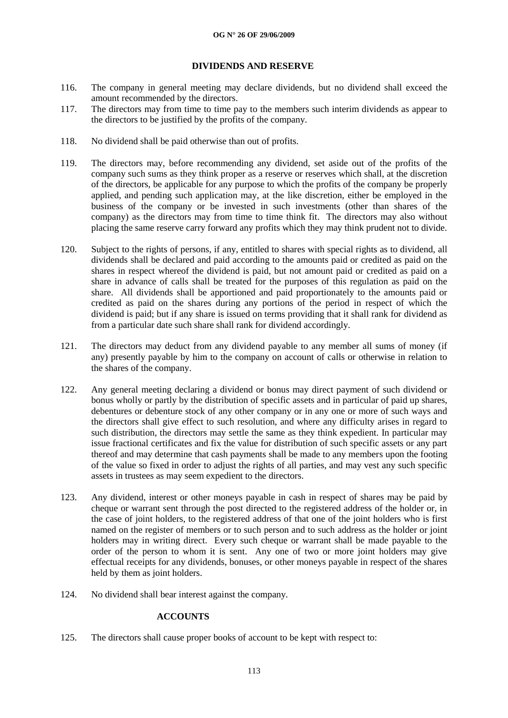## **DIVIDENDS AND RESERVE**

- 116. The company in general meeting may declare dividends, but no dividend shall exceed the amount recommended by the directors.
- 117. The directors may from time to time pay to the members such interim dividends as appear to the directors to be justified by the profits of the company.
- 118. No dividend shall be paid otherwise than out of profits.
- 119. The directors may, before recommending any dividend, set aside out of the profits of the company such sums as they think proper as a reserve or reserves which shall, at the discretion of the directors, be applicable for any purpose to which the profits of the company be properly applied, and pending such application may, at the like discretion, either be employed in the business of the company or be invested in such investments (other than shares of the company) as the directors may from time to time think fit. The directors may also without placing the same reserve carry forward any profits which they may think prudent not to divide.
- 120. Subject to the rights of persons, if any, entitled to shares with special rights as to dividend, all dividends shall be declared and paid according to the amounts paid or credited as paid on the shares in respect whereof the dividend is paid, but not amount paid or credited as paid on a share in advance of calls shall be treated for the purposes of this regulation as paid on the share. All dividends shall be apportioned and paid proportionately to the amounts paid or credited as paid on the shares during any portions of the period in respect of which the dividend is paid; but if any share is issued on terms providing that it shall rank for dividend as from a particular date such share shall rank for dividend accordingly.
- 121. The directors may deduct from any dividend payable to any member all sums of money (if any) presently payable by him to the company on account of calls or otherwise in relation to the shares of the company.
- 122. Any general meeting declaring a dividend or bonus may direct payment of such dividend or bonus wholly or partly by the distribution of specific assets and in particular of paid up shares, debentures or debenture stock of any other company or in any one or more of such ways and the directors shall give effect to such resolution, and where any difficulty arises in regard to such distribution, the directors may settle the same as they think expedient. In particular may issue fractional certificates and fix the value for distribution of such specific assets or any part thereof and may determine that cash payments shall be made to any members upon the footing of the value so fixed in order to adjust the rights of all parties, and may vest any such specific assets in trustees as may seem expedient to the directors.
- 123. Any dividend, interest or other moneys payable in cash in respect of shares may be paid by cheque or warrant sent through the post directed to the registered address of the holder or, in the case of joint holders, to the registered address of that one of the joint holders who is first named on the register of members or to such person and to such address as the holder or joint holders may in writing direct. Every such cheque or warrant shall be made payable to the order of the person to whom it is sent. Any one of two or more joint holders may give effectual receipts for any dividends, bonuses, or other moneys payable in respect of the shares held by them as joint holders.
- 124. No dividend shall bear interest against the company.

# **ACCOUNTS**

125. The directors shall cause proper books of account to be kept with respect to: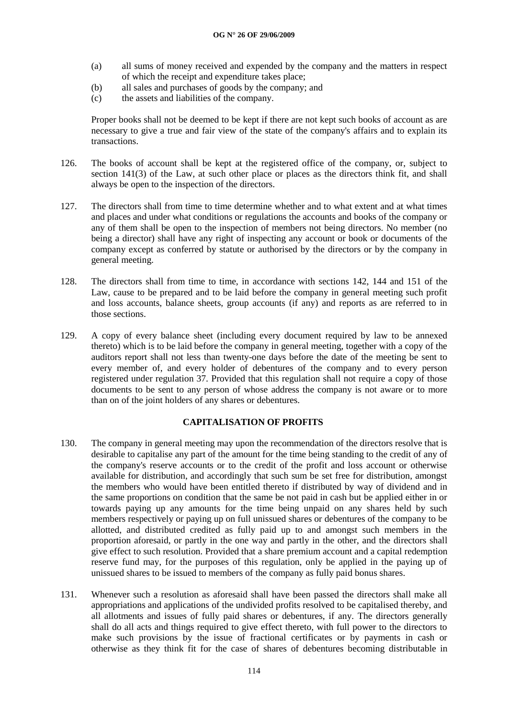- (a) all sums of money received and expended by the company and the matters in respect of which the receipt and expenditure takes place;
- (b) all sales and purchases of goods by the company; and
- (c) the assets and liabilities of the company.

Proper books shall not be deemed to be kept if there are not kept such books of account as are necessary to give a true and fair view of the state of the company's affairs and to explain its transactions.

- 126. The books of account shall be kept at the registered office of the company, or, subject to section 141(3) of the Law, at such other place or places as the directors think fit, and shall always be open to the inspection of the directors.
- 127. The directors shall from time to time determine whether and to what extent and at what times and places and under what conditions or regulations the accounts and books of the company or any of them shall be open to the inspection of members not being directors. No member (no being a director) shall have any right of inspecting any account or book or documents of the company except as conferred by statute or authorised by the directors or by the company in general meeting.
- 128. The directors shall from time to time, in accordance with sections 142, 144 and 151 of the Law, cause to be prepared and to be laid before the company in general meeting such profit and loss accounts, balance sheets, group accounts (if any) and reports as are referred to in those sections.
- 129. A copy of every balance sheet (including every document required by law to be annexed thereto) which is to be laid before the company in general meeting, together with a copy of the auditors report shall not less than twenty-one days before the date of the meeting be sent to every member of, and every holder of debentures of the company and to every person registered under regulation 37. Provided that this regulation shall not require a copy of those documents to be sent to any person of whose address the company is not aware or to more than on of the joint holders of any shares or debentures.

## **CAPITALISATION OF PROFITS**

- 130. The company in general meeting may upon the recommendation of the directors resolve that is desirable to capitalise any part of the amount for the time being standing to the credit of any of the company's reserve accounts or to the credit of the profit and loss account or otherwise available for distribution, and accordingly that such sum be set free for distribution, amongst the members who would have been entitled thereto if distributed by way of dividend and in the same proportions on condition that the same be not paid in cash but be applied either in or towards paying up any amounts for the time being unpaid on any shares held by such members respectively or paying up on full unissued shares or debentures of the company to be allotted, and distributed credited as fully paid up to and amongst such members in the proportion aforesaid, or partly in the one way and partly in the other, and the directors shall give effect to such resolution. Provided that a share premium account and a capital redemption reserve fund may, for the purposes of this regulation, only be applied in the paying up of unissued shares to be issued to members of the company as fully paid bonus shares.
- 131. Whenever such a resolution as aforesaid shall have been passed the directors shall make all appropriations and applications of the undivided profits resolved to be capitalised thereby, and all allotments and issues of fully paid shares or debentures, if any. The directors generally shall do all acts and things required to give effect thereto, with full power to the directors to make such provisions by the issue of fractional certificates or by payments in cash or otherwise as they think fit for the case of shares of debentures becoming distributable in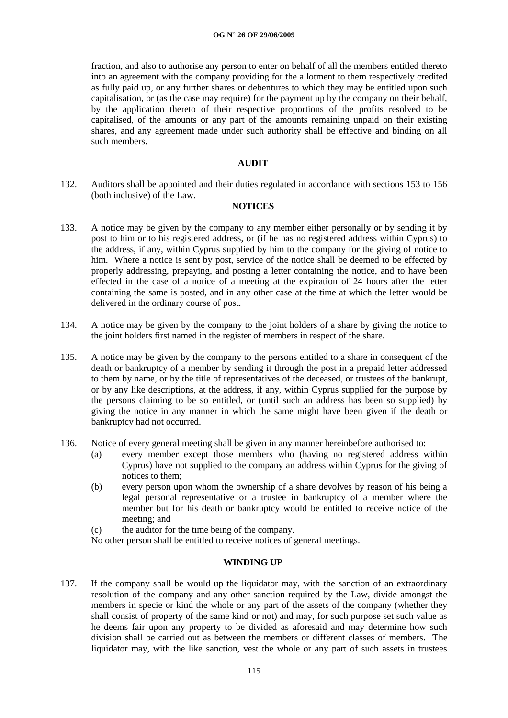fraction, and also to authorise any person to enter on behalf of all the members entitled thereto into an agreement with the company providing for the allotment to them respectively credited as fully paid up, or any further shares or debentures to which they may be entitled upon such capitalisation, or (as the case may require) for the payment up by the company on their behalf, by the application thereto of their respective proportions of the profits resolved to be capitalised, of the amounts or any part of the amounts remaining unpaid on their existing shares, and any agreement made under such authority shall be effective and binding on all such members.

#### **AUDIT**

132. Auditors shall be appointed and their duties regulated in accordance with sections 153 to 156 (both inclusive) of the Law.

#### **NOTICES**

- 133. A notice may be given by the company to any member either personally or by sending it by post to him or to his registered address, or (if he has no registered address within Cyprus) to the address, if any, within Cyprus supplied by him to the company for the giving of notice to him. Where a notice is sent by post, service of the notice shall be deemed to be effected by properly addressing, prepaying, and posting a letter containing the notice, and to have been effected in the case of a notice of a meeting at the expiration of 24 hours after the letter containing the same is posted, and in any other case at the time at which the letter would be delivered in the ordinary course of post.
- 134. A notice may be given by the company to the joint holders of a share by giving the notice to the joint holders first named in the register of members in respect of the share.
- 135. A notice may be given by the company to the persons entitled to a share in consequent of the death or bankruptcy of a member by sending it through the post in a prepaid letter addressed to them by name, or by the title of representatives of the deceased, or trustees of the bankrupt, or by any like descriptions, at the address, if any, within Cyprus supplied for the purpose by the persons claiming to be so entitled, or (until such an address has been so supplied) by giving the notice in any manner in which the same might have been given if the death or bankruptcy had not occurred.
- 136. Notice of every general meeting shall be given in any manner hereinbefore authorised to:
	- (a) every member except those members who (having no registered address within Cyprus) have not supplied to the company an address within Cyprus for the giving of notices to them;
	- (b) every person upon whom the ownership of a share devolves by reason of his being a legal personal representative or a trustee in bankruptcy of a member where the member but for his death or bankruptcy would be entitled to receive notice of the meeting; and
	- (c) the auditor for the time being of the company.
	- No other person shall be entitled to receive notices of general meetings.

#### **WINDING UP**

137. If the company shall be would up the liquidator may, with the sanction of an extraordinary resolution of the company and any other sanction required by the Law, divide amongst the members in specie or kind the whole or any part of the assets of the company (whether they shall consist of property of the same kind or not) and may, for such purpose set such value as he deems fair upon any property to be divided as aforesaid and may determine how such division shall be carried out as between the members or different classes of members. The liquidator may, with the like sanction, vest the whole or any part of such assets in trustees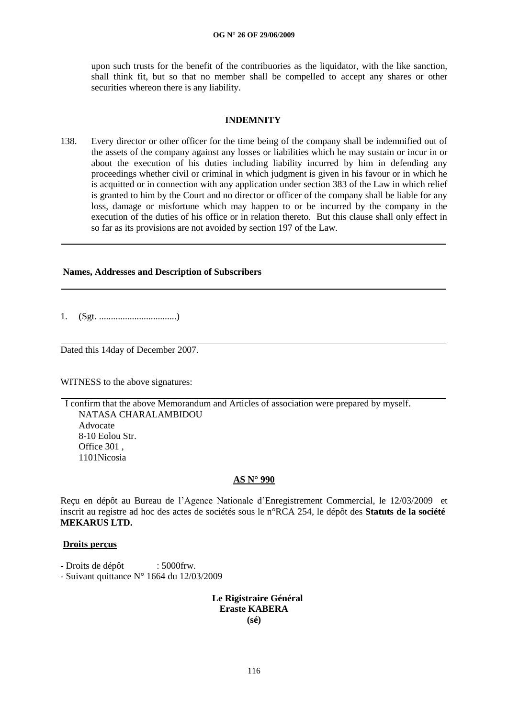#### **OG N° 26 OF 29/06/2009**

upon such trusts for the benefit of the contribuories as the liquidator, with the like sanction, shall think fit, but so that no member shall be compelled to accept any shares or other securities whereon there is any liability.

#### **INDEMNITY**

138. Every director or other officer for the time being of the company shall be indemnified out of the assets of the company against any losses or liabilities which he may sustain or incur in or about the execution of his duties including liability incurred by him in defending any proceedings whether civil or criminal in which judgment is given in his favour or in which he is acquitted or in connection with any application under section 383 of the Law in which relief is granted to him by the Court and no director or officer of the company shall be liable for any loss, damage or misfortune which may happen to or be incurred by the company in the execution of the duties of his office or in relation thereto. But this clause shall only effect in so far as its provisions are not avoided by section 197 of the Law.

#### **Names, Addresses and Description of Subscribers**

1. (Sgt. .................................)

Dated this 14day of December 2007.

WITNESS to the above signatures:

 I confirm that the above Memorandum and Articles of association were prepared by myself. NATASA CHARALAMBIDOU Advocate 8-10 Eolou Str. Office 301 , 1101Nicosia

#### **AS N° 990**

Reçu en dépôt au Bureau de l'Agence Nationale d'Enregistrement Commercial, le 12/03/2009 et inscrit au registre ad hoc des actes de sociétés sous le n°RCA 254, le dépôt des **Statuts de la société MEKARUS LTD.**

#### **Droits perçus**

- Droits de dépôt : 5000frw.

- Suivant quittance N° 1664 du 12/03/2009

 **Le Rigistraire Général Eraste KABERA (sé)**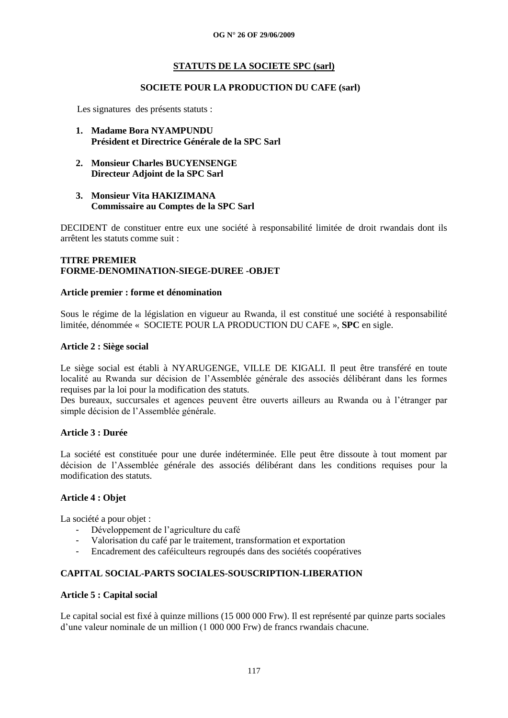# **STATUTS DE LA SOCIETE SPC (sarl)**

## **SOCIETE POUR LA PRODUCTION DU CAFE (sarl)**

Les signatures des présents statuts :

- **1. Madame Bora NYAMPUNDU Président et Directrice Générale de la SPC Sarl**
- **2. Monsieur Charles BUCYENSENGE Directeur Adjoint de la SPC Sarl**
- **3. Monsieur Vita HAKIZIMANA Commissaire au Comptes de la SPC Sarl**

DECIDENT de constituer entre eux une société à responsabilité limitée de droit rwandais dont ils arrêtent les statuts comme suit :

## **TITRE PREMIER FORME-DENOMINATION-SIEGE-DUREE -OBJET**

## **Article premier : forme et dénomination**

Sous le régime de la législation en vigueur au Rwanda, il est constitué une société à responsabilité limitée, dénommée « SOCIETE POUR LA PRODUCTION DU CAFE », **SPC** en sigle.

#### **Article 2 : Siège social**

Le siège social est établi à NYARUGENGE, VILLE DE KIGALI. Il peut être transféré en toute localité au Rwanda sur décision de l'Assemblée générale des associés délibérant dans les formes requises par la loi pour la modification des statuts.

Des bureaux, succursales et agences peuvent être ouverts ailleurs au Rwanda ou à l'étranger par simple décision de l'Assemblée générale.

## **Article 3 : Durée**

La société est constituée pour une durée indéterminée. Elle peut être dissoute à tout moment par décision de l'Assemblée générale des associés délibérant dans les conditions requises pour la modification des statuts.

## **Article 4 : Objet**

La société a pour objet :

- Développement de l'agriculture du café
- Valorisation du café par le traitement, transformation et exportation
- Encadrement des caféiculteurs regroupés dans des sociétés coopératives

## **CAPITAL SOCIAL-PARTS SOCIALES-SOUSCRIPTION-LIBERATION**

## **Article 5 : Capital social**

Le capital social est fixé à quinze millions (15 000 000 Frw). Il est représenté par quinze parts sociales d'une valeur nominale de un million (1 000 000 Frw) de francs rwandais chacune.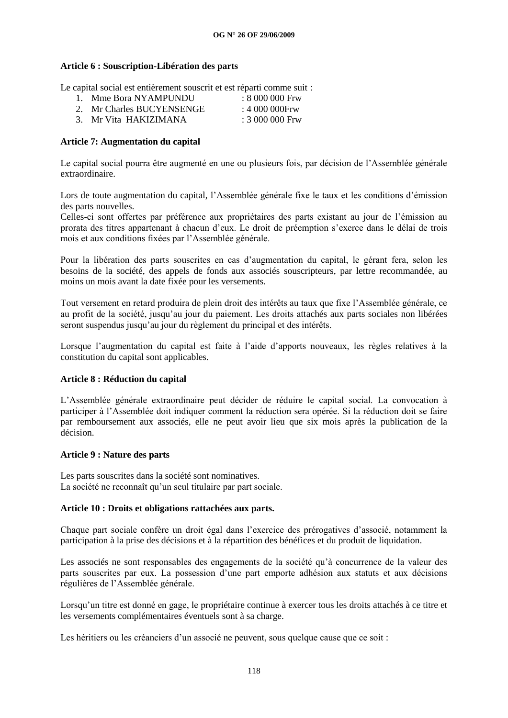## **Article 6 : Souscription-Libération des parts**

Le capital social est entièrement souscrit et est réparti comme suit :

- 1. Mme Bora NYAMPUNDU : 8 000 000 Frw<br>
2. Mr Charles BUCYENSENGE : 4 000 000Frw
- 2. Mr Charles BUCYENSENGE
- $3$  Mr Vita HAKIZIMANA  $\cdot$  3 000 000 Frw

# **Article 7: Augmentation du capital**

Le capital social pourra être augmenté en une ou plusieurs fois, par décision de l'Assemblée générale extraordinaire.

Lors de toute augmentation du capital, l'Assemblée générale fixe le taux et les conditions d'émission des parts nouvelles.

Celles-ci sont offertes par préférence aux propriétaires des parts existant au jour de l'émission au prorata des titres appartenant à chacun d'eux. Le droit de préemption s'exerce dans le délai de trois mois et aux conditions fixées par l'Assemblée générale.

Pour la libération des parts souscrites en cas d'augmentation du capital, le gérant fera, selon les besoins de la société, des appels de fonds aux associés souscripteurs, par lettre recommandée, au moins un mois avant la date fixée pour les versements.

Tout versement en retard produira de plein droit des intérêts au taux que fixe l'Assemblée générale, ce au profit de la société, jusqu'au jour du paiement. Les droits attachés aux parts sociales non libérées seront suspendus jusqu'au jour du règlement du principal et des intérêts.

Lorsque l'augmentation du capital est faite à l'aide d'apports nouveaux, les règles relatives à la constitution du capital sont applicables.

# **Article 8 : Réduction du capital**

L'Assemblée générale extraordinaire peut décider de réduire le capital social. La convocation à participer à l'Assemblée doit indiquer comment la réduction sera opérée. Si la réduction doit se faire par remboursement aux associés, elle ne peut avoir lieu que six mois après la publication de la décision.

## **Article 9 : Nature des parts**

Les parts souscrites dans la société sont nominatives. La société ne reconnaît qu'un seul titulaire par part sociale.

## **Article 10 : Droits et obligations rattachées aux parts.**

Chaque part sociale confère un droit égal dans l'exercice des prérogatives d'associé, notamment la participation à la prise des décisions et à la répartition des bénéfices et du produit de liquidation.

Les associés ne sont responsables des engagements de la société qu'à concurrence de la valeur des parts souscrites par eux. La possession d'une part emporte adhésion aux statuts et aux décisions régulières de l'Assemblée générale.

Lorsqu'un titre est donné en gage, le propriétaire continue à exercer tous les droits attachés à ce titre et les versements complémentaires éventuels sont à sa charge.

Les héritiers ou les créanciers d'un associé ne peuvent, sous quelque cause que ce soit :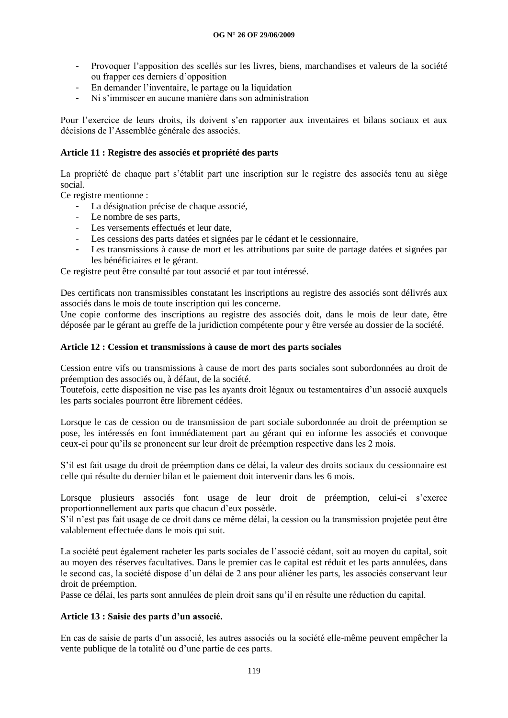- Provoquer l'apposition des scellés sur les livres, biens, marchandises et valeurs de la société ou frapper ces derniers d'opposition
- En demander l'inventaire, le partage ou la liquidation
- Ni s'immiscer en aucune manière dans son administration

Pour l'exercice de leurs droits, ils doivent s'en rapporter aux inventaires et bilans sociaux et aux décisions de l'Assemblée générale des associés.

## **Article 11 : Registre des associés et propriété des parts**

La propriété de chaque part s'établit part une inscription sur le registre des associés tenu au siège social.

Ce registre mentionne :

- La désignation précise de chaque associé,
- Le nombre de ses parts,
- Les versements effectués et leur date,
- Les cessions des parts datées et signées par le cédant et le cessionnaire,
- Les transmissions à cause de mort et les attributions par suite de partage datées et signées par les bénéficiaires et le gérant.

Ce registre peut être consulté par tout associé et par tout intéressé.

Des certificats non transmissibles constatant les inscriptions au registre des associés sont délivrés aux associés dans le mois de toute inscription qui les concerne.

Une copie conforme des inscriptions au registre des associés doit, dans le mois de leur date, être déposée par le gérant au greffe de la juridiction compétente pour y être versée au dossier de la société.

## **Article 12 : Cession et transmissions à cause de mort des parts sociales**

Cession entre vifs ou transmissions à cause de mort des parts sociales sont subordonnées au droit de préemption des associés ou, à défaut, de la société.

Toutefois, cette disposition ne vise pas les ayants droit légaux ou testamentaires d'un associé auxquels les parts sociales pourront être librement cédées.

Lorsque le cas de cession ou de transmission de part sociale subordonnée au droit de préemption se pose, les intéressés en font immédiatement part au gérant qui en informe les associés et convoque ceux-ci pour qu'ils se prononcent sur leur droit de préemption respective dans les 2 mois.

S'il est fait usage du droit de préemption dans ce délai, la valeur des droits sociaux du cessionnaire est celle qui résulte du dernier bilan et le paiement doit intervenir dans les 6 mois.

Lorsque plusieurs associés font usage de leur droit de préemption, celui-ci s'exerce proportionnellement aux parts que chacun d'eux possède.

S'il n'est pas fait usage de ce droit dans ce même délai, la cession ou la transmission projetée peut être valablement effectuée dans le mois qui suit.

La société peut également racheter les parts sociales de l'associé cédant, soit au moyen du capital, soit au moyen des réserves facultatives. Dans le premier cas le capital est réduit et les parts annulées, dans le second cas, la société dispose d'un délai de 2 ans pour aliéner les parts, les associés conservant leur droit de préemption.

Passe ce délai, les parts sont annulées de plein droit sans qu'il en résulte une réduction du capital.

## **Article 13 : Saisie des parts d'un associé.**

En cas de saisie de parts d'un associé, les autres associés ou la société elle-même peuvent empêcher la vente publique de la totalité ou d'une partie de ces parts.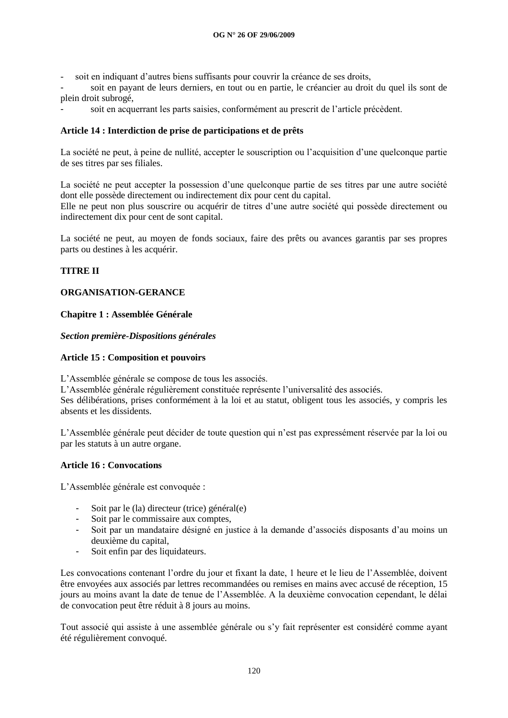soit en indiquant d'autres biens suffisants pour couvrir la créance de ses droits,

soit en payant de leurs derniers, en tout ou en partie, le créancier au droit du quel ils sont de plein droit subrogé,

soit en acquerrant les parts saisies, conformément au prescrit de l'article précèdent.

## **Article 14 : Interdiction de prise de participations et de prêts**

La société ne peut, à peine de nullité, accepter le souscription ou l'acquisition d'une quelconque partie de ses titres par ses filiales.

La société ne peut accepter la possession d'une quelconque partie de ses titres par une autre société dont elle possède directement ou indirectement dix pour cent du capital.

Elle ne peut non plus souscrire ou acquérir de titres d'une autre société qui possède directement ou indirectement dix pour cent de sont capital.

La société ne peut, au moyen de fonds sociaux, faire des prêts ou avances garantis par ses propres parts ou destines à les acquérir.

## **TITRE II**

## **ORGANISATION-GERANCE**

## **Chapitre 1 : Assemblée Générale**

*Section première-Dispositions générales*

## **Article 15 : Composition et pouvoirs**

L'Assemblée générale se compose de tous les associés.

L'Assemblée générale régulièrement constituée représente l'universalité des associés.

Ses délibérations, prises conformément à la loi et au statut, obligent tous les associés, y compris les absents et les dissidents.

L'Assemblée générale peut décider de toute question qui n'est pas expressément réservée par la loi ou par les statuts à un autre organe.

## **Article 16 : Convocations**

L'Assemblée générale est convoquée :

- Soit par le (la) directeur (trice) général(e)
- Soit par le commissaire aux comptes.
- Soit par un mandataire désigné en justice à la demande d'associés disposants d'au moins un deuxième du capital,
- Soit enfin par des liquidateurs.

Les convocations contenant l'ordre du jour et fixant la date, 1 heure et le lieu de l'Assemblée, doivent être envoyées aux associés par lettres recommandées ou remises en mains avec accusé de réception, 15 jours au moins avant la date de tenue de l'Assemblée. A la deuxième convocation cependant, le délai de convocation peut être réduit à 8 jours au moins.

Tout associé qui assiste à une assemblée générale ou s'y fait représenter est considéré comme ayant été régulièrement convoqué.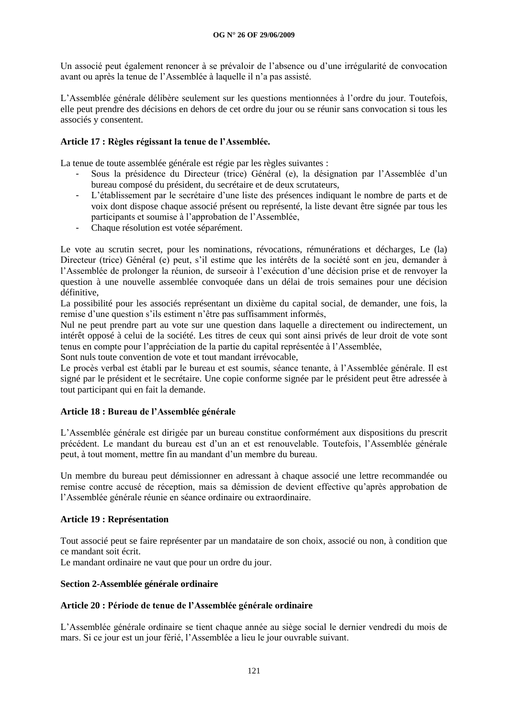Un associé peut également renoncer à se prévaloir de l'absence ou d'une irrégularité de convocation avant ou après la tenue de l'Assemblée à laquelle il n'a pas assisté.

L'Assemblée générale délibère seulement sur les questions mentionnées à l'ordre du jour. Toutefois, elle peut prendre des décisions en dehors de cet ordre du jour ou se réunir sans convocation si tous les associés y consentent.

# **Article 17 : Règles régissant la tenue de l'Assemblée.**

La tenue de toute assemblée générale est régie par les règles suivantes :

- Sous la présidence du Directeur (trice) Général (e), la désignation par l'Assemblée d'un bureau composé du président, du secrétaire et de deux scrutateurs,
- L'établissement par le secrétaire d'une liste des présences indiquant le nombre de parts et de voix dont dispose chaque associé présent ou représenté, la liste devant être signée par tous les participants et soumise à l'approbation de l'Assemblée,
- Chaque résolution est votée séparément.

Le vote au scrutin secret, pour les nominations, révocations, rémunérations et décharges, Le (la) Directeur (trice) Général (e) peut, s'il estime que les intérêts de la société sont en jeu, demander à l'Assemblée de prolonger la réunion, de surseoir à l'exécution d'une décision prise et de renvoyer la question à une nouvelle assemblée convoquée dans un délai de trois semaines pour une décision définitive,

La possibilité pour les associés représentant un dixième du capital social, de demander, une fois, la remise d'une question s'ils estiment n'être pas suffisamment informés,

Nul ne peut prendre part au vote sur une question dans laquelle a directement ou indirectement, un intérêt opposé à celui de la société. Les titres de ceux qui sont ainsi privés de leur droit de vote sont tenus en compte pour l'appréciation de la partie du capital représentée à l'Assemblée,

Sont nuls toute convention de vote et tout mandant irrévocable,

Le procès verbal est établi par le bureau et est soumis, séance tenante, à l'Assemblée générale. Il est signé par le président et le secrétaire. Une copie conforme signée par le président peut être adressée à tout participant qui en fait la demande.

# **Article 18 : Bureau de l'Assemblée générale**

L'Assemblée générale est dirigée par un bureau constitue conformément aux dispositions du prescrit précédent. Le mandant du bureau est d'un an et est renouvelable. Toutefois, l'Assemblée générale peut, à tout moment, mettre fin au mandant d'un membre du bureau.

Un membre du bureau peut démissionner en adressant à chaque associé une lettre recommandée ou remise contre accusé de réception, mais sa démission de devient effective qu'après approbation de l'Assemblée générale réunie en séance ordinaire ou extraordinaire.

## **Article 19 : Représentation**

Tout associé peut se faire représenter par un mandataire de son choix, associé ou non, à condition que ce mandant soit écrit.

Le mandant ordinaire ne vaut que pour un ordre du jour.

# **Section 2-Assemblée générale ordinaire**

## **Article 20 : Période de tenue de l'Assemblée générale ordinaire**

L'Assemblée générale ordinaire se tient chaque année au siège social le dernier vendredi du mois de mars. Si ce jour est un jour férié, l'Assemblée a lieu le jour ouvrable suivant.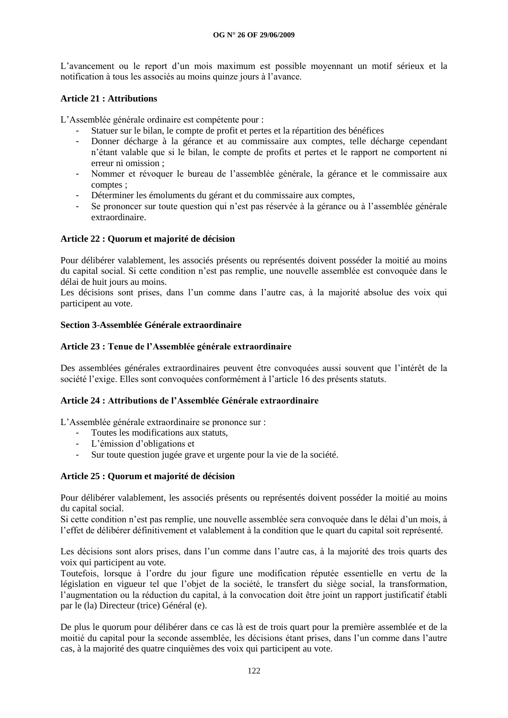L'avancement ou le report d'un mois maximum est possible moyennant un motif sérieux et la notification à tous les associés au moins quinze jours à l'avance.

## **Article 21 : Attributions**

L'Assemblée générale ordinaire est compétente pour :

- Statuer sur le bilan, le compte de profit et pertes et la répartition des bénéfices
- Donner décharge à la gérance et au commissaire aux comptes, telle décharge cependant n'étant valable que si le bilan, le compte de profits et pertes et le rapport ne comportent ni erreur ni omission ;
- Nommer et révoquer le bureau de l'assemblée générale, la gérance et le commissaire aux comptes ;
- Déterminer les émoluments du gérant et du commissaire aux comptes,
- Se prononcer sur toute question qui n'est pas réservée à la gérance ou à l'assemblée générale extraordinaire.

## **Article 22 : Quorum et majorité de décision**

Pour délibérer valablement, les associés présents ou représentés doivent posséder la moitié au moins du capital social. Si cette condition n'est pas remplie, une nouvelle assemblée est convoquée dans le délai de huit jours au moins.

Les décisions sont prises, dans l'un comme dans l'autre cas, à la majorité absolue des voix qui participent au vote.

## **Section 3**-**Assemblée Générale extraordinaire**

## **Article 23 : Tenue de l'Assemblée générale extraordinaire**

Des assemblées générales extraordinaires peuvent être convoquées aussi souvent que l'intérêt de la société l'exige. Elles sont convoquées conformément à l'article 16 des présents statuts.

## **Article 24 : Attributions de l'Assemblée Générale extraordinaire**

L'Assemblée générale extraordinaire se prononce sur :

- Toutes les modifications aux statuts,
- L'émission d'obligations et
- Sur toute question jugée grave et urgente pour la vie de la société.

# **Article 25 : Quorum et majorité de décision**

Pour délibérer valablement, les associés présents ou représentés doivent posséder la moitié au moins du capital social.

Si cette condition n'est pas remplie, une nouvelle assemblée sera convoquée dans le délai d'un mois, à l'effet de délibérer définitivement et valablement à la condition que le quart du capital soit représenté.

Les décisions sont alors prises, dans l'un comme dans l'autre cas, à la majorité des trois quarts des voix qui participent au vote.

Toutefois, lorsque à l'ordre du jour figure une modification réputée essentielle en vertu de la législation en vigueur tel que l'objet de la société, le transfert du siège social, la transformation, l'augmentation ou la réduction du capital, à la convocation doit être joint un rapport justificatif établi par le (la) Directeur (trice) Général (e).

De plus le quorum pour délibérer dans ce cas là est de trois quart pour la première assemblée et de la moitié du capital pour la seconde assemblée, les décisions étant prises, dans l'un comme dans l'autre cas, à la majorité des quatre cinquièmes des voix qui participent au vote.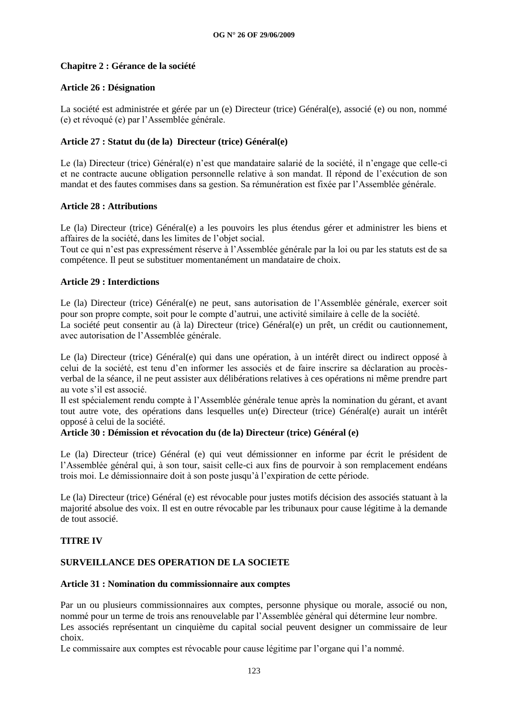# **Chapitre 2 : Gérance de la société**

## **Article 26 : Désignation**

La société est administrée et gérée par un (e) Directeur (trice) Général(e), associé (e) ou non, nommé (e) et révoqué (e) par l'Assemblée générale.

# **Article 27 : Statut du (de la) Directeur (trice) Général(e)**

Le (la) Directeur (trice) Général(e) n'est que mandataire salarié de la société, il n'engage que celle-ci et ne contracte aucune obligation personnelle relative à son mandat. Il répond de l'exécution de son mandat et des fautes commises dans sa gestion. Sa rémunération est fixée par l'Assemblée générale.

## **Article 28 : Attributions**

Le (la) Directeur (trice) Général(e) a les pouvoirs les plus étendus gérer et administrer les biens et affaires de la société, dans les limites de l'objet social.

Tout ce qui n'est pas expressément réserve à l'Assemblée générale par la loi ou par les statuts est de sa compétence. Il peut se substituer momentanément un mandataire de choix.

## **Article 29 : Interdictions**

Le (la) Directeur (trice) Général(e) ne peut, sans autorisation de l'Assemblée générale, exercer soit pour son propre compte, soit pour le compte d'autrui, une activité similaire à celle de la société.

La société peut consentir au (à la) Directeur (trice) Général(e) un prêt, un crédit ou cautionnement, avec autorisation de l'Assemblée générale.

Le (la) Directeur (trice) Général(e) qui dans une opération, à un intérêt direct ou indirect opposé à celui de la société, est tenu d'en informer les associés et de faire inscrire sa déclaration au procèsverbal de la séance, il ne peut assister aux délibérations relatives à ces opérations ni même prendre part au vote s'il est associé.

Il est spécialement rendu compte à l'Assemblée générale tenue après la nomination du gérant, et avant tout autre vote, des opérations dans lesquelles un(e) Directeur (trice) Général(e) aurait un intérêt opposé à celui de la société.

## **Article 30 : Démission et révocation du (de la) Directeur (trice) Général (e)**

Le (la) Directeur (trice) Général (e) qui veut démissionner en informe par écrit le président de l'Assemblée général qui, à son tour, saisit celle-ci aux fins de pourvoir à son remplacement endéans trois moi. Le démissionnaire doit à son poste jusqu'à l'expiration de cette période.

Le (la) Directeur (trice) Général (e) est révocable pour justes motifs décision des associés statuant à la majorité absolue des voix. Il est en outre révocable par les tribunaux pour cause légitime à la demande de tout associé.

# **TITRE IV**

# **SURVEILLANCE DES OPERATION DE LA SOCIETE**

## **Article 31 : Nomination du commissionnaire aux comptes**

Par un ou plusieurs commissionnaires aux comptes, personne physique ou morale, associé ou non, nommé pour un terme de trois ans renouvelable par l'Assemblée général qui détermine leur nombre. Les associés représentant un cinquième du capital social peuvent designer un commissaire de leur choix.

Le commissaire aux comptes est révocable pour cause légitime par l'organe qui l'a nommé.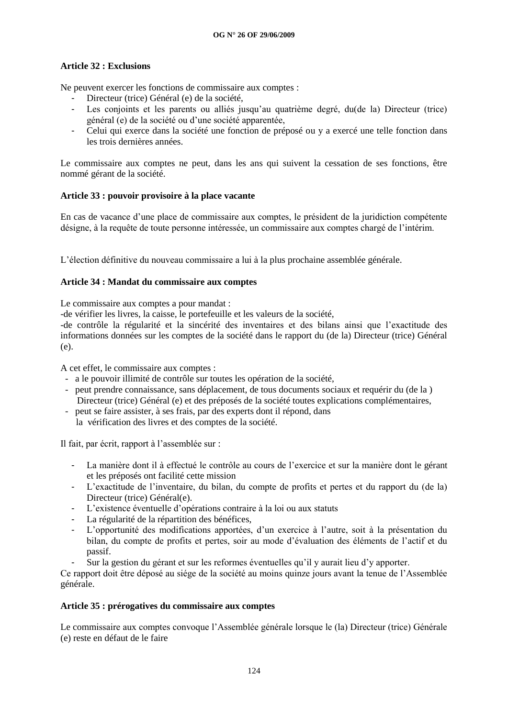# **Article 32 : Exclusions**

Ne peuvent exercer les fonctions de commissaire aux comptes :

- Directeur (trice) Général (e) de la société,
- Les conjoints et les parents ou alliés jusqu'au quatrième degré, du(de la) Directeur (trice) général (e) de la société ou d'une société apparentée,
- Celui qui exerce dans la société une fonction de préposé ou y a exercé une telle fonction dans les trois dernières années.

Le commissaire aux comptes ne peut, dans les ans qui suivent la cessation de ses fonctions, être nommé gérant de la société.

## **Article 33 : pouvoir provisoire à la place vacante**

En cas de vacance d'une place de commissaire aux comptes, le président de la juridiction compétente désigne, à la requête de toute personne intéressée, un commissaire aux comptes chargé de l'intérim.

L'élection définitive du nouveau commissaire a lui à la plus prochaine assemblée générale.

## **Article 34 : Mandat du commissaire aux comptes**

Le commissaire aux comptes a pour mandat :

-de vérifier les livres, la caisse, le portefeuille et les valeurs de la société,

-de contrôle la régularité et la sincérité des inventaires et des bilans ainsi que l'exactitude des informations données sur les comptes de la société dans le rapport du (de la) Directeur (trice) Général (e).

A cet effet, le commissaire aux comptes :

- a le pouvoir illimité de contrôle sur toutes les opération de la société,
- peut prendre connaissance, sans déplacement, de tous documents sociaux et requérir du (de la ) Directeur (trice) Général (e) et des préposés de la société toutes explications complémentaires,
- peut se faire assister, à ses frais, par des experts dont il répond, dans

la vérification des livres et des comptes de la société.

Il fait, par écrit, rapport à l'assemblée sur :

- La manière dont il à effectué le contrôle au cours de l'exercice et sur la manière dont le gérant et les préposés ont facilité cette mission
- L'exactitude de l'inventaire, du bilan, du compte de profits et pertes et du rapport du (de la) Directeur (trice) Général(e).
- L'existence éventuelle d'opérations contraire à la loi ou aux statuts
- La régularité de la répartition des bénéfices,
- L'opportunité des modifications apportées, d'un exercice à l'autre, soit à la présentation du bilan, du compte de profits et pertes, soir au mode d'évaluation des éléments de l'actif et du passif.
- Sur la gestion du gérant et sur les reformes éventuelles qu'il y aurait lieu d'y apporter.

Ce rapport doit être déposé au siége de la société au moins quinze jours avant la tenue de l'Assemblée générale.

## **Article 35 : prérogatives du commissaire aux comptes**

Le commissaire aux comptes convoque l'Assemblée générale lorsque le (la) Directeur (trice) Générale (e) reste en défaut de le faire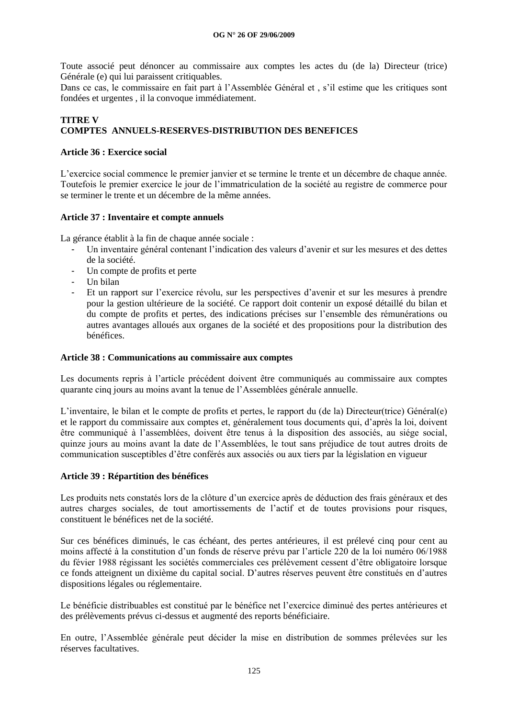Toute associé peut dénoncer au commissaire aux comptes les actes du (de la) Directeur (trice) Générale (e) qui lui paraissent critiquables.

Dans ce cas, le commissaire en fait part à l'Assemblée Général et , s'il estime que les critiques sont fondées et urgentes , il la convoque immédiatement.

# **TITRE V COMPTES ANNUELS-RESERVES-DISTRIBUTION DES BENEFICES**

## **Article 36 : Exercice social**

L'exercice social commence le premier janvier et se termine le trente et un décembre de chaque année. Toutefois le premier exercice le jour de l'immatriculation de la société au registre de commerce pour se terminer le trente et un décembre de la même années.

## **Article 37 : Inventaire et compte annuels**

La gérance établit à la fin de chaque année sociale :

- Un inventaire général contenant l'indication des valeurs d'avenir et sur les mesures et des dettes de la société.
- Un compte de profits et perte
- Un bilan
- Et un rapport sur l'exercice révolu, sur les perspectives d'avenir et sur les mesures à prendre pour la gestion ultérieure de la société. Ce rapport doit contenir un exposé détaillé du bilan et du compte de profits et pertes, des indications précises sur l'ensemble des rémunérations ou autres avantages alloués aux organes de la société et des propositions pour la distribution des bénéfices.

## **Article 38 : Communications au commissaire aux comptes**

Les documents repris à l'article précédent doivent être communiqués au commissaire aux comptes quarante cinq jours au moins avant la tenue de l'Assemblées générale annuelle.

L'inventaire, le bilan et le compte de profits et pertes, le rapport du (de la) Directeur(trice) Général(e) et le rapport du commissaire aux comptes et, généralement tous documents qui, d'après la loi, doivent être communiqué à l'assemblées, doivent être tenus à la disposition des associés, au siége social, quinze jours au moins avant la date de l'Assemblées, le tout sans préjudice de tout autres droits de communication susceptibles d'être conférés aux associés ou aux tiers par la législation en vigueur

## **Article 39 : Répartition des bénéfices**

Les produits nets constatés lors de la clôture d'un exercice après de déduction des frais généraux et des autres charges sociales, de tout amortissements de l'actif et de toutes provisions pour risques, constituent le bénéfices net de la société.

Sur ces bénéfices diminués, le cas échéant, des pertes antérieures, il est prélevé cinq pour cent au moins affecté à la constitution d'un fonds de réserve prévu par l'article 220 de la loi numéro 06/1988 du févier 1988 régissant les sociétés commerciales ces prélèvement cessent d'être obligatoire lorsque ce fonds atteignent un dixième du capital social. D'autres réserves peuvent être constitués en d'autres dispositions légales ou réglementaire.

Le bénéficie distribuables est constitué par le bénéfice net l'exercice diminué des pertes antérieures et des prélèvements prévus ci-dessus et augmenté des reports bénéficiaire.

En outre, l'Assemblée générale peut décider la mise en distribution de sommes prélevées sur les réserves facultatives.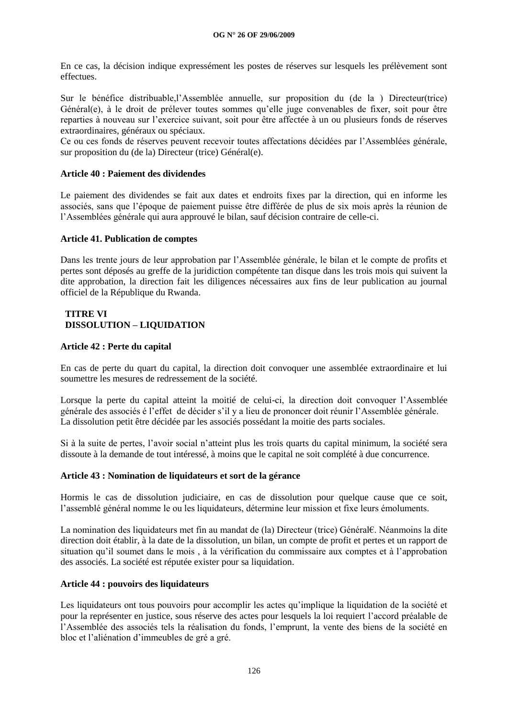En ce cas, la décision indique expressément les postes de réserves sur lesquels les prélèvement sont effectues.

Sur le bénéfice distribuable,l'Assemblée annuelle, sur proposition du (de la ) Directeur(trice) Général(e), à le droit de prélever toutes sommes qu'elle juge convenables de fixer, soit pour être reparties à nouveau sur l'exercice suivant, soit pour être affectée à un ou plusieurs fonds de réserves extraordinaires, généraux ou spéciaux.

Ce ou ces fonds de réserves peuvent recevoir toutes affectations décidées par l'Assemblées générale, sur proposition du (de la) Directeur (trice) Général(e).

## **Article 40 : Paiement des dividendes**

Le paiement des dividendes se fait aux dates et endroits fixes par la direction, qui en informe les associés, sans que l'époque de paiement puisse être différée de plus de six mois après la réunion de l'Assemblées générale qui aura approuvé le bilan, sauf décision contraire de celle-ci.

## **Article 41. Publication de comptes**

Dans les trente jours de leur approbation par l'Assemblée générale, le bilan et le compte de profits et pertes sont déposés au greffe de la juridiction compétente tan disque dans les trois mois qui suivent la dite approbation, la direction fait les diligences nécessaires aux fins de leur publication au journal officiel de la République du Rwanda.

# **TITRE VI DISSOLUTION – LIQUIDATION**

## **Article 42 : Perte du capital**

En cas de perte du quart du capital, la direction doit convoquer une assemblée extraordinaire et lui soumettre les mesures de redressement de la société.

Lorsque la perte du capital atteint la moitié de celui-ci, la direction doit convoquer l'Assemblée générale des associés é l'effet de décider s'il y a lieu de prononcer doit réunir l'Assemblée générale. La dissolution petit être décidée par les associés possédant la moitie des parts sociales.

Si à la suite de pertes, l'avoir social n'atteint plus les trois quarts du capital minimum, la société sera dissoute à la demande de tout intéressé, à moins que le capital ne soit complété à due concurrence.

## **Article 43 : Nomination de liquidateurs et sort de la gérance**

Hormis le cas de dissolution judiciaire, en cas de dissolution pour quelque cause que ce soit, l'assemblé général nomme le ou les liquidateurs, détermine leur mission et fixe leurs émoluments.

La nomination des liquidateurs met fin au mandat de (la) Directeur (trice) Général€. Néanmoins la dite direction doit établir, à la date de la dissolution, un bilan, un compte de profit et pertes et un rapport de situation qu'il soumet dans le mois , à la vérification du commissaire aux comptes et à l'approbation des associés. La société est réputée exister pour sa liquidation.

## **Article 44 : pouvoirs des liquidateurs**

Les liquidateurs ont tous pouvoirs pour accomplir les actes qu'implique la liquidation de la société et pour la représenter en justice, sous réserve des actes pour lesquels la loi requiert l'accord préalable de l'Assemblée des associés tels la réalisation du fonds, l'emprunt, la vente des biens de la société en bloc et l'aliénation d'immeubles de gré a gré.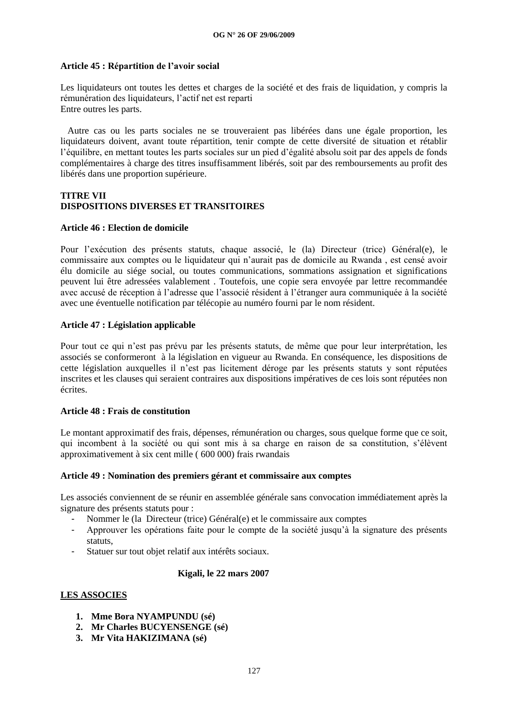## **Article 45 : Répartition de l'avoir social**

Les liquidateurs ont toutes les dettes et charges de la société et des frais de liquidation, y compris la rémunération des liquidateurs, l'actif net est reparti Entre outres les parts.

 Autre cas ou les parts sociales ne se trouveraient pas libérées dans une égale proportion, les liquidateurs doivent, avant toute répartition, tenir compte de cette diversité de situation et rétablir l'équilibre, en mettant toutes les parts sociales sur un pied d'égalité absolu soit par des appels de fonds complémentaires à charge des titres insuffisamment libérés, soit par des remboursements au profit des libérés dans une proportion supérieure.

## **TITRE VII DISPOSITIONS DIVERSES ET TRANSITOIRES**

## **Article 46 : Election de domicile**

Pour l'exécution des présents statuts, chaque associé, le (la) Directeur (trice) Général(e), le commissaire aux comptes ou le liquidateur qui n'aurait pas de domicile au Rwanda , est censé avoir élu domicile au siége social, ou toutes communications, sommations assignation et significations peuvent lui être adressées valablement . Toutefois, une copie sera envoyée par lettre recommandée avec accusé de réception à l'adresse que l'associé résident à l'étranger aura communiquée à la société avec une éventuelle notification par télécopie au numéro fourni par le nom résident.

## **Article 47 : Législation applicable**

Pour tout ce qui n'est pas prévu par les présents statuts, de même que pour leur interprétation, les associés se conformeront à la législation en vigueur au Rwanda. En conséquence, les dispositions de cette législation auxquelles il n'est pas licitement déroge par les présents statuts y sont réputées inscrites et les clauses qui seraient contraires aux dispositions impératives de ces lois sont réputées non écrites.

## **Article 48 : Frais de constitution**

Le montant approximatif des frais, dépenses, rémunération ou charges, sous quelque forme que ce soit, qui incombent à la société ou qui sont mis à sa charge en raison de sa constitution, s'élèvent approximativement à six cent mille ( 600 000) frais rwandais

## **Article 49 : Nomination des premiers gérant et commissaire aux comptes**

Les associés conviennent de se réunir en assemblée générale sans convocation immédiatement après la signature des présents statuts pour :

- Nommer le (la Directeur (trice) Général(e) et le commissaire aux comptes
- Approuver les opérations faite pour le compte de la société jusqu'à la signature des présents statuts,
- Statuer sur tout objet relatif aux intérêts sociaux.

# **Kigali, le 22 mars 2007**

## **LES ASSOCIES**

- **1. Mme Bora NYAMPUNDU (sé)**
- **2. Mr Charles BUCYENSENGE (sé)**
- **3. Mr Vita HAKIZIMANA (sé)**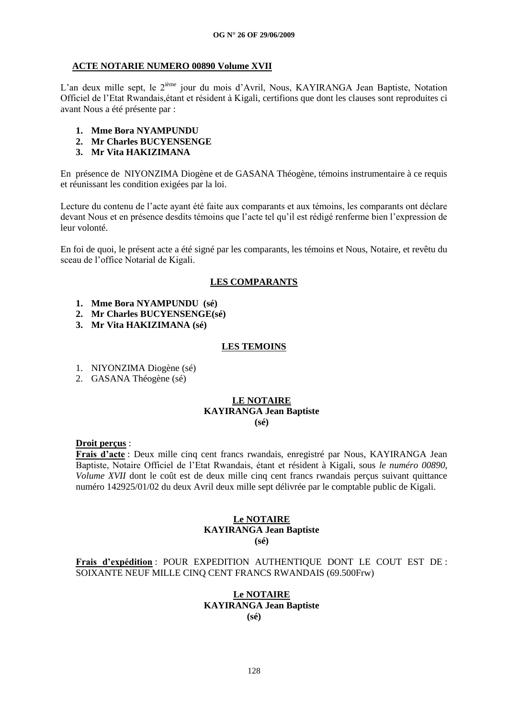## **ACTE NOTARIE NUMERO 00890 Volume XVII**

L'an deux mille sept, le 2<sup>ième</sup> jour du mois d'Avril, Nous, KAYIRANGA Jean Baptiste, Notation Officiel de l'Etat Rwandais,étant et résident à Kigali, certifions que dont les clauses sont reproduites ci avant Nous a été présente par :

- **1. Mme Bora NYAMPUNDU**
- **2. Mr Charles BUCYENSENGE**
- **3. Mr Vita HAKIZIMANA**

En présence de NIYONZIMA Diogène et de GASANA Théogène, témoins instrumentaire à ce requis et réunissant les condition exigées par la loi.

Lecture du contenu de l'acte ayant été faite aux comparants et aux témoins, les comparants ont déclare devant Nous et en présence desdits témoins que l'acte tel qu'il est rédigé renferme bien l'expression de leur volonté.

En foi de quoi, le présent acte a été signé par les comparants, les témoins et Nous, Notaire, et revêtu du sceau de l'office Notarial de Kigali.

## **LES COMPARANTS**

- **1. Mme Bora NYAMPUNDU (sé)**
- **2. Mr Charles BUCYENSENGE(sé)**
- **3. Mr Vita HAKIZIMANA (sé)**

## **LES TEMOINS**

- 1. NIYONZIMA Diogène (sé)
- 2. GASANA Théogène (sé)

#### **LE NOTAIRE KAYIRANGA Jean Baptiste (sé)**

**Droit perçus** :

**Frais d'acte** : Deux mille cinq cent francs rwandais, enregistré par Nous, KAYIRANGA Jean Baptiste, Notaire Officiel de l'Etat Rwandais, étant et résident à Kigali, sous *le numéro 00890, Volume XVII* dont le coût est de deux mille cinq cent francs rwandais percus suivant quittance numéro 142925/01/02 du deux Avril deux mille sept délivrée par le comptable public de Kigali.

#### **Le NOTAIRE KAYIRANGA Jean Baptiste (sé)**

**Frais d'expédition** : POUR EXPEDITION AUTHENTIQUE DONT LE COUT EST DE : SOIXANTE NEUF MILLE CINQ CENT FRANCS RWANDAIS (69.500Frw)

> **Le NOTAIRE KAYIRANGA Jean Baptiste (sé)**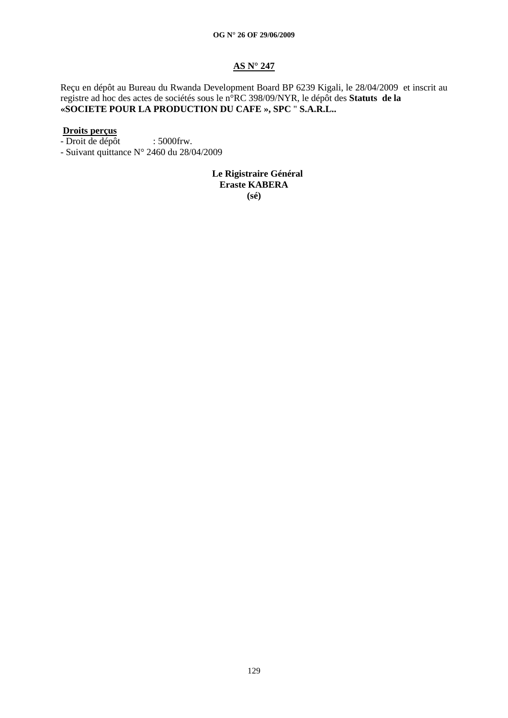#### **OG N° 26 OF 29/06/2009**

# **AS N° 247**

Reçu en dépôt au Bureau du Rwanda Development Board BP 6239 Kigali, le 28/04/2009 et inscrit au registre ad hoc des actes de sociétés sous le n°RC 398/09/NYR, le dépôt des **Statuts de la «SOCIETE POUR LA PRODUCTION DU CAFE », SPC** " **S.A.R.L..**

## **Droits perçus**

- Droit de dépôt : 5000frw.

- Suivant quittance N° 2460 du 28/04/2009

## **Le Rigistraire Général Eraste KABERA (sé)**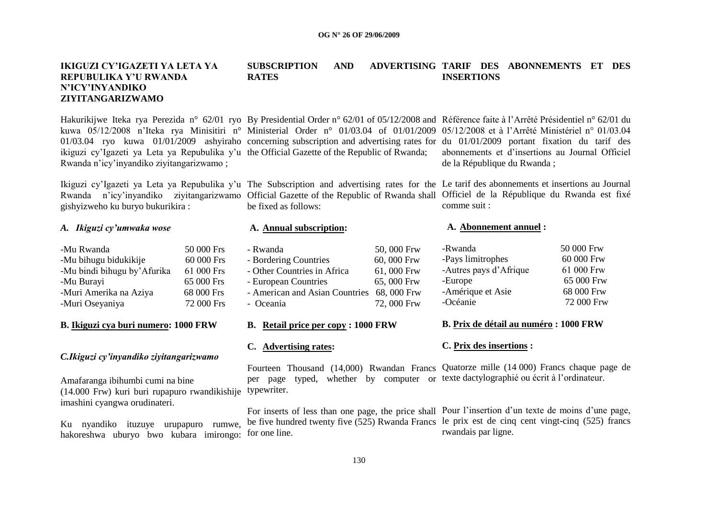#### **IKIGUZI CY'IGAZETI YA LETA YA REPUBULIKA Y'U RWANDA N'ICY'INYANDIKO ZIYITANGARIZWAMO**

Rwanda n'icy'inyandiko ziyitangarizwamo ;

gishyizweho ku buryo bukurikira :

#### *A. Ikiguzi cy'umwaka wose*

| -Mu Rwanda                  | 50 000 Frs |
|-----------------------------|------------|
| -Mu bihugu bidukikije       | 60 000 Frs |
| -Mu bindi bihugu by'Afurika | 61 000 Frs |
| -Mu Burayi                  | 65 000 Frs |
| -Muri Amerika na Aziya      | 68 000 Frs |
| -Muri Oseyaniya             | 72 000 Frs |

#### **B. Ikiguzi cya buri numero: 1000 FRW**

#### *C.Ikiguzi cy'inyandiko ziyitangarizwamo*

Amafaranga ibihumbi cumi na bine (14.000 Frw) kuri buri rupapuro rwandikishije typewriter. imashini cyangwa orudinateri.

Ku nyandiko ituzuye urupapuro rumwe, hakoreshwa uburyo bwo kubara imirongo: for one line.

#### **SUBSCRIPTION AND RATES**

#### ADVERTISING TARIF DES ABONNEMENTS ET DES **INSERTIONS**

Hakurikijwe Iteka rya Perezida n° 62/01 ryo By Presidential Order n° 62/01 of 05/12/2008 and Référence faite à l'Arrêté Présidentiel n° 62/01 du kuwa 05/12/2008 n'Iteka rya Minisitiri n° Ministerial Order n° 01/03.04 of 01/01/2009 05/12/2008 et à l'Arrêté Ministériel n° 01/03.04 01/03.04 ryo kuwa 01/01/2009 ashyiraho concerning subscription and advertising rates for du 01/01/2009 portant fixation du tarif des ikiguzi cy'Igazeti ya Leta ya Repubulika y'u the Official Gazette of the Republic of Rwanda; abonnements et d'insertions au Journal Officiel de la République du Rwanda ;

Ikiguzi cy'Igazeti ya Leta ya Repubulika y'u The Subscription and advertising rates for the Le tarif des abonnements et insertions au Journal Rwanda n'icy'inyandiko ziyitangarizwamo Official Gazette of the Republic of Rwanda shall Officiel de la République du Rwanda est fixé be fixed as follows:

#### **A. Annual subscription:**

| - Rwanda                       | 50,000 Frw |
|--------------------------------|------------|
| - Bordering Countries          | 60,000 Frw |
| - Other Countries in Africa    | 61,000 Frw |
| - European Countries           | 65,000 Frw |
| - American and Asian Countries | 68,000 Frw |
| - Oceania                      | 72,000 Frw |

**B. Retail price per copy : 1000 FRW**

#### **C. Advertising rates:**

# comme suit :

#### **A. Abonnement annuel :**

| -Rwanda                | 50 000 Frw |
|------------------------|------------|
| -Pays limitrophes      | 60 000 Frw |
| -Autres pays d'Afrique | 61 000 Frw |
| -Europe                | 65 000 Frw |
| -Amérique et Asie      | 68 000 Frw |
| -Océanie               | 72 000 Frw |

#### **B. Prix de détail au numéro : 1000 FRW**

#### **C. Prix des insertions :**

Fourteen Thousand (14,000) Rwandan Francs Quatorze mille (14 000) Francs chaque page de per page typed, whether by computer or texte dactylographié ou écrit à l'ordinateur.

For inserts of less than one page, the price shall Pour l'insertion d'un texte de moins d'une page, be five hundred twenty five (525) Rwanda Francs le prix est de cinq cent vingt-cinq (525) francs rwandais par ligne.

## 130